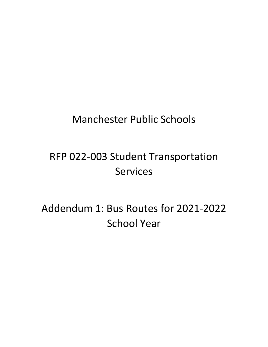# Manchester Public Schools

# RFP 022-003 Student Transportation **Services**

Addendum 1: Bus Routes for 2021-2022 School Year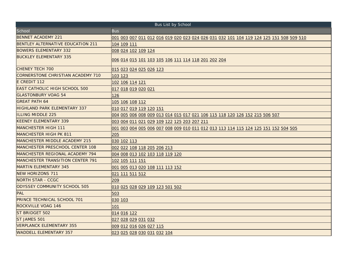| Bus List by School                      |                                                                                                |  |  |
|-----------------------------------------|------------------------------------------------------------------------------------------------|--|--|
| School                                  | <b>Bus</b>                                                                                     |  |  |
| <b>BENNET ACADEMY 221</b>               | <u>001 003 007 011 012 016 019 020 023 024 026 031 032 101 104 119 124 125 151 508 509 510</u> |  |  |
| BENTLEY ALTERNATIVE EDUCATION 211       | 104 109 111                                                                                    |  |  |
| <b>BOWERS ELEMENTARY 332</b>            | 008 024 102 109 124                                                                            |  |  |
| <b>BUCKLEY ELEMENTARY 335</b>           | 006 014 015 101 103 105 106 111 114 118 201 202 204                                            |  |  |
| <b>CHENEY TECH 700</b>                  | 015 023 024 025 026 123                                                                        |  |  |
| CORNERSTONE CHRISTIAN ACADEMY 710       | 103 123                                                                                        |  |  |
| E CREDIT 112                            | 102 106 114 121                                                                                |  |  |
| <b>EAST CATHOLIC HIGH SCHOOL 500</b>    | 017 018 019 020 021                                                                            |  |  |
| <b>GLASTONBURY VOAG 54</b>              | 126                                                                                            |  |  |
| <b>GREAT PATH 64</b>                    | 105 106 108 112                                                                                |  |  |
| <b>HIGHLAND PARK ELEMENTARY 337</b>     | 010 017 019 119 120 151                                                                        |  |  |
| <b>ILLING MIDDLE 225</b>                | 004 005 006 008 009 013 014 015 017 021 106 115 118 120 126 152 215 506 507                    |  |  |
| <b>KEENEY ELEMENTARY 339</b>            | 003 004 011 021 029 109 122 125 203 207 211                                                    |  |  |
| IMANCHESTER HIGH 111                    | <u>001 003 004 005 006 007 008 009 010 011 012 013 113 114 115 124 125 151 152 504 505</u>     |  |  |
| <b>MANCHESTER HIGH PK 811</b>           | 205                                                                                            |  |  |
| <b>MANCHESTER MIDDLE ACADEMY 215</b>    | 030 102 113                                                                                    |  |  |
| MANCHESTER PRESCHOOL CENTER 108         | 002 022 108 118 205 206 213                                                                    |  |  |
| MANCHESTER REGIONAL ACADEMY 794         | 004 008 013 102 103 118 119 120                                                                |  |  |
| <b>MANCHESTER TRANSITION CENTER 791</b> | 102 105 111 151                                                                                |  |  |
| <b>MARTIN ELEMENTARY 345</b>            | 001 005 013 020 108 111 113 152                                                                |  |  |
| <b>NEW HORIZONS 711</b>                 | 021 111 511 512                                                                                |  |  |
| <b>NORTH STAR - CCGC</b>                | 209                                                                                            |  |  |
| ODYSSEY COMMUNITY SCHOOL 505            | 010 025 028 029 109 123 501 502                                                                |  |  |
| PAL                                     | 503                                                                                            |  |  |
| <b>PRINCE TECHNICAL SCHOOL 701</b>      | 030 103                                                                                        |  |  |
| <b>ROCKVILLE VOAG 146</b>               | 101                                                                                            |  |  |
| ST BRIDGET 502                          | 014 016 122                                                                                    |  |  |
| <b>ST JAMES 501</b>                     | 027 028 029 031 032                                                                            |  |  |
| <b>VERPLANCK ELEMENTARY 355</b>         | 009 012 016 026 027 115                                                                        |  |  |
| <b>WADDELL ELEMENTARY 357</b>           | 023 025 028 030 031 032 104                                                                    |  |  |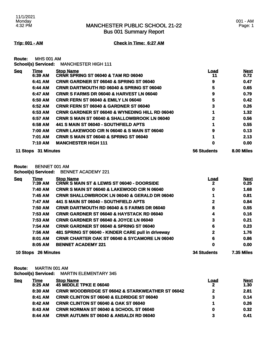**Trip: 001 - AM Check in Time: 6:27 AM**

**Route:** MHS 001 AM **School(s) Serviced:** MANCHESTER HIGH 111

| <b>Seg</b> | Time                | <b>Stop Name</b>                                          | <u>Load</u>        | <b>Next</b> |
|------------|---------------------|-----------------------------------------------------------|--------------------|-------------|
|            | 6:39 AM             | <b>CRNR SPRING ST 06040 &amp; TAM RD 06040</b>            | 11                 | 0.72        |
|            | 6:41 AM             | <b>CRNR GARDNER ST 06040 &amp; SPRING ST 06040</b>        | 9                  | 0.47        |
|            | 6:44 AM             | <b>CRNR DARTMOUTH RD 06040 &amp; SPRING ST 06040</b>      | 5                  | 0.65        |
|            | 6:47 AM             | <b>CRNR S FARMS DR 06040 &amp; HARVEST LN 06040</b>       | 9                  | 0.79        |
|            | 6:50 AM             | <b>CRNR FERN ST 06040 &amp; EMILY LN 06040</b>            | 5                  | 0.42        |
|            | 6:52 AM             | CRNR FERN ST 06040 & GARDNER ST 06040                     | 3                  | 0.26        |
|            | 6:53 AM             | <b>CRNR GARDNER ST 06040 &amp; WYNEDING HILL RD 06040</b> |                    | 1.32        |
|            | 6:57 AM             | <b>CRNR S MAIN ST 06040 &amp; SHALLOWBROOK LN 06040</b>   | 2                  | 0.56        |
|            | 6:58 AM             | 441 S MAIN ST 06040 - SOUTHFIELD APTS                     |                    | 0.55        |
|            | 7:00 AM             | <b>CRNR LAKEWOOD CIR N 06040 &amp; S MAIN ST 06040</b>    | 9                  | 0.13        |
|            | 7:01 AM             | <b>CRNR S MAIN ST 06040 &amp; SPRING ST 06040</b>         | 4                  | 2.13        |
|            | 7:10 AM             | <b>MANCHESTER HIGH 111</b>                                | 0                  | 0.00        |
|            | 11 Stops 31 Minutes |                                                           | <b>56 Students</b> | 8.00 Miles  |

**Route:** BENNET 001 AM

**School(s) Serviced:** BENNET ACADEMY 221

| <b>Seq</b>      | Time<br>7:39 AM   | <b>Stop Name</b><br><b>CRNR S MAIN ST &amp; LEWIS ST 06040 - DOORSIDE</b> | Load<br>2          | <b>Next</b><br>0.25 |
|-----------------|-------------------|---------------------------------------------------------------------------|--------------------|---------------------|
|                 | 7:40 AM           | CRNR S MAIN ST 06040 & LAKEWOOD CIR N 06040                               | 0                  | 1.68                |
|                 | 7:45 AM           | <b>CRNR SHALLOWBROOK LN 06040 &amp; GERALD DR 06040</b>                   |                    | 0.81                |
|                 | 7:47 AM           | 441 S MAIN ST 06040 - SOUTHFIELD APTS                                     | 2                  | 0.84                |
|                 | 7:50 AM           | <b>CRNR DARTMOUTH RD 06040 &amp; S FARMS DR 06040</b>                     | 8                  | 0.55                |
|                 | 7:53 AM           | <b>CRNR GARDNER ST 06040 &amp; HAYSTACK RD 06040</b>                      | 4                  | 0.16                |
|                 | 7:53 AM           | <b>CRNR GARDNER ST 06040 &amp; JOYCE LN 06040</b>                         | 3                  | 0.21                |
|                 | 7:54 AM           | <b>CRNR GARDNER ST 06040 &amp; SPRING ST 06040</b>                        | 6                  | 0.23                |
|                 | 7:56 AM           | 481 SPRING ST 06040 - KINDER CARE pull in driveway                        | $\mathbf{2}$       | 1.76                |
|                 | 8:01 AM           | <b>CRNR CHARTER OAK ST 06040 &amp; SYCAMORE LN 06040</b>                  | 6                  | 0.86                |
|                 | 8:05 AM           | <b>BENNET ACADEMY 221</b>                                                 | 0                  | 0.00                |
| <b>10 Stops</b> | <b>26 Minutes</b> |                                                                           | <b>34 Students</b> | <b>7.35 Miles</b>   |

**Route:** MARTIN 001 AM

| School(s) Serviced: | <b>MARTIN ELEMENTARY 345</b> |
|---------------------|------------------------------|
|                     |                              |

| <b>Seq</b> | <u> Time</u> | <b>Stop Name</b>                                            | <b>Load</b> | <b>Next</b> |
|------------|--------------|-------------------------------------------------------------|-------------|-------------|
|            | 8:25 AM      | <b>45 MIDDLE TPKE E 06040</b>                               |             | 1.30        |
|            | 8:30 AM      | <b>CRNR WOODBRIDGE ST 06042 &amp; STARKWEATHER ST 06042</b> | 2           | 2.81        |
|            | 8:41 AM      | <b>CRNR CLINTON ST 06040 &amp; ELDRIDGE ST 06040</b>        | 3           | 0.14        |
|            | 8:42AM       | <b>CRNR CLINTON ST 06040 &amp; OAK ST 06040</b>             |             | 0.26        |
|            | 8:43 AM      | <b>CRNR NORMAN ST 06040 &amp; SCHOOL ST 06040</b>           | 0           | 0.32        |
|            | 8:44 AM      | <b>CRNR AUTUMN ST 06040 &amp; ANSALDI RD 06040</b>          | 3           | 0.41        |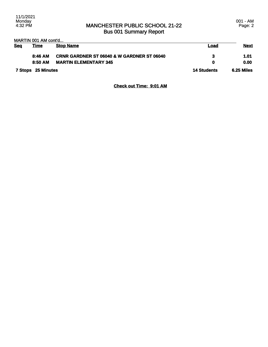#### MARTIN 001 AM cont'd...

| <b>Sea</b> | <u>Time</u>        | <b>Stop Name</b>                                      | Load               | <b>Next</b>       |
|------------|--------------------|-------------------------------------------------------|--------------------|-------------------|
|            | 8:46 AM            | <b>CRNR GARDNER ST 06040 &amp; W GARDNER ST 06040</b> | 3                  | 1.01              |
|            | 8:50 AM            | <b>MARTIN ELEMENTARY 345</b>                          |                    | 0.00              |
|            | 7 Stops 25 Minutes |                                                       | <b>14 Students</b> | <b>6.25 Miles</b> |

#### **Check out Time: 9:01 AM**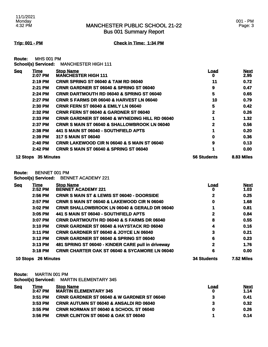Bus 001 Summary Report

**Trip: 001 - PM Check in Time: 1:34 PM**

**Route:** MHS 001 PM **School(s) Serviced:** MANCHESTER HIGH 111

| <b>Seq</b>      | <u>Time</u>       | <b>Stop Name</b>                                          | <u>Load</u>        | <b>Next</b> |
|-----------------|-------------------|-----------------------------------------------------------|--------------------|-------------|
|                 | 2:07 PM           | <b>MANCHESTER HIGH 111</b>                                | 0                  | 2.95        |
|                 | 2:19 PM           | <b>CRNR SPRING ST 06040 &amp; TAM RD 06040</b>            | 11                 | 0.72        |
|                 | 2:21 PM           | <b>CRNR GARDNER ST 06040 &amp; SPRING ST 06040</b>        | 9                  | 0.47        |
|                 | 2:24 PM           | <b>CRNR DARTMOUTH RD 06040 &amp; SPRING ST 06040</b>      | 5                  | 0.65        |
|                 | 2:27 PM           | <b>CRNR S FARMS DR 06040 &amp; HARVEST LN 06040</b>       | 10                 | 0.79        |
|                 | 2:30 PM           | <b>CRNR FERN ST 06040 &amp; EMILY LN 06040</b>            | 5                  | 0.42        |
|                 | 2:32 PM           | <b>CRNR FERN ST 06040 &amp; GARDNER ST 06040</b>          | 2                  | 0.26        |
|                 | 2:33 PM           | <b>CRNR GARDNER ST 06040 &amp; WYNEDING HILL RD 06040</b> |                    | 1.32        |
|                 | 2:37 PM           | <b>CRNR S MAIN ST 06040 &amp; SHALLOWBROOK LN 06040</b>   | 2                  | 0.56        |
|                 | 2:38 PM           | 441 S MAIN ST 06040 - SOUTHFIELD APTS                     |                    | 0.20        |
|                 | 2:39 PM           | 317 S MAIN ST 06040                                       | 0                  | 0.36        |
|                 | 2:40 PM           | <b>CRNR LAKEWOOD CIR N 06040 &amp; S MAIN ST 06040</b>    | 9                  | 0.13        |
|                 | 2:42 PM           | <b>CRNR S MAIN ST 06040 &amp; SPRING ST 06040</b>         |                    | 0.00        |
| <b>12 Stops</b> | <b>35 Minutes</b> |                                                           | <b>56 Students</b> | 8.83 Miles  |

**Route:** BENNET 001 PM

**School(s) Serviced:** BENNET ACADEMY 221

| <b>Seq</b>      | Time              | <b>Stop Name</b>                                         | <u>Load</u>        | <b>Next</b>       |
|-----------------|-------------------|----------------------------------------------------------|--------------------|-------------------|
|                 | 2:52 PM           | <b>BENNET ACADEMY 221</b>                                | o                  | 1.03              |
|                 | 2:56 PM           | <b>CRNR S MAIN ST &amp; LEWIS ST 06040 - DOORSIDE</b>    |                    | 0.25              |
|                 | 2:57 PM           | <b>CRNR S MAIN ST 06040 &amp; LAKEWOOD CIR N 06040</b>   | 0                  | 1.68              |
|                 | 3:02 PM           | <b>CRNR SHALLOWBROOK LN 06040 &amp; GERALD DR 06040</b>  |                    | 0.81              |
|                 | 3:05 PM           | 441 S MAIN ST 06040 - SOUTHFIELD APTS                    | 2                  | 0.84              |
|                 | 3:07 PM           | <b>CRNR DARTMOUTH RD 06040 &amp; S FARMS DR 06040</b>    | 8                  | 0.55              |
|                 | 3:10 PM           | <b>CRNR GARDNER ST 06040 &amp; HAYSTACK RD 06040</b>     | 4                  | 0.16              |
|                 | 3:11 PM           | <b>CRNR GARDNER ST 06040 &amp; JOYCE LN 06040</b>        | 3                  | 0.21              |
|                 | $3:12$ PM         | <b>CRNR GARDNER ST 06040 &amp; SPRING ST 06040</b>       | 6                  | 0.23              |
|                 | $3:13$ PM         | 481 SPRING ST 06040 - KINDER CARE pull in driveway       | 2                  | 1.76              |
|                 | $3:18$ PM         | <b>CRNR CHARTER OAK ST 06040 &amp; SYCAMORE LN 06040</b> | 6                  | 0.00              |
| <b>10 Stops</b> | <b>26 Minutes</b> |                                                          | <b>34 Students</b> | <b>7.52 Miles</b> |

**Route:** MARTIN 001 PM

**School(s) Serviced:** MARTIN ELEMENTARY 345

| Time      | <b>Stop Name</b>                                      | Load                         | <b>Next</b> |
|-----------|-------------------------------------------------------|------------------------------|-------------|
|           |                                                       |                              | 1.14        |
| $3:51$ PM | <b>CRNR GARDNER ST 06040 &amp; W GARDNER ST 06040</b> | 3                            | 0.41        |
| $3:53$ PM | <b>CRNR AUTUMN ST 06040 &amp; ANSALDI RD 06040</b>    | 3                            | 0.32        |
| $3:55$ PM | <b>CRNR NORMAN ST 06040 &amp; SCHOOL ST 06040</b>     | 0                            | 0.26        |
| $3:56$ PM | <b>CRNR CLINTON ST 06040 &amp; OAK ST 06040</b>       |                              | 0.14        |
|           | 3:47 PM                                               | <b>MARTIN ELEMENTARY 345</b> |             |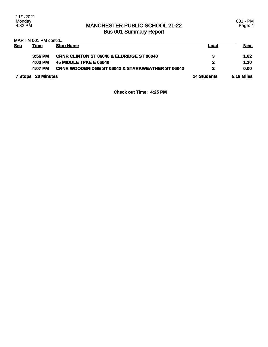MARTIN 001 PM cont'd...

| <b>Seg</b>         | Time      | <b>Stop Name</b>                                            | <b>Load</b>  | <u>Next</u> |
|--------------------|-----------|-------------------------------------------------------------|--------------|-------------|
|                    | $3:56$ PM | <b>CRNR CLINTON ST 06040 &amp; ELDRIDGE ST 06040</b>        | З.           | 1.62        |
|                    | 4:03 PM   | <b>45 MIDDLE TPKE E 06040</b>                               | 2            | 1.30        |
|                    | 4:07 PM   | <b>CRNR WOODBRIDGE ST 06042 &amp; STARKWEATHER ST 06042</b> | $\mathbf{2}$ | 0.00        |
| 7 Stops 20 Minutes |           | <b>14 Students</b>                                          | 5.19 Miles   |             |

**Check out Time: 4:25 PM**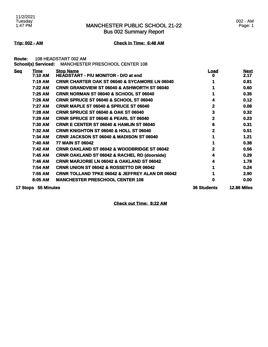Bus 002 Summary Report

**Trip: 002 - AM Check in Time: 6:48 AM**

**Route:** 108 HEADSTART 002 AM **School(s) Serviced:** MANCHESTER PRESCHOOL CENTER 108

| <b>Seq</b> | Time<br>7:10 AM     | <b>Stop Name</b><br><b>HEADSTART - P/U MONITOR - D/O at end</b> | Load               | <b>Next</b><br>2.17 |
|------------|---------------------|-----------------------------------------------------------------|--------------------|---------------------|
|            | 7:19 AM             | <b>CRNR CHARTER OAK ST 06040 &amp; SYCAMORE LN 06040</b>        |                    | 0.81                |
|            | 7:22 AM             | <b>CRNR GRANDVIEW ST 06040 &amp; ASHWORTH ST 06040</b>          |                    | 0.60                |
|            | 7:25 AM             | <b>CRNR NORMAN ST 06040 &amp; SCHOOL ST 06040</b>               |                    | 0.35                |
|            | 7:26 AM             | <b>CRNR SPRUCE ST 06040 &amp; SCHOOL ST 06040</b>               |                    | 0.12                |
|            | 7:27 AM             | <b>CRNR MAPLE ST 06040 &amp; SPRUCE ST 06040</b>                | 2                  | 0.08                |
|            | 7:28 AM             | <b>CRNR SPRUCE ST 06040 &amp; OAK ST 06040</b>                  | 3                  | 0.32                |
|            | 7:29 AM             | <b>CRNR SPRUCE ST 06040 &amp; PEARL ST 06040</b>                | 2                  | 0.23                |
|            | 7:30 AM             | <b>CRNR E CENTER ST 06040 &amp; HAMLIN ST 06040</b>             | 6                  | 0.31                |
|            | 7:32 AM             | <b>CRNR KNIGHTON ST 06040 &amp; HOLL ST 06040</b>               | 2                  | 0.51                |
|            | <b>7:34 AM</b>      | <b>CRNR JACKSON ST 06040 &amp; MADISON ST 06040</b>             |                    | 1.21                |
|            | 7:40 AM             | <b>77 MAIN ST 06042</b>                                         |                    | 0.38                |
|            | 7:42 AM             | <b>CRNR OAKLAND ST 06042 &amp; WOODBRIDGE ST 06042</b>          |                    | 0.56                |
|            | 7:45 AM             | <b>CRNR OAKLAND ST 06042 &amp; RACHEL RD (doorside)</b>         |                    | 0.29                |
|            | 7:46 AM             | <b>CRNR MARJORIE LN 06042 &amp; OAKLAND ST 06042</b>            | 4                  | 1.78                |
|            | 7:54 AM             | <b>CRNR UNION ST 06042 &amp; ROSSETTO DR 06042</b>              |                    | 0.24                |
|            | 7:55 AM             | <b>CRNR TOLLAND TPKE 06042 &amp; JEFFREY ALAN DR 06042</b>      |                    | 2.90                |
|            | 8:05 AM             | <b>MANCHESTER PRESCHOOL CENTER 108</b>                          | n                  | 0.00                |
|            | 17 Stops 55 Minutes |                                                                 | <b>36 Students</b> | <b>12.86 Miles</b>  |

**Check out Time: 8:22 AM**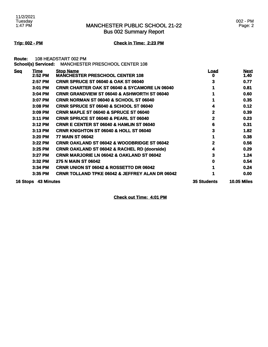Bus 002 Summary Report

#### 002 - PM Page: 2

### **Trip: 002 - PM Check in Time: 2:23 PM**

**Route:** 108 HEADSTART 002 PM **School(s) Serviced:** MANCHESTER PRESCHOOL CENTER 108

| <b>Seq</b> | <b>Time</b>       | <b>Stop Name</b>                                           | <u>Load</u>        | <b>Next</b>        |
|------------|-------------------|------------------------------------------------------------|--------------------|--------------------|
|            | 2:52 PM           | <b>MANCHESTER PRESCHOOL CENTER 108</b>                     | U                  | 1.40               |
|            | 2:57 PM           | <b>CRNR SPRUCE ST 06040 &amp; OAK ST 06040</b>             | 3                  | 0.77               |
|            | 3:01 PM           | <b>CRNR CHARTER OAK ST 06040 &amp; SYCAMORE LN 06040</b>   |                    | 0.81               |
|            | 3:04 PM           | <b>CRNR GRANDVIEW ST 06040 &amp; ASHWORTH ST 06040</b>     |                    | 0.60               |
|            | 3:07 PM           | <b>CRNR NORMAN ST 06040 &amp; SCHOOL ST 06040</b>          |                    | 0.35               |
|            | 3:08 PM           | <b>CRNR SPRUCE ST 06040 &amp; SCHOOL ST 06040</b>          | 4                  | 0.12               |
|            | 3:09 PM           | <b>CRNR MAPLE ST 06040 &amp; SPRUCE ST 06040</b>           | 2                  | 0.39               |
|            | 3:11 PM           | <b>CRNR SPRUCE ST 06040 &amp; PEARL ST 06040</b>           | 2                  | 0.23               |
|            | $3:12$ PM         | <b>CRNR E CENTER ST 06040 &amp; HAMLIN ST 06040</b>        | 6                  | 0.31               |
|            | 3:13 PM           | <b>CRNR KNIGHTON ST 06040 &amp; HOLL ST 06040</b>          | 3                  | 1.82               |
|            | 3:20 PM           | <b>77 MAIN ST 06042</b>                                    |                    | 0.38               |
|            | 3:22 PM           | <b>CRNR OAKLAND ST 06042 &amp; WOODBRIDGE ST 06042</b>     |                    | 0.56               |
|            | 3:25 PM           | <b>CRNR OAKLAND ST 06042 &amp; RACHEL RD (doorside)</b>    | 4                  | 0.29               |
|            | 3:27 PM           | <b>CRNR MARJORIE LN 06042 &amp; OAKLAND ST 06042</b>       | 3                  | 1.24               |
|            | 3:32 PM           | <b>275 N MAIN ST 06042</b>                                 | o                  | 0.54               |
|            | 3:34 PM           | <b>CRNR UNION ST 06042 &amp; ROSSETTO DR 06042</b>         |                    | 0.24               |
|            | 3:35 PM           | <b>CRNR TOLLAND TPKE 06042 &amp; JEFFREY ALAN DR 06042</b> |                    | 0.00               |
| 16 Stops   | <b>43 Minutes</b> |                                                            | <b>35 Students</b> | <b>10.05 Miles</b> |

**Check out Time: 4:01 PM**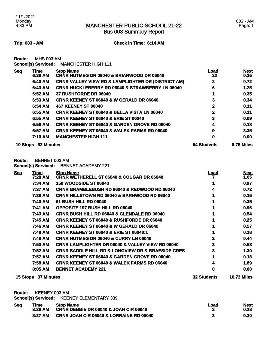003 - AM Page: 1

**Trip: 003 - AM Check in Time: 6:14 AM**

**Route:** MHS 003 AM

|  |  | School(s) Serviced: | <b>MANCHESTER HIGH 111</b> |
|--|--|---------------------|----------------------------|
|--|--|---------------------|----------------------------|

| <u>Seq</u> | Time                | <b>Stop Name</b>                                              | <u>Load</u> | <b>Next</b> |
|------------|---------------------|---------------------------------------------------------------|-------------|-------------|
|            | 6:38 AM             | <b>CRNR NUTMEG DR 06040 &amp; BRIARWOOD DR 06040</b>          | 22          | 0.25        |
|            | 6:40 AM             | <b>CRNR VALLEY VIEW RD &amp; LAMPLIGHTER DR (DISTRICT AM)</b> | 2           | 0.72        |
|            | 6:43 AM             | <b>CRNR HUCKLEBERRY RD 06040 &amp; STRAWBERRY LN 06040</b>    | 6           | 1.25        |
|            | 6:52 AM             | <b>37 RUSHFORDE DR 06040</b>                                  |             | 0.35        |
|            | 6:53 AM             | <b>CRNR KEENEY ST 06040 &amp; W GERALD DR 06040</b>           | 3           | 0.34        |
|            | 6:54 AM             | <b>467 KEENEY ST 06040</b>                                    | $\mathbf 2$ | 0.11        |
|            | 6:55 AM             | <b>CRNR KEENEY ST 06040 &amp; BELLA VISTA LN 06040</b>        | 2           | 0.11        |
|            | 6:55 AM             | <b>CRNR KEENEY ST 06040 &amp; ERIE ST 06040</b>               | 3           | 0.09        |
|            | 6:56 AM             | <b>CRNR KEENEY ST 06040 &amp; GARDEN GROVE RD 06040</b>       | 4           | 0.18        |
|            | 6:57 AM             | <b>CRNR KEENEY ST 06040 &amp; WALEK FARMS RD 06040</b>        | 9           | 3.35        |
|            | 7:10 AM             | <b>MANCHESTER HIGH 111</b>                                    | 0           | 0.00        |
|            | 10 Stops 32 Minutes |                                                               | 54 Students | 6.75 Miles  |

**Route:** BENNET 003 AM

**School(s) Serviced:** BENNET ACADEMY 221

| <b>Seq</b> | Time                | <b>Stop Name</b>                                                 | <u>Load</u>        | <b>Next</b>        |
|------------|---------------------|------------------------------------------------------------------|--------------------|--------------------|
|            | 7:28 AM             | <b>CRNR WETHERELL ST 06040 &amp; COUGAR DR 06040</b>             |                    | 1.65               |
|            | 7:34 AM             | <b>150 WOODSIDE ST 06040</b>                                     |                    | 0.97               |
|            | 7:37 AM             | <b>CRNR BRAMBLEBUSH RD 06040 &amp; REDWOOD RD 06040</b>          |                    | 0.72               |
|            | 7:39 AM             | <b>CRNR HILLSTOWN RD 06040 &amp; BARNWOOD RD 06040</b>           |                    | 0.15               |
|            | 7:40 AM             | <b>61 BUSH HILL RD 06040</b>                                     |                    | 0.35               |
|            | 7:41 AM             | <b>OPPOSITE 197 BUSH HILL RD 06040</b>                           |                    | 0.96               |
|            | 7:43 AM             | <b>CRNR BUSH HILL RD 06040 &amp; GLENDALE RD 06040</b>           |                    | 0.54               |
|            | 7:45 AM             | <b>CRNR KEENEY ST 06040 &amp; RUSHFORDE DR 06040</b>             |                    | 0.25               |
|            | 7:46 AM             | <b>CRNR KEENEY ST 06040 &amp; W GERALD DR 06040</b>              |                    | 0.57               |
|            | 7:48 AM             | <b>CRNR KEENEY ST 06040 &amp; ERIE ST 06040:1</b>                |                    | 0.18               |
|            | 7:49 AM             | <b>CRNR NUTMEG DR 06040 &amp; CURRY LN 06040</b>                 | 2                  | 0.44               |
|            | 7:50 AM             | <b>CRNR LAMPLIGHTER DR 06040 &amp; VALLEY VIEW RD 06040</b>      | 3                  | 0.58               |
|            | 7:52 AM             | <b>CRNR SADDLE HILL RD &amp; LONGVIEW DR &amp; BRAESIDE CRES</b> | 3                  | 1.30               |
|            | 7:57 AM             | <b>CRNR KEENEY ST 06040 &amp; GARDEN GROVE RD 06040</b>          |                    | 0.18               |
|            | 7:58 AM             | <b>CRNR KEENEY ST 06040 &amp; WALEK FARMS RD 06040</b>           |                    | 1.89               |
|            | 8:05 AM             | <b>BENNET ACADEMY 221</b>                                        | 0                  | 0.00               |
|            | 15 Stops 37 Minutes |                                                                  | <b>32 Students</b> | <b>10.73 Miles</b> |

**Route:** KEENEY 003 AM

**School(s) Serviced:** KEENEY ELEMENTARY 339

| <b>Seq</b> | Time    | <b>Stop Name</b>                                   | Load | Next |
|------------|---------|----------------------------------------------------|------|------|
|            | 8:26 AM | CRNR DEBBIE DR 06040 & JOAN CIR 06040              |      | 0.28 |
|            | 8:27 AM | <b>CRNR JOAN CIR 06040 &amp; LORRAINE RD 06040</b> |      | 0.30 |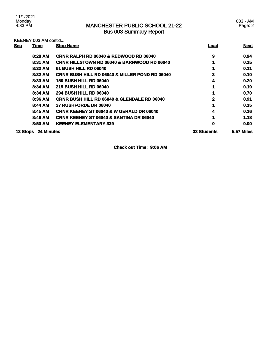| KEENEY 003 AM cont'd |                     |                                                           |                    |                   |
|----------------------|---------------------|-----------------------------------------------------------|--------------------|-------------------|
| <b>Seq</b>           | <b>Time</b>         | <b>Stop Name</b>                                          | <b>Load</b>        | <b>Next</b>       |
|                      | 8:28 AM             | <b>CRNR RALPH RD 06040 &amp; REDWOOD RD 06040</b>         | 9                  | 0.94              |
|                      | 8:31 AM             | <b>CRNR HILLSTOWN RD 06040 &amp; BARNWOOD RD 06040</b>    |                    | 0.15              |
|                      | 8:32 AM             | <b>61 BUSH HILL RD 06040</b>                              |                    | 0.11              |
|                      | 8:32 AM             | <b>CRNR BUSH HILL RD 06040 &amp; MILLER POND RD 06040</b> | 3                  | 0.10              |
|                      | 8:33 AM             | <b>150 BUSH HILL RD 06040</b>                             | 4                  | 0.20              |
|                      | 8:34 AM             | <b>219 BUSH HILL RD 06040</b>                             |                    | 0.19              |
|                      | 8:34 AM             | <b>294 BUSH HILL RD 06040</b>                             |                    | 0.70              |
|                      | 8:36 AM             | <b>CRNR BUSH HILL RD 06040 &amp; GLENDALE RD 06040</b>    | 2                  | 0.91              |
|                      | 8:44 AM             | <b>37 RUSHFORDE DR 06040</b>                              | 1                  | 0.35              |
|                      | 8:45 AM             | <b>CRNR KEENEY ST 06040 &amp; W GERALD DR 06040</b>       | 4                  | 0.16              |
|                      | 8:46 AM             | <b>CRNR KEENEY ST 06040 &amp; SANTINA DR 06040</b>        |                    | 1.18              |
|                      | 8:50 AM             | <b>KEENEY ELEMENTARY 339</b>                              | 0                  | 0.00              |
|                      | 13 Stops 24 Minutes |                                                           | <b>33 Students</b> | <b>5.57 Miles</b> |

**Check out Time: 9:06 AM**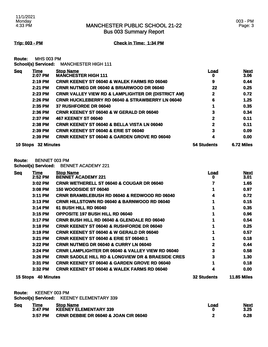003 - PM Page: 3

**Trip: 003 - PM Check in Time: 1:34 PM**

**Route:** MHS 003 PM **School(s) Serviced:** MANCHESTER HIGH 111

| <b>Seq</b> | Time                | <b>Stop Name</b>                                              | <u>Load</u>  | <b>Next</b> |
|------------|---------------------|---------------------------------------------------------------|--------------|-------------|
|            | 2:07 PM             | <b>MANCHESTER HIGH 111</b>                                    | o            | 3.06        |
|            | 2:19 PM             | <b>CRNR KEENEY ST 06040 &amp; WALEK FARMS RD 06040</b>        | 9            | 0.44        |
|            | 2:21 PM             | <b>CRNR NUTMEG DR 06040 &amp; BRIARWOOD DR 06040</b>          | 22           | 0.25        |
|            | 2:23 PM             | <b>CRNR VALLEY VIEW RD &amp; LAMPLIGHTER DR (DISTRICT AM)</b> | $\mathbf{2}$ | 0.72        |
|            | 2:26 PM             | <b>CRNR HUCKLEBERRY RD 06040 &amp; STRAWBERRY LN 06040</b>    | 6            | 1.25        |
|            | 2:35 PM             | 37 RUSHFORDE DR 06040                                         |              | 0.35        |
|            | $2:36$ PM           | <b>CRNR KEENEY ST 06040 &amp; W GERALD DR 06040</b>           | 3            | 0.34        |
|            | 2:37 PM             | <b>467 KEENEY ST 06040</b>                                    | 2            | 0.11        |
|            | $2:38$ PM           | <b>CRNR KEENEY ST 06040 &amp; BELLA VISTA LN 06040</b>        | 2            | 0.11        |
|            | 2:39 PM             | <b>CRNR KEENEY ST 06040 &amp; ERIE ST 06040</b>               | 3            | 0.09        |
|            | 2:39 PM             | <b>CRNR KEENEY ST 06040 &amp; GARDEN GROVE RD 06040</b>       | 4            | 0.00        |
|            | 10 Stops 32 Minutes |                                                               | 54 Students  | 6.72 Miles  |

**Route:** BENNET 003 PM

**School(s) Serviced:** BENNET ACADEMY 221

| <b>Seq</b> | Time              | <b>Stop Name</b>                                                 | Load               | <b>Next</b>        |
|------------|-------------------|------------------------------------------------------------------|--------------------|--------------------|
|            | $2:52$ PM         | <b>BENNET ACADEMY 221</b>                                        | o                  | 3.01               |
|            | 3:02 PM           | <b>CRNR WETHERELL ST 06040 &amp; COUGAR DR 06040</b>             |                    | 1.65               |
|            | 3:08 PM           | <b>150 WOODSIDE ST 06040</b>                                     |                    | 0.97               |
|            | $3:11$ PM         | <b>CRNR BRAMBLEBUSH RD 06040 &amp; REDWOOD RD 06040</b>          |                    | 0.72               |
|            | 3:13 PM           | <b>CRNR HILLSTOWN RD 06040 &amp; BARNWOOD RD 06040</b>           |                    | 0.15               |
|            | $3:14$ PM         | <b>61 BUSH HILL RD 06040</b>                                     |                    | 0.35               |
|            | 3:15 PM           | <b>OPPOSITE 197 BUSH HILL RD 06040</b>                           |                    | 0.96               |
|            | 3:17 PM           | <b>CRNR BUSH HILL RD 06040 &amp; GLENDALE RD 06040</b>           |                    | 0.54               |
|            | $3:18$ PM         | <b>CRNR KEENEY ST 06040 &amp; RUSHFORDE DR 06040</b>             |                    | 0.25               |
|            | $3:19$ PM         | <b>CRNR KEENEY ST 06040 &amp; W GERALD DR 06040</b>              |                    | 0.57               |
|            | 3:21 PM           | <b>CRNR KEENEY ST 06040 &amp; ERIE ST 06040:1</b>                |                    | 0.18               |
|            | 3:22 PM           | <b>CRNR NUTMEG DR 06040 &amp; CURRY LN 06040</b>                 | 2                  | 0.44               |
|            | $3:24$ PM         | <b>CRNR LAMPLIGHTER DR 06040 &amp; VALLEY VIEW RD 06040</b>      | 3                  | 0.58               |
|            | 3:26 PM           | <b>CRNR SADDLE HILL RD &amp; LONGVIEW DR &amp; BRAESIDE CRES</b> | 3                  | 1.30               |
|            | 3:31 PM           | <b>CRNR KEENEY ST 06040 &amp; GARDEN GROVE RD 06040</b>          |                    | 0.18               |
|            | 3:32 PM           | <b>CRNR KEENEY ST 06040 &amp; WALEK FARMS RD 06040</b>           |                    | 0.00               |
| 15 Stops   | <b>40 Minutes</b> |                                                                  | <b>32 Students</b> | <b>11.85 Miles</b> |

**Route:** KEENEY 003 PM

**School(s) Serviced:** KEENEY ELEMENTARY 339

| <b>Seq</b> | <b>Time</b> | <b>Stop Name</b>                                 | Load | <b>Next</b> |
|------------|-------------|--------------------------------------------------|------|-------------|
|            | 3:47 PM     | KEĖNEY ELEMENTARY 339                            |      | 3.25        |
|            | 3:57 PM     | <b>CRNR DEBBIE DR 06040 &amp; JOAN CIR 06040</b> |      | 0.28        |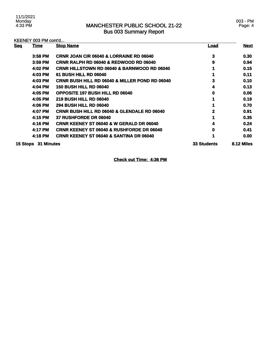### KEENEY 003 PM cont'd...

| <b>Seq</b> | <b>Time</b> | <b>Stop Name</b>                                          | <u>Load</u>        | <b>Next</b> |
|------------|-------------|-----------------------------------------------------------|--------------------|-------------|
|            | 3:58 PM     | CRNR JOAN CIR 06040 & LORRAINE RD 06040                   | 3                  | 0.30        |
|            | 3:59 PM     | <b>CRNR RALPH RD 06040 &amp; REDWOOD RD 06040</b>         | 9                  | 0.94        |
|            | 4:02 PM     | <b>CRNR HILLSTOWN RD 06040 &amp; BARNWOOD RD 06040</b>    |                    | 0.15        |
|            | 4:03 PM     | <b>61 BUSH HILL RD 06040</b>                              |                    | 0.11        |
|            | 4:03 PM     | <b>CRNR BUSH HILL RD 06040 &amp; MILLER POND RD 06040</b> | 3                  | 0.10        |
|            | 4:04 PM     | <b>150 BUSH HILL RD 06040</b>                             | 4                  | 0.13        |
|            | 4:05 PM     | <b>OPPOSITE 197 BUSH HILL RD 06040</b>                    | 0                  | 0.06        |
|            | 4:05 PM     | <b>219 BUSH HILL RD 06040</b>                             |                    | 0.19        |
|            | 4:06 PM     | <b>294 BUSH HILL RD 06040</b>                             |                    | 0.70        |
|            | 4:07 PM     | <b>CRNR BUSH HILL RD 06040 &amp; GLENDALE RD 06040</b>    | 2                  | 0.91        |
|            | 4:15 PM     | <b>37 RUSHFORDE DR 06040</b>                              |                    | 0.35        |
|            | 4:16 PM     | <b>CRNR KEENEY ST 06040 &amp; W GERALD DR 06040</b>       |                    | 0.24        |
|            | 4:17 PM     | <b>CRNR KEENEY ST 06040 &amp; RUSHFORDE DR 06040</b>      | 0                  | 0.41        |
|            | 4:18 PM     | <b>CRNR KEENEY ST 06040 &amp; SANTINA DR 06040</b>        |                    | 0.00        |
| 15 Stops   | 31 Minutes  |                                                           | <b>33 Students</b> | 8.12 Miles  |

**Check out Time: 4:36 PM**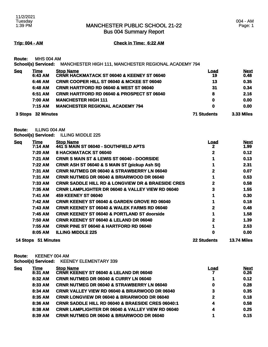Bus 004 Summary Report

#### **Trip: 004 - AM Check in Time: 6:22 AM**

**Route:** MHS 004 AM

**School(s) Serviced:** MANCHESTER HIGH 111, MANCHESTER REGIONAL ACADEMY 794

| <u>Seq</u>                   | Time    | <b>Stop Name</b>                                      | <u>Load</u>       | <b>Next</b> |
|------------------------------|---------|-------------------------------------------------------|-------------------|-------------|
|                              | 6:43 AM | <b>CRNR HACKMATACK ST 06040 &amp; KEENEY ST 06040</b> | 19                | 0.48        |
|                              | 6:46 AM | <b>CRNR COOPER HILL ST 06040 &amp; MCKEE ST 06040</b> | 13                | 0.35        |
|                              | 6:48 AM | <b>CRNR HARTFORD RD 06040 &amp; WEST ST 06040</b>     | 31                | 0.34        |
|                              | 6:51 AM | <b>CRNR HARTFORD RD 06040 &amp; PROSPECT ST 06040</b> | 8                 | 2.16        |
|                              | 7:00 AM | <b>MANCHESTER HIGH 111</b>                            | 0                 | 0.00        |
|                              | 7:15 AM | <b>MANCHESTER REGIONAL ACADEMY 794</b>                | 0                 | 0.00        |
| <b>32 Minutes</b><br>3 Stops |         | <b>71 Students</b>                                    | <b>3.33 Miles</b> |             |

**Route:** ILLING 004 AM

**School(s) Serviced:** ILLING MIDDLE 225

| <b>Seg</b> | <u>Time</u>         | <b>Stop Name</b>                                                 | <u>Load</u>        | <b>Next</b>        |
|------------|---------------------|------------------------------------------------------------------|--------------------|--------------------|
|            | 7:14 AM             | 441 S MAIN ST 06040 - SOUTHFIELD APTS                            | 2                  | 1.99               |
|            | 7:20 AM             | 8 HACKMATACK ST 06040                                            | 2                  | 0.12               |
|            | 7:21 AM             | <b>CRNR S MAIN ST &amp; LEWIS ST 06040 - DOORSIDE</b>            |                    | 0.13               |
|            | 7:22 AM             | CRNR ASH ST 06040 & S MAIN ST (pickup Ash St)                    |                    | 2.31               |
|            | 7:31 AM             | <b>CRNR NUTMEG DR 06040 &amp; STRAWBERRY LN 06040</b>            | 2                  | 0.07               |
|            | 7:31 AM             | <b>CRNR NUTMEG DR 06040 &amp; BRIARWOOD DR 06040</b>             |                    | 0.53               |
|            | 7:33 AM             | <b>CRNR SADDLE HILL RD &amp; LONGVIEW DR &amp; BRAESIDE CRES</b> |                    | 0.58               |
|            | 7:35 AM             | <b>CRNR LAMPLIGHTER DR 06040 &amp; VALLEY VIEW RD 06040</b>      | 3                  | 1.55               |
|            | 7:41 AM             | <b>459 KEENEY ST 06040</b>                                       |                    | 0.30               |
|            | 7:42 AM             | <b>CRNR KEENEY ST 06040 &amp; GARDEN GROVE RD 06040</b>          |                    | 0.18               |
|            | <b>7:43 AM</b>      | <b>CRNR KEENEY ST 06040 &amp; WALEK FARMS RD 06040</b>           |                    | 0.48               |
|            | 7:45 AM             | <b>CRNR KEENEY ST 06040 &amp; PORTLAND ST doorside</b>           |                    | 1.58               |
|            | 7:50 AM             | <b>CRNR KEENEY ST 06040 &amp; LELAND DR 06040</b>                |                    | 1.39               |
|            | 7:55 AM             | <b>CRNR PINE ST 06040 &amp; HARTFORD RD 06040</b>                |                    | 2.53               |
|            | 8:05 AM             | <b>ILLING MIDDLE 225</b>                                         | 0                  | 0.00               |
|            | 14 Stops 51 Minutes |                                                                  | <b>22 Students</b> | <b>13.74 Miles</b> |

**Route:** KEENEY 004 AM

**School(s) Serviced:** KEENEY ELEMENTARY 339

| <b>Seq</b> | Time    | <b>Stop Name</b>                                             | Load         | <b>Next</b> |
|------------|---------|--------------------------------------------------------------|--------------|-------------|
|            | 8:31 AM | <b>CRNR KEENEY ST 06040 &amp; LELAND DR 06040</b>            |              | 0.26        |
|            | 8:32 AM | <b>CRNR NUTMEG DR 06040 &amp; CURRY LN 06040</b>             |              | 0.12        |
|            | 8:33 AM | <b>CRNR NUTMEG DR 06040 &amp; STRAWBERRY LN 06040</b>        | 0            | 0.28        |
|            | 8:34 AM | <b>CRNR VALLEY VIEW RD 06040 &amp; BRIARWOOD DR 06040</b>    | 3            | 0.35        |
|            | 8:35 AM | <b>CRNR LONGVIEW DR 06040 &amp; BRIARWOOD DR 06040</b>       | $\mathbf{2}$ | 0.18        |
|            | 8:36 AM | <b>CRNR SADDLE HILL RD 06040 &amp; BRAESIDE CRES 06040:1</b> | 4            | 0.58        |
|            | 8:38 AM | <b>CRNR LAMPLIGHTER DR 06040 &amp; VALLEY VIEW RD 06040</b>  | 4            | 0.25        |
|            | 8:39 AM | <b>CRNR NUTMEG DR 06040 &amp; BRIARWOOD DR 06040</b>         |              | 0.15        |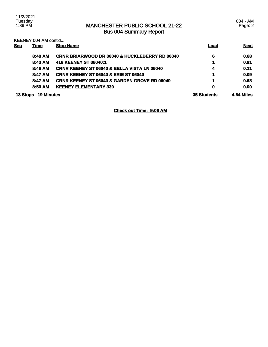| <b>Seq</b>      | <u>Time</u>       | <b>Stop Name</b>                                          | Load               | <b>Next</b> |
|-----------------|-------------------|-----------------------------------------------------------|--------------------|-------------|
|                 | 8:40 AM           | <b>CRNR BRIARWOOD DR 06040 &amp; HUCKLEBERRY RD 06040</b> | 6                  | 0.68        |
|                 | 8:43 AM           | 416 KEENEY ST 06040:1                                     | 1                  | 0.91        |
|                 | 8:46 AM           | <b>CRNR KEENEY ST 06040 &amp; BELLA VISTA LN 06040</b>    | 4                  | 0.11        |
|                 | 8:47 AM           | <b>CRNR KEENEY ST 06040 &amp; ERIE ST 06040</b>           | 1                  | 0.09        |
|                 | 8:47 AM           | <b>CRNR KEENEY ST 06040 &amp; GARDEN GROVE RD 06040</b>   | 1                  | 0.68        |
|                 | 8:50 AM           | <b>KEENEY ELEMENTARY 339</b>                              | 0                  | 0.00        |
| <b>13 Stops</b> | <b>19 Minutes</b> |                                                           | <b>35 Students</b> | 4.64 Miles  |

**Check out Time: 9:06 AM**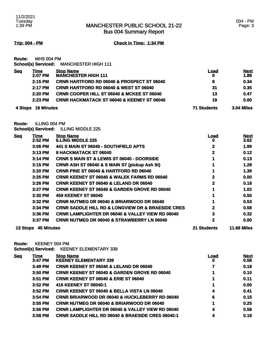Bus 004 Summary Report

**Trip: 004 - PM Check in Time: 1:34 PM**

**Route:** MHS 004 PM **School(s) Serviced:** MANCHESTER HIGH 111

| <b>Seq</b> | Time<br>2:07 PM    | <b>Stop Name</b><br><b>MANCHESTER HIGH 111</b>        | Load               | <b>Next</b><br>1.88 |
|------------|--------------------|-------------------------------------------------------|--------------------|---------------------|
|            | $2:15$ PM          | <b>CRNR HARTFORD RD 06040 &amp; PROSPECT ST 06040</b> | 8                  | 0.34                |
|            | 2:17 PM            | <b>CRNR HARTFORD RD 06040 &amp; WEST ST 06040</b>     | 31                 | 0.35                |
|            | $2:20$ PM          | <b>CRNR COOPER HILL ST 06040 &amp; MCKEE ST 06040</b> | 13                 | 0.47                |
|            | $2:23$ PM          | <b>CRNR HACKMATACK ST 06040 &amp; KEENEY ST 06040</b> | 19                 | 0.00                |
|            | 4 Stops 16 Minutes |                                                       | <b>71 Students</b> | <b>3.04 Miles</b>   |

**Route:** ILLING 004 PM

**School(s) Serviced:** ILLING MIDDLE 225

| <b>Seq</b> | <u>Time</u>       | <b>Stop Name</b>                                                 | <u>Load</u> | <b>Next</b>        |
|------------|-------------------|------------------------------------------------------------------|-------------|--------------------|
|            | 2:52 PM           | <b>ILLING MIDDLE 225</b>                                         | o           | 3.62               |
|            | 3:06 PM           | 441 S MAIN ST 06040 - SOUTHFIELD APTS                            | 2           | 1.99               |
|            | 3:13 PM           | 8 HACKMATACK ST 06040                                            | 2           | 0.12               |
|            | 3:14 PM           | <b>CRNR S MAIN ST &amp; LEWIS ST 06040 - DOORSIDE</b>            |             | 0.13               |
|            | 3:15 PM           | <b>CRNR ASH ST 06040 &amp; S MAIN ST (pickup Ash St)</b>         |             | 1.28               |
|            | 3:20 PM           | <b>CRNR PINE ST 06040 &amp; HARTFORD RD 06040</b>                |             | 1.39               |
|            | 3:25 PM           | <b>CRNR KEENEY ST 06040 &amp; WALEK FARMS RD 06040</b>           | 2           | 0.00               |
|            | 3:26 PM           | <b>CRNR KEENEY ST 06040 &amp; LELAND DR 06040</b>                | 2           | 0.18               |
|            | 3:27 PM           | <b>CRNR KEENEY ST 06040 &amp; GARDEN GROVE RD 06040</b>          |             | 1.02               |
|            | $3:30$ PM         | <b>459 KEENEY ST 06040</b>                                       |             | 0.50               |
|            | 3:32 PM           | <b>CRNR NUTMEG DR 06040 &amp; BRIARWOOD DR 06040</b>             |             | 0.53               |
|            | $3:34$ PM         | <b>CRNR SADDLE HILL RD &amp; LONGVIEW DR &amp; BRAESIDE CRES</b> | 2           | 0.58               |
|            | $3:36$ PM         | <b>CRNR LAMPLIGHTER DR 06040 &amp; VALLEY VIEW RD 06040</b>      | 3           | 0.32               |
|            | 3:37 PM           | <b>CRNR NUTMEG DR 06040 &amp; STRAWBERRY LN 06040</b>            | 2           | 0.00               |
| 13 Stops   | <b>45 Minutes</b> |                                                                  | 21 Students | <b>11.66 Miles</b> |

**Route:** KEENEY 004 PM

**School(s) Serviced:** KEENEY ELEMENTARY 339

| <b>Seq</b> | <u>Time</u> | <b>Stop Name</b>                                             | <u>Load</u> | <b>Next</b> |
|------------|-------------|--------------------------------------------------------------|-------------|-------------|
|            | 3:47 PM     | <b>KEENEY ELEMENTARY 339</b>                                 | O           | 0.58        |
|            | 3:49 PM     | <b>CRNR KEENEY ST 06040 &amp; LELAND DR 06040</b>            |             | 0.18        |
|            | 3:50 PM     | <b>CRNR KEENEY ST 06040 &amp; GARDEN GROVE RD 06040</b>      |             | 0.10        |
|            | 3:51 PM     | <b>CRNR KEENEY ST 06040 &amp; ERIE ST 06040</b>              |             | 0.11        |
|            | $3:52$ PM   | 416 KEENEY ST 06040:1                                        |             | 0.00        |
|            | 3:52 PM     | <b>CRNR KEENEY ST 06040 &amp; BELLA VISTA LN 06040</b>       | 4           | 0.41        |
|            | 3:54 PM     | <b>CRNR BRIARWOOD DR 06040 &amp; HUCKLEBERRY RD 06040</b>    | 6           | 0.15        |
|            | $3:55$ PM   | <b>CRNR NUTMEG DR 06040 &amp; BRIARWOOD DR 06040</b>         |             | 0.25        |
|            | 3:56 PM     | <b>CRNR LAMPLIGHTER DR 06040 &amp; VALLEY VIEW RD 06040</b>  | 4           | 0.58        |
|            | $3:58$ PM   | <b>CRNR SADDLE HILL RD 06040 &amp; BRAESIDE CRES 06040:1</b> | 4           | 0.18        |
|            |             |                                                              |             |             |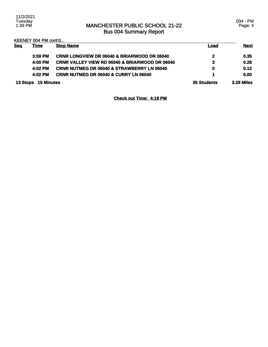|            | KEENEY 004 PM cont'd |                                                           |                    |                   |
|------------|----------------------|-----------------------------------------------------------|--------------------|-------------------|
| <b>Seq</b> | <u>Time</u>          | <b>Stop Name</b>                                          | <u>Load</u>        | <b>Next</b>       |
|            | $3:59$ PM            | <b>CRNR LONGVIEW DR 06040 &amp; BRIARWOOD DR 06040</b>    | 2                  | 0.35              |
|            | 4:00 PM              | <b>CRNR VALLEY VIEW RD 06040 &amp; BRIARWOOD DR 06040</b> | 3                  | 0.28              |
|            | 4:02 PM              | <b>CRNR NUTMEG DR 06040 &amp; STRAWBERRY LN 06040</b>     | 0                  | 0.12              |
|            | 4:02 PM              | <b>CRNR NUTMEG DR 06040 &amp; CURRY LN 06040</b>          | 1                  | 0.00              |
| 13 Stops   | <b>15 Minutes</b>    |                                                           | <b>35 Students</b> | <b>3.29 Miles</b> |

**Check out Time: 4:19 PM**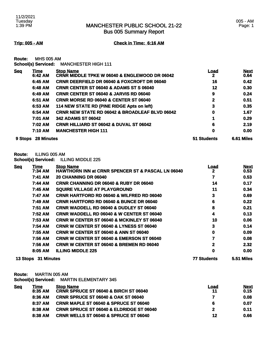**Trip: 005 - AM Check in Time: 6:16 AM**

**Route:** MHS 005 AM

**School(s) Serviced:** MANCHESTER HIGH 111

| <b>Seq</b> | Time              | <b>Stop Name</b>                                          | Load        | <b>Next</b> |
|------------|-------------------|-----------------------------------------------------------|-------------|-------------|
|            | 6:42 AM           | <b>CRNR MIDDLE TPKE W 06040 &amp; ENGLEWOOD DR 06042</b>  | 2           | 0.64        |
|            | 6:45 AM           | <b>CRNR DEERFIELD DR 06040 &amp; FOXCROFT DR 06040</b>    | 16          | 0.42        |
|            | 6:48 AM           | <b>CRNR CENTER ST 06040 &amp; ADAMS ST S 06040</b>        | 12          | 0.30        |
|            | 6:49 AM           | <b>CRNR CENTER ST 06040 &amp; JARVIS RD 06040</b>         | 9           | 0.24        |
|            | 6:51 AM           | <b>CRNR MORSE RD 06040 &amp; CENTER ST 06040</b>          | 2           | 0.51        |
|            | 6:53 AM           | 114 NEW STATE RD (PINE RIDGE Apts on left)                | 3           | 0.35        |
|            | 6:54 AM           | <b>CRNR NEW STATE RD 06042 &amp; BROADLEAF BLVD 06042</b> | 0           | 1.67        |
|            | 7:01 AM           | <b>342 ADAMS ST 06042</b>                                 |             | 0.29        |
|            | 7:02 AM           | <b>CRNR HILLIARD ST 06042 &amp; DUVAL ST 06042</b>        | 6           | 2.19        |
|            | 7:10 AM           | <b>MANCHESTER HIGH 111</b>                                | 0           | 0.00        |
| 9 Stops    | <b>28 Minutes</b> |                                                           | 51 Students | 6.61 Miles  |

**Route:** ILLING 005 AM

**School(s) Serviced:** ILLING MIDDLE 225

| <b>Seq</b>          | <u>Time</u> | <b>Stop Name</b>                                             | <u>Load</u>       | <b>Next</b> |
|---------------------|-------------|--------------------------------------------------------------|-------------------|-------------|
|                     | 7:34 AM     | <b>HAWTHORN INN at CRNR SPENCER ST &amp; PASCAL LN 06040</b> | 2                 | 0.53        |
|                     | 7:41 AM     | 20 CHANNING DR 06040                                         | 7                 | 0.53        |
|                     | 7:44 AM     | <b>CRNR CHANNING DR 06040 &amp; RUBY DR 06040</b>            | 14                | 0.17        |
|                     | 7:45 AM     | <b>SQUIRE VILLAGE AT PLAYGROUND</b>                          | 11                | 0.34        |
|                     | 7:47 AM     | <b>CRNR HARTFORD RD 06040 &amp; WILFRED RD 06040</b>         | 3                 | 0.69        |
|                     | 7:49 AM     | <b>CRNR HARTFORD RD 06040 &amp; BUNCE DR 06040</b>           | 6                 | 0.22        |
|                     | 7:51 AM     | <b>CRNR WADDELL RD 06040 &amp; DUDLEY ST 06040</b>           | 8                 | 0.21        |
|                     | 7:52 AM     | <b>CRNR WADDELL RD 06040 &amp; W CENTER ST 06040</b>         | 4                 | 0.13        |
|                     | 7:53 AM     | <b>CRNR W CENTER ST 06040 &amp; MCKINLEY ST 06040</b>        | 10                | 0.06        |
|                     | 7:54 AM     | <b>CRNR W CENTER ST 06040 &amp; LYNESS ST 06040</b>          | 3                 | 0.14        |
|                     | 7:55 AM     | <b>CRNR W CENTER ST 06040 &amp; ANN ST 06040</b>             | 0                 | 0.09        |
|                     | 7:56 AM     | CRNR W CENTER ST 06040 & EMERSON ST 06040                    | 7                 | 0.08        |
|                     | 7:56 AM     | <b>CRNR W CENTER ST 06040 &amp; BREMEN RD 06040</b>          | 2                 | 2.32        |
|                     | 8:05 AM     | <b>ILLING MIDDLE 225</b>                                     | 0                 | 0.00        |
| 13 Stops 31 Minutes |             | 77 Students                                                  | <b>5.51 Miles</b> |             |

**Route:** MARTIN 005 AM

**School(s) Serviced:** MARTIN ELEMENTARY 345 **Seq Time Stop Name Load Next**

| <u>rune</u> | <b>SLOD NATHE</b>                                   | Loau         | Next |
|-------------|-----------------------------------------------------|--------------|------|
| 8:35 AM     | CRNR SPRUCE ST 06040 & BIRCH ST 06040               | 11           | 0.15 |
| 8:36 AM     | <b>CRNR SPRUCE ST 06040 &amp; OAK ST 06040</b>      |              | 0.08 |
| 8:37 AM     | <b>CRNR MAPLE ST 06040 &amp; SPRUCE ST 06040</b>    | 6            | 0.07 |
| 8:38 AM     | <b>CRNR SPRUCE ST 06040 &amp; ELDRIDGE ST 06040</b> | $\mathbf{2}$ | 0.11 |
| 8:38 AM     | CRNR WELLS ST 06040 & SPRUCE ST 06040               | 12           | 0.66 |
|             |                                                     |              |      |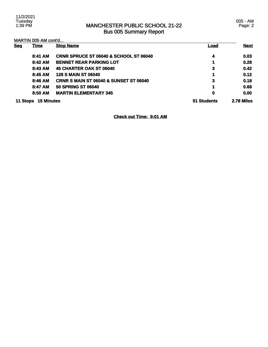11/2/2021 Tuesday 1:39 PM

### MANCHESTER PUBLIC SCHOOL 21-22 Bus 005 Summary Report

005 - AM Page: 2

| <b>Seq</b> | <b>Time</b>       | <b>Stop Name</b>                                  | Load        | <b>Next</b> |
|------------|-------------------|---------------------------------------------------|-------------|-------------|
|            | 8:41 AM           | <b>CRNR SPRUCE ST 06040 &amp; SCHOOL ST 06040</b> | 4           | 0.03        |
|            | 8:42 AM           | <b>BENNET REAR PARKING LOT</b>                    | 1           | 0.28        |
|            | 8:43 AM           | 45 CHARTER OAK ST 06040                           | 3           | 0.42        |
|            | 8:45 AM           | <b>128 S MAIN ST 06040</b>                        | 1           | 0.12        |
|            | 8:46 AM           | <b>CRNR S MAIN ST 06040 &amp; SUNSET ST 06040</b> | 3           | 0.18        |
|            | 8:47 AM           | <b>50 SPRING ST 06040</b>                         | 1           | 0.68        |
|            | 8:50 AM           | <b>MARTIN ELEMENTARY 345</b>                      | 0           | 0.00        |
| 11 Stops   | <b>15 Minutes</b> |                                                   | 51 Students | 2.78 Miles  |

### **Check out Time: 9:01 AM**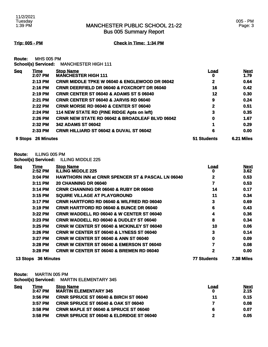**Trip: 005 - PM Check in Time: 1:34 PM**

**Route:** MHS 005 PM

**School(s) Serviced:** MANCHESTER HIGH 111

| <b>Seg</b> | Time              | <b>Stop Name</b>                                          | <u>Load</u> | <b>Next</b> |
|------------|-------------------|-----------------------------------------------------------|-------------|-------------|
|            | 2:07 PM           | <b>MANCHESTER HIGH 111</b>                                | 0           | 1.79        |
|            | 2:13 PM           | <b>CRNR MIDDLE TPKE W 06040 &amp; ENGLEWOOD DR 06042</b>  | 2           | 0.64        |
|            | 2:16 PM           | <b>CRNR DEERFIELD DR 06040 &amp; FOXCROFT DR 06040</b>    | 16          | 0.42        |
|            | 2:19 PM           | <b>CRNR CENTER ST 06040 &amp; ADAMS ST S 06040</b>        | 12          | 0.30        |
|            | 2:21 PM           | CRNR CENTER ST 06040 & JARVIS RD 06040                    | 9           | 0.24        |
|            | 2:22 PM           | <b>CRNR MORSE RD 06040 &amp; CENTER ST 06040</b>          | 2           | 0.51        |
|            | 2:24 PM           | 114 NEW STATE RD (PINE RIDGE Apts on left)                | 3           | 0.35        |
|            | 2:26 PM           | <b>CRNR NEW STATE RD 06042 &amp; BROADLEAF BLVD 06042</b> | 0           | 1.67        |
|            | 2:32 PM           | <b>342 ADAMS ST 06042</b>                                 |             | 0.29        |
|            | $2:33$ PM         | <b>CRNR HILLIARD ST 06042 &amp; DUVAL ST 06042</b>        | 6           | 0.00        |
| 9 Stops    | <b>26 Minutes</b> |                                                           | 51 Students | 6.21 Miles  |

**Route:** ILLING 005 PM

**School(s) Serviced:** ILLING MIDDLE 225

| <b>Seq</b> | <b>Time</b>       | <b>Stop Name</b>                                             | <u>Load</u> | <b>Next</b>       |
|------------|-------------------|--------------------------------------------------------------|-------------|-------------------|
|            | 2:52 PM           | <b>ILLING MIDDLE 225</b>                                     | 0           | 3.62              |
|            | 3:04 PM           | <b>HAWTHORN INN at CRNR SPENCER ST &amp; PASCAL LN 06040</b> | 2           | 0.53              |
|            | 3:11 PM           | <b>20 CHANNING DR 06040</b>                                  | 7           | 0.53              |
|            | 3:14 PM           | <b>CRNR CHANNING DR 06040 &amp; RUBY DR 06040</b>            | 14          | 0.17              |
|            | 3:15 PM           | <b>SQUIRE VILLAGE AT PLAYGROUND</b>                          | 11          | 0.34              |
|            | 3:17 PM           | <b>CRNR HARTFORD RD 06040 &amp; WILFRED RD 06040</b>         | 3           | 0.69              |
|            | $3:19$ PM         | <b>CRNR HARTFORD RD 06040 &amp; BUNCE DR 06040</b>           | 6           | 0.43              |
|            | $3:22$ PM         | <b>CRNR WADDELL RD 06040 &amp; W CENTER ST 06040</b>         | 4           | 0.36              |
|            | 3:23 PM           | <b>CRNR WADDELL RD 06040 &amp; DUDLEY ST 06040</b>           | 8           | 0.34              |
|            | $3:25$ PM         | <b>CRNR W CENTER ST 06040 &amp; MCKINLEY ST 06040</b>        | 10          | 0.06              |
|            | $3:26$ PM         | <b>CRNR W CENTER ST 06040 &amp; LYNESS ST 06040</b>          | 3           | 0.14              |
|            | 3:27 PM           | <b>CRNR W CENTER ST 06040 &amp; ANN ST 06040</b>             | 0           | 0.09              |
|            | 3:28 PM           | <b>CRNR W CENTER ST 06040 &amp; EMERSON ST 06040</b>         | 7           | 0.08              |
|            | $3:28$ PM         | <b>CRNR W CENTER ST 06040 &amp; BREMEN RD 06040</b>          | 2           | 0.00              |
| 13 Stops   | <b>36 Minutes</b> |                                                              | 77 Students | <b>7.38 Miles</b> |

**Route:** MARTIN 005 PM

**School(s) Serviced:** MARTIN ELEMENTARY 345

| <u>Seq</u> | Time<br>3:47 PM | <b>Stop Name</b><br><b>MARTIN ELEMENTARY 345</b>    | Load<br>0 | <u>Next</u><br>2.15 |
|------------|-----------------|-----------------------------------------------------|-----------|---------------------|
|            | $3:56$ PM       | <b>CRNR SPRUCE ST 06040 &amp; BIRCH ST 06040</b>    | 11        | 0.15                |
|            | $3:57$ PM       | <b>CRNR SPRUCE ST 06040 &amp; OAK ST 06040</b>      |           | 0.08                |
|            | $3:58$ PM       | <b>CRNR MAPLE ST 06040 &amp; SPRUCE ST 06040</b>    | 6         | 0.07                |
|            | $3:58$ PM       | <b>CRNR SPRUCE ST 06040 &amp; ELDRIDGE ST 06040</b> |           | 0.05                |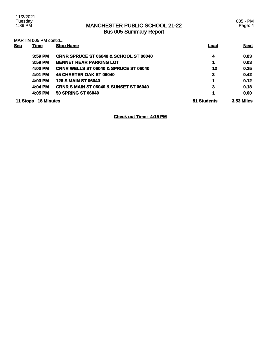11/2/2021 Tuesday 1:39 PM

### MANCHESTER PUBLIC SCHOOL 21-22 Bus 005 Summary Report

005 - PM Page: 4

| <b>Seq</b> | <u>Time</u>       | <b>Stop Name</b>                                  | <u>Load</u> | <b>Next</b>       |
|------------|-------------------|---------------------------------------------------|-------------|-------------------|
|            | $3:59$ PM         | <b>CRNR SPRUCE ST 06040 &amp; SCHOOL ST 06040</b> | 4           | 0.03              |
|            | $3:59$ PM         | <b>BENNET REAR PARKING LOT</b>                    | 1           | 0.03              |
|            | 4:00 PM           | CRNR WELLS ST 06040 & SPRUCE ST 06040             | 12          | 0.25              |
|            | 4:01 PM           | 45 CHARTER OAK ST 06040                           | 3           | 0.42              |
|            | 4:03 PM           | <b>128 S MAIN ST 06040</b>                        |             | 0.12              |
|            | 4:04 PM           | <b>CRNR S MAIN ST 06040 &amp; SUNSET ST 06040</b> | 3           | 0.18              |
|            | 4:05 PM           | <b>50 SPRING ST 06040</b>                         | 1           | 0.00              |
| 11 Stops   | <b>18 Minutes</b> |                                                   | 51 Students | <b>3.53 Miles</b> |

### **Check out Time: 4:15 PM**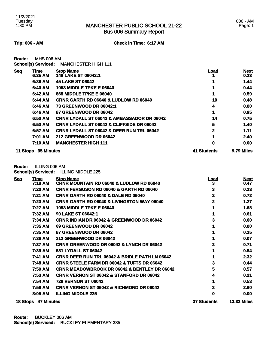**Trip: 006 - AM Check in Time: 6:17 AM**

**Route:** MHS 006 AM **School(s) Serviced:** MANCHESTER HIGH 111

| <b>Seq</b> | Time              | <b>Stop Name</b>                                      | Load        | <b>Next</b> |
|------------|-------------------|-------------------------------------------------------|-------------|-------------|
|            | 6:35 AM           | 148 LAKE ST 06042:1                                   |             | 0.23        |
|            | 6:36 AM           | <b>45 LAKE ST 06042</b>                               |             | 1.44        |
|            | 6:40 AM           | <b>1053 MIDDLE TPKE E 06040</b>                       |             | 0.44        |
|            | 6:42 AM           | 865 MIDDLE TPKE E 06040                               |             | 0.59        |
|            | 6:44 AM           | <b>CRNR GARTH RD 06040 &amp; LUDLOW RD 06040</b>      | 10          | 0.48        |
|            | 6:46 AM           | 73 GREENWOOD DR 06042:1                               | 4           | 0.00        |
|            | 6:46 AM           | 87 GREENWOOD DR 06042                                 |             | 0.95        |
|            | 6:50 AM           | <b>CRNR LYDALL ST 06042 &amp; AMBASSADOR DR 06042</b> | 14          | 0.75        |
|            | 6:53 AM           | <b>CRNR LYDALL ST 06042 &amp; CLIFFSIDE DR 06042</b>  | 5           | 1.40        |
|            | 6:57 AM           | <b>CRNR LYDALL ST 06042 &amp; DEER RUN TRL 06042</b>  | $\mathbf 2$ | 1.11        |
|            | 7:01 AM           | <b>212 GREENWOOD DR 06042</b>                         | 1           | 2.40        |
|            | 7:10 AM           | <b>MANCHESTER HIGH 111</b>                            | 0           | 0.00        |
| 11 Stops   | <b>35 Minutes</b> |                                                       | 41 Students | 9.79 Miles  |

**Route:** ILLING 006 AM

**School(s) Serviced:** ILLING MIDDLE 225

| <b>Seg</b> | <u>Time</u><br>7:18 AM | <b>Stop Name</b><br><b>CRNR MOUNTAIN RD 06040 &amp; LUDLOW RD 06040</b> | <u>Load</u><br>3   | <b>Next</b><br>0.47 |
|------------|------------------------|-------------------------------------------------------------------------|--------------------|---------------------|
|            | 7:20 AM                | <b>CRNR FERGUSON RD 06040 &amp; GARTH RD 06040</b>                      | 3                  | 0.23                |
|            | 7:21 AM                | <b>CRNR GARTH RD 06040 &amp; DALE RD 06040</b>                          | 2                  | 0.72                |
|            | <b>7:23 AM</b>         | <b>CRNR GARTH RD 06040 &amp; LIVINGSTON WAY 06040</b>                   | 2                  | 1.27                |
|            | 7:27 AM                | <b>1053 MIDDLE TPKE E 06040</b>                                         |                    | 1.68                |
|            | 7:32 AM                | <b>90 LAKE ST 06042:1</b>                                               |                    | 0.61                |
|            | 7:34 AM                | <b>CRNR INDIAN DR 06042 &amp; GREENWOOD DR 06042</b>                    | 3                  | 0.00                |
|            | 7:35 AM                | 69 GREENWOOD DR 06042                                                   |                    | 0.00                |
|            | 7:35 AM                | 87 GREENWOOD DR 06042                                                   |                    | 0.35                |
|            | 7:36 AM                | <b>212 GREENWOOD DR 06042</b>                                           |                    | 0.07                |
|            | 7:37 AM                | <b>CRNR GREENWOOD DR 06042 &amp; LYNCH DR 06042</b>                     | 2                  | 0.71                |
|            | 7:39 AM                | 631 LYDALL ST 06042                                                     |                    | 0.54                |
|            | 7:41 AM                | <b>CRNR DEER RUN TRL 06042 &amp; BRIDLE PATH LN 06042</b>               |                    | 2.32                |
|            | 7:48 AM                | <b>CRNR STEELE FARM DR 06042 &amp; TUFTS DR 06042</b>                   | 3                  | 0.44                |
|            | 7:50 AM                | <b>CRNR MEADOWBROOK DR 06042 &amp; BENTLEY DR 06042</b>                 | 5                  | 0.57                |
|            | 7:53 AM                | <b>CRNR VERNON ST 06042 &amp; STANFORD DR 06042</b>                     |                    | 0.21                |
|            | 7:54 AM                | <b>728 VERNON ST 06042</b>                                              |                    | 0.53                |
|            | 7:56 AM                | <b>CRNR VERNON ST 06042 &amp; RICHMOND DR 06042</b>                     | 2                  | 2.60                |
|            | 8:05 AM                | <b>ILLING MIDDLE 225</b>                                                | 0                  | 0.00                |
|            | 18 Stops 47 Minutes    |                                                                         | <b>37 Students</b> | <b>13.32 Miles</b>  |

**Route:** BUCKLEY 006 AM **School(s) Serviced:** BUCKLEY ELEMENTARY 335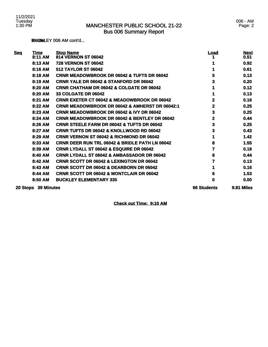**RUCKLEY 006 AM cont'd...** 

| <b>Seq</b> | <b>Time</b><br>8:11 AM | <b>Stop Name</b><br><b>814 VERNON ST 06042</b>            | <u>Load</u>        | <b>Next</b><br>0.51 |
|------------|------------------------|-----------------------------------------------------------|--------------------|---------------------|
|            | 8:13 AM                | <b>728 VERNON ST 06042</b>                                |                    | 0.92                |
|            | 8:16 AM                | <b>512 TAYLOR ST 06042</b>                                |                    | 0.61                |
|            | 8:18 AM                | <b>CRNR MEADOWBROOK DR 06042 &amp; TUFTS DR 06042</b>     | 5                  | 0.13                |
|            | 8:19 AM                | CRNR YALE DR 06042 & STANFORD DR 06042                    | 3                  | 0.20                |
|            | 8:20 AM                | <b>CRNR CHATHAM DR 06042 &amp; COLGATE DR 06042</b>       |                    | 0.12                |
|            | 8:20 AM                | <b>33 COLGATE DR 06042</b>                                |                    | 0.13                |
|            | 8:21 AM                | <b>CRNR EXETER CT 06042 &amp; MEADOWBROOK DR 06042</b>    | 2                  | 0.16                |
|            | 8:22 AM                | CRNR MEADOWBROOK DR 06042 & AMHERST DR 06042:1            | 2                  | 0.25                |
|            | 8:23 AM                | <b>CRNR MEADOWBROOK DR 06042 &amp; IVY DR 06042</b>       | 3                  | 0.25                |
|            | 8:24 AM                | <b>CRNR MEADOWBROOK DR 06042 &amp; BENTLEY DR 06042</b>   | 2                  | 0.44                |
|            | 8:26 AM                | <b>CRNR STEELE FARM DR 06042 &amp; TUFTS DR 06042</b>     | 3                  | 0.25                |
|            | 8:27 AM                | <b>CRNR TUFTS DR 06042 &amp; KNOLLWOOD RD 06042</b>       | 3                  | 0.43                |
|            | 8:29 AM                | <b>CRNR VERNON ST 06042 &amp; RICHMOND DR 06042</b>       |                    | 1.42                |
|            | 8:33 AM                | <b>CRNR DEER RUN TRL 06042 &amp; BRIDLE PATH LN 06042</b> | 8                  | 1.55                |
|            | 8:39 AM                | <b>CRNR LYDALL ST 06042 &amp; ESQUIRE DR 06042</b>        | 7                  | 0.18                |
|            | 8:40 AM                | <b>CRNR LYDALL ST 06042 &amp; AMBASSADOR DR 06042</b>     | 8                  | 0.44                |
|            | 8:42 AM                | <b>CRNR SCOTT DR 06042 &amp; LEXINGTON DR 06042</b>       |                    | 0.13                |
|            | 8:43 AM                | CRNR SCOTT DR 06042 & DEARBORN DR 06042                   |                    | 0.16                |
|            | 8:44 AM                | <b>CRNR SCOTT DR 06042 &amp; MONTCLAIR DR 06042</b>       | 6                  | 1.53                |
|            | 8:50 AM                | <b>BUCKLEY ELEMENTARY 335</b>                             | 0                  | 0.00                |
|            | 20 Stops 39 Minutes    |                                                           | <b>66 Students</b> | 9.81 Miles          |

**Check out Time: 9:10 AM**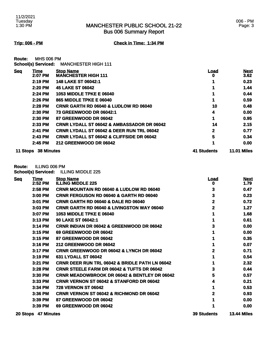#### **Trip: 006 - PM Check in Time: 1:34 PM**

**Route:** MHS 006 PM **School(s) Serviced:** MANCHESTER HIGH 111

| <b>Seq</b> | Time              | <b>Stop Name</b>                                      | Load        | <b>Next</b>        |
|------------|-------------------|-------------------------------------------------------|-------------|--------------------|
|            | 2:07 PM           | <b>MANCHESTER HIGH 111</b>                            | O           | 3.62               |
|            | 2:19 PM           | 148 LAKE ST 06042:1                                   |             | 0.23               |
|            | 2:20 PM           | <b>45 LAKE ST 06042</b>                               |             | 1.44               |
|            | 2:24 PM           | <b>1053 MIDDLE TPKE E 06040</b>                       |             | 0.44               |
|            | 2:26 PM           | 865 MIDDLE TPKE E 06040                               |             | 0.59               |
|            | $2:28$ PM         | CRNR GARTH RD 06040 & LUDLOW RD 06040                 | 10          | 0.48               |
|            | 2:30 PM           | <b>73 GREENWOOD DR 06042:1</b>                        | 4           | 0.00               |
|            | 2:30 PM           | 87 GREENWOOD DR 06042                                 |             | 0.95               |
|            | 2:33 PM           | <b>CRNR LYDALL ST 06042 &amp; AMBASSADOR DR 06042</b> | 14          | 2.15               |
|            | 2:41 PM           | <b>CRNR LYDALL ST 06042 &amp; DEER RUN TRL 06042</b>  | 2           | 0.77               |
|            | $2:43$ PM         | <b>CRNR LYDALL ST 06042 &amp; CLIFFSIDE DR 06042</b>  | 5           | 0.34               |
|            | $2:45$ PM         | <b>212 GREENWOOD DR 06042</b>                         |             | 0.00               |
| 11 Stops   | <b>38 Minutes</b> |                                                       | 41 Students | <b>11.01 Miles</b> |

**Route:** ILLING 006 PM

**School(s) Serviced:** ILLING MIDDLE 225

| <b>Seq</b> | Time<br>2:52 PM | <b>Stop Name</b><br><b>ILLING MIDDLE 225</b>              | <u>Load</u><br>o | <b>Next</b><br>1.79 |
|------------|-----------------|-----------------------------------------------------------|------------------|---------------------|
|            | 2:58 PM         | CRNR MOUNTAIN RD 06040 & LUDLOW RD 06040                  | 3                | 0.47                |
|            | 3:00 PM         | <b>CRNR FERGUSON RD 06040 &amp; GARTH RD 06040</b>        | 3                | 0.23                |
|            | 3:01 PM         | <b>CRNR GARTH RD 06040 &amp; DALE RD 06040</b>            | 2                | 0.72                |
|            | 3:03 PM         | <b>CRNR GARTH RD 06040 &amp; LIVINGSTON WAY 06040</b>     | 2                | 1.27                |
|            | 3:07 PM         | <b>1053 MIDDLE TPKE E 06040</b>                           |                  | 1.68                |
|            | 3:13 PM         | 90 LAKE ST 06042:1                                        |                  | 0.61                |
|            | 3:14 PM         | <b>CRNR INDIAN DR 06042 &amp; GREENWOOD DR 06042</b>      |                  | 0.00                |
|            | 3:15 PM         | 69 GREENWOOD DR 06042                                     |                  | 0.00                |
|            | 3:15 PM         | 87 GREENWOOD DR 06042                                     |                  | 0.35                |
|            | 3:16 PM         | <b>212 GREENWOOD DR 06042</b>                             |                  | 0.07                |
|            | 3:17 PM         | <b>CRNR GREENWOOD DR 06042 &amp; LYNCH DR 06042</b>       |                  | 0.71                |
|            | 3:19 PM         | 631 LYDALL ST 06042                                       |                  | 0.54                |
|            | 3:21 PM         | <b>CRNR DEER RUN TRL 06042 &amp; BRIDLE PATH LN 06042</b> |                  | 2.32                |
|            | 3:28 PM         | <b>CRNR STEELE FARM DR 06042 &amp; TUFTS DR 06042</b>     | 3                | 0.44                |
|            | 3:30 PM         | <b>CRNR MEADOWBROOK DR 06042 &amp; BENTLEY DR 06042</b>   | 5                | 0.57                |
|            | 3:33 PM         | <b>CRNR VERNON ST 06042 &amp; STANFORD DR 06042</b>       | 4                | 0.21                |
|            | 3:34 PM         | <b>728 VERNON ST 06042</b>                                |                  | 0.53                |
|            | 3:36 PM         | <b>CRNR VERNON ST 06042 &amp; RICHMOND DR 06042</b>       |                  | 0.93                |
|            | $3:39$ PM       | 87 GREENWOOD DR 06042                                     |                  | 0.00                |
|            | 3:39 PM         | 69 GREENWOOD DR 06042                                     |                  | 0.00                |
|            |                 |                                                           |                  |                     |

**20 Stops 47 Minutes 39 Students 13.44 Miles**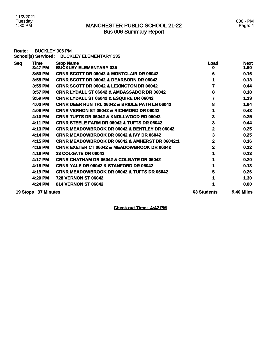| Route:     | <b>BUCKLEY 006 PM</b><br><b>School(s) Serviced:</b> | <b>BUCKLEY ELEMENTARY 335</b>                             |                    |                     |
|------------|-----------------------------------------------------|-----------------------------------------------------------|--------------------|---------------------|
| <b>Seq</b> | <u>Time</u><br>3:47 PM                              | <b>Stop Name</b><br><b>BUCKLEY ELEMENTARY 335</b>         | <u>Load</u><br>0   | <b>Next</b><br>1.60 |
|            | 3:53 PM                                             | <b>CRNR SCOTT DR 06042 &amp; MONTCLAIR DR 06042</b>       | 6                  | 0.16                |
|            | 3:55 PM                                             | <b>CRNR SCOTT DR 06042 &amp; DEARBORN DR 06042</b>        |                    | 0.13                |
|            | 3:55 PM                                             | <b>CRNR SCOTT DR 06042 &amp; LEXINGTON DR 06042</b>       | 7                  | 0.44                |
|            | 3:57 PM                                             | <b>CRNR LYDALL ST 06042 &amp; AMBASSADOR DR 06042</b>     | 8                  | 0.18                |
|            | 3:59 PM                                             | <b>CRNR LYDALL ST 06042 &amp; ESQUIRE DR 06042</b>        | 7                  | 1.33                |
|            | 4:03 PM                                             | <b>CRNR DEER RUN TRL 06042 &amp; BRIDLE PATH LN 06042</b> | 8                  | 1.64                |
|            | 4:09 PM                                             | CRNR VERNON ST 06042 & RICHMOND DR 06042                  | 1                  | 0.43                |
|            | 4:10 PM                                             | <b>CRNR TUFTS DR 06042 &amp; KNOLLWOOD RD 06042</b>       | 3                  | 0.25                |
|            | 4:11 PM                                             | <b>CRNR STEELE FARM DR 06042 &amp; TUFTS DR 06042</b>     | 3                  | 0.44                |
|            | 4:13 PM                                             | <b>CRNR MEADOWBROOK DR 06042 &amp; BENTLEY DR 06042</b>   | 2                  | 0.25                |
|            | 4:14 PM                                             | <b>CRNR MEADOWBROOK DR 06042 &amp; IVY DR 06042</b>       | 3                  | 0.25                |
|            | 4:15 PM                                             | <b>CRNR MEADOWBROOK DR 06042 &amp; AMHERST DR 06042:1</b> | 2                  | 0.16                |
|            | 4:16 PM                                             | <b>CRNR EXETER CT 06042 &amp; MEADOWBROOK DR 06042</b>    | 2                  | 0.12                |
|            | 4:16 PM                                             | <b>33 COLGATE DR 06042</b>                                |                    | 0.13                |
|            | 4:17 PM                                             | <b>CRNR CHATHAM DR 06042 &amp; COLGATE DR 06042</b>       |                    | 0.20                |
|            | 4:18 PM                                             | <b>CRNR YALE DR 06042 &amp; STANFORD DR 06042</b>         |                    | 0.13                |
|            | 4:19 PM                                             | <b>CRNR MEADOWBROOK DR 06042 &amp; TUFTS DR 06042</b>     | 5                  | 0.26                |
|            | 4:20 PM                                             | <b>728 VERNON ST 06042</b>                                |                    | 1.30                |
|            | 4:24 PM                                             | <b>814 VERNON ST 06042</b>                                |                    | 0.00                |
|            | 19 Stops 37 Minutes                                 |                                                           | <b>63 Students</b> | 9.40 Miles          |

**Check out Time: 4:42 PM**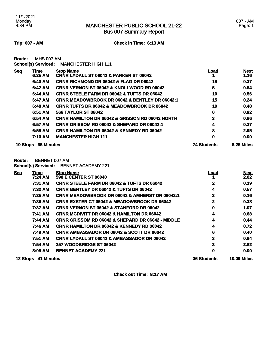007 - AM Page: 1

**Trip: 007 - AM Check in Time: 6:13 AM**

**Route:** MHS 007 AM

| School(s) Serviced: | <b>MANCHESTER HIGH 111</b> |
|---------------------|----------------------------|
|---------------------|----------------------------|

| <u>Seq</u>             | Time    | <b>Stop Name</b>                                           | Load       | <b>Next</b> |
|------------------------|---------|------------------------------------------------------------|------------|-------------|
|                        | 6:35 AM | <b>CRNR LYDALL ST 06042 &amp; PARKER ST 06042</b>          |            | 1.16        |
|                        | 6:40 AM | <b>CRNR RICHMOND DR 06042 &amp; FLAG DR 06042</b>          | 18         | 0.37        |
|                        | 6:42 AM | <b>CRNR VERNON ST 06042 &amp; KNOLLWOOD RD 06042</b>       | 5          | 0.54        |
|                        | 6:44 AM | <b>CRNR STEELE FARM DR 06042 &amp; TUFTS DR 06042</b>      | 10         | 0.56        |
|                        | 6:47 AM | <b>CRNR MEADOWBROOK DR 06042 &amp; BENTLEY DR 06042:1</b>  | 15         | 0.24        |
|                        | 6:48 AM | <b>CRNR TUFTS DR 06042 &amp; MEADOWBROOK DR 06042</b>      | 10         | 0.48        |
|                        | 6:51 AM | <b>566 TAYLOR ST 06042</b>                                 | 0          | 0.92        |
|                        | 6:54 AM | <b>CRNR HAMILTON DR 06042 &amp; GRISSON RD 06042 NORTH</b> | 3          | 0.66        |
|                        | 6:57 AM | <b>CRNR GRISSOM RD 06042 &amp; SHEPARD DR 06042:1</b>      | 4          | 0.37        |
|                        | 6:58 AM | <b>CRNR HAMILTON DR 06042 &amp; KENNEDY RD 06042</b>       | 8          | 2.95        |
|                        | 7:10 AM | <b>MANCHESTER HIGH 111</b>                                 | 0          | 0.00        |
| 35 Minutes<br>10 Stops |         | <b>74 Students</b>                                         | 8.25 Miles |             |

**Route:** BENNET 007 AM

**School(s) Serviced:** BENNET ACADEMY 221

| <b>Seq</b> | Time<br>7:24 AM | <b>Stop Name</b><br><b>590 E CENTER ST 06040</b>             | <u>Load</u>        | <b>Next</b>        |
|------------|-----------------|--------------------------------------------------------------|--------------------|--------------------|
|            |                 |                                                              |                    | 2.02               |
|            | 7:31 AM         | <b>CRNR STEELE FARM DR 06042 &amp; TUFTS DR 06042</b>        | $\mathbf{2}$       | 0.19               |
|            | 7:32 AM         | <b>CRNR BENTLEY DR 06042 &amp; TUFTS DR 06042</b>            | 4                  | 0.57               |
|            | 7:35 AM         | <b>CRNR MEADOWBROOK DR 06042 &amp; AMHERST DR 06042:1</b>    | 3                  | 0.16               |
|            | 7:36 AM         | <b>CRNR EXETER CT 06042 &amp; MEADOWBROOK DR 06042</b>       | 2                  | 0.38               |
|            | 7:37 AM         | <b>CRNR VERNON ST 06042 &amp; STANFORD DR 06042</b>          | 0                  | 1.07               |
|            | 7:41 AM         | <b>CRNR MCDIVITT DR 06042 &amp; HAMILTON DR 06042</b>        | 4                  | 0.68               |
|            | 7:44 AM         | <b>CRNR GRISSOM RD 06042 &amp; SHEPARD DR 06042 - MIDDLE</b> | 4                  | 0.44               |
|            | 7:46 AM         | <b>CRNR HAMILTON DR 06042 &amp; KENNEDY RD 06042</b>         | 4                  | 0.72               |
|            | 7:49 AM         | <b>CRNR AMBASSADOR DR 06042 &amp; SCOTT DR 06042</b>         | 6                  | 0.40               |
|            | 7:51 AM         | <b>CRNR LYDALL ST 06042 &amp; AMBASSADOR DR 06042</b>        | 3                  | 0.64               |
|            | 7:54 AM         | 357 WOODBRIDGE ST 06042                                      | 3                  | 2.82               |
|            | 8:05 AM         | <b>BENNET ACADEMY 221</b>                                    | 0                  | 0.00               |
| 12 Stops   | 41 Minutes      |                                                              | <b>36 Students</b> | <b>10.09 Miles</b> |

**Check out Time: 8:17 AM**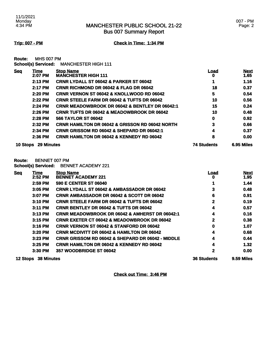**Trip: 007 - PM Check in Time: 1:34 PM**

**Route:** MHS 007 PM **School(s) Serviced:** MANCHESTER HIGH 111

| <u>Seq</u> | Time              | <b>Stop Name</b>                                           | Load               | <b>Next</b> |
|------------|-------------------|------------------------------------------------------------|--------------------|-------------|
|            | 2:07 PM           | <b>MANCHESTER HIGH 111</b>                                 | 0                  | 1.65        |
|            | 2:13 PM           | <b>CRNR LYDALL ST 06042 &amp; PARKER ST 06042</b>          |                    | 1.16        |
|            | 2:17 PM           | <b>CRNR RICHMOND DR 06042 &amp; FLAG DR 06042</b>          | 18                 | 0.37        |
|            | 2:20 PM           | <b>CRNR VERNON ST 06042 &amp; KNOLLWOOD RD 06042</b>       | 5                  | 0.54        |
|            | 2:22 PM           | <b>CRNR STEELE FARM DR 06042 &amp; TUFTS DR 06042</b>      | 10                 | 0.56        |
|            | 2:24 PM           | <b>CRNR MEADOWBROOK DR 06042 &amp; BENTLEY DR 06042:1</b>  | 15                 | 0.24        |
|            | $2:26$ PM         | <b>CRNR TUFTS DR 06042 &amp; MEADOWBROOK DR 06042</b>      | 10                 | 0.48        |
|            | $2:28$ PM         | <b>566 TAYLOR ST 06042</b>                                 | 0                  | 0.92        |
|            | 2:32 PM           | <b>CRNR HAMILTON DR 06042 &amp; GRISSON RD 06042 NORTH</b> | 3                  | 0.66        |
|            | 2:34 PM           | <b>CRNR GRISSOM RD 06042 &amp; SHEPARD DR 06042:1</b>      | 4                  | 0.37        |
|            | 2:36 PM           | <b>CRNR HAMILTON DR 06042 &amp; KENNEDY RD 06042</b>       | 8                  | 0.00        |
| 10 Stops   | <b>29 Minutes</b> |                                                            | <b>74 Students</b> | 6.95 Miles  |

**Route:** BENNET 007 PM

**School(s) Serviced:** BENNET ACADEMY 221

| <b>Seq</b>      | Time<br>2:52 PM   | <b>Stop Name</b><br><b>BENNET ACADEMY 221</b>                | <u>Load</u><br>o   | <b>Next</b><br>1.95 |
|-----------------|-------------------|--------------------------------------------------------------|--------------------|---------------------|
|                 | 2:59 PM           | <b>590 E CENTER ST 06040</b>                                 |                    | 1.44                |
|                 | 3:05 PM           | <b>CRNR LYDALL ST 06042 &amp; AMBASSADOR DR 06042</b>        | 3                  | 0.48                |
|                 | 3:07 PM           | <b>CRNR AMBASSADOR DR 06042 &amp; SCOTT DR 06042</b>         | 6                  | 0.91                |
|                 | 3:10 PM           | <b>CRNR STEELE FARM DR 06042 &amp; TUFTS DR 06042</b>        | 2                  | 0.19                |
|                 | 3:11 PM           | <b>CRNR BENTLEY DR 06042 &amp; TUFTS DR 06042</b>            | 4                  | 0.57                |
|                 | $3:13$ PM         | <b>CRNR MEADOWBROOK DR 06042 &amp; AMHERST DR 06042:1</b>    | 4                  | 0.16                |
|                 | $3:15$ PM         | <b>CRNR EXETER CT 06042 &amp; MEADOWBROOK DR 06042</b>       | 2                  | 0.38                |
|                 | 3:16 PM           | <b>CRNR VERNON ST 06042 &amp; STANFORD DR 06042</b>          | 0                  | 1.07                |
|                 | $3:20$ PM         | <b>CRNR MCDIVITT DR 06042 &amp; HAMILTON DR 06042</b>        | 4                  | 0.68                |
|                 | $3:23$ PM         | <b>CRNR GRISSOM RD 06042 &amp; SHEPARD DR 06042 - MIDDLE</b> | 4                  | 0.44                |
|                 | 3:25 PM           | <b>CRNR HAMILTON DR 06042 &amp; KENNEDY RD 06042</b>         | 4                  | 1.32                |
|                 | $3:30$ PM         | 357 WOODBRIDGE ST 06042                                      | $\mathbf 2$        | 0.00                |
| <b>12 Stops</b> | <b>38 Minutes</b> |                                                              | <b>36 Students</b> | 9.59 Miles          |

**Check out Time: 3:46 PM**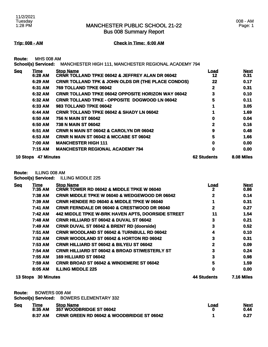008 - AM Page: 1

Bus 008 Summary Report

#### **Trip: 008 - AM Check in Time: 6:00 AM**

**Route:** MHS 008 AM

**School(s) Serviced:** MANCHESTER HIGH 111, MANCHESTER REGIONAL ACADEMY 794

| <u>Seq</u> | <b>Time</b>       | <b>Stop Name</b>                                              | <u>Load</u>        | <b>Next</b> |
|------------|-------------------|---------------------------------------------------------------|--------------------|-------------|
|            | 6:28 AM           | <b>CRNR TOLLAND TPKE 06042 &amp; JEFFREY ALAN DR 06042</b>    | 12                 | 0.31        |
|            | 6:29 AM           | <b>CRNR TOLLAND TPK &amp; JOHN OLDS DR (THE PLACE CONDOS)</b> | 22                 | 0.17        |
|            | 6:31 AM           | 769 TOLLAND TPKE 06042                                        | $\mathbf{2}$       | 0.31        |
|            | 6:32 AM           | <b>CRNR TOLLAND TPKE 06042 OPPOSITE HORIZON WAY 06042</b>     | 3                  | 0.10        |
|            | 6:32 AM           | <b>CRNR TOLLAND TPKE - OPPOSITE DOGWOOD LN 06042</b>          | 5                  | 0.11        |
|            | 6:33 AM           | <b>983 TOLLAND TPKE 06042</b>                                 |                    | 3.05        |
|            | 6:44 AM           | <b>CRNR TOLLAND TPKE 06042 &amp; SHADY LN 06042</b>           |                    | 1.69        |
|            | 6:50 AM           | 756 N MAIN ST 06042                                           | 0                  | 0.04        |
|            | 6:50 AM           | 738 N MAIN ST 06042                                           | $\mathbf{2}$       | 0.16        |
|            | 6:51 AM           | <b>CRNR N MAIN ST 06042 &amp; CAROLYN DR 06042</b>            | 9                  | 0.48        |
|            | 6:53 AM           | <b>CRNR N MAIN ST 06042 &amp; MCCABE ST 06042</b>             | 5                  | 1.66        |
|            | 7:00 AM           | <b>MANCHESTER HIGH 111</b>                                    | 0                  | 0.00        |
|            | 7:15 AM           | <b>MANCHESTER REGIONAL ACADEMY 794</b>                        | 0                  | 0.00        |
| 10 Stops   | <b>47 Minutes</b> |                                                               | <b>62 Students</b> | 8.08 Miles  |

**Route:** ILLING 008 AM

**School(s) Serviced:** ILLING MIDDLE 225

| <b>Seq</b>      | <b>Time</b>       | <b>Stop Name</b>                                         | <u>Load</u>  | <b>Next</b>       |
|-----------------|-------------------|----------------------------------------------------------|--------------|-------------------|
|                 | $7:35$ AM         | <b>CRNR TOWER RD 06042 &amp; MIDDLE TPKE W 06040</b>     | 2            | 0.86              |
|                 | 7:38 AM           | <b>CRNR MIDDLE TPKE W 06040 &amp; WEDGEWOOD DR 06042</b> | 2            | 0.14              |
|                 | 7:39 AM           | <b>CRNR HENDEE RD 06040 &amp; MIDDLE TPKE W 06040</b>    |              | 0.31              |
|                 | 7:41 AM           | <b>CRNR FERNDALE DR 06040 &amp; CRESTWOOD DR 06040</b>   | $\mathbf{2}$ | 0.27              |
|                 | 7:42 AM           | 442 MIDDLE TPKE W-BRK HAVEN APTS, DOORSIDE STREET        | 11           | 1.54              |
|                 | 7:48 AM           | <b>CRNR HILLIARD ST 06042 &amp; DUVAL ST 06042</b>       | 3            | 0.21              |
|                 | 7:49 AM           | <b>CRNR DUVAL ST 06042 &amp; BRENT RD (doorside)</b>     | 3            | 0.52              |
|                 | 7:51 AM           | CRNR WOODLAND ST 06042 & TURNBULL RD 06042               | 4            | 0.10              |
|                 | 7:52 AM           | <b>CRNR WOODLAND ST 06042 &amp; HORTON RD 06042</b>      | 3            | 0.31              |
|                 | 7:53 AM           | <b>CRNR HILLIARD ST 06042 &amp; BILYEU ST 06042</b>      | 2            | 0.09              |
|                 | 7:54 AM           | <b>CRNR HILLIARD ST 06042 &amp; BROAD ST/WESTERLY ST</b> | 3            | 0.24              |
|                 | 7:55 AM           | <b>169 HILLIARD ST 06042</b>                             | 3            | 0.98              |
|                 | 7:59 AM           | <b>CRNR BROAD ST 06042 &amp; WINDEMERE ST 06042</b>      | 5            | 1.59              |
|                 | 8:05 AM           | <b>ILLING MIDDLE 225</b>                                 | 0            | 0.00              |
| <b>13 Stops</b> | <b>30 Minutes</b> |                                                          | 44 Students  | <b>7.16 Miles</b> |

**Route:** BOWERS 008 AM

**School(s) Serviced:** BOWERS ELEMENTARY 332

| <b>Seq</b> | <u>Time</u> | <b>Stop Name</b>                                     | Load | <b>Next</b> |
|------------|-------------|------------------------------------------------------|------|-------------|
|            | 8:35 AM     | <b>357 WOODBRIDGE ST 06042</b>                       |      | 0.44        |
|            | 8:37 AM     | <b>CRNR GREEN RD 06042 &amp; WOODBRIDGE ST 06042</b> |      | 0.27        |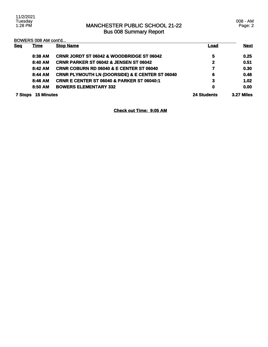008 - AM Page: 2

| <b>Seq</b> | <b>Time</b>       | <b>Stop Name</b>                                           | <u>Load</u> | <b>Next</b>       |
|------------|-------------------|------------------------------------------------------------|-------------|-------------------|
|            | 8:38 AM           | <b>CRNR JORDT ST 06042 &amp; WOODBRIDGE ST 06042</b>       | 5           | 0.25              |
|            | 8:40 AM           | <b>CRNR PARKER ST 06042 &amp; JENSEN ST 06042</b>          | 2           | 0.51              |
|            | $8:42$ AM         | <b>CRNR COBURN RD 06040 &amp; E CENTER ST 06040</b>        | 7           | 0.30              |
|            | 8:44 AM           | <b>CRNR PLYMOUTH LN (DOORSIDE) &amp; E CENTER ST 06040</b> | 6           | 0.48              |
|            | 8:46 AM           | <b>CRNR E CENTER ST 06040 &amp; PARKER ST 06040:1</b>      | 3           | 1.02              |
|            | 8:50 AM           | <b>BOWERS ELEMENTARY 332</b>                               | 0           | 0.00              |
| 7 Stops    | <b>15 Minutes</b> |                                                            | 24 Students | <b>3.27 Miles</b> |

**Check out Time: 9:05 AM**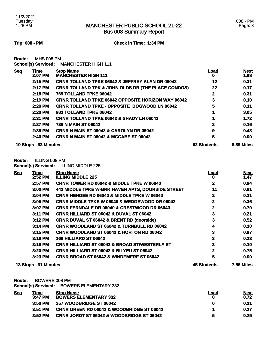#### **Trip: 008 - PM Check in Time: 1:34 PM**

**Route:** MHS 008 PM **School(s) Serviced:** MANCHESTER HIGH 111

| <b>Seq</b> | Time              | <b>Stop Name</b>                                              | Load               | <b>Next</b>       |
|------------|-------------------|---------------------------------------------------------------|--------------------|-------------------|
|            | 2:07 PM           | <b>MANCHESTER HIGH 111</b>                                    | o                  | 1.98              |
|            | 2:15 PM           | <b>CRNR TOLLAND TPKE 06042 &amp; JEFFREY ALAN DR 06042</b>    | 12                 | 0.31              |
|            | 2:17 PM           | <b>CRNR TOLLAND TPK &amp; JOHN OLDS DR (THE PLACE CONDOS)</b> | 22                 | 0.17              |
|            | 2:18 PM           | 769 TOLLAND TPKE 06042                                        | 2                  | 0.31              |
|            | 2:19 PM           | <b>CRNR TOLLAND TPKE 06042 OPPOSITE HORIZON WAY 06042</b>     | 3                  | 0.10              |
|            | 2:20 PM           | <b>CRNR TOLLAND TPKE - OPPOSITE DOGWOOD LN 06042</b>          | 5                  | 0.11              |
|            | 2:20 PM           | <b>983 TOLLAND TPKE 06042</b>                                 |                    | 3.05              |
|            | 2:31 PM           | <b>CRNR TOLLAND TPKE 06042 &amp; SHADY LN 06042</b>           |                    | 1.72              |
|            | 2:37 PM           | 738 N MAIN ST 06042                                           | 2                  | 0.16              |
|            | 2:38 PM           | <b>CRNR N MAIN ST 06042 &amp; CAROLYN DR 06042</b>            | 9                  | 0.48              |
|            | 2:40 PM           | <b>CRNR N MAIN ST 06042 &amp; MCCABE ST 06042</b>             | 5                  | 0.00              |
| 10 Stops   | <b>33 Minutes</b> |                                                               | <b>62 Students</b> | <b>8.39 Miles</b> |

#### **Route:** ILLING 008 PM

**School(s) Serviced:** ILLING MIDDLE 225

| <b>Seq</b> | Time       | <b>Stop Name</b>                                         | Load               | <b>Next</b>       |
|------------|------------|----------------------------------------------------------|--------------------|-------------------|
|            | 2:52 PM    | <b>ILLING MIDDLE 225</b>                                 | o                  | 1.47              |
|            | 2:57 PM    | <b>CRNR TOWER RD 06042 &amp; MIDDLE TPKE W 06040</b>     | 2                  | 0.94              |
|            | 3:00 PM    | 442 MIDDLE TPKE W-BRK HAVEN APTS, DOORSIDE STREET        | 11                 | 0.81              |
|            | 3:04 PM    | <b>CRNR HENDEE RD 06040 &amp; MIDDLE TPKE W 06040</b>    | 2                  | 0.31              |
|            | 3:05 PM    | <b>CRNR MIDDLE TPKE W 06040 &amp; WEDGEWOOD DR 06042</b> | 2                  | 0.36              |
|            | 3:07 PM    | <b>CRNR FERNDALE DR 06040 &amp; CRESTWOOD DR 06040</b>   | $\mathbf{2}$       | 0.79              |
|            | 3:11 PM    | <b>CRNR HILLIARD ST 06042 &amp; DUVAL ST 06042</b>       | 3                  | 0.21              |
|            | 3:12 PM    | <b>CRNR DUVAL ST 06042 &amp; BRENT RD (doorside)</b>     | 3                  | 0.52              |
|            | 3:14 PM    | <b>CRNR WOODLAND ST 06042 &amp; TURNBULL RD 06042</b>    | 4                  | 0.10              |
|            | 3:15 PM    | <b>CRNR WOODLAND ST 06042 &amp; HORTON RD 06042</b>      | 3                  | 0.97              |
|            | 3:18 PM    | <b>169 HILLIARD ST 06042</b>                             | 3                  | 0.23              |
|            | 3:19 PM    | <b>CRNR HILLIARD ST 06042 &amp; BROAD ST/WESTERLY ST</b> | 3                  | 0.10              |
|            | 3:20 PM    | <b>CRNR HILLIARD ST 06042 &amp; BILYEU ST 06042</b>      | $\mathbf{2}$       | 0.75              |
|            | 3:23 PM    | <b>CRNR BROAD ST 06042 &amp; WINDEMERE ST 06042</b>      | 5                  | 0.00              |
| 13 Stops   | 31 Minutes |                                                          | <b>45 Students</b> | <b>7.56 Miles</b> |

**Route:** BOWERS 008 PM

**School(s) Serviced:** BOWERS ELEMENTARY 332

| <b>Seg</b> | Гіmе      | <b>Stop Name</b>                                     | Load | <u>Next</u> |
|------------|-----------|------------------------------------------------------|------|-------------|
|            | $3:47$ PM | <b>BOWERS ELEMENTARY 332</b>                         |      | 0.72        |
|            | 3:50 PM   | 357 WOODBRIDGE ST 06042                              | o    | 0.21        |
|            | $3:51$ PM | <b>CRNR GREEN RD 06042 &amp; WOODBRIDGE ST 06042</b> |      | 0.27        |
|            | $3:52$ PM | <b>CRNR JORDT ST 06042 &amp; WOODBRIDGE ST 06042</b> |      | 0.25        |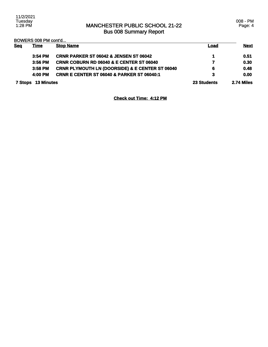008 - PM Page: 4

BOWERS 008 PM cont'd...

|            | <b>DOMENO 000 LIM COING</b> |                                                            |             |             |
|------------|-----------------------------|------------------------------------------------------------|-------------|-------------|
| <b>Seg</b> | <u>Time</u>                 | <b>Stop Name</b>                                           | <u>Load</u> | <b>Next</b> |
|            | $3:54$ PM                   | <b>CRNR PARKER ST 06042 &amp; JENSEN ST 06042</b>          |             | 0.51        |
|            | 3:56 PM                     | <b>CRNR COBURN RD 06040 &amp; E CENTER ST 06040</b>        | 7           | 0.30        |
|            | 3:58 PM                     | <b>CRNR PLYMOUTH LN (DOORSIDE) &amp; E CENTER ST 06040</b> | 6           | 0.48        |
|            | 4:00 PM                     | <b>CRNR E CENTER ST 06040 &amp; PARKER ST 06040:1</b>      | 3           | 0.00        |
|            | <b>7 Stops 13 Minutes</b>   |                                                            | 23 Students | 2.74 Miles  |

**Check out Time: 4:12 PM**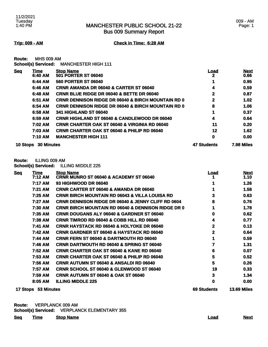Bus 009 Summary Report

**Trip: 009 - AM Check in Time: 6:28 AM**

**Route:** MHS 009 AM **School(s) Serviced:** MANCHESTER HIGH 111

|            |                 | SCROOKS) SEIVICEG: MANUTESTER HIGH ITT  |      |                     |
|------------|-----------------|-----------------------------------------|------|---------------------|
| <b>Seq</b> | Time<br>6:40 AM | <b>Stop Name</b><br>501 PORTER ST 06040 | Load | <b>Next</b><br>0.66 |

| <b>30 Minutes</b><br>10 Stops |                                                               | <b>47 Students</b> | <b>7.98 Miles</b> |
|-------------------------------|---------------------------------------------------------------|--------------------|-------------------|
| 7:10 AM                       | <b>MANCHESTER HIGH 111</b>                                    | 0                  | 0.00              |
| 7:03 AM                       | <b>CRNR CHARTER OAK ST 06040 &amp; PHILIP RD 06040</b>        | 12                 | 1.62              |
| 7:02 AM                       | <b>CRNR CHARTER OAK ST 06040 &amp; VIRGINIA RD 06040</b>      | 11                 | 0.20              |
| 6:59 AM                       | <b>CRNR HIGHLAND ST 06040 &amp; CANDLEWOOD DR 06040</b>       | 4                  | 0.64              |
| 6:58 AM                       | <b>341 HIGHLAND ST 06040</b>                                  |                    | 0.37              |
| 6:54 AM                       | <b>CRNR DENNISON RIDGE DR 06040 &amp; BIRCH MOUNTAIN RD 0</b> | 8                  | 1.06              |
| 6:51 AM                       | <b>CRNR DENNISON RIDGE DR 06040 &amp; BIRCH MOUNTAIN RD 0</b> | 2                  | 1.02              |
| 6:48 AM                       | <b>CRNR BLUE RIDGE DR 06040 &amp; BETTE DR 06040</b>          | 2                  | 0.87              |
| 6:46 AM                       | <b>CRNR AMANDA DR 06040 &amp; CARTER ST 06040</b>             | 4                  | 0.59              |
| 6:44 AM                       | <b>560 PORTER ST 06040</b>                                    |                    | 0.95              |
| v.tv ani                      | JUI I VIIILII VI UUUTU                                        |                    | v.vv              |

**Route:** ILLING 009 AM

**School(s) Serviced:** ILLING MIDDLE 225

| <b>Seq</b> | Time<br>7:12 AM     | <b>Stop Name</b><br><b>CRNR MUNRO ST 06040 &amp; ACADEMY ST 06040</b> | <b>Load</b> | <b>Next</b><br>1.10 |
|------------|---------------------|-----------------------------------------------------------------------|-------------|---------------------|
|            |                     |                                                                       |             |                     |
|            | 7:17 AM             | 93 HIGHWOOD DR 06040                                                  |             | 1.26                |
|            | 7:21 AM             | <b>CRNR CARTER ST 06040 &amp; AMANDA DR 06040</b>                     |             | 1.58                |
|            | 7:25 AM             | <b>CRNR BIRCH MOUNTAIN RD 06043 &amp; VILLA LOUISA RD</b>             | 3           | 0.63                |
|            | 7:27 AM             | <b>CRNR DENNISON RIDGE DR 06040 &amp; JENNY CLIFF RD 0604</b>         | 8           | 0.76                |
|            | 7:30 AM             | <b>CRNR BIRCH MOUNTAIN RD 06040 &amp; DENNISON RIDGE DR 0</b>         |             | 1.78                |
|            | 7:35 AM             | CRNR DOUGANS ALY 06040 & GARDNER ST 06040                             | 0           | 0.62                |
|            | 7:38 AM             | <b>CRNR TIMROD RD 06040 &amp; COBB HILL RD 06040</b>                  | 4           | 0.77                |
|            | 7:41 AM             | <b>CRNR HAYSTACK RD 06040 &amp; HOLYOKE DR 06040</b>                  | 2           | 0.13                |
|            | 7:42 AM             | <b>CRNR GARDNER ST 06040 &amp; HAYSTACK RD 06040</b>                  | 2           | 0.64                |
|            | 7:44 AM             | <b>CRNR FERN ST 06040 &amp; DARTMOUTH RD 06040</b>                    |             | 0.59                |
|            | 7:46 AM             | <b>CRNR DARTMOUTH RD 06040 &amp; SPRING ST 06040</b>                  |             | 1.31                |
|            | 7:52 AM             | <b>CRNR CHARTER OAK ST 06040 &amp; KANE RD 06040</b>                  | 6           | 0.07                |
|            | 7:53 AM             | <b>CRNR CHARTER OAK ST 06040 &amp; PHILIP RD 06040</b>                | 5           | 0.52                |
|            | 7:56 AM             | <b>CRNR AUTUMN ST 06040 &amp; ANSALDI RD 06040</b>                    | 5           | 0.26                |
|            | 7:57 AM             | <b>CRNR SCHOOL ST 06040 &amp; GLENWOOD ST 06040</b>                   | 19          | 0.33                |
|            | 7:59 AM             | <b>CRNR AUTUMN ST 06040 &amp; OAK ST 06040</b>                        | 3           | 1.34                |
|            | 8:05 AM             | <b>ILLING MIDDLE 225</b>                                              | 0           | 0.00                |
|            | 17 Stops 53 Minutes |                                                                       | 69 Students | <b>13.69 Miles</b>  |

**Route:** VERPLANCK 009 AM **School(s) Serviced:** VERPLANCK ELEMENTARY 355

| <b>Seq</b> | <u>Time</u> | <b>Stop Name</b> | <u>Load</u> | <b>Next</b> |
|------------|-------------|------------------|-------------|-------------|
|            |             |                  |             |             |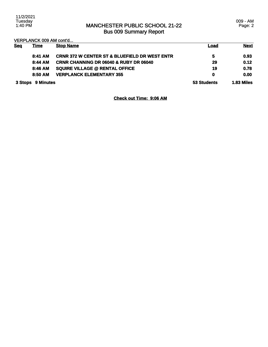009 - AM Page: 2

VERPLANCK 009 AM cont'd...

| <b>Seg</b>        | <u>Time</u> | <b>Stop Name</b>                                         | <b>Load</b>       | <b>Next</b> |
|-------------------|-------------|----------------------------------------------------------|-------------------|-------------|
|                   | 8:41 AM     | <b>CRNR 372 W CENTER ST &amp; BLUEFIELD DR WEST ENTR</b> | 5                 | 0.93        |
|                   | 8:44 AM     | <b>CRNR CHANNING DR 06040 &amp; RUBY DR 06040</b>        | 29                | 0.12        |
|                   | 8:46 AM     | <b>SQUIRE VILLAGE @ RENTAL OFFICE</b>                    | 19                | 0.78        |
|                   | 8:50 AM     | <b>VERPLANCK ELEMENTARY 355</b>                          | 0                 | 0.00        |
| 3 Stops 9 Minutes |             | 53 Students                                              | <b>1.83 Miles</b> |             |

**Check out Time: 9:06 AM**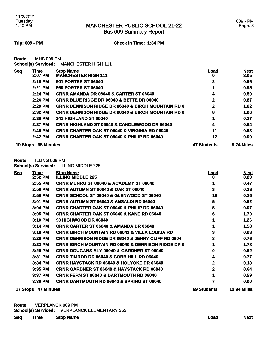#### **Trip: 009 - PM Check in Time: 1:34 PM**

**Route:** MHS 009 PM **School(s) Serviced:** MANCHESTER HIGH 111

| <b>Seg</b> | Time       | <b>Stop Name</b>                                              | Load               | <b>Next</b> |
|------------|------------|---------------------------------------------------------------|--------------------|-------------|
|            | 2:07 PM    | <b>MANCHESTER HIGH 111</b>                                    | 0                  | 3.05        |
|            | 2:18 PM    | <b>501 PORTER ST 06040</b>                                    | 2                  | 0.66        |
|            | $2:21$ PM  | <b>560 PORTER ST 06040</b>                                    |                    | 0.95        |
|            | 2:24 PM    | <b>CRNR AMANDA DR 06040 &amp; CARTER ST 06040</b>             | 4                  | 0.59        |
|            | 2:26 PM    | <b>CRNR BLUE RIDGE DR 06040 &amp; BETTE DR 06040</b>          | 2                  | 0.87        |
|            | 2:29 PM    | <b>CRNR DENNISON RIDGE DR 06040 &amp; BIRCH MOUNTAIN RD 0</b> | 2                  | 1.02        |
|            | 2:32 PM    | <b>CRNR DENNISON RIDGE DR 06040 &amp; BIRCH MOUNTAIN RD 0</b> | 8                  | 1.06        |
|            | 2:36 PM    | <b>341 HIGHLAND ST 06040</b>                                  |                    | 0.37        |
|            | 2:37 PM    | <b>CRNR HIGHLAND ST 06040 &amp; CANDLEWOOD DR 06040</b>       | 4                  | 0.64        |
|            | 2:40 PM    | <b>CRNR CHARTER OAK ST 06040 &amp; VIRGINIA RD 06040</b>      | 11                 | 0.53        |
|            | 2:42 PM    | <b>CRNR CHARTER OAK ST 06040 &amp; PHILIP RD 06040</b>        | 12                 | 0.00        |
| 10 Stops   | 35 Minutes |                                                               | <b>47 Students</b> | 9.74 Miles  |

#### **Route:** ILLING 009 PM

**School(s) Serviced:** ILLING MIDDLE 225

| <b>Seq</b>      | <b>Time</b>       | <b>Stop Name</b>                                              | Load        | <b>Next</b>        |
|-----------------|-------------------|---------------------------------------------------------------|-------------|--------------------|
|                 | 2:52 PM           | <b>ILLING MIDDLE 225</b>                                      | o           | 0.83               |
|                 | 2:55 PM           | CRNR MUNRO ST 06040 & ACADEMY ST 06040                        |             | 0.47               |
|                 | 2:58 PM           | <b>CRNR AUTUMN ST 06040 &amp; OAK ST 06040</b>                | 3           | 0.33               |
|                 | 2:59 PM           | <b>CRNR SCHOOL ST 06040 &amp; GLENWOOD ST 06040</b>           | 19          | 0.26               |
|                 | 3:01 PM           | CRNR AUTUMN ST 06040 & ANSALDI RD 06040                       | 5           | 0.52               |
|                 | 3:04 PM           | <b>CRNR CHARTER OAK ST 06040 &amp; PHILIP RD 06040</b>        | 5           | 0.07               |
|                 | 3:05 PM           | <b>CRNR CHARTER OAK ST 06040 &amp; KANE RD 06040</b>          | 6           | 1.70               |
|                 | 3:10 PM           | 93 HIGHWOOD DR 06040                                          |             | 1.26               |
|                 | 3:14 PM           | CRNR CARTER ST 06040 & AMANDA DR 06040                        |             | 1.58               |
|                 | 3:18 PM           | CRNR BIRCH MOUNTAIN RD 06043 & VILLA LOUISA RD                | 3           | 0.63               |
|                 | 3:20 PM           | <b>CRNR DENNISON RIDGE DR 06040 &amp; JENNY CLIFF RD 0604</b> | 8           | 0.76               |
|                 | 3:23 PM           | <b>CRNR BIRCH MOUNTAIN RD 06040 &amp; DENNISON RIDGE DR 0</b> |             | 1.78               |
|                 | 3:29 PM           | <b>CRNR DOUGANS ALY 06040 &amp; GARDNER ST 06040</b>          | 0           | 0.62               |
|                 | 3:31 PM           | <b>CRNR TIMROD RD 06040 &amp; COBB HILL RD 06040</b>          | 4           | 0.77               |
|                 | 3:34 PM           | <b>CRNR HAYSTACK RD 06040 &amp; HOLYOKE DR 06040</b>          | 2           | 0.13               |
|                 | 3:35 PM           | <b>CRNR GARDNER ST 06040 &amp; HAYSTACK RD 06040</b>          | 2           | 0.64               |
|                 | 3:37 PM           | <b>CRNR FERN ST 06040 &amp; DARTMOUTH RD 06040</b>            |             | 0.59               |
|                 | 3:39 PM           | <b>CRNR DARTMOUTH RD 06040 &amp; SPRING ST 06040</b>          |             | 0.00               |
| <b>17 Stops</b> | <b>47 Minutes</b> |                                                               | 69 Students | <b>12.94 Miles</b> |

**Route:** VERPLANCK 009 PM **School(s) Serviced:** VERPLANCK ELEMENTARY 355

| <b>Seq</b> | <u>Time Stop Name</u> | Load | <b>Next</b> |
|------------|-----------------------|------|-------------|
|            |                       |      |             |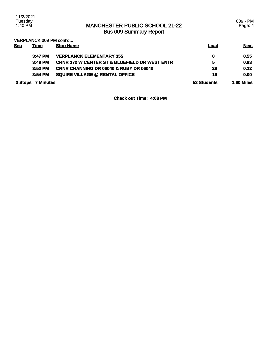009 - PM Page: 4

VERPLANCK 009 PM cont'd...

| <b>Seg</b> | <u>Time</u>       | <b>Stop Name</b>                                         | Load        | <b>Next</b>       |
|------------|-------------------|----------------------------------------------------------|-------------|-------------------|
|            | 3:47 PM           | <b>VERPLANCK ELEMENTARY 355</b>                          | $\mathbf 0$ | 0.55              |
|            | 3:49 PM           | <b>CRNR 372 W CENTER ST &amp; BLUEFIELD DR WEST ENTR</b> | 5           | 0.93              |
|            | $3:52$ PM         | <b>CRNR CHANNING DR 06040 &amp; RUBY DR 06040</b>        | 29          | 0.12              |
|            | $3:54$ PM         | <b>SQUIRE VILLAGE @ RENTAL OFFICE</b>                    | 19          | 0.00              |
|            | 3 Stops 7 Minutes |                                                          | 53 Students | <b>1.60 Miles</b> |

**Check out Time: 4:08 PM**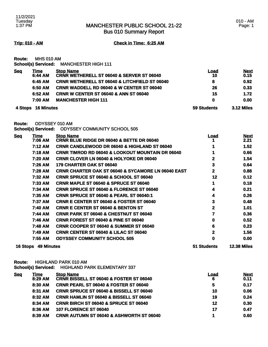Bus 010 Summary Report

**Trip: 010 - AM Check in Time: 6:25 AM**

**Route:** MHS 010 AM **School(s) Serviced:** MANCHESTER HIGH 111

| <b>Seq</b> | Time<br>6:44 AM   | <b>Stop Name</b><br><b>CRNR WETHERELL ST 06040 &amp; SERVER ST 06040</b> | Load<br>10  | <b>Next</b><br>0.15 |
|------------|-------------------|--------------------------------------------------------------------------|-------------|---------------------|
|            | 6:45 AM           | <b>CRNR WETHERELL ST 06040 &amp; LITCHFIELD ST 06040</b>                 | 8           | 0.92                |
|            | 6:50 AM           | <b>CRNR WADDELL RD 06040 &amp; W CENTER ST 06040</b>                     | 26          | 0.33                |
|            | 6:52 AM           | <b>CRNR W CENTER ST 06040 &amp; ANN ST 06040</b>                         | 15          | 1.72                |
|            | 7:00 AM           | <b>MANCHESTER HIGH 111</b>                                               | $\mathbf 0$ | 0.00                |
| 4 Stops    | <b>16 Minutes</b> |                                                                          | 59 Students | <b>3.12 Miles</b>   |

**Route:** ODYSSEY 010 AM

**School(s) Serviced:** ODYSSEY COMMUNITY SCHOOL 505

| <u>Seq</u>      | <u>Time</u>       | <b>Stop Name</b>                                              | <u>Load</u>  | <b>Next</b>        |
|-----------------|-------------------|---------------------------------------------------------------|--------------|--------------------|
|                 | 7:06 AM           | CRNR BLUE RIDGE DR 06040 & BETTE DR 06040                     |              | 2.21               |
|                 | 7:12 AM           | <b>CRNR CANDLEWOOD DR 06040 &amp; HIGHLAND ST 06040</b>       |              | 1.52               |
|                 | 7:18 AM           | <b>CRNR TIMROD RD 06040 &amp; LOOKOUT MOUNTAIN DR 06040</b>   |              | 0.66               |
|                 | 7:20 AM           | <b>CRNR CLOVER LN 06040 &amp; HOLYOKE DR 06040</b>            | $\mathbf{2}$ | 1.54               |
|                 | 7:26 AM           | 179 CHARTER OAK ST 06040                                      | 3            | 0.64               |
|                 | 7:28 AM           | <b>CRNR CHARTER OAK ST 06040 &amp; SYCAMORE LN 06040 EAST</b> | 2            | 0.88               |
|                 | 7:32 AM           | <b>CRNR SPRUCE ST 06040 &amp; SCHOOL ST 06040</b>             | 12           | 0.12               |
|                 | 7:33 AM           | <b>CRNR MAPLE ST 06040 &amp; SPRUCE ST 06040</b>              |              | 0.18               |
|                 | 7:34 AM           | <b>CRNR SPRUCE ST 06040 &amp; FLORENCE ST 06040</b>           |              | 0.21               |
|                 | 7:35 AM           | <b>CRNR SPRUCE ST 06040 &amp; PEARL ST 06040:1</b>            |              | 0.26               |
|                 | 7:37 AM           | <b>CRNR E CENTER ST 06040 &amp; FOSTER ST 06040</b>           | 3            | 0.48               |
|                 | 7:40 AM           | <b>CRNR E CENTER ST 06040 &amp; BENTON ST</b>                 | 2            | 1.01               |
|                 | 7:44 AM           | <b>CRNR PARK ST 06040 &amp; CHESTNUT ST 06040</b>             |              | 0.36               |
|                 | 7:46 AM           | <b>CRNR FOREST ST 06040 &amp; PINE ST 06040</b>               | 0            | 0.52               |
|                 | 7:48 AM           | <b>CRNR COOPER ST 06040 &amp; SUMMER ST 06040</b>             | 6            | 0.23               |
|                 | 7:49 AM           | <b>CRNR CENTER ST 06040 &amp; LILAC ST 06040</b>              | 2            | 1.56               |
|                 | 7:55 AM           | <b>ODYSSEY COMMUNITY SCHOOL 505</b>                           | 0            | 0.00               |
| <b>16 Stops</b> | <b>49 Minutes</b> |                                                               | 51 Students  | <b>12.38 Miles</b> |

**Route:** HIGHLAND PARK 010 AM

**School(s) Serviced:** HIGHLAND PARK ELEMENTARY 337

| <b>Seg</b> | <u>Time</u> | <b>Stop Name</b>                                    | <u>Load</u> | <b>Next</b> |
|------------|-------------|-----------------------------------------------------|-------------|-------------|
|            | 8:29 AM     | CRNR BISSELL ST 06040 & FOSTER ST 06040             | 6           | 0.11        |
|            | 8:30 AM     | <b>CRNR PEARL ST 06040 &amp; FOSTER ST 06040</b>    | 5           | 0.17        |
|            | 8:31 AM     | <b>CRNR SPRUCE ST 06040 &amp; BISSELL ST 06040</b>  | 10          | 0.06        |
|            | 8:32 AM     | <b>CRNR HAMLIN ST 06040 &amp; BISSELL ST 06040</b>  | 19          | 0.24        |
|            | 8:34 AM     | <b>CRNR BIRCH ST 06040 &amp; SPRUCE ST 06040</b>    | 12          | 0.30        |
|            | 8:36 AM     | <b>107 FLORENCE ST 06040</b>                        | 17          | 0.47        |
|            | 8:39 AM     | <b>CRNR AUTUMN ST 06040 &amp; ASHWORTH ST 06040</b> | и           | 0.60        |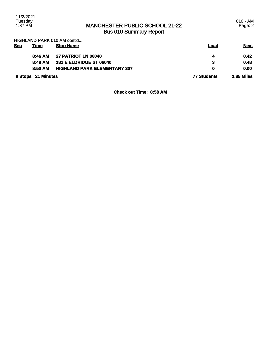010 - AM Page: 2

HIGHLAND PARK 010 AM cont'd...

| <b>Seq</b> | <u>Time</u>        | <b>Stop Name</b>                    | Load               | <b>Next</b> |
|------------|--------------------|-------------------------------------|--------------------|-------------|
|            | 8:46 AM            | <b>27 PATRIOT LN 06040</b>          |                    | 0.42        |
|            | 8:48 AM            | <b>181 E ELDRIDGE ST 06040</b>      | 3                  | 0.48        |
|            | 8:50 AM            | <b>HIGHLAND PARK ELEMENTARY 337</b> | 0                  | 0.00        |
|            | 9 Stops 21 Minutes |                                     | <b>77 Students</b> | 2.85 Miles  |

**Check out Time: 8:58 AM**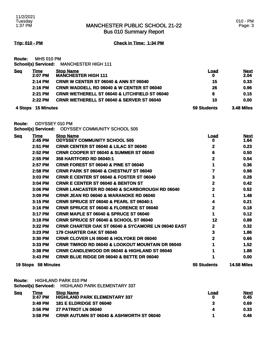Bus 010 Summary Report

**Trip: 010 - PM Check in Time: 1:34 PM**

**Route:** MHS 010 PM **School(s) Serviced:** MANCHESTER HIGH 111

| <b>Seq</b>                   | Time<br>2:07 PM | <b>Stop Name</b><br><b>MANCHESTER HIGH 111</b>           | <u>Load</u>       | <b>Next</b><br>2.04 |
|------------------------------|-----------------|----------------------------------------------------------|-------------------|---------------------|
|                              | 2:14 PM         | <b>CRNR W CENTER ST 06040 &amp; ANN ST 06040</b>         | 15                | 0.33                |
|                              | $2:16$ PM       | <b>CRNR WADDELL RD 06040 &amp; W CENTER ST 06040</b>     | 26                | 0.96                |
|                              | $2:21$ PM       | <b>CRNR WETHERELL ST 06040 &amp; LITCHFIELD ST 06040</b> | 8                 | 0.15                |
|                              | $2:22$ PM       | <b>CRNR WETHERELL ST 06040 &amp; SERVER ST 06040</b>     | 10                | 0.00                |
| <b>15 Minutes</b><br>4 Stops |                 | 59 Students                                              | <b>3.48 Miles</b> |                     |

**Route:** ODYSSEY 010 PM

**School(s) Serviced:** ODYSSEY COMMUNITY SCHOOL 505

| <u>Seq</u> | <b>Time</b>                | <b>Stop Name</b>                                              | <u>Load</u>        | <b>Next</b>        |
|------------|----------------------------|---------------------------------------------------------------|--------------------|--------------------|
|            | 2:45 PM                    | <b>ODYSSEY COMMUNITY SCHOOL 505</b>                           | o                  | 1.64               |
|            | 2:51 PM                    | <b>CRNR CENTER ST 06040 &amp; LILAC ST 06040</b>              | 2                  | 0.23               |
|            | 2:52 PM                    | <b>CRNR COOPER ST 06040 &amp; SUMMER ST 06040</b>             | 6                  | 0.50               |
|            | 2:55 PM                    | 358 HARTFORD RD 06040:1                                       | $\mathbf 2$        | 0.54               |
|            | 2:57 PM                    | <b>CRNR FOREST ST 06040 &amp; PINE ST 06040</b>               | 1                  | 0.36               |
|            | 2:58 PM                    | <b>CRNR PARK ST 06040 &amp; CHESTNUT ST 06040</b>             |                    | 0.98               |
|            | 3:03 PM                    | CRNR E CENTER ST 06040 & FOSTER ST 06040                      | 3                  | 0.28               |
|            | 3:04 PM                    | <b>CRNR E CENTER ST 06040 &amp; BENTON ST</b>                 | 2                  | 0.42               |
|            | 3:06 PM                    | <b>CRNR LANCASTER RD 06040 &amp; SCARBOROUGH RD 06040</b>     | 2                  | 0.52               |
|            | 3:09 PM                    | <b>CRNR JEAN RD 06040 &amp; WARANOKE RD 06040</b>             |                    | 1.48               |
|            | 3:15 PM                    | <b>CRNR SPRUCE ST 06040 &amp; PEARL ST 06040:1</b>            | 4                  | 0.21               |
|            | 3:16 PM                    | <b>CRNR SPRUCE ST 06040 &amp; FLORENCE ST 06040</b>           | 2                  | 0.18               |
|            | 3:17 PM                    | <b>CRNR MAPLE ST 06040 &amp; SPRUCE ST 06040</b>              | 1                  | 0.12               |
|            | 3:18 PM                    | <b>CRNR SPRUCE ST 06040 &amp; SCHOOL ST 06040</b>             | 12                 | 0.88               |
|            | 3:22 PM                    | <b>CRNR CHARTER OAK ST 06040 &amp; SYCAMORE LN 06040 EAST</b> | 2                  | 0.32               |
|            | 3:23 PM                    | <b>179 CHARTER OAK ST 06040</b>                               | 3                  | 1.86               |
|            | 3:30 PM                    | <b>CRNR CLOVER LN 06040 &amp; HOLYOKE DR 06040</b>            | 2                  | 0.66               |
|            | 3:33 PM                    | <b>CRNR TIMROD RD 06040 &amp; LOOKOUT MOUNTAIN DR 06040</b>   |                    | 1.52               |
|            | 3:38 PM                    | CRNR CANDLEWOOD DR 06040 & HIGHLAND ST 06040                  |                    | 1.88               |
|            | 3:43 PM                    | <b>CRNR BLUE RIDGE DR 06040 &amp; BETTE DR 06040</b>          |                    | 0.00               |
|            | <b>19 Stops 58 Minutes</b> |                                                               | <b>55 Students</b> | <b>14.58 Miles</b> |

**Route:** HIGHLAND PARK 010 PM

**School(s) Serviced:** HIGHLAND PARK ELEMENTARY 337

| <u>Sea</u> | <b>Fime</b> | <b>Stop Name</b>                                    | Load | <b>Next</b> |
|------------|-------------|-----------------------------------------------------|------|-------------|
|            | $3:47$ PM   | <b>HIGHLAND PARK ELEMENTARY 337</b>                 |      | 0.45        |
|            | $3:49$ PM   | <b>181 E ELDRIDGE ST 06040</b>                      |      | 0.69        |
|            | 3:56 PM     | <b>27 PATRIOT LN 06040</b>                          |      | 0.33        |
|            | $3:58$ PM   | <b>CRNR AUTUMN ST 06040 &amp; ASHWORTH ST 06040</b> |      | 0.46        |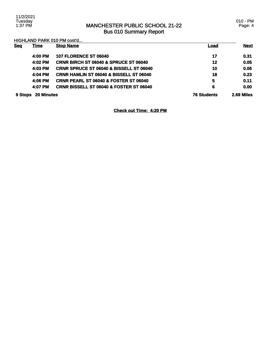### MANCHESTER PUBLIC SCHOOL 21-22 Bus 010 Summary Report

010 - PM Page: 4

HIGHLAND PARK 010 PM cont'd...

| <b>Seg</b> | <b>Time</b>       | <b>Stop Name</b>                                   | <u>Load</u>        | <b>Next</b> |
|------------|-------------------|----------------------------------------------------|--------------------|-------------|
|            | 4:00 PM           | <b>107 FLORENCE ST 06040</b>                       | 17                 | 0.31        |
|            | 4:02 PM           | <b>CRNR BIRCH ST 06040 &amp; SPRUCE ST 06040</b>   | 12                 | 0.05        |
|            | 4:03 PM           | <b>CRNR SPRUCE ST 06040 &amp; BISSELL ST 06040</b> | 10                 | 0.06        |
|            | 4:04 PM           | <b>CRNR HAMLIN ST 06040 &amp; BISSELL ST 06040</b> | 18                 | 0.23        |
|            | 4:06 PM           | <b>CRNR PEARL ST 06040 &amp; FOSTER ST 06040</b>   | 5                  | 0.11        |
|            | 4:07 PM           | <b>CRNR BISSELL ST 06040 &amp; FOSTER ST 06040</b> | 6                  | 0.00        |
| 9 Stops    | <b>20 Minutes</b> |                                                    | <b>76 Students</b> | 2.69 Miles  |

**Check out Time: 4:20 PM**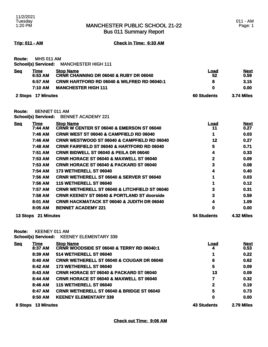Bus 011 Summary Report

**Trip: 011 - AM Check in Time: 6:33 AM**

| Route:     | <b>MHS 011 AM</b>  |                                                                       |                    |                     |
|------------|--------------------|-----------------------------------------------------------------------|--------------------|---------------------|
|            |                    | School(s) Serviced: MANCHESTER HIGH 111                               |                    |                     |
| <b>Seq</b> | Time<br>6:53 AM    | <b>Stop Name</b><br><b>CRNR CHANNING DR 06040 &amp; RUBY DR 06040</b> | Load<br>52         | <b>Next</b><br>0.59 |
|            | 6:57 AM            | <b>CRNR HARTFORD RD 06040 &amp; WILFRED RD 06040:1</b>                | 8                  | 3.15                |
|            | 7:10 AM            | <b>MANCHESTER HIGH 111</b>                                            | 0                  | 0.00                |
|            | 2 Stops 17 Minutes |                                                                       | <b>60 Students</b> | <b>3.74 Miles</b>   |

**Route:** BENNET 011 AM

**School(s) Serviced:** BENNET ACADEMY 221

| <b>Seq</b>          | Time    | <b>Stop Name</b>                                         | Load       | <b>Next</b> |
|---------------------|---------|----------------------------------------------------------|------------|-------------|
|                     | 7:44 AM | <b>CRNR W CENTER ST 06040 &amp; EMERSON ST 06040</b>     | 11         | 0.27        |
|                     | 7:46 AM | <b>CRNR WEST ST 06040 &amp; CAMPFIELD RD 06040</b>       |            | 0.03        |
|                     | 7:46 AM | <b>CRNR WESTWOOD ST 06040 &amp; CAMPFIELD RD 06040</b>   | 12         | 0.27        |
|                     | 7:48 AM | <b>CRNR FAIRFIELD ST 06040 &amp; HARTFORD RD 06040</b>   | 5          | 0.71        |
|                     | 7:51 AM | <b>CRNR BIDWELL ST 06040 &amp; PEILA DR 06040</b>        | 4          | 0.33        |
|                     | 7:53 AM | <b>CRNR HORACE ST 06040 &amp; MAXWELL ST 06040</b>       | 2          | 0.09        |
|                     | 7:53 AM | <b>CRNR HORACE ST 06040 &amp; PACKARD ST 06040</b>       | 3          | 0.08        |
|                     | 7:54 AM | <b>173 WETHERELL ST 06040</b>                            | 4          | 0.40        |
|                     | 7:56 AM | <b>CRNR WETHERELL ST 06040 &amp; SERVER ST 06040</b>     |            | 0.03        |
|                     | 7:56 AM | <b>115 WETHERELL ST 06040</b>                            |            | 0.12        |
|                     | 7:57 AM | <b>CRNR WETHERELL ST 06040 &amp; LITCHFIELD ST 06040</b> | 3          | 0.31        |
|                     | 7:58 AM | <b>CRNR KEENEY ST 06040 &amp; PORTLAND ST doorside</b>   | 3          | 0.59        |
|                     | 8:01 AM | <b>CRNR HACKMATACK ST 06040 &amp; JUDITH DR 06040</b>    | 4          | 1.09        |
|                     | 8:05 AM | <b>BENNET ACADEMY 221</b>                                | 0          | 0.00        |
| 13 Stops 21 Minutes |         | <b>54 Students</b>                                       | 4.32 Miles |             |

**Route:** KEENEY 011 AM

**School(s) Serviced:** KEENEY ELEMENTARY 339

| <b>Seq</b> | Time               | <b>Stop Name</b>                                     | <b>Load</b>        | <b>Next</b> |
|------------|--------------------|------------------------------------------------------|--------------------|-------------|
|            | 8:37 AM            | <b>CRNR WOODSIDE ST 06040 &amp; TERRY RD 06040:1</b> | 4                  | 0.53        |
|            | 8:39 AM            | 514 WETHERELL ST 06040                               |                    | 0.22        |
|            | 8:40 AM            | <b>CRNR WETHERELL ST 06040 &amp; COUGAR DR 06040</b> | 6                  | 0.62        |
|            | 8:42 AM            | 173 WETHERELL ST 06040                               | 5                  | 0.09        |
|            | 8:43 AM            | <b>CRNR HORACE ST 06040 &amp; PACKARD ST 06040</b>   | 13                 | 0.09        |
|            | 8:44 AM            | <b>CRNR HORACE ST 06040 &amp; MAXWELL ST 06040</b>   | 7                  | 0.32        |
|            | 8:46 AM            | 115 WETHERELL ST 06040                               | $\mathbf{2}$       | 0.19        |
|            | 8:47 AM            | <b>CRNR WETHERELL ST 06040 &amp; BRIDGE ST 06040</b> | 5                  | 0.73        |
|            | 8:50 AM            | <b>KEENEY ELEMENTARY 339</b>                         | 0                  | 0.00        |
|            | 8 Stops 13 Minutes |                                                      | <b>43 Students</b> | 2.79 Miles  |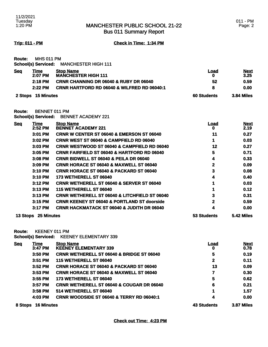Bus 011 Summary Report

**Trip: 011 - PM Check in Time: 1:34 PM**

**Route:** MHS 011 PM **School(s) Serviced:** MANCHESTER HIGH 111

| <u>Seq</u> | Гіmе    | <b>Stop Name</b>                                       | Load | <b>Next</b> |
|------------|---------|--------------------------------------------------------|------|-------------|
|            | 2:07 PM | <b>MANCHESTER HIGH 111</b>                             |      | 3.25        |
|            | 2:18 PM | <b>CRNR CHANNING DR 06040 &amp; RUBY DR 06040</b>      | 52   | 0.59        |
|            | 2:22 PM | <b>CRNR HARTFORD RD 06040 &amp; WILFRED RD 06040:1</b> |      | 0.00        |
|            |         |                                                        |      |             |

**2 Stops 15 Minutes 60 Students 3.84 Miles** 

**Route:** BENNET 011 PM

**School(s) Serviced:** BENNET ACADEMY 221

| <u>Seq</u> | <b>Time</b> | <b>Stop Name</b>                                         | <u>Load</u>  | <b>Next</b> |
|------------|-------------|----------------------------------------------------------|--------------|-------------|
|            | 2:52 PM     | <b>BENNET ACADEMY 221</b>                                | 0            | 2.19        |
|            | 3:01 PM     | <b>CRNR W CENTER ST 06040 &amp; EMERSON ST 06040</b>     | 11           | 0.27        |
|            | 3:02 PM     | <b>CRNR WEST ST 06040 &amp; CAMPFIELD RD 06040</b>       | 1            | 0.03        |
|            | 3:03 PM     | <b>CRNR WESTWOOD ST 06040 &amp; CAMPFIELD RD 06040</b>   | 12           | 0.27        |
|            | 3:05 PM     | <b>CRNR FAIRFIELD ST 06040 &amp; HARTFORD RD 06040</b>   | 5            | 0.71        |
|            | 3:08 PM     | <b>CRNR BIDWELL ST 06040 &amp; PEILA DR 06040</b>        | 4            | 0.33        |
|            | 3:09 PM     | <b>CRNR HORACE ST 06040 &amp; MAXWELL ST 06040</b>       | $\mathbf{2}$ | 0.09        |
|            | 3:10 PM     | <b>CRNR HORACE ST 06040 &amp; PACKARD ST 06040</b>       | 3            | 0.08        |
|            | $3:10$ PM   | 173 WETHERELL ST 06040                                   | 4            | 0.40        |
|            | 3:12 PM     | <b>CRNR WETHERELL ST 06040 &amp; SERVER ST 06040</b>     |              | 0.03        |
|            | 3:13 PM     | <b>115 WETHERELL ST 06040</b>                            |              | 0.12        |
|            | $3:13$ PM   | <b>CRNR WETHERELL ST 06040 &amp; LITCHFIELD ST 06040</b> | 3            | 0.31        |
|            | 3:15 PM     | <b>CRNR KEENEY ST 06040 &amp; PORTLAND ST doorside</b>   | 2            | 0.59        |
|            | 3:17 PM     | <b>CRNR HACKMATACK ST 06040 &amp; JUDITH DR 06040</b>    | 4            | 0.00        |
| 13 Stops   | 25 Minutes  |                                                          | 53 Students  | 5.42 Miles  |

**Route:** KEENEY 011 PM

**School(s) Serviced:** KEENEY ELEMENTARY 339

| <b>Seq</b> | Time                         | <b>Stop Name</b>                                     | <b>Load</b>        | <b>Next</b> |
|------------|------------------------------|------------------------------------------------------|--------------------|-------------|
|            | 3:47 PM                      | <b>KEENEY ELEMENTARY 339</b>                         | 0                  | 0.78        |
|            | 3:50 PM                      | <b>CRNR WETHERELL ST 06040 &amp; BRIDGE ST 06040</b> | 5                  | 0.19        |
|            | 3:51 PM                      | 115 WETHERELL ST 06040                               | $\mathbf{2}$       | 0.11        |
|            | 3:52 PM                      | <b>CRNR HORACE ST 06040 &amp; PACKARD ST 06040</b>   | 13                 | 0.09        |
|            | $3:53$ PM                    | <b>CRNR HORACE ST 06040 &amp; MAXWELL ST 06040</b>   | 7                  | 0.30        |
|            | 3:55 PM                      | 173 WETHERELL ST 06040                               | 5                  | 0.62        |
|            | $3:57$ PM                    | <b>CRNR WETHERELL ST 06040 &amp; COUGAR DR 06040</b> | 6                  | 0.21        |
|            | $3:58$ PM                    | 514 WETHERELL ST 06040                               |                    | 1.57        |
|            | 4:03 PM                      | <b>CRNR WOODSIDE ST 06040 &amp; TERRY RD 06040:1</b> | 4                  | 0.00        |
|            | <b>16 Minutes</b><br>8 Stops |                                                      | <b>43 Students</b> | 3.87 Miles  |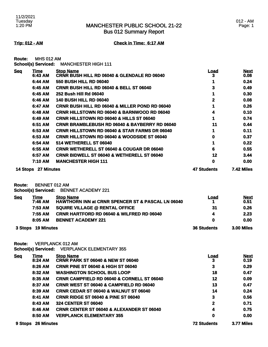Bus 012 Summary Report

### 012 - AM Page: 1

**Trip: 012 - AM Check in Time: 6:17 AM**

| <b>Route:</b> | <b>MHS 012 AM</b>          |                            |
|---------------|----------------------------|----------------------------|
|               | <b>School(s) Serviced:</b> | <b>MANCHESTER HIGH 111</b> |

| <b>Seq</b> | Time                | <b>Stop Name</b>                                          | Load               | <b>Next</b>       |
|------------|---------------------|-----------------------------------------------------------|--------------------|-------------------|
|            | 6:43 AM             | CRNR BUSH HILL RD 06040 & GLENDALE RD 06040               | 3                  | 0.08              |
|            | 6:44 AM             | <b>550 BUSH HILL RD 06040</b>                             |                    | 0.24              |
|            | 6:45 AM             | <b>CRNR BUSH HILL RD 06040 &amp; BELL ST 06040</b>        | 3                  | 0.49              |
|            | 6:45 AM             | 252 Bush Hill Rd 06040                                    |                    | 0.30              |
|            | 6:46 AM             | <b>140 BUSH HILL RD 06040</b>                             | 2                  | 0.08              |
|            | 6:47 AM             | <b>CRNR BUSH HILL RD 06040 &amp; MILLER POND RD 06040</b> |                    | 0.26              |
|            | 6:48 AM             | <b>CRNR HILLSTOWN RD 06040 &amp; BARNWOOD RD 06040</b>    |                    | 0.10              |
|            | 6:49 AM             | <b>CRNR HILLSTOWN RD 06040 &amp; HILLS ST 06040</b>       |                    | 0.74              |
|            | 6:51 AM             | <b>CRNR BRAMBLEBUSH RD 06040 &amp; BAYBERRY RD 06040</b>  | 11                 | 0.44              |
|            | 6:53 AM             | <b>CRNR HILLSTOWN RD 06040 &amp; STAR FARMS DR 06040</b>  |                    | 0.11              |
|            | 6:53 AM             | <b>CRNR HILLSTOWN RD 06040 &amp; WOODSIDE ST 06040</b>    | 0                  | 0.37              |
|            | 6:54 AM             | 514 WETHERELL ST 06040                                    |                    | 0.22              |
|            | 6:55 AM             | <b>CRNR WETHERELL ST 06040 &amp; COUGAR DR 06040</b>      | 6                  | 0.55              |
|            | 6:57 AM             | <b>CRNR BIDWELL ST 06040 &amp; WETHERELL ST 06040</b>     | 12                 | 3.44              |
|            | 7:10 AM             | <b>MANCHESTER HIGH 111</b>                                | 0                  | 0.00              |
|            | 14 Stops 27 Minutes |                                                           | <b>47 Students</b> | <b>7.42 Miles</b> |

**Route:** BENNET 012 AM

**School(s) Serviced:** BENNET ACADEMY 221

| <b>Seq</b> | Time               | <b>Stop Name</b>                                             | Load               | <b>Next</b>       |
|------------|--------------------|--------------------------------------------------------------|--------------------|-------------------|
|            | 7:46 AM            | <b>HAWTHORN INN at CRNR SPENCER ST &amp; PASCAL LN 06040</b> |                    | 0.51              |
|            | 7:53 AM            | <b>SQUIRE VILLAGE @ RENTAL OFFICE</b>                        | 31                 | 0.26              |
|            | 7:55 AM            | <b>CRNR HARTFORD RD 06040 &amp; WILFRED RD 06040</b>         | Д                  | 2.23              |
|            | 8:05 AM            | <b>BENNET ACADEMY 221</b>                                    | 0                  | 0.00              |
|            | 3 Stops 19 Minutes |                                                              | <b>36 Students</b> | <b>3.00 Miles</b> |

**Route:** VERPLANCK 012 AM

**School(s) Serviced:** VERPLANCK ELEMENTARY 355

| <b>Seq</b> | <u>Time</u>       | <b>Stop Name</b>                                      | <u>Load</u>        | <b>Next</b> |
|------------|-------------------|-------------------------------------------------------|--------------------|-------------|
|            | 8:24 AM           | <b>CRNR PARK ST 06040 &amp; NEW ST 06040</b>          | 3                  | 0.19        |
|            | 8:26 AM           | <b>CRNR PINE ST 06040 &amp; HIGH ST 06040</b>         | 3                  | 0.29        |
|            | 8:32 AM           | <b>WASHINGTON SCHOOL BUS LOOP</b>                     | 18                 | 0.47        |
|            | 8:35 AM           | <b>CRNR CAMPFIELD RD 06040 &amp; CORNELL ST 06040</b> | 12                 | 0.09        |
|            | 8:37 AM           | <b>CRNR WEST ST 06040 &amp; CAMPFIELD RD 06040</b>    | 13                 | 0.47        |
|            | 8:39 AM           | <b>CRNR CEDAR ST 06040 &amp; WALNUT ST 06040</b>      | 14                 | 0.24        |
|            | 8:41 AM           | <b>CRNR RIDGE ST 06040 &amp; PINE ST 06040</b>        | 3                  | 0.56        |
|            | 8:43 AM           | <b>324 CENTER ST 06040</b>                            | 2                  | 0.71        |
|            | 8:46 AM           | <b>CRNR CENTER ST 06040 &amp; ALEXANDER ST 06040</b>  | 4                  | 0.75        |
|            | 8:50 AM           | <b>VERPLANCK ELEMENTARY 355</b>                       | 0                  | 0.00        |
| 9 Stops    | <b>26 Minutes</b> |                                                       | <b>72 Students</b> | 3.77 Miles  |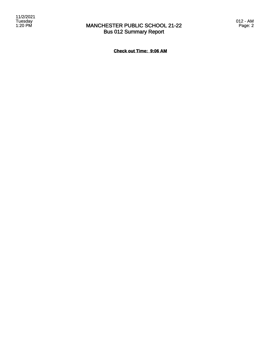

## MANCHESTER PUBLIC SCHOOL 21-22 Bus 012 Summary Report

**Check out Time: 9:06 AM**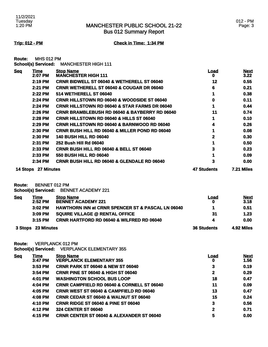Bus 012 Summary Report

**Trip: 012 - PM Check in Time: 1:34 PM**

| <b>Route:</b> | <b>MHS 012 PM</b> |  |
|---------------|-------------------|--|
|               |                   |  |

| <b>Seq</b> | Time                | <b>Stop Name</b>                                          | Load               | <b>Next</b>       |
|------------|---------------------|-----------------------------------------------------------|--------------------|-------------------|
|            | 2:07 PM             | <b>MANCHESTER HIGH 111</b>                                | O                  | 3.22              |
|            | 2:19 PM             | <b>CRNR BIDWELL ST 06040 &amp; WETHERELL ST 06040</b>     | 12                 | 0.55              |
|            | 2:21 PM             | <b>CRNR WETHERELL ST 06040 &amp; COUGAR DR 06040</b>      | 6                  | 0.21              |
|            | 2:22 PM             | 514 WETHERELL ST 06040                                    |                    | 0.38              |
|            | 2:24 PM             | <b>CRNR HILLSTOWN RD 06040 &amp; WOODSIDE ST 06040</b>    | 0                  | 0.11              |
|            | 2:24 PM             | <b>CRNR HILLSTOWN RD 06040 &amp; STAR FARMS DR 06040</b>  |                    | 0.44              |
|            | 2:26 PM             | <b>CRNR BRAMBLEBUSH RD 06040 &amp; BAYBERRY RD 06040</b>  | 11                 | 0.74              |
|            | 2:28 PM             | <b>CRNR HILLSTOWN RD 06040 &amp; HILLS ST 06040</b>       |                    | 0.10              |
|            | 2:29 PM             | <b>CRNR HILLSTOWN RD 06040 &amp; BARNWOOD RD 06040</b>    | 4                  | 0.26              |
|            | 2:30 PM             | <b>CRNR BUSH HILL RD 06040 &amp; MILLER POND RD 06040</b> |                    | 0.08              |
|            | 2:30 PM             | <b>140 BUSH HILL RD 06040</b>                             |                    | 0.30              |
|            | 2:31 PM             | 252 Bush Hill Rd 06040                                    |                    | 0.50              |
|            | 2:33 PM             | <b>CRNR BUSH HILL RD 06040 &amp; BELL ST 06040</b>        | 3                  | 0.23              |
|            | 2:33 PM             | <b>550 BUSH HILL RD 06040</b>                             |                    | 0.09              |
|            | 2:34 PM             | <b>CRNR BUSH HILL RD 06040 &amp; GLENDALE RD 06040</b>    | 3                  | 0.00              |
|            | 14 Stops 27 Minutes |                                                           | <b>47 Students</b> | <b>7.21 Miles</b> |

**Route:** BENNET 012 PM

**School(s) Serviced:** BENNET ACADEMY 221

| <b>Seq</b> | Time               | <b>Stop Name</b>                                             | Load               | <b>Next</b> |
|------------|--------------------|--------------------------------------------------------------|--------------------|-------------|
|            | $2:52$ PM          | <b>BENNET ACADEMY 221</b>                                    |                    | 3.18        |
|            | $3:02$ PM          | <b>HAWTHORN INN at CRNR SPENCER ST &amp; PASCAL LN 06040</b> |                    | 0.51        |
|            | $3:09$ PM          | <b>SQUIRE VILLAGE @ RENTAL OFFICE</b>                        | 31                 | 1.23        |
|            | $3:15$ PM          | <b>CRNR HARTFORD RD 06040 &amp; WILFRED RD 06040</b>         | 4                  | 0.00        |
|            | 3 Stops 23 Minutes |                                                              | <b>36 Students</b> | 4.92 Miles  |

**Route:** VERPLANCK 012 PM

**School(s) Serviced:** VERPLANCK ELEMENTARY 355

| <b>Seq</b> | <u>Time</u> | <b>Stop Name</b>                                      | <u>Load</u> | <b>Next</b> |
|------------|-------------|-------------------------------------------------------|-------------|-------------|
|            | 3:47 PM     | <b>VERPLANCK ELEMENTARY 355</b>                       | 0           | 1.56        |
|            | $3:53$ PM   | <b>CRNR PARK ST 06040 &amp; NEW ST 06040</b>          | 3           | 0.19        |
|            | 3:54 PM     | <b>CRNR PINE ST 06040 &amp; HIGH ST 06040</b>         | 2           | 0.29        |
|            | 4:01 PM     | <b>WASHINGTON SCHOOL BUS LOOP</b>                     | 18          | 0.47        |
|            | 4:04 PM     | <b>CRNR CAMPFIELD RD 06040 &amp; CORNELL ST 06040</b> | 11          | 0.09        |
|            | 4:05 PM     | <b>CRNR WEST ST 06040 &amp; CAMPFIELD RD 06040</b>    | 13          | 0.47        |
|            | 4:08 PM     | <b>CRNR CEDAR ST 06040 &amp; WALNUT ST 06040</b>      | 15          | 0.24        |
|            | 4:10 PM     | <b>CRNR RIDGE ST 06040 &amp; PINE ST 06040</b>        | 3           | 0.56        |
|            | 4:12 PM     | <b>324 CENTER ST 06040</b>                            | 2           | 0.71        |
|            | 4:15 PM     | <b>CRNR CENTER ST 06040 &amp; ALEXANDER ST 06040</b>  | 5           | 0.00        |
|            |             |                                                       |             |             |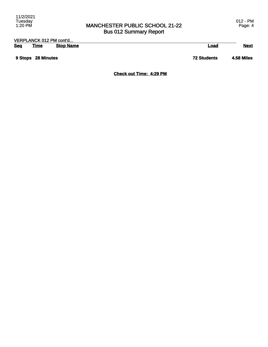## MANCHESTER PUBLIC SCHOOL 21-22 Bus 012 Summary Report

| VERPLANCK 012 PM cont'd |                    |                  |                    |             |
|-------------------------|--------------------|------------------|--------------------|-------------|
| <b>Seq</b>              | <u>Time</u>        | <b>Stop Name</b> | Load               | <b>Next</b> |
|                         | 9 Stops 28 Minutes |                  | <b>72 Students</b> | 4.58 Miles  |

**Check out Time: 4:29 PM**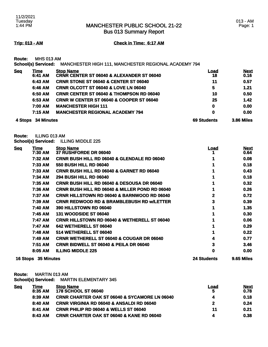Bus 013 Summary Report

### **Trip: 013 - AM Check in Time: 6:17 AM**

**Route:** MHS 013 AM

**School(s) Serviced:** MANCHESTER HIGH 111, MANCHESTER REGIONAL ACADEMY 794

| <u>Seq</u> | Time<br>6:41 AM    | <b>Stop Name</b><br><b>CRNR CENTER ST 06040 &amp; ALEXANDER ST 06040</b> | Load<br>18         | <b>Next</b><br>0.16 |
|------------|--------------------|--------------------------------------------------------------------------|--------------------|---------------------|
|            | 6:43 AM            | <b>CRNR STONE ST 06040 &amp; CENTER ST 06040</b>                         | 11                 | 0.57                |
|            | 6:46 AM            | CRNR OLCOTT ST 06040 & LOVE LN 06040                                     | 5                  | 1.21                |
|            | 6:50 AM            | <b>CRNR CENTER ST 06040 &amp; THOMPSON RD 06040</b>                      | 10                 | 0.50                |
|            | 6:53 AM            | <b>CRNR W CENTER ST 06040 &amp; COOPER ST 06040</b>                      | 25                 | 1.42                |
|            | 7:00 AM            | <b>MANCHESTER HIGH 111</b>                                               | $\mathbf 0$        | 0.00                |
|            | 7:15 AM            | <b>MANCHESTER REGIONAL ACADEMY 794</b>                                   | 0                  | 0.00                |
|            | 4 Stops 34 Minutes |                                                                          | <b>69 Students</b> | <b>3.86 Miles</b>   |

**Route:** ILLING 013 AM

**School(s) Serviced:** ILLING MIDDLE 225

| <b>Seq</b> | <u>Time</u><br>7:30 AM | <b>Stop Name</b><br>37 RUSHFORDE DR 06040               | <u>Load</u>        | <b>Next</b><br>0.64 |
|------------|------------------------|---------------------------------------------------------|--------------------|---------------------|
|            | 7:32 AM                | <b>CRNR BUSH HILL RD 06040 &amp; GLENDALE RD 06040</b>  |                    | 0.08                |
|            | 7:33 AM                | <b>550 BUSH HILL RD 06040</b>                           |                    | 0.18                |
|            | 7:33 AM                | <b>CRNR BUSH HILL RD 06040 &amp; GARNET RD 06040</b>    |                    | 0.43                |
|            | 7:34 AM                | <b>294 BUSH HILL RD 06040</b>                           |                    | 0.18                |
|            | 7:35 AM                | <b>CRNR BUSH HILL RD 06040 &amp; DESOUSA DR 06040</b>   |                    | 0.32                |
|            | 7:36 AM                | CRNR BUSH HILL RD 06040 & MILLER POND RD 06040          |                    | 0.26                |
|            | 7:37 AM                | <b>CRNR HILLSTOWN RD 06040 &amp; BARNWOOD RD 06040</b>  |                    | 0.72                |
|            | 7:39 AM                | <b>CRNR REDWOOD RD &amp; BRAMBLEBUSH RD W/LETTER</b>    | 3                  | 0.39                |
|            | 7:40 AM                | <b>390 HILLSTOWN RD 06040</b>                           |                    | 1.35                |
|            | 7:45 AM                | <b>131 WOODSIDE ST 06040</b>                            |                    | 0.30                |
|            | 7:47 AM                | <b>CRNR HILLSTOWN RD 06040 &amp; WETHERELL ST 06040</b> |                    | 0.06                |
|            | 7:47 AM                | 642 WETHERELL ST 06040                                  |                    | 0.29                |
|            | 7:48 AM                | 514 WETHERELL ST 06040                                  |                    | 0.22                |
|            | 7:49 AM                | <b>CRNR WETHERELL ST 06040 &amp; COUGAR DR 06040</b>    |                    | 0.77                |
|            | 7:51 AM                | <b>CRNR BIDWELL ST 06040 &amp; PEILA DR 06040</b>       |                    | 3.46                |
|            | 8:05 AM                | <b>ILLING MIDDLE 225</b>                                | 0                  | 0.00                |
|            | 16 Stops 35 Minutes    |                                                         | <b>24 Students</b> | 9.65 Miles          |

**Route:** MARTIN 013 AM

**School(s) Serviced:** MARTIN ELEMENTARY 345

| <u>Seq</u> | Time      | <b>Stop Name</b>                                         | Load | <b>Next</b> |
|------------|-----------|----------------------------------------------------------|------|-------------|
|            | 8:35 AM   | <b>178 SCHOOL ST 06040</b>                               | 5    | 0.78        |
|            | 8:39 AM   | <b>CRNR CHARTER OAK ST 06040 &amp; SYCAMORE LN 06040</b> |      | 0.18        |
|            | 8:40 AM   | <b>CRNR VIRGINIA RD 06040 &amp; ANSALDI RD 06040</b>     | 2    | 0.24        |
|            | 8:41 AM   | <b>CRNR PHILIP RD 06040 &amp; WELLS ST 06040</b>         | 11   | 0.21        |
|            | $8:43$ AM | <b>CRNR CHARTER OAK ST 06040 &amp; KANE RD 06040</b>     |      | 0.38        |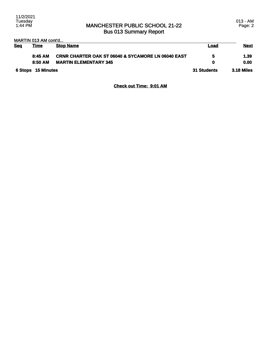### MANCHESTER PUBLIC SCHOOL 21-22 Bus 013 Summary Report

013 - AM Page: 2

### MARTIN 013 AM cont'd...

| <b>Seg</b> | Time               | <b>Stop Name</b>                                              | Load        | <u>Next</u>       |
|------------|--------------------|---------------------------------------------------------------|-------------|-------------------|
|            | 8:45AM             | <b>CRNR CHARTER OAK ST 06040 &amp; SYCAMORE LN 06040 EAST</b> | 5           | 1.39              |
|            | 8:50 AM            | <b>MARTIN ELEMENTARY 345</b>                                  | O           | 0.00              |
|            | 6 Stops 15 Minutes |                                                               | 31 Students | <b>3.18 Miles</b> |

### **Check out Time: 9:01 AM**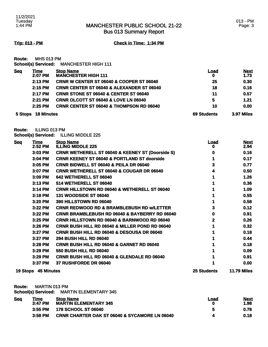Bus 013 Summary Report

**Trip: 013 - PM Check in Time: 1:34 PM**

**Route:** MHS 013 PM

| <b>School(s) Serviced:</b> | <b>MANCHESTER HIGH 111</b> |
|----------------------------|----------------------------|
|----------------------------|----------------------------|

| <u>Seq</u> | Time              | <b>Stop Name</b>                                     | <u>Load</u>        | <b>Next</b>       |
|------------|-------------------|------------------------------------------------------|--------------------|-------------------|
|            | 2:07 PM           | <b>MANCHESTER HIGH 111</b>                           | 0                  | 1.73              |
|            | $2:13$ PM         | <b>CRNR W CENTER ST 06040 &amp; COOPER ST 06040</b>  | 25                 | 0.30              |
|            | 2:15 PM           | <b>CRNR CENTER ST 06040 &amp; ALEXANDER ST 06040</b> | 18                 | 0.16              |
|            | 2:17 PM           | <b>CRNR STONE ST 06040 &amp; CENTER ST 06040</b>     | 11                 | 0.57              |
|            | $2:21$ PM         | <b>CRNR OLCOTT ST 06040 &amp; LOVE LN 06040</b>      | 5                  | 1.21              |
|            | $2:25$ PM         | <b>CRNR CENTER ST 06040 &amp; THOMPSON RD 06040</b>  | 10                 | 0.00              |
| 5 Stops    | <b>18 Minutes</b> |                                                      | <b>69 Students</b> | <b>3.97 Miles</b> |

**Route:** ILLING 013 PM **School(s) Serviced:** ILLING MIDDLE 225

| <b>Seq</b> | <b>Time</b><br>2:52 PM | <b>Stop Name</b><br><b>ILLING MIDDLE 225</b>                | <u>Load</u><br>o   | <b>Next</b><br>2.94 |
|------------|------------------------|-------------------------------------------------------------|--------------------|---------------------|
|            | 3:03 PM                | <b>CRNR WETHERELL ST 06040 &amp; KEENEY ST (Doorside S)</b> | o                  | 0.16                |
|            | 3:04 PM                | <b>CRNR KEENEY ST 06040 &amp; PORTLAND ST doorside</b>      |                    | 0.17                |
|            | 3:05 PM                | <b>CRNR BIDWELL ST 06040 &amp; PEILA DR 06040</b>           |                    | 0.77                |
|            | 3:07 PM                | <b>CRNR WETHERELL ST 06040 &amp; COUGAR DR 06040</b>        |                    | 0.50                |
|            | 3:09 PM                | 642 WETHERELL ST 06040                                      |                    | 1.26                |
|            | 3:13 PM                | 514 WETHERELL ST 06040                                      |                    | 0.36                |
|            | 3:14 PM                | <b>CRNR HILLSTOWN RD 06040 &amp; WETHERELL ST 06040</b>     |                    | 1.09                |
|            | 3:18 PM                | <b>131 WOODSIDE ST 06040</b>                                |                    | 0.55                |
|            | 3:20 PM                | <b>390 HILLSTOWN RD 06040</b>                               |                    | 0.58                |
|            | 3:22 PM                | <b>CRNR REDWOOD RD &amp; BRAMBLEBUSH RD W/LETTER</b>        |                    | 0.12                |
|            | 3:22 PM                | <b>CRNR BRAMBLEBUSH RD 06040 &amp; BAYBERRY RD 06040</b>    | o                  | 0.91                |
|            | 3:25 PM                | <b>CRNR HILLSTOWN RD 06040 &amp; BARNWOOD RD 06040</b>      | 2                  | 0.26                |
|            | 3:26 PM                | <b>CRNR BUSH HILL RD 06040 &amp; MILLER POND RD 06040</b>   |                    | 0.32                |
|            | 3:27 PM                | <b>CRNR BUSH HILL RD 06040 &amp; DESOUSA DR 06040</b>       |                    | 0.18                |
|            | 3:27 PM                | <b>294 BUSH HILL RD 06040</b>                               |                    | 0.44                |
|            | 3:28 PM                | CRNR BUSH HILL RD 06040 & GARNET RD 06040                   |                    | 0.18                |
|            | 3:29 PM                | <b>550 BUSH HILL RD 06040</b>                               |                    | 0.09                |
|            | 3:29 PM                | <b>CRNR BUSH HILL RD 06040 &amp; GLENDALE RD 06040</b>      |                    | 0.91                |
|            | 3:37 PM                | 37 RUSHFORDE DR 06040                                       |                    | 0.00                |
|            | 19 Stops 45 Minutes    |                                                             | <b>25 Students</b> | <b>11.79 Miles</b>  |

**Route:** MARTIN 013 PM

**School(s) Serviced:** MARTIN ELEMENTARY 345

| <b>Seg</b> | <u> Fime</u><br>3:47 PM | <b>Stop Name</b><br><b>MARTIN ELEMENTARY 345</b>         | Load | <b>Next</b><br>1.98 |
|------------|-------------------------|----------------------------------------------------------|------|---------------------|
|            | $3:55$ PM               | 178 SCHOOL ST 06040                                      |      | 0.78                |
|            | 3:58 PM                 | <b>CRNR CHARTER OAK ST 06040 &amp; SYCAMORE LN 06040</b> |      | 0.18                |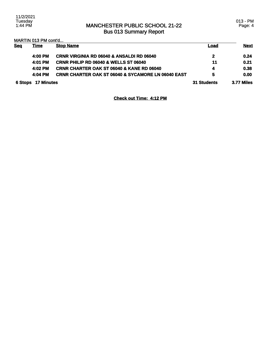## MANCHESTER PUBLIC SCHOOL 21-22 Bus 013 Summary Report

013 - PM Page: 4

| <b>Seq</b> | <u>Time</u>       | <b>Stop Name</b>                                              | <u>Load</u>        | <b>Next</b> |
|------------|-------------------|---------------------------------------------------------------|--------------------|-------------|
|            | 4:00 PM           | <b>CRNR VIRGINIA RD 06040 &amp; ANSALDI RD 06040</b>          | 2                  | 0.24        |
|            | 4:01 PM           | <b>CRNR PHILIP RD 06040 &amp; WELLS ST 06040</b>              | 11                 | 0.21        |
|            | 4:02 PM           | <b>CRNR CHARTER OAK ST 06040 &amp; KANE RD 06040</b>          | 4                  | 0.38        |
|            | 4:04 PM           | <b>CRNR CHARTER OAK ST 06040 &amp; SYCAMORE LN 06040 EAST</b> | 5                  | 0.00        |
| 6 Stops    | <b>17 Minutes</b> |                                                               | <b>31 Students</b> | 3.77 Miles  |

**Check out Time: 4:12 PM**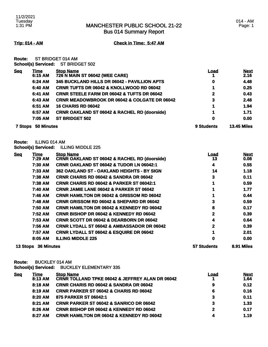Bus 014 Summary Report

**Trip: 014 - AM Check in Time: 5:47 AM**

**Route:** ST BRIDGET 014 AM **School(s) Serviced:** ST BRIDGET 502

| <b>Seg</b>     | <u>Time</u><br>6:15 AM | <b>Stop Name</b><br>726 N MAIN ST 06042 (WEE CARE)      | <u>Load</u> | <b>Next</b><br>2.16 |
|----------------|------------------------|---------------------------------------------------------|-------------|---------------------|
|                | 6:24 AM                | 345 BUCKLAND HILLS DR 06042 - PAVILLION APTS            | 0           | 4.48                |
|                | 6:40 AM                | <b>CRNR TUFTS DR 06042 &amp; KNOLLWOOD RD 06042</b>     |             | 0.25                |
|                | 6:41 AM                | <b>CRNR STEELE FARM DR 06042 &amp; TUFTS DR 06042</b>   | 2           | 0.43                |
|                | 6:43 AM                | <b>CRNR MEADOWBROOK DR 06042 &amp; COLGATE DR 06042</b> | 3           | 2.48                |
|                | 6:51 AM                | <b>16 CHARIS RD 06042</b>                               |             | 1.94                |
|                | 6:57 AM                | <b>CRNR OAKLAND ST 06042 &amp; RACHEL RD (doorside)</b> |             | 1.71                |
|                | 7:05 AM                | <b>ST BRIDGET 502</b>                                   | 0           | 0.00                |
| <b>7 Stops</b> | <b>50 Minutes</b>      |                                                         | 9 Students  | <b>13.45 Miles</b>  |

**Route:** ILLING 014 AM

**School(s) Serviced:** ILLING MIDDLE 225

| <u>Seq</u> | <b>Time</b>       | <b>Stop Name</b>                                        | <u>Load</u>        | <b>Next</b> |
|------------|-------------------|---------------------------------------------------------|--------------------|-------------|
|            | 7:29 AM           | <b>CRNR OAKLAND ST 06042 &amp; RACHEL RD (doorside)</b> | 13                 | 0.08        |
|            | 7:30 AM           | <b>CRNR OAKLAND ST 06042 &amp; TUDOR LN 06042:1</b>     | 4                  | 0.55        |
|            | 7:33 AM           | 362 OAKLAND ST - OAKLAND HEIGHTS - BY SIGN              | 14                 | 1.18        |
|            | 7:38 AM           | <b>CRNR CHARIS RD 06042 &amp; SANDRA DR 06042</b>       | 3                  | 0.11        |
|            | 7:38 AM           | <b>CRNR CHARIS RD 06042 &amp; PARKER ST 06042:1</b>     |                    | 0.59        |
|            | 7:40 AM           | <b>CRNR JAMIE LANE 06042 &amp; PARKER ST 06042</b>      |                    | 1.77        |
|            | 7:46 AM           | <b>CRNR HAMILTON DR 06042 &amp; GRISSOM RD 06042</b>    |                    | 0.44        |
|            | 7:48 AM           | <b>CRNR GRISSOM RD 06042 &amp; SHEPARD DR 06042</b>     | 3                  | 0.59        |
|            | 7:50 AM           | <b>CRNR HAMILTON DR 06042 &amp; KENNEDY RD 06042</b>    | 8                  | 0.17        |
|            | 7:52 AM           | <b>CRNR BISHOP DR 06042 &amp; KENNEDY RD 06042</b>      | 2                  | 0.39        |
|            | 7:53 AM           | <b>CRNR SCOTT DR 06042 &amp; DEARBORN DR 06042</b>      | 4                  | 0.64        |
|            | 7:56 AM           | <b>CRNR LYDALL ST 06042 &amp; AMBASSADOR DR 06042</b>   | 2                  | 0.39        |
|            | 7:57 AM           | <b>CRNR LYDALL ST 06042 &amp; ESQUIRE DR 06042</b>      |                    | 2.01        |
|            | 8:05 AM           | <b>ILLING MIDDLE 225</b>                                | 0                  | 0.00        |
| 13 Stops   | <b>36 Minutes</b> |                                                         | <b>57 Students</b> | 8.91 Miles  |

**Route:** BUCKLEY 014 AM

**School(s) Serviced:** BUCKLEY ELEMENTARY 335

| <b>Seg</b> | Time      | <b>Stop Name</b>                                           | Load | <b>Next</b> |
|------------|-----------|------------------------------------------------------------|------|-------------|
|            | 8:13 AM   | <b>CRNR TOLLAND TPKE 06042 &amp; JEFFREY ALAN DR 06042</b> |      | 1.64        |
|            | 8:18 AM   | <b>CRNR CHARIS RD 06042 &amp; SANDRA DR 06042</b>          | 9    | 0.12        |
|            | 8:19 AM   | <b>CRNR PARKER ST 06042 &amp; CHARIS RD 06042</b>          | 6    | 0.16        |
|            | 8:20 AM   | 875 PARKER ST 06042:1                                      | 3    | 0.11        |
|            | $8:21$ AM | <b>CRNR PARKER ST 06042 &amp; SANRICO DR 06042</b>         | 3    | 1.33        |
|            | 8:26 AM   | <b>CRNR BISHOP DR 06042 &amp; KENNEDY RD 06042</b>         | 2    | 0.17        |
|            | 8:27 AM   | <b>CRNR HAMILTON DR 06042 &amp; KENNEDY RD 06042</b>       |      | 1.19        |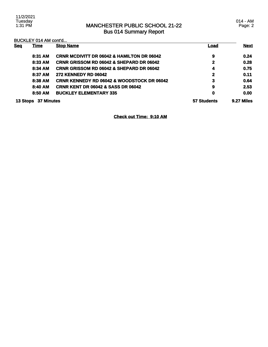## MANCHESTER PUBLIC SCHOOL 21-22 Bus 014 Summary Report

| <b>Seq</b> | <u>Time</u>       | <b>Stop Name</b>                                      | Load        | <b>Next</b> |
|------------|-------------------|-------------------------------------------------------|-------------|-------------|
|            | 8:31 AM           | <b>CRNR MCDIVITT DR 06042 &amp; HAMILTON DR 06042</b> | 9           | 0.24        |
|            | 8:33 AM           | <b>CRNR GRISSOM RD 06042 &amp; SHEPARD DR 06042</b>   | 2           | 0.28        |
|            | 8:34 AM           | <b>CRNR GRISSOM RD 06042 &amp; SHEPARD DR 06042</b>   | 4           | 0.75        |
|            | 8:37 AM           | <b>272 KENNEDY RD 06042</b>                           | $\mathbf 2$ | 0.11        |
|            | 8:38 AM           | <b>CRNR KENNEDY RD 06042 &amp; WOODSTOCK DR 06042</b> | 3           | 0.64        |
|            | 8:40 AM           | <b>CRNR KENT DR 06042 &amp; SASS DR 06042</b>         | 9           | 2.53        |
|            | 8:50 AM           | <b>BUCKLEY ELEMENTARY 335</b>                         | 0           | 0.00        |
| 13 Stops   | <b>37 Minutes</b> |                                                       | 57 Students | 9.27 Miles  |

**Check out Time: 9:10 AM**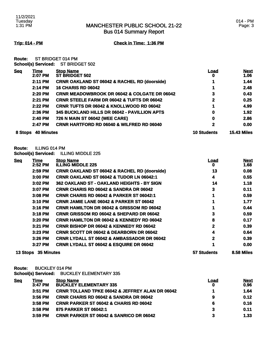Bus 014 Summary Report

**Trip: 014 - PM Check in Time: 1:36 PM**

**Route:** ST BRIDGET 014 PM **School(s) Serviced:** ST BRIDGET 502

| <b>Seq</b><br><b>Stop Name</b><br>Time<br><b>ST BRIDGET 502</b><br>2:07 PM<br>2:11 PM<br>2:14 PM<br>2:20 PM<br>2:21 PM<br>2:22 PM<br>$2:36$ PM<br>2:40 PM<br>2:47 PM<br><b>40 Minutes</b><br>8 Stops |  | Load<br>0                                               | <b>Next</b><br>1.06 |                    |
|------------------------------------------------------------------------------------------------------------------------------------------------------------------------------------------------------|--|---------------------------------------------------------|---------------------|--------------------|
|                                                                                                                                                                                                      |  | <b>CRNR OAKLAND ST 06042 &amp; RACHEL RD (doorside)</b> |                     | 1.44               |
|                                                                                                                                                                                                      |  | <b>16 CHARIS RD 06042</b>                               |                     | 2.48               |
|                                                                                                                                                                                                      |  | <b>CRNR MEADOWBROOK DR 06042 &amp; COLGATE DR 06042</b> | 3                   | 0.43               |
|                                                                                                                                                                                                      |  | <b>CRNR STEELE FARM DR 06042 &amp; TUFTS DR 06042</b>   | 2                   | 0.25               |
|                                                                                                                                                                                                      |  | <b>CRNR TUFTS DR 06042 &amp; KNOLLWOOD RD 06042</b>     |                     | 4.99               |
|                                                                                                                                                                                                      |  | 345 BUCKLAND HILLS DR 06042 - PAVILLION APTS            | 0                   | 1.92               |
|                                                                                                                                                                                                      |  | 726 N MAIN ST 06042 (WEE CARE)                          | 0                   | 2.86               |
|                                                                                                                                                                                                      |  | <b>CRNR HARTFORD RD 06040 &amp; WILFRED RD 06040</b>    | 2                   | 0.00               |
|                                                                                                                                                                                                      |  |                                                         | <b>10 Students</b>  | <b>15.43 Miles</b> |

**Route:** ILLING 014 PM

**School(s) Serviced:** ILLING MIDDLE 225

| <b>Seq</b> | Time       | <b>Stop Name</b>                                        | <u>Load</u> | <b>Next</b> |
|------------|------------|---------------------------------------------------------|-------------|-------------|
|            | 2:52 PM    | <b>ILLING MIDDLE 225</b>                                | o           | 1.68        |
|            | 2:59 PM    | <b>CRNR OAKLAND ST 06042 &amp; RACHEL RD (doorside)</b> | 13          | 0.08        |
|            | 3:00 PM    | <b>CRNR OAKLAND ST 06042 &amp; TUDOR LN 06042:1</b>     | 4           | 0.55        |
|            | 3:02 PM    | 362 OAKLAND ST - OAKLAND HEIGHTS - BY SIGN              | 14          | 1.18        |
|            | 3:07 PM    | <b>CRNR CHARIS RD 06042 &amp; SANDRA DR 06042</b>       | 3           | 0.11        |
|            | 3:08 PM    | <b>CRNR CHARIS RD 06042 &amp; PARKER ST 06042:1</b>     |             | 0.59        |
|            | 3:10 PM    | <b>CRNR JAMIE LANE 06042 &amp; PARKER ST 06042</b>      |             | 1.77        |
|            | 3:16 PM    | <b>CRNR HAMILTON DR 06042 &amp; GRISSOM RD 06042</b>    |             | 0.44        |
|            | $3:18$ PM  | <b>CRNR GRISSOM RD 06042 &amp; SHEPARD DR 06042</b>     | 3           | 0.59        |
|            | 3:20 PM    | <b>CRNR HAMILTON DR 06042 &amp; KENNEDY RD 06042</b>    | 8           | 0.17        |
|            | 3:21 PM    | <b>CRNR BISHOP DR 06042 &amp; KENNEDY RD 06042</b>      | 2           | 0.39        |
|            | 3:23 PM    | <b>CRNR SCOTT DR 06042 &amp; DEARBORN DR 06042</b>      | 4           | 0.64        |
|            | 3:26 PM    | <b>CRNR LYDALL ST 06042 &amp; AMBASSADOR DR 06042</b>   | 2           | 0.39        |
|            | 3:27 PM    | <b>CRNR LYDALL ST 06042 &amp; ESQUIRE DR 06042</b>      |             | 0.00        |
| 13 Stops   | 35 Minutes |                                                         | 57 Students | 8.58 Miles  |

**Route:** BUCKLEY 014 PM **School(s) Serviced:** BUCKLEY ELEMENTARY 335

| <u>Seq</u> | <u>Time</u> | <b>Stop Name</b>                                           | Load | <b>Next</b> |
|------------|-------------|------------------------------------------------------------|------|-------------|
|            | $3:47$ PM   | <b>BUCKLEY ELEMENTARY 335</b>                              | 0    | 0.96        |
|            | $3:51$ PM   | <b>CRNR TOLLAND TPKE 06042 &amp; JEFFREY ALAN DR 06042</b> |      | 1.64        |
|            | $3:56$ PM   | <b>CRNR CHARIS RD 06042 &amp; SANDRA DR 06042</b>          | 9    | 0.12        |
|            | $3:58$ PM   | <b>CRNR PARKER ST 06042 &amp; CHARIS RD 06042</b>          | 6    | 0.16        |
|            | $3:58$ PM   | 875 PARKER ST 06042:1                                      | 3    | 0.11        |
|            | $3:59$ PM   | <b>CRNR PARKER ST 06042 &amp; SANRICO DR 06042</b>         | 3    | 1.33        |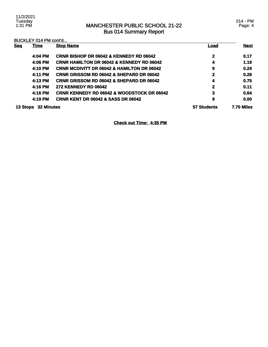### MANCHESTER PUBLIC SCHOOL 21-22 Bus 014 Summary Report

BUCKLEY 014 PM cont'd...

| <b>Seq</b> | <b>Time</b>                          | <b>Stop Name</b>                                      | <u>Load</u>  | <b>Next</b> |
|------------|--------------------------------------|-------------------------------------------------------|--------------|-------------|
|            | 4:04 PM                              | <b>CRNR BISHOP DR 06042 &amp; KENNEDY RD 06042</b>    | $\mathbf{2}$ | 0.17        |
|            | 4:06 PM                              | <b>CRNR HAMILTON DR 06042 &amp; KENNEDY RD 06042</b>  | 4            | 1.19        |
|            | 4:10 PM                              | <b>CRNR MCDIVITT DR 06042 &amp; HAMILTON DR 06042</b> | 9            | 0.24        |
|            | 4:11 PM                              | <b>CRNR GRISSOM RD 06042 &amp; SHEPARD DR 06042</b>   | 2            | 0.28        |
|            | 4:13 PM                              | <b>CRNR GRISSOM RD 06042 &amp; SHEPARD DR 06042</b>   | 4            | 0.75        |
|            | 4:16 PM                              | <b>272 KENNEDY RD 06042</b>                           | 2            | 0.11        |
|            | 4:16 PM                              | <b>CRNR KENNEDY RD 06042 &amp; WOODSTOCK DR 06042</b> | 3            | 0.64        |
|            | 4:19 PM                              | <b>CRNR KENT DR 06042 &amp; SASS DR 06042</b>         | 9            | 0.00        |
|            | <b>32 Minutes</b><br><b>13 Stops</b> |                                                       | 57 Students  | 7.70 Miles  |

**Check out Time: 4:35 PM**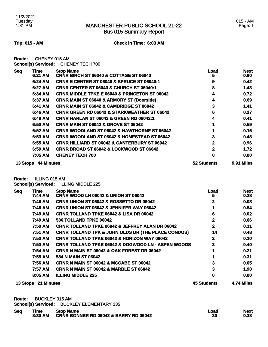Bus 015 Summary Report

### 015 - AM Page: 1

**Trip: 015 - AM Check in Time: 6:03 AM**

**Route:** CHENEY 015 AM **School(s) Serviced:** CHENEY TECH 700

| <b>Seq</b> | Time              | <b>Stop Name</b>                                         | Load        | <b>Next</b> |
|------------|-------------------|----------------------------------------------------------|-------------|-------------|
|            | 6:21 AM           | CRNR BIRCH ST 06040 & COTTAGE ST 06040                   | 5           | 0.60        |
|            | 6:24 AM           | <b>CRNR E CENTER ST 06040 &amp; SPRUCE ST 06040:1</b>    | 9           | 0.42        |
|            | 6:27 AM           | <b>CRNR CENTER ST 06040 &amp; CHURCH ST 06040:1</b>      | 8           | 1.48        |
|            | 6:34 AM           | <b>CRNR MIDDLE TPKE E 06040 &amp; PRINCETON ST 06042</b> | 4           | 0.72        |
|            | 6:37 AM           | <b>CRNR MAIN ST 06040 &amp; ARMORY ST (Doorside)</b>     | 4           | 0.69        |
|            | 6:41 AM           | <b>CRNR MAIN ST 06042 &amp; CAMBRIDGE ST 06042</b>       | 3           | 1.41        |
|            | 6:46 AM           | <b>CRNR GREEN RD 06042 &amp; STARKWEATHER ST 06042</b>   | 6           | 0.27        |
|            | 6:48 AM           | <b>CRNR HARLAN ST 06042 &amp; GREEN RD 06042:1</b>       | 4           | 0.41        |
|            | 6:50 AM           | <b>CRNR MAIN ST 06042 &amp; GROVE ST 06042</b>           |             | 0.59        |
|            | 6:52 AM           | <b>CRNR WOODLAND ST 06042 &amp; HAWTHORNE ST 06042</b>   |             | 0.16        |
|            | 6:53 AM           | <b>CRNR WOODLAND ST 06042 &amp; HOMESTEAD ST 06042</b>   | 3           | 0.48        |
|            | 6:55 AM           | <b>CRNR HILLIARD ST 06042 &amp; CANTERBURY ST 06042</b>  | 2           | 0.96        |
|            | 6:59 AM           | <b>CRNR BROAD ST 06042 &amp; LOCKWOOD ST 06042</b>       | 2           | 1.72        |
|            | 7:05 AM           | <b>CHENEY TECH 700</b>                                   | 0           | 0.00        |
| 13 Stops   | <b>44 Minutes</b> |                                                          | 52 Students | 9.91 Miles  |

**Route:** ILLING 015 AM

**School(s) Serviced:** ILLING MIDDLE 225

| <b>Seq</b> | <b>Time</b>         | <b>Stop Name</b>                                              | <u>Load</u>  | <b>Next</b> |
|------------|---------------------|---------------------------------------------------------------|--------------|-------------|
|            | 7:44 AM             | <b>CRNR WOOD LN 06042 &amp; UNION ST 06042</b>                | 5            | 0.28        |
|            | 7:46 AM             | <b>CRNR UNION ST 06042 &amp; ROSSETTO DR 06042</b>            | 2            | 0.08        |
|            | 7:46 AM             | <b>CRNR UNION ST 06042 &amp; JENNIFER WAY 06042</b>           |              | 0.54        |
|            | 7:49 AM             | <b>CRNR TOLLAND TPKE 06042 &amp; LISA DR 06042</b>            | 6            | 0.02        |
|            | 7:49 AM             | 536 TOLLAND TPKE 06042                                        | 2            | 0.06        |
|            | 7:50 AM             | <b>CRNR TOLLAND TPKE 06042 &amp; JEFFREY ALAN DR 06042</b>    | $\mathbf{2}$ | 0.31        |
|            | 7:51 AM             | <b>CRNR TOLLAND TPK &amp; JOHN OLDS DR (THE PLACE CONDOS)</b> | 14           | 0.48        |
|            | 7:53 AM             | <b>CRNR TOLLAND TPKE 06042 &amp; HORIZON WAY 06042</b>        | $\mathbf 2$  | 0.10        |
|            | <b>7:53 AM</b>      | <b>CRNR TOLLAND TPKE 06042 &amp; DOGWOOD LN - ASPEN WOODS</b> | 3            | 0.40        |
|            | 7:54 AM             | CRNR N MAIN ST 06042 & OAK FOREST DR 06042                    |              | 0.21        |
|            | 7:55 AM             | 584 N MAIN ST 06042                                           |              | 0.31        |
|            | 7:56 AM             | <b>CRNR N MAIN ST 06042 &amp; MCCABE ST 06042</b>             | 3            | 0.05        |
|            | 7:57 AM             | <b>CRNR N MAIN ST 06042 &amp; MARBLE ST 06042</b>             | 3            | 1.90        |
|            | 8:05 AM             | <b>ILLING MIDDLE 225</b>                                      | 0            | 0.00        |
|            | 13 Stops 21 Minutes |                                                               | 45 Students  | 4.74 Miles  |

**Route:** BUCKLEY 015 AM

**School(s) Serviced:** BUCKLEY ELEMENTARY 335

| <b>Seg</b><br><b>Stop Name</b><br>Time<br>CRNR BONNER RD 06042 & BARRY RD 06042<br>8:30 AM | Load<br>20 | <b>Next</b><br>0.38 |
|--------------------------------------------------------------------------------------------|------------|---------------------|
|--------------------------------------------------------------------------------------------|------------|---------------------|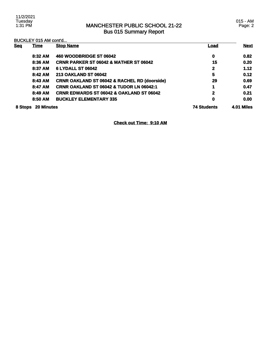### MANCHESTER PUBLIC SCHOOL 21-22 Bus 015 Summary Report

### BUCKLEY 015 AM cont'd...

| <b>Sea</b> | <b>Time</b>       | <b>Stop Name</b>                                        | <u>Load</u>        | <b>Next</b>       |
|------------|-------------------|---------------------------------------------------------|--------------------|-------------------|
|            | 8:32 AM           | 460 WOODBRIDGE ST 06042                                 | $\mathbf 0$        | 0.82              |
|            | 8:36 AM           | <b>CRNR PARKER ST 06042 &amp; MATHER ST 06042</b>       | 15                 | 0.20              |
|            | 8:37 AM           | <b>6 LYDALL ST 06042</b>                                | 2                  | 1.12              |
|            | 8:42 AM           | <b>213 OAKLAND ST 06042</b>                             | 5                  | 0.12              |
|            | 8:43 AM           | <b>CRNR OAKLAND ST 06042 &amp; RACHEL RD (doorside)</b> | 29                 | 0.69              |
|            | 8:47 AM           | <b>CRNR OAKLAND ST 06042 &amp; TUDOR LN 06042:1</b>     | 1                  | 0.47              |
|            | 8:49 AM           | <b>CRNR EDWARDS ST 06042 &amp; OAKLAND ST 06042</b>     | $\mathbf 2$        | 0.21              |
|            | 8:50 AM           | <b>BUCKLEY ELEMENTARY 335</b>                           | 0                  | 0.00              |
| 8 Stops    | <b>20 Minutes</b> |                                                         | <b>74 Students</b> | <b>4.01 Miles</b> |

**Check out Time: 9:10 AM**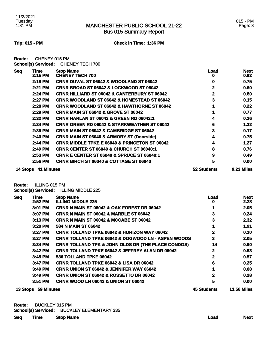### MANCHESTER PUBLIC SCHOOL 21-22 Bus 015 Summary Report

**Trip: 015 - PM Check in Time: 1:36 PM**

**Route:** CHENEY 015 PM **School(s) Serviced:** CHENEY TECH 700

| <b>Seq</b><br>Time     | <b>Stop Name</b>                                         | <u>Load</u>  | <b>Next</b>       |
|------------------------|----------------------------------------------------------|--------------|-------------------|
| 2:15 PM                | <b>CHÊNEY TECH 700</b>                                   | 0            | 0.92 <sub>1</sub> |
| 2:18 PM                | CRNR DUVAL ST 06042 & WOODLAND ST 06042                  | 0            | 0.75              |
| 2:21 PM                | CRNR BROAD ST 06042 & LOCKWOOD ST 06042                  | 2            | 0.60              |
| 2:24 PM                | <b>CRNR HILLIARD ST 06042 &amp; CANTERBURY ST 06042</b>  | $\mathbf{2}$ | 0.80              |
| 2:27 PM                | <b>CRNR WOODLAND ST 06042 &amp; HOMESTEAD ST 06042</b>   | 3            | 0.15              |
| 2:28 PM                | <b>CRNR WOODLAND ST 06042 &amp; HAWTHORNE ST 06042</b>   |              | 0.22              |
| 2:29 PM                | <b>CRNR MAIN ST 06042 &amp; GROVE ST 06042</b>           |              | 0.77              |
| 2:32 PM                | <b>CRNR HARLAN ST 06042 &amp; GREEN RD 06042:1</b>       |              | 0.26              |
| 2:34 PM                | <b>CRNR GREEN RD 06042 &amp; STARKWEATHER ST 06042</b>   | 6            | 1.32              |
| 2:39 PM                | <b>CRNR MAIN ST 06042 &amp; CAMBRIDGE ST 06042</b>       | 3            | 0.17              |
| 2:40 PM                | <b>CRNR MAIN ST 06040 &amp; ARMORY ST (Doorside)</b>     | 4            | 0.75              |
| 2:44 PM                | <b>CRNR MIDDLE TPKE E 06040 &amp; PRINCETON ST 06042</b> | 4            | 1.27              |
| 2:49 PM                | <b>CRNR CENTER ST 06040 &amp; CHURCH ST 06040:1</b>      | 8            | 0.76              |
| 2:53 PM                | <b>CRNR E CENTER ST 06040 &amp; SPRUCE ST 06040:1</b>    | 9            | 0.49              |
| 2:56 PM                | <b>CRNR BIRCH ST 06040 &amp; COTTAGE ST 06040</b>        | 5            | 0.00              |
| 41 Minutes<br>14 Stops |                                                          | 52 Students  | 9.23 Miles        |

**Route:** ILLING 015 PM

**School(s) Serviced:** ILLING MIDDLE 225

| <b>Seq</b> | Time       | <b>Stop Name</b>                                              | <u>Load</u>        | <b>Next</b>        |
|------------|------------|---------------------------------------------------------------|--------------------|--------------------|
|            | 2:52 PM    | <b>ILLING MIDDLE 225</b>                                      | o                  | 2.28               |
|            | 3:01 PM    | <b>CRNR N MAIN ST 06042 &amp; OAK FOREST DR 06042</b>         |                    | 2.05               |
|            | 3:07 PM    | <b>CRNR N MAIN ST 06042 &amp; MARBLE ST 06042</b>             | 3                  | 0.24               |
|            | $3:13$ PM  | <b>CRNR N MAIN ST 06042 &amp; MCCABE ST 06042</b>             | 3                  | 2.32               |
|            | 3:20 PM    | 584 N MAIN ST 06042                                           |                    | 1.91               |
|            | $3:27$ PM  | <b>CRNR TOLLAND TPKE 06042 &amp; HORIZON WAY 06042</b>        | 2                  | 0.10               |
|            | 3:27 PM    | <b>CRNR TOLLAND TPKE 06042 &amp; DOGWOOD LN - ASPEN WOODS</b> | 3                  | 2.05               |
|            | 3:34 PM    | <b>CRNR TOLLAND TPK &amp; JOHN OLDS DR (THE PLACE CONDOS)</b> | 14                 | 0.90               |
|            | $3:42$ PM  | <b>CRNR TOLLAND TPKE 06042 &amp; JEFFREY ALAN DR 06042</b>    | $\mathbf{2}$       | 0.53               |
|            | 3:45 PM    | 536 TOLLAND TPKE 06042                                        | $\mathbf 2$        | 0.57               |
|            | 3:47 PM    | <b>CRNR TOLLAND TPKE 06042 &amp; LISA DR 06042</b>            | 6                  | 0.25               |
|            | $3:49$ PM  | <b>CRNR UNION ST 06042 &amp; JENNIFER WAY 06042</b>           |                    | 0.08               |
|            | 3:49 PM    | <b>CRNR UNION ST 06042 &amp; ROSSETTO DR 06042</b>            | 2                  | 0.28               |
|            | 3:51 PM    | <b>CRNR WOOD LN 06042 &amp; UNION ST 06042</b>                | 5                  | 0.00               |
| 13 Stops   | 59 Minutes |                                                               | <b>45 Students</b> | <b>13.56 Miles</b> |

**Route:** BUCKLEY 015 PM **School(s) Serviced:** BUCKLEY ELEMENTARY 335

| <b>Seq</b> | <u>Time</u> | <b>Stop Name</b> | <u>Load</u> | <b>Next</b> |
|------------|-------------|------------------|-------------|-------------|
|            |             |                  |             |             |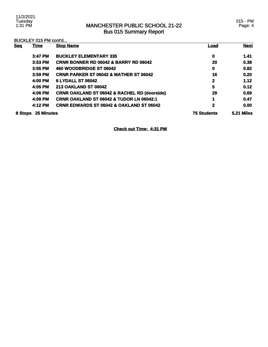### MANCHESTER PUBLIC SCHOOL 21-22 Bus 015 Summary Report

|            | BUCKLEY 015 PM cont'd |                                                         |                    |             |  |
|------------|-----------------------|---------------------------------------------------------|--------------------|-------------|--|
| <b>Seq</b> | <u>Time</u>           | <b>Stop Name</b>                                        | Load               | <b>Next</b> |  |
|            | 3:47 PM               | <b>BUCKLEY ELEMENTARY 335</b>                           | 0                  | 1.41        |  |
|            | $3:53$ PM             | <b>CRNR BONNER RD 06042 &amp; BARRY RD 06042</b>        | 20                 | 0.38        |  |
|            | 3:55 PM               | 460 WOODBRIDGE ST 06042                                 | 0                  | 0.82        |  |
|            | 3:59 PM               | <b>CRNR PARKER ST 06042 &amp; MATHER ST 06042</b>       | 16                 | 0.20        |  |
|            | 4:00 PM               | <b>6 LYDALL ST 06042</b>                                | $\mathbf 2$        | 1.12        |  |
|            | 4:05 PM               | <b>213 OAKLAND ST 06042</b>                             | 5                  | 0.12        |  |
|            | 4:06 PM               | <b>CRNR OAKLAND ST 06042 &amp; RACHEL RD (doorside)</b> | 29                 | 0.69        |  |
|            | 4:09 PM               | <b>CRNR OAKLAND ST 06042 &amp; TUDOR LN 06042:1</b>     | 1                  | 0.47        |  |
|            | 4:12 PM               | <b>CRNR EDWARDS ST 06042 &amp; OAKLAND ST 06042</b>     | 2                  | 0.00        |  |
| 8 Stops    | <b>25 Minutes</b>     |                                                         | <b>75 Students</b> | 5.21 Miles  |  |

**Check out Time: 4:31 PM**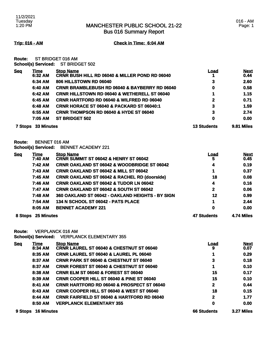016 - AM Page: 1

Bus 016 Summary Report

**Trip: 016 - AM Check in Time: 6:04 AM**

**Route:** ST BRIDGET 016 AM **School(s) Serviced:** ST BRIDGET 502

| <b>Seq</b>     | Time<br>6:32 AM   | <b>Stop Name</b><br><b>CRNR BUSH HILL RD 06040 &amp; MILLER POND RD 06040</b> | Load               | <b>Next</b><br>0.44 |
|----------------|-------------------|-------------------------------------------------------------------------------|--------------------|---------------------|
|                | 6:34 AM           | 806 HILLSTOWN RD 06040                                                        | 3                  | 2.60                |
|                | 6:40 AM           | <b>CRNR BRAMBLEBUSH RD 06040 &amp; BAYBERRY RD 06040</b>                      | 0                  | 0.58                |
|                | 6:42 AM           | <b>CRNR HILLSTOWN RD 06040 &amp; WETHERELL ST 06040</b>                       |                    | 1.15                |
|                | 6:45 AM           | <b>CRNR HARTFORD RD 06040 &amp; WILFRED RD 06040</b>                          | 2                  | 0.71                |
|                | 6:48 AM           | CRNR HORACE ST 06040 & PACKARD ST 06040:1                                     | 3                  | 1.59                |
|                | 6:55 AM           | <b>CRNR THOMPSON RD 06040 &amp; HYDE ST 06040</b>                             | 3                  | 2.74                |
|                | 7:05 AM           | <b>ST BRIDGET 502</b>                                                         | 0                  | 0.00                |
| <b>7 Stops</b> | <b>33 Minutes</b> |                                                                               | <b>13 Students</b> | 9.81 Miles          |

**Route:** BENNET 016 AM

**School(s) Serviced:** BENNET ACADEMY 221

| Sea | Time               | <b>Stop Name</b>                                        | <u>Load</u>        | <b>Next</b> |
|-----|--------------------|---------------------------------------------------------|--------------------|-------------|
|     | 7:40 AM            | <b>CRNR SUMMIT ST 06042 &amp; HENRY ST 06042</b>        | 5                  | 0.45        |
|     | 7:42 AM            | <b>CRNR OAKLAND ST 06042 &amp; WOODBRIDGE ST 06042</b>  | 4                  | 0.19        |
|     | 7:43 AM            | <b>CRNR OAKLAND ST 06042 &amp; MILL ST 06042</b>        | 1                  | 0.37        |
|     | 7:45 AM            | <b>CRNR OAKLAND ST 06042 &amp; RACHEL RD (doorside)</b> | 18                 | 0.08        |
|     | 7:46 AM            | <b>CRNR OAKLAND ST 06042 &amp; TUDOR LN 06042</b>       | 4                  | 0.16        |
|     | 7:47 AM            | <b>CRNR OAKLAND ST 06042 &amp; SOUTH ST 06042</b>       | $\mathbf{2}$       | 0.06        |
|     | 7:48 AM            | 360 OAKLAND ST 06042 - OAKLAND HEIGHTS - BY SIGN        | 12                 | 0.99        |
|     | 7:54 AM            | 134 N SCHOOL ST 06042 - PATS PLACE                      | 1                  | 2.44        |
|     | 8:05 AM            | <b>BENNET ACADEMY 221</b>                               | 0                  | 0.00        |
|     | 8 Stops 25 Minutes |                                                         | <b>47 Students</b> | 4.74 Miles  |

**Route:** VERPLANCK 016 AM

**School(s) Serviced:** VERPLANCK ELEMENTARY 355

| <b>Seq</b> | Time              | <b>Stop Name</b>                                       | <u>Load</u>        | <b>Next</b> |
|------------|-------------------|--------------------------------------------------------|--------------------|-------------|
|            | 8:34 AM           | CRNR LAUREL ST 06040 & CHESTNUT ST 06040               | 9                  | 0.07        |
|            | 8:35 AM           | <b>CRNR LAUREL ST 06040 &amp; LAUREL PL 06040</b>      |                    | 0.29        |
|            | 8:37 AM           | <b>CRNR PARK ST 06040 &amp; CHESTNUT ST 06040</b>      | 3                  | 0.18        |
|            | 8:37 AM           | <b>CRNR FOREST ST 06040 &amp; CHESTNUT ST 06040</b>    |                    | 0.10        |
|            | 8:38 AM           | <b>CRNR ELM ST 06040 &amp; FOREST ST 06040</b>         | 15                 | 0.17        |
|            | 8:39 AM           | <b>CRNR COOPER HILL ST 06040 &amp; PINE ST 06040</b>   | 15                 | 0.10        |
|            | 8:41 AM           | <b>CRNR HARTFORD RD 06040 &amp; PROSPECT ST 06040</b>  | $\mathbf{2}$       | 0.44        |
|            | 8:43 AM           | <b>CRNR COOPER HILL ST 06040 &amp; WEST ST 06040</b>   | 18                 | 0.15        |
|            | 8:44 AM           | <b>CRNR FAIRFIELD ST 06040 &amp; HARTFORD RD 06040</b> | 2                  | 1.77        |
|            | 8:50 AM           | <b>VERPLANCK ELEMENTARY 355</b>                        | 0                  | 0.00        |
| 9 Stops    | <b>16 Minutes</b> |                                                        | <b>66 Students</b> | 3.27 Miles  |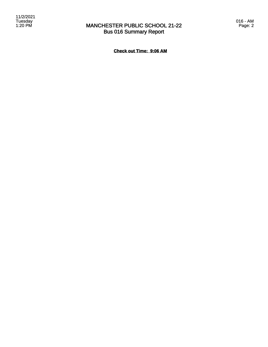

## MANCHESTER PUBLIC SCHOOL 21-22 Bus 016 Summary Report

016 - AM Page: 2

**Check out Time: 9:06 AM**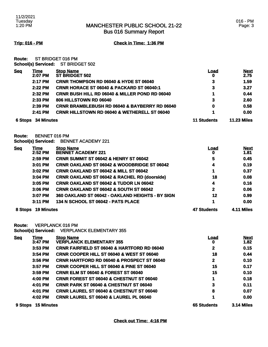Bus 016 Summary Report

**Trip: 016 - PM Check in Time: 1:36 PM**

**Route:** ST BRIDGET 016 PM **School(s) Serviced:** ST BRIDGET 502

|            | <u>sensene, serveser</u>  |                                                           |                    |                     |
|------------|---------------------------|-----------------------------------------------------------|--------------------|---------------------|
| <b>Seq</b> | <b>Time</b><br>2:07 PM    | <b>Stop Name</b><br><b>ST BRIDGET 502</b>                 | Load<br>0          | <b>Next</b><br>2.75 |
|            | 2:17 PM                   | <b>CRNR THOMPSON RD 06040 &amp; HYDE ST 06040</b>         | 3                  | 1.59                |
|            | $2:22$ PM                 | CRNR HORACE ST 06040 & PACKARD ST 06040:1                 | 3                  | 3.27                |
|            | 2:32 PM                   | <b>CRNR BUSH HILL RD 06040 &amp; MILLER POND RD 06040</b> |                    | 0.44                |
|            | 2:33 PM                   | 806 HILLSTOWN RD 06040                                    | 3                  | 2.60                |
|            | $2:39$ PM                 | <b>CRNR BRAMBLEBUSH RD 06040 &amp; BAYBERRY RD 06040</b>  | 0                  | 0.58                |
|            | 2:41 PM                   | <b>CRNR HILLSTOWN RD 06040 &amp; WETHERELL ST 06040</b>   |                    | 0.00                |
|            | <b>6 Stops 34 Minutes</b> |                                                           | <b>11 Students</b> | <b>11.23 Miles</b>  |

**Route:** BENNET 016 PM

**School(s) Serviced:** BENNET ACADEMY 221

| <u>Seq</u> | <u>Time</u>       | <b>Stop Name</b>                                        | Load               | <b>Next</b>       |
|------------|-------------------|---------------------------------------------------------|--------------------|-------------------|
|            | 2:52 PM           | <b>BENNET ACADEMY 221</b>                               | 0                  | 1.81              |
|            | 2:59 PM           | <b>CRNR SUMMIT ST 06042 &amp; HENRY ST 06042</b>        | 5                  | 0.45              |
|            | 3:01 PM           | <b>CRNR OAKLAND ST 06042 &amp; WOODBRIDGE ST 06042</b>  | 4                  | 0.19              |
|            | 3:02 PM           | <b>CRNR OAKLAND ST 06042 &amp; MILL ST 06042</b>        |                    | 0.37              |
|            | 3:04 PM           | <b>CRNR OAKLAND ST 06042 &amp; RACHEL RD (doorside)</b> | 18                 | 0.08              |
|            | 3:05 PM           | <b>CRNR OAKLAND ST 06042 &amp; TUDOR LN 06042</b>       | 4                  | 0.16              |
|            | 3:06 PM           | <b>CRNR OAKLAND ST 06042 &amp; SOUTH ST 06042</b>       | $\mathbf{2}$       | 0.06              |
|            | $3:07$ PM         | 360 OAKLAND ST 06042 - OAKLAND HEIGHTS - BY SIGN        | 12                 | 0.99              |
|            | 3:11 PM           | 134 N SCHOOL ST 06042 - PATS PLACE                      | 4                  | 0.00              |
| 8 Stops    | <b>19 Minutes</b> |                                                         | <b>47 Students</b> | <b>4.11 Miles</b> |

**Route:** VERPLANCK 016 PM

**School(s) Serviced:** VERPLANCK ELEMENTARY 355

| <b>Sea</b> | Time              | <b>Stop Name</b>                                       | Load               | <b>Next</b>       |
|------------|-------------------|--------------------------------------------------------|--------------------|-------------------|
|            | 3:47 PM           | <b>VERPLANCK ELEMENTARY 355</b>                        | o                  | 1.82              |
|            | $3:53$ PM         | <b>CRNR FAIRFIELD ST 06040 &amp; HARTFORD RD 06040</b> | 2                  | 0.15              |
|            | 3:54 PM           | <b>CRNR COOPER HILL ST 06040 &amp; WEST ST 06040</b>   | 18                 | 0.44              |
|            | 3:56 PM           | <b>CRNR HARTFORD RD 06040 &amp; PROSPECT ST 06040</b>  | 2                  | 0.10              |
|            | $3:57$ PM         | <b>CRNR COOPER HILL ST 06040 &amp; PINE ST 06040</b>   | 15                 | 0.17              |
|            | 3:59 PM           | <b>CRNR ELM ST 06040 &amp; FOREST ST 06040</b>         | 15                 | 0.10              |
|            | 4:00 PM           | <b>CRNR FOREST ST 06040 &amp; CHESTNUT ST 06040</b>    | 4                  | 0.18              |
|            | 4:01 PM           | <b>CRNR PARK ST 06040 &amp; CHESTNUT ST 06040</b>      | 3                  | 0.11              |
|            | 4:01 PM           | <b>CRNR LAUREL ST 06040 &amp; CHESTNUT ST 06040</b>    | 8                  | 0.07              |
|            | 4:02 PM           | <b>CRNR LAUREL ST 06040 &amp; LAUREL PL 06040</b>      |                    | 0.00              |
| 9 Stops    | <b>15 Minutes</b> |                                                        | <b>65 Students</b> | <b>3.14 Miles</b> |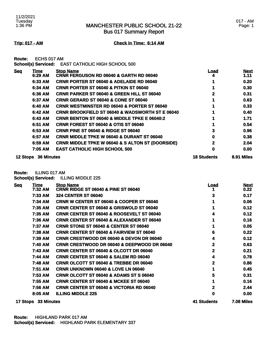Bus 017 Summary Report

### **Trip: 017 - AM Check in Time: 6:14 AM**

**Route:** ECHS 017 AM

**School(s) Serviced:** EAST CATHOLIC HIGH SCHOOL 500

| <b>Seg</b> | <u>Time</u>       | <b>Stop Name</b>                                            | <u>Load</u>        | <b>Next</b> |
|------------|-------------------|-------------------------------------------------------------|--------------------|-------------|
|            | 6:29 AM           | <b>CRNR FERGUSON RD 06040 &amp; GARTH RD 06040</b>          |                    | 1.11        |
|            | 6:33 AM           | <b>CRNR PORTER ST 06040 &amp; ADELAIDE RD 06040</b>         |                    | 0.20        |
|            | 6:34 AM           | <b>CRNR PORTER ST 06040 &amp; PITKIN ST 06040</b>           |                    | 0.30        |
|            | 6:36 AM           | <b>CRNR PARKER ST 06040 &amp; GREEN HILL ST 06040</b>       | 2                  | 0.31        |
|            | 6:37 AM           | <b>CRNR GERARD ST 06040 &amp; CONE ST 06040</b>             |                    | 0.63        |
|            | 6:40 AM           | <b>CRNR WESTMINSTER RD 06040 &amp; PORTER ST 06040</b>      |                    | 0.33        |
|            | 6:42 AM           | <b>CRNR BROOKFIELD ST 06040 &amp; WADSWORTH ST E 06040</b>  |                    | 0.40        |
|            | 6:43 AM           | <b>CRNR BENTON ST 06040 &amp; MIDDLE TPKE E 06040:2</b>     |                    | 1.71        |
|            | 6:51 AM           | <b>CRNR FOREST ST 06040 &amp; OTIS ST 06040</b>             |                    | 0.54        |
|            | 6:53 AM           | <b>CRNR PINE ST 06040 &amp; RIDGE ST 06040</b>              | 3                  | 0.96        |
|            | 6:57 AM           | <b>CRNR MIDDLE TPKE W 06040 &amp; DURANT ST 06040</b>       | 0                  | 0.38        |
|            | 6:59 AM           | <b>CRNR MIDDLE TPKE W 06040 &amp; S ALTON ST (DOORSIDE)</b> | 2                  | 2.04        |
|            | 7:05 AM           | <b>EAST CATHOLIC HIGH SCHOOL 500</b>                        | 0                  | 0.00        |
| 12 Stops   | <b>36 Minutes</b> |                                                             | <b>18 Students</b> | 8.91 Miles  |

**Route:** ILLING 017 AM

**School(s) Serviced:** ILLING MIDDLE 225

| <b>Seq</b> | <u>Time</u> | <b>Stop Name</b>                                       | <u>Load</u> | <b>Next</b>       |
|------------|-------------|--------------------------------------------------------|-------------|-------------------|
|            | 7:32 AM     | <b>CRNR RIDGE ST 06040 &amp; PINE ST 06040</b>         |             | 0.22              |
|            | 7:33 AM     | <b>324 CENTER ST 06040</b>                             | 3           | 0.17              |
|            | 7:34 AM     | <b>CRNR W CENTER ST 06040 &amp; COOPER ST 06040</b>    |             | 0.06              |
|            | 7:35 AM     | <b>CRNR CENTER ST 06040 &amp; GRISWOLD ST 06040</b>    |             | 0.12              |
|            | 7:35 AM     | <b>CRNR CENTER ST 06040 &amp; ROOSEVELT ST 06040</b>   |             | 0.12              |
|            | 7:36 AM     | <b>CRNR CENTER ST 06040 &amp; ALEXANDER ST 06040</b>   |             | 0.16              |
|            | 7:37 AM     | <b>CRNR STONE ST 06040 &amp; CENTER ST 06040</b>       |             | 0.05              |
|            | 7:38 AM     | <b>CRNR CENTER ST 06040 &amp; FAIRVIEW ST 06040</b>    | 6           | 0.22              |
|            | 7:39 AM     | <b>CRNR CRESTWOOD DR 06040 &amp; DEVON DR 06040</b>    | 4           | 0.12              |
|            | 7:40 AM     | <b>CRNR CRESTWOOD DR 06040 &amp; DEEPWOOD DR 06040</b> | 2           | 0.63              |
|            | 7:43 AM     | <b>CRNR CENTER ST 06040 &amp; OLCOTT DR 06040</b>      | 2           | 0.21              |
|            | 7:44 AM     | <b>CRNR CENTER ST 06040 &amp; SALEM RD 06040</b>       | 4           | 0.78              |
|            | 7:48 AM     | <b>CRNR OLCOTT ST 06040 &amp; TREBBE DR 06040</b>      | 2           | 0.86              |
|            | 7:51 AM     | CRNR UNKNOWN 06040 & LOVE LN 06040                     |             | 0.45              |
|            | 7:53 AM     | <b>CRNR OLCOTT ST 06040 &amp; ADAMS ST S 06040</b>     | 5           | 0.31              |
|            | 7:55 AM     | <b>CRNR CENTER ST 06040 &amp; MCKEE ST 06040</b>       |             | 0.16              |
|            | 7:56 AM     | <b>CRNR CENTER ST 06040 &amp; VICTORIA RD 06040</b>    | 2           | 2.44              |
|            | 8:05 AM     | <b>ILLING MIDDLE 225</b>                               | 0           | 0.00              |
| 17 Stops   | 33 Minutes  |                                                        | 41 Students | <b>7.08 Miles</b> |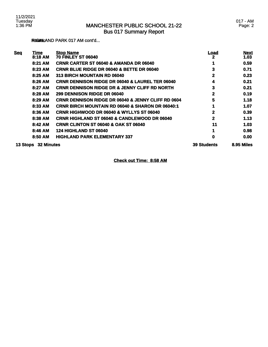### MANCHESTER PUBLIC SCHOOL 21-22 Bus 017 Summary Report

**RIGHLAND PARK 017 AM cont'd...** 

| <b>Seq</b> | <b>Time</b>       | <b>Stop Name</b>                                              | <u>Load</u>        | <b>Next</b> |
|------------|-------------------|---------------------------------------------------------------|--------------------|-------------|
|            | 8:18 AM           | <b>70 FINLEY ST 06040</b>                                     | 2                  | 1.03        |
|            | 8:21 AM           | <b>CRNR CARTER ST 06040 &amp; AMANDA DR 06040</b>             |                    | 0.59        |
|            | 8:23 AM           | <b>CRNR BLUE RIDGE DR 06040 &amp; BETTE DR 06040</b>          | 3                  | 0.71        |
|            | 8:25 AM           | 313 BIRCH MOUNTAIN RD 06040                                   | 2                  | 0.23        |
|            | 8:26 AM           | <b>CRNR DENNISON RIDGE DR 06040 &amp; LAUREL TER 06040</b>    | 4                  | 0.21        |
|            | 8:27 AM           | <b>CRNR DENNISON RIDGE DR &amp; JENNY CLIFF RD NORTH</b>      | 3                  | 0.21        |
|            | 8:28 AM           | 299 DENNISON RIDGE DR 06040                                   | 2                  | 0.19        |
|            | 8:29 AM           | <b>CRNR DENNISON RIDGE DR 06040 &amp; JENNY CLIFF RD 0604</b> | 5                  | 1.18        |
|            | 8:33 AM           | <b>CRNR BIRCH MOUNTAIN RD 06040 &amp; SHARON DR 06040:1</b>   |                    | 1.07        |
|            | 8:36 AM           | <b>CRNR HIGHWOOD DR 06040 &amp; WYLLYS ST 06040</b>           | 2                  | 0.39        |
|            | 8:38 AM           | <b>CRNR HIGHLAND ST 06040 &amp; CANDLEWOOD DR 06040</b>       | 2                  | 1.13        |
|            | 8:42 AM           | <b>CRNR CLINTON ST 06040 &amp; OAK ST 06040</b>               | 11                 | 1.03        |
|            | 8:46 AM           | <b>124 HIGHLAND ST 06040</b>                                  |                    | 0.98        |
|            | 8:50 AM           | <b>HIGHLAND PARK ELEMENTARY 337</b>                           | 0                  | 0.00        |
| 13 Stops   | <b>32 Minutes</b> |                                                               | <b>39 Students</b> | 8.95 Miles  |

**Check out Time: 8:58 AM**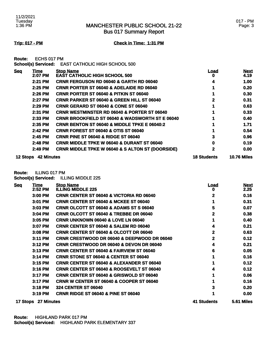Bus 017 Summary Report

### **Trip: 017 - PM Check in Time: 1:31 PM**

**Route:** ECHS 017 PM

**School(s) Serviced:** EAST CATHOLIC HIGH SCHOOL 500

| <b>Seg</b>      | Time              | <b>Stop Name</b>                                            | <u>Load</u>        | <b>Next</b>        |
|-----------------|-------------------|-------------------------------------------------------------|--------------------|--------------------|
|                 | 2:07 PM           | <b>EAST CATHOLIC HIGH SCHOOL 500</b>                        | o                  | 4.19               |
|                 | 2:21 PM           | <b>CRNR FERGUSON RD 06040 &amp; GARTH RD 06040</b>          | 4                  | 1.00               |
|                 | 2:25 PM           | <b>CRNR PORTER ST 06040 &amp; ADELAIDE RD 06040</b>         |                    | 0.20               |
|                 | 2:26 PM           | <b>CRNR PORTER ST 06040 &amp; PITKIN ST 06040</b>           |                    | 0.30               |
|                 | 2:27 PM           | <b>CRNR PARKER ST 06040 &amp; GREEN HILL ST 06040</b>       | 2                  | 0.31               |
|                 | $2:29$ PM         | <b>CRNR GERARD ST 06040 &amp; CONE ST 06040</b>             |                    | 0.63               |
|                 | 2:31 PM           | <b>CRNR WESTMINSTER RD 06040 &amp; PORTER ST 06040</b>      |                    | 0.33               |
|                 | 2:33 PM           | <b>CRNR BROOKFIELD ST 06040 &amp; WADSWORTH ST E 06040</b>  |                    | 0.40               |
|                 | 2:35 PM           | <b>CRNR BENTON ST 06040 &amp; MIDDLE TPKE E 06040:2</b>     |                    | 1.71               |
|                 | 2:42 PM           | <b>CRNR FOREST ST 06040 &amp; OTIS ST 06040</b>             |                    | 0.54               |
|                 | 2:45 PM           | <b>CRNR PINE ST 06040 &amp; RIDGE ST 06040</b>              | 3                  | 0.96               |
|                 | 2:48 PM           | <b>CRNR MIDDLE TPKE W 06040 &amp; DURANT ST 06040</b>       | 0                  | 0.19               |
|                 | 2:49 PM           | <b>CRNR MIDDLE TPKE W 06040 &amp; S ALTON ST (DOORSIDE)</b> | 2                  | 0.00               |
| <b>12 Stops</b> | <b>42 Minutes</b> |                                                             | <b>18 Students</b> | <b>10.76 Miles</b> |

**Route:** ILLING 017 PM

**School(s) Serviced:** ILLING MIDDLE 225

| <b>Seq</b> | <b>Time</b><br>2:52 PM | <b>Stop Name</b><br><b>ILLING MIDDLE 225</b>           | <u>Load</u><br>o | <b>Next</b><br>2.25 |
|------------|------------------------|--------------------------------------------------------|------------------|---------------------|
|            | 3:00 PM                | <b>CRNR CENTER ST 06040 &amp; VICTORIA RD 06040</b>    | 2                | 0.16                |
|            | 3:01 PM                | <b>CRNR CENTER ST 06040 &amp; MCKEE ST 06040</b>       |                  | 0.31                |
|            | $3:03$ PM              | CRNR OLCOTT ST 06040 & ADAMS ST S 06040                | 5                | 0.07                |
|            | 3:04 PM                | <b>CRNR OLCOTT ST 06040 &amp; TREBBE DR 06040</b>      | $\mathbf{2}$     | 0.38                |
|            | 3:05 PM                | <b>CRNR UNKNOWN 06040 &amp; LOVE LN 06040</b>          |                  | 0.40                |
|            | 3:07 PM                | <b>CRNR CENTER ST 06040 &amp; SALEM RD 06040</b>       | 4                | 0.21                |
|            | 3:08 PM                | <b>CRNR CENTER ST 06040 &amp; OLCOTT DR 06040</b>      | 2                | 0.63                |
|            | 3:11 PM                | <b>CRNR CRESTWOOD DR 06040 &amp; DEEPWOOD DR 06040</b> | 2                | 0.12                |
|            | 3:12 PM                | <b>CRNR CRESTWOOD DR 06040 &amp; DEVON DR 06040</b>    | 4                | 0.21                |
|            | 3:13 PM                | <b>CRNR CENTER ST 06040 &amp; FAIRVIEW ST 06040</b>    | 6                | 0.05                |
|            | 3:14 PM                | <b>CRNR STONE ST 06040 &amp; CENTER ST 06040</b>       |                  | 0.16                |
|            | 3:15 PM                | <b>CRNR CENTER ST 06040 &amp; ALEXANDER ST 06040</b>   |                  | 0.12                |
|            | $3:16$ PM              | <b>CRNR CENTER ST 06040 &amp; ROOSEVELT ST 06040</b>   |                  | 0.12                |
|            | 3:17 PM                | <b>CRNR CENTER ST 06040 &amp; GRISWOLD ST 06040</b>    |                  | 0.06                |
|            | 3:17 PM                | <b>CRNR W CENTER ST 06040 &amp; COOPER ST 06040</b>    |                  | 0.16                |
|            | 3:18 PM                | <b>324 CENTER ST 06040</b>                             | 3                | 0.20                |
|            | 3:19 PM                | <b>CRNR RIDGE ST 06040 &amp; PINE ST 06040</b>         |                  | 0.00                |
| 17 Stops   | 27 Minutes             |                                                        | 41 Students      | 5.61 Miles          |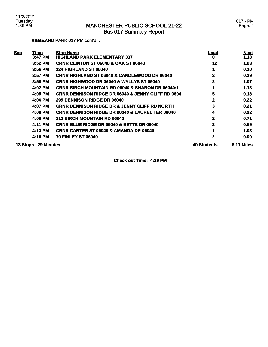### **RIGHLAND PARK 017 PM cont'd...**

| <b>Seq</b> | Time              | <b>Stop Name</b>                                              | Load               | <b>Next</b> |
|------------|-------------------|---------------------------------------------------------------|--------------------|-------------|
|            | 3:47 PM           | <b>HIGHLAND PARK ELEMENTARY 337</b>                           | o                  | 1.18        |
|            | 3:52 PM           | <b>CRNR CLINTON ST 06040 &amp; OAK ST 06040</b>               | 12                 | 1.03        |
|            | 3:56 PM           | <b>124 HIGHLAND ST 06040</b>                                  |                    | 0.10        |
|            | 3:57 PM           | <b>CRNR HIGHLAND ST 06040 &amp; CANDLEWOOD DR 06040</b>       | 2                  | 0.39        |
|            | 3:58 PM           | <b>CRNR HIGHWOOD DR 06040 &amp; WYLLYS ST 06040</b>           | 2                  | 1.07        |
|            | 4:02 PM           | <b>CRNR BIRCH MOUNTAIN RD 06040 &amp; SHARON DR 06040:1</b>   |                    | 1.18        |
|            | 4:05 PM           | <b>CRNR DENNISON RIDGE DR 06040 &amp; JENNY CLIFF RD 0604</b> | 5                  | 0.18        |
|            | 4:06 PM           | 299 DENNISON RIDGE DR 06040                                   | 2                  | 0.22        |
|            | 4:07 PM           | <b>CRNR DENNISON RIDGE DR &amp; JENNY CLIFF RD NORTH</b>      | 3                  | 0.21        |
|            | 4:08 PM           | <b>CRNR DENNISON RIDGE DR 06040 &amp; LAUREL TER 06040</b>    | 4                  | 0.22        |
|            | 4:09 PM           | 313 BIRCH MOUNTAIN RD 06040                                   | 2                  | 0.71        |
|            | 4:11 PM           | <b>CRNR BLUE RIDGE DR 06040 &amp; BETTE DR 06040</b>          | 3                  | 0.59        |
|            | 4:13 PM           | <b>CRNR CARTER ST 06040 &amp; AMANDA DR 06040</b>             |                    | 1.03        |
|            | 4:16 PM           | <b>70 FINLEY ST 06040</b>                                     | 2                  | 0.00        |
| 13 Stops   | <b>29 Minutes</b> |                                                               | <b>40 Students</b> | 8.11 Miles  |

**Check out Time: 4:29 PM**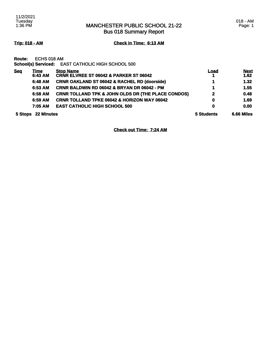Bus 018 Summary Report

**Trip: 018 - AM Check in Time: 6:13 AM**

**Route:** ECHS 018 AM

**School(s) Serviced:** EAST CATHOLIC HIGH SCHOOL 500

| <b>Seq</b>                   | Time    | <b>Stop Name</b>                                              | <b>Load</b>  | <b>Next</b> |
|------------------------------|---------|---------------------------------------------------------------|--------------|-------------|
|                              | 6:43 AM | <b>CRNR ELVREE ST 06042 &amp; PARKER ST 06042</b>             |              | 1.62        |
|                              | 6:48 AM | <b>CRNR OAKLAND ST 06042 &amp; RACHEL RD (doorside)</b>       |              | 1.32        |
|                              | 6:53 AM | CRNR BALDWIN RD 06042 & BRYAN DR 06042 - PM                   |              | 1.55        |
|                              | 6:58 AM | <b>CRNR TOLLAND TPK &amp; JOHN OLDS DR (THE PLACE CONDOS)</b> | $\mathbf{2}$ | 0.48        |
|                              | 6:59 AM | <b>CRNR TOLLAND TPKE 06042 &amp; HORIZON WAY 06042</b>        | 0            | 1.69        |
|                              | 7:05 AM | <b>EAST CATHOLIC HIGH SCHOOL 500</b>                          | $\mathbf 0$  | 0.00        |
| <b>22 Minutes</b><br>5 Stops |         |                                                               | 5 Students   | 6.66 Miles  |

**Check out Time: 7:24 AM**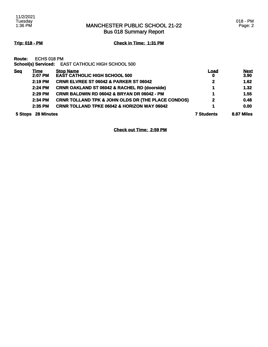Bus 018 Summary Report

**Trip: 018 - PM Check in Time: 1:31 PM**

**Route:** ECHS 018 PM

**School(s) Serviced:** EAST CATHOLIC HIGH SCHOOL 500

| <b>Seq</b>                   | <u>Time</u> | <b>Stop Name</b>                                              | <b>Load</b>       | <b>Next</b> |
|------------------------------|-------------|---------------------------------------------------------------|-------------------|-------------|
|                              | 2:07 PM     | <b>EAST CATHOLIC HIGH SCHOOL 500</b>                          | $\mathbf 0$       | 3.90        |
|                              | 2:19 PM     | <b>CRNR ELVREE ST 06042 &amp; PARKER ST 06042</b>             | $\mathbf{2}$      | 1.62        |
|                              | 2:24 PM     | <b>CRNR OAKLAND ST 06042 &amp; RACHEL RD (doorside)</b>       |                   | 1.32        |
|                              | 2:29 PM     | CRNR BALDWIN RD 06042 & BRYAN DR 06042 - PM                   | 4                 | 1.55        |
|                              | 2:34 PM     | <b>CRNR TOLLAND TPK &amp; JOHN OLDS DR (THE PLACE CONDOS)</b> | $\mathbf{2}$      | 0.48        |
|                              | 2:35 PM     | <b>CRNR TOLLAND TPKE 06042 &amp; HORIZON WAY 06042</b>        |                   | 0.00        |
| <b>28 Minutes</b><br>5 Stops |             |                                                               | <b>7 Students</b> | 8.87 Miles  |

**Check out Time: 2:59 PM**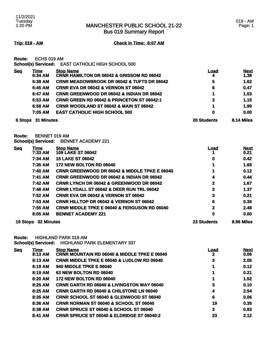Bus 019 Summary Report

**Trip: 019 - AM Check in Time: 6:07 AM**

**Route:** ECHS 019 AM

**School(s) Serviced:** EAST CATHOLIC HIGH SCHOOL 500

| <b>Seq</b>            | <u>Time</u><br>6:34 AM | <b>Stop Name</b><br><b>CRNR HAMILTON DR 06042 &amp; GRISSOM RD 06042</b> | <u>Load</u><br>4 | <b>Next</b><br>1.38 |
|-----------------------|------------------------|--------------------------------------------------------------------------|------------------|---------------------|
|                       | 6:39 AM                | <b>CRNR MEADOWBROOK DR 06042 &amp; TUFTS DR 06042</b>                    | 5                | 1.62                |
|                       | 6:45 AM                | <b>CRNR EVA DR 06042 &amp; VERNON ST 06042</b>                           | 6                | 0.47                |
|                       | 6:47 AM                | <b>CRNR GREENWOOD DR 06042 &amp; INDIAN DR 06042</b>                     | 4                | 1.53                |
|                       | 6:53 AM                | <b>CRNR GREEN RD 06042 &amp; PRINCETON ST 06042:1</b>                    | 3                | 1.15                |
|                       | 6:58 AM                | <b>CRNR WOODLAND ST 06042 &amp; MAIN ST 06042</b>                        |                  | 1.99                |
|                       | 7:05 AM                | <b>EAST CATHOLIC HIGH SCHOOL 500</b>                                     | 0                | 0.00                |
| 31 Minutes<br>6 Stops |                        | <b>20 Students</b>                                                       | 8.14 Miles       |                     |

**Route:** BENNET 019 AM

**School(s) Serviced:** BENNET ACADEMY 221

| <u>Seq</u> | <u>Time</u>         | <b>Stop Name</b>                                         | Load               | <b>Next</b> |
|------------|---------------------|----------------------------------------------------------|--------------------|-------------|
|            | 7:33 AM             | <b>109 LAKE ST 06042</b>                                 |                    | 0.21        |
|            | 7:34 AM             | <b>15 LAKE ST 06042</b>                                  | 0                  | 0.42        |
|            | 7:35 AM             | <b>172 NEW BOLTON RD 06040</b>                           |                    | 1.65        |
|            | 7:40 AM             | <b>CRNR GREENWOOD DR 06042 &amp; MIDDLE TPKE E 06040</b> |                    | 0.12        |
|            | 7:41 AM             | <b>CRNR GREENWOOD DR 06042 &amp; INDIAN DR 06042</b>     | 4                  | 0.44        |
|            | 7:42 AM             | <b>CRNR LYNCH DR 06042 &amp; GREENWOOD DR 06042</b>      | 2                  | 1.67        |
|            | 7:48 AM             | <b>CRNR LYDALL ST 06042 &amp; DEER RUN TRL 06042</b>     | 3                  | 1.37        |
|            | 7:52 AM             | <b>CRNR EVA DR 06042 &amp; VERNON ST 06042</b>           | 3                  | 0.21        |
|            | 7:53 AM             | <b>CRNR HILLTOP DR 06042 &amp; VERNON ST 06042</b>       | 6                  | 0.39        |
|            | 7:55 AM             | <b>CRNR MIDDLE TPKE E 06040 &amp; FERGUSON RD 06040</b>  | 2                  | 2.48        |
|            | 8:05 AM             | <b>BENNET ACADEMY 221</b>                                | 0                  | 0.00        |
|            | 10 Stops 32 Minutes |                                                          | <b>23 Students</b> | 8.96 Miles  |

**Route:** HIGHLAND PARK 019 AM

**School(s) Serviced:** HIGHLAND PARK ELEMENTARY 337

| <u>Sea</u> | Time      | <b>Stop Name</b>                                        | Load | <b>Next</b> |
|------------|-----------|---------------------------------------------------------|------|-------------|
|            | 8:13 AM   | <b>CRNR MOUNTAIN RD 06040 &amp; MIDDLE TPKE E 06040</b> | 2    | 0.06        |
|            | 8:13 AM   | <b>CRNR MIDDLE TPKE E 06040 &amp; LUDLOW RD 06040</b>   | 3    | 2.05        |
|            | 8:19 AM   | <b>940 MIDDLE TPKE E 06040</b>                          |      | 0.12        |
|            | 8:19 AM   | 63 NEW BOLTON RD 06040                                  |      | 0.21        |
|            | 8:20 AM   | <b>172 NEW BOLTON RD 06040</b>                          |      | 1.52        |
|            | $8:25$ AM | <b>CRNR GARTH RD 06040 &amp; LIVINGSTON WAY 06040</b>   | 3    | 0.10        |
|            | 8:25 AM   | <b>CRNR GARTH RD 06040 &amp; CHILSTONE LN 06040</b>     | 4    | 2.54        |
|            | 8:35 AM   | <b>CRNR SCHOOL ST 06040 &amp; GLENWOOD ST 06040</b>     | 6    | 0.06        |
|            | 8:36 AM   | <b>CRNR NORMAN ST 06040 &amp; SCHOOL ST 06040</b>       | 19   | 0.35        |
|            | 8:38 AM   | <b>CRNR SPRUCE ST 06040 &amp; SCHOOL ST 06040</b>       | 3    | 0.83        |
|            | 8:41 AM   | <b>CRNR SPRUCE ST 06040 &amp; ELDRIDGE ST 06040:2</b>   | 23   | 2.12        |
|            |           |                                                         |      |             |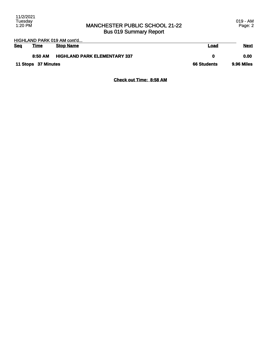## MANCHESTER PUBLIC SCHOOL 21-22 Bus 019 Summary Report

| HIGHLAND PARK 019 AM cont'd |                     |                                     |                    |             |
|-----------------------------|---------------------|-------------------------------------|--------------------|-------------|
| <b>Seq</b>                  | <b>Time</b>         | <b>Stop Name</b>                    | Load               | <b>Next</b> |
|                             | 8:50 AM             | <b>HIGHLAND PARK ELEMENTARY 337</b> | o                  | 0.00        |
|                             | 11 Stops 37 Minutes |                                     | <b>66 Students</b> | 9.96 Miles  |

**Check out Time: 8:58 AM**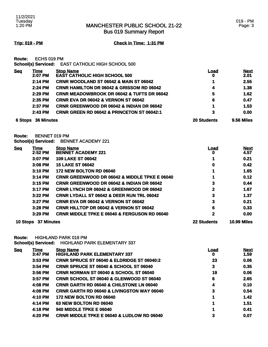Bus 019 Summary Report

**Trip: 019 - PM Check in Time: 1:31 PM**

**Route:** ECHS 019 PM

**School(s) Serviced:** EAST CATHOLIC HIGH SCHOOL 500

| <b>Seq</b>                   | <u>Time</u><br>2:07 PM | <b>Stop Name</b><br><b>EAST CATHOLIC HIGH SCHOOL 500</b> | <u>Load</u><br>0  | <b>Next</b><br>2.01 |
|------------------------------|------------------------|----------------------------------------------------------|-------------------|---------------------|
|                              | 2:14 PM                | <b>CRNR WOODLAND ST 06042 &amp; MAIN ST 06042</b>        | 1                 | 2.55                |
|                              | 2:24 PM                | <b>CRNR HAMILTON DR 06042 &amp; GRISSOM RD 06042</b>     | 4                 | 1.38                |
|                              | 2:29 PM                | <b>CRNR MEADOWBROOK DR 06042 &amp; TUFTS DR 06042</b>    | 5                 | 1.62                |
|                              | $2:35$ PM              | <b>CRNR EVA DR 06042 &amp; VERNON ST 06042</b>           | 6                 | 0.47                |
|                              | 2:37 PM                | <b>CRNR GREENWOOD DR 06042 &amp; INDIAN DR 06042</b>     | 1                 | 1.53                |
|                              | $2:43$ PM              | <b>CRNR GREEN RD 06042 &amp; PRINCETON ST 06042:1</b>    | 3                 | 0.00                |
| <b>36 Minutes</b><br>6 Stops |                        | <b>20 Students</b>                                       | <b>9.56 Miles</b> |                     |

**Route:** BENNET 019 PM

**School(s) Serviced:** BENNET ACADEMY 221

| <u>Seq</u> | <u>Time</u>       | <b>Stop Name</b>                                         | Load               | <b>Next</b>        |
|------------|-------------------|----------------------------------------------------------|--------------------|--------------------|
|            | 2:52 PM           | <b>BENNET ACADEMY 221</b>                                | 0                  | 4.57               |
|            | 3:07 PM           | <b>109 LAKE ST 06042</b>                                 |                    | 0.21               |
|            | 3:08 PM           | <b>15 LAKE ST 06042</b>                                  | 0                  | 0.42               |
|            | 3:10 PM           | 172 NEW BOLTON RD 06040                                  |                    | 1.65               |
|            | $3:14$ PM         | <b>CRNR GREENWOOD DR 06042 &amp; MIDDLE TPKE E 06040</b> |                    | 0.12               |
|            | $3:15$ PM         | <b>CRNR GREENWOOD DR 06042 &amp; INDIAN DR 06042</b>     | 3                  | 0.44               |
|            | 3:17 PM           | <b>CRNR LYNCH DR 06042 &amp; GREENWOOD DR 06042</b>      | 2                  | 1.67               |
|            | $3:22$ PM         | <b>CRNR LYDALL ST 06042 &amp; DEER RUN TRL 06042</b>     | 3                  | 1.37               |
|            | $3:27$ PM         | <b>CRNR EVA DR 06042 &amp; VERNON ST 06042</b>           | 3                  | 0.21               |
|            | $3:28$ PM         | <b>CRNR HILLTOP DR 06042 &amp; VERNON ST 06042</b>       | 6                  | 0.33               |
|            | $3:29$ PM         | <b>CRNR MIDDLE TPKE E 06040 &amp; FERGUSON RD 06040</b>  | 2                  | 0.00               |
| 10 Stops   | <b>37 Minutes</b> |                                                          | <b>22 Students</b> | <b>10.99 Miles</b> |

**Route:** HIGHLAND PARK 019 PM **School(s) Serviced:** HIGHLAND PARK ELEMENTARY 337

| <b>Seq</b> | Time<br>3:47 PM | <b>Stop Name</b><br><b>HIGHLAND PARK ELEMENTARY 337</b> | Load<br>0 | <b>Next</b><br>1.59 |
|------------|-----------------|---------------------------------------------------------|-----------|---------------------|
|            | 3:53 PM         | CRNR SPRUCE ST 06040 & ELDRIDGE ST 06040:2              | 23        | 0.06                |
|            | 3:54 PM         | <b>CRNR SPRUCE ST 06040 &amp; SCHOOL ST 06040</b>       | 3         | 0.35                |
|            | 3:56 PM         | <b>CRNR NORMAN ST 06040 &amp; SCHOOL ST 06040</b>       | 19        | 0.06                |
|            | 3:57 PM         | <b>CRNR SCHOOL ST 06040 &amp; GLENWOOD ST 06040</b>     | 6         | 2.65                |
|            | 4:08 PM         | <b>CRNR GARTH RD 06040 &amp; CHILSTONE LN 06040</b>     | 4         | 0.10                |
|            | 4:08 PM         | <b>CRNR GARTH RD 06040 &amp; LIVINGSTON WAY 06040</b>   | 3         | 0.54                |
|            | 4:10 PM         | <b>172 NEW BOLTON RD 06040</b>                          |           | 1.42                |
|            | 4:14 PM         | 63 NEW BOLTON RD 06040                                  |           | 1.51                |
|            | 4:18 PM         | <b>940 MIDDLE TPKE E 06040</b>                          |           | 0.41                |
|            | 4:20 PM         | <b>CRNR MIDDLE TPKE E 06040 &amp; LUDLOW RD 06040</b>   | 3         | 0.07                |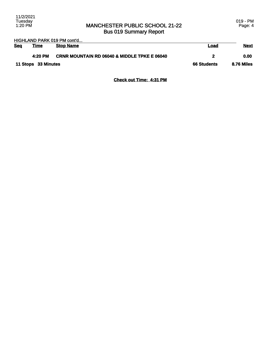### MANCHESTER PUBLIC SCHOOL 21-22 Bus 019 Summary Report

HIGHLAND PARK 019 PM cont'd...

| <b>Seg</b>          | <b>Time</b> | <b>Stop Name</b>                                        | Load       | <u>Next</u> |
|---------------------|-------------|---------------------------------------------------------|------------|-------------|
|                     | 4:20 PM     | <b>CRNR MOUNTAIN RD 06040 &amp; MIDDLE TPKE E 06040</b> |            | 0.00        |
| 11 Stops 33 Minutes |             | <b>66 Students</b>                                      | 8.76 Miles |             |

**Check out Time: 4:31 PM**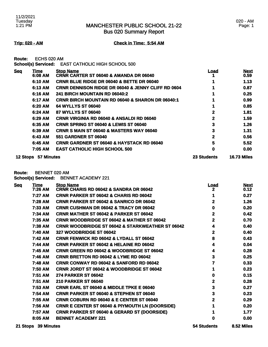Bus 020 Summary Report

### 020 - AM Page: 1

**Trip: 020 - AM Check in Time: 5:54 AM**

**Route:** ECHS 020 AM

**School(s) Serviced:** EAST CATHOLIC HIGH SCHOOL 500

| <b>Seg</b> | <u>Time</u> | <b>Stop Name</b>                                              | Load               | <b>Next</b>        |
|------------|-------------|---------------------------------------------------------------|--------------------|--------------------|
|            | 6:08 AM     | <b>CRNR CARTER ST 06040 &amp; AMANDA DR 06040</b>             |                    | 0.59               |
|            | 6:10 AM     | CRNR BLUE RIDGE DR 06040 & BETTE DR 06040                     |                    | 1.13               |
|            | 6:13 AM     | <b>CRNR DENNISON RIDGE DR 06040 &amp; JENNY CLIFF RD 0604</b> |                    | 0.87               |
|            | 6:16 AM     | 241 BIRCH MOUNTAIN RD 06040:2                                 |                    | 0.25               |
|            | 6:17 AM     | <b>CRNR BIRCH MOUNTAIN RD 06040 &amp; SHARON DR 06040:1</b>   |                    | 0.99               |
|            | 6:20 AM     | 64 WYLLYS ST 06040                                            |                    | 0.85               |
|            | 6:24 AM     | 87 WYLLYS ST 06040                                            | 2                  | 1.81               |
|            | 6:29 AM     | <b>CRNR VIRGINIA RD 06040 &amp; ANSALDI RD 06040</b>          | $\mathbf{2}$       | 1.59               |
|            | 6:35 AM     | <b>CRNR SPRING ST 06040 &amp; LEWIS ST 06040</b>              | 3                  | 1.26               |
|            | 6:39 AM     | <b>CRNR S MAIN ST 06040 &amp; MASTERS WAY 06040</b>           | 3                  | 1.31               |
|            | 6:43 AM     | <b>551 GARDNER ST 06040</b>                                   | 2                  | 0.56               |
|            | 6:45 AM     | <b>CRNR GARDNER ST 06040 &amp; HAYSTACK RD 06040</b>          | 5                  | 5.52               |
|            | 7:05 AM     | <b>EAST CATHOLIC HIGH SCHOOL 500</b>                          | 0                  | 0.00               |
| 12 Stops   | 57 Minutes  |                                                               | <b>23 Students</b> | <b>16.73 Miles</b> |

**Route:** BENNET 020 AM

**School(s) Serviced:** BENNET ACADEMY 221

| <b>Seq</b> | <b>Time</b><br>7:26 AM | <b>Stop Name</b><br>CRNR CHARIS RD 06042 & SANDRA DR 06042  | <u>Load</u><br>2 | <b>Next</b><br>0.12 |
|------------|------------------------|-------------------------------------------------------------|------------------|---------------------|
|            | 7:27 AM                | CRNR PARKER ST 06042 & CHARIS RD 06042                      | 1                | 0.27                |
|            | 7:28 AM                | <b>CRNR PARKER ST 06042 &amp; SANRICO DR 06042</b>          | 2                | 1.26                |
|            | 7:33 AM                | <b>CRNR CUSHMAN DR 06042 &amp; TRACY DR 06042</b>           | 0                | 0.20                |
|            | 7:34 AM                | <b>CRNR MATHER ST 06042 &amp; PARKER ST 06042</b>           | 2                | 0.42                |
|            | 7:35 AM                | <b>CRNR WOODBRIDGE ST 06042 &amp; MATHER ST 06042</b>       | 2                | 0.70                |
|            | 7:38 AM                | <b>CRNR WOODBRIDGE ST 06042 &amp; STARKWEATHER ST 06042</b> | 4                | 0.40                |
|            | 7:40 AM                | 327 WOODBRIDGE ST 06042                                     | 2                | 0.40                |
|            | 7:42 AM                | <b>CRNR FENWICK RD 06042 &amp; LYDALL ST 06042</b>          | 8                | 0.43                |
|            | 7:44 AM                | <b>CRNR PARKER ST 06042 &amp; HELAINE RD 06042</b>          | 4                | 0.04                |
|            | 7:45 AM                | <b>CRNR GREEN RD 06042 &amp; WOODBRIDGE ST 06042</b>        | 4                | 0.28                |
|            | 7:46 AM                | CRNR BRETTON RD 06042 & LYME RD 06042                       | 3                | 0.25                |
|            | 7:48 AM                | CRNR CONWAY RD 06042 & SANFORD RD 06042                     | 7                | 0.33                |
|            | 7:50 AM                | CRNR JORDT ST 06042 & WOODBRIDGE ST 06042                   |                  | 0.23                |
|            | 7:51 AM                | <b>274 PARKER ST 06042</b>                                  | 0                | 0.15                |
|            | 7:51 AM                | <b>210 PARKER ST 06040</b>                                  | 2                | 0.28                |
|            | 7:53 AM                | <b>CRNR EARL ST 06040 &amp; MIDDLE TPKE E 06040</b>         | 3                | 0.27                |
|            | 7:54 AM                | <b>CRNR PARKER ST 06040 &amp; STEPHEN ST 06040</b>          | 3                | 0.23                |
|            | 7:55 AM                | <b>CRNR COBURN RD 06040 &amp; E CENTER ST 06040</b>         | 2                | 0.29                |
|            | 7:56 AM                | <b>CRNR E CENTER ST 06040 &amp; PIYMOUTH LN (DOORSIDE)</b>  |                  | 0.20                |
|            | 7:57 AM                | <b>CRNR PARKER ST 06040 &amp; GERARD ST (DOORSIDE)</b>      |                  | 1.77                |
|            | 8:05 AM                | <b>BENNET ACADEMY 221</b>                                   | 0                | 0.00                |
|            |                        |                                                             |                  |                     |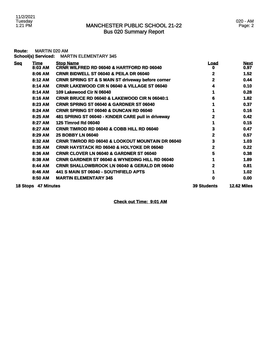## MANCHESTER PUBLIC SCHOOL 21-22 Bus 020 Summary Report

| Route:     | <b>MARTIN 020 AM</b> | School(s) Serviced: MARTIN ELEMENTARY 345                     |                    |                     |
|------------|----------------------|---------------------------------------------------------------|--------------------|---------------------|
| <b>Seq</b> | Time<br>8:03 AM      | <b>Stop Name</b><br>CRNR WILFRED RD 06040 & HARTFORD RD 06040 | <u>Load</u><br>0   | <b>Next</b><br>0.97 |
|            | 8:06 AM              | <b>CRNR BIDWELL ST 06040 &amp; PEILA DR 06040</b>             | $\mathbf{2}$       | 1.52                |
|            | 8:12 AM              | <b>CRNR SPRING ST &amp; S MAIN ST driveway before corner</b>  | $\mathbf{2}$       | 0.44                |
|            | 8:14 AM              | <b>CRNR LAKEWOOD CIR N 06040 &amp; VILLAGE ST 06040</b>       | 4                  | 0.10                |
|            | 8:14 AM              | 109 Lakewood Cir N 06040                                      |                    | 0.28                |
|            | 8:16 AM              | <b>CRNR BRUCE RD 06040 &amp; LAKEWOOD CIR N 06040:1</b>       | 6                  | 1.82                |
|            | 8:23 AM              | CRNR SPRING ST 06040 & GARDNER ST 06040                       |                    | 0.37                |
|            | 8:24 AM              | CRNR SPRING ST 06040 & DUNCAN RD 06040                        |                    | 0.16                |
|            | 8:25 AM              | 481 SPRING ST 06040 - KINDER CARE pull in driveway            | 2                  | 0.42                |
|            | 8:27 AM              | <b>125 Timrod Rd 06040</b>                                    |                    | 0.15                |
|            | 8:27 AM              | CRNR TIMROD RD 06040 & COBB HILL RD 06040                     | 3                  | 0.47                |
|            | 8:29 AM              | <b>25 BOBBY LN 06040</b>                                      | $\overline{2}$     | 0.57                |
|            | 8:32 AM              | <b>CRNR TIMROD RD 06040 &amp; LOOKOUT MOUNTAIN DR 06040</b>   | 3                  | 1.03                |
|            | 8:35 AM              | <b>CRNR HAYSTACK RD 06040 &amp; HOLYOKE DR 06040</b>          | $\overline{2}$     | 0.22                |
|            | 8:36 AM              | <b>CRNR CLOVER LN 06040 &amp; GARDNER ST 06040</b>            | 5                  | 0.38                |
|            | 8:38 AM              | <b>CRNR GARDNER ST 06040 &amp; WYNEDING HILL RD 06040</b>     |                    | 1.89                |
|            | 8:44 AM              | <b>CRNR SHALLOWBROOK LN 06040 &amp; GERALD DR 06040</b>       | 2                  | 0.81                |
|            | 8:46 AM              | 441 S MAIN ST 06040 - SOUTHFIELD APTS                         |                    | 1.02                |
|            | 8:50 AM              | <b>MARTIN ELEMENTARY 345</b>                                  | 0                  | 0.00                |
|            | 18 Stops 47 Minutes  |                                                               | <b>39 Students</b> | <b>12.62 Miles</b>  |

**Check out Time: 9:01 AM**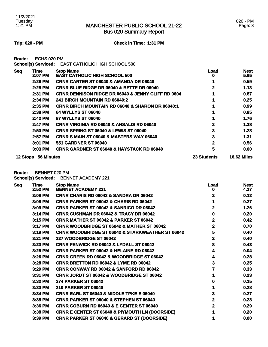Bus 020 Summary Report

### **Trip: 020 - PM Check in Time: 1:31 PM**

**Route:** ECHS 020 PM

**School(s) Serviced:** EAST CATHOLIC HIGH SCHOOL 500

| <b>Seg</b>      | Time              | <b>Stop Name</b>                                              | <u>Load</u>        | <b>Next</b>        |
|-----------------|-------------------|---------------------------------------------------------------|--------------------|--------------------|
|                 | 2:07 PM           | <b>EAST CATHOLIC HIGH SCHOOL 500</b>                          | o                  | 5.65               |
|                 | 2:26 PM           | <b>CRNR CARTER ST 06040 &amp; AMANDA DR 06040</b>             |                    | 0.59               |
|                 | 2:28 PM           | <b>CRNR BLUE RIDGE DR 06040 &amp; BETTE DR 06040</b>          |                    | 1.13               |
|                 | 2:31 PM           | <b>CRNR DENNISON RIDGE DR 06040 &amp; JENNY CLIFF RD 0604</b> |                    | 0.87               |
|                 | 2:34 PM           | 241 BIRCH MOUNTAIN RD 06040:2                                 |                    | 0.25               |
|                 | 2:35 PM           | <b>CRNR BIRCH MOUNTAIN RD 06040 &amp; SHARON DR 06040:1</b>   |                    | 0.99               |
|                 | 2:38 PM           | 64 WYLLYS ST 06040                                            |                    | 0.85               |
|                 | 2:42 PM           | 87 WYLLYS ST 06040                                            |                    | 1.76               |
|                 | 2:47 PM           | <b>CRNR VIRGINIA RD 06040 &amp; ANSALDI RD 06040</b>          | 2                  | 1.38               |
|                 | $2:53$ PM         | <b>CRNR SPRING ST 06040 &amp; LEWIS ST 06040</b>              | 3                  | 1.28               |
|                 | 2:57 PM           | <b>CRNR S MAIN ST 06040 &amp; MASTERS WAY 06040</b>           | 3                  | 1.31               |
|                 | $3:01$ PM         | <b>551 GARDNER ST 06040</b>                                   | 2                  | 0.56               |
|                 | 3:03 PM           | <b>CRNR GARDNER ST 06040 &amp; HAYSTACK RD 06040</b>          | 5                  | 0.00               |
| <b>12 Stops</b> | <b>56 Minutes</b> |                                                               | <b>23 Students</b> | <b>16.62 Miles</b> |

**Route:** BENNET 020 PM

**School(s) Serviced:** BENNET ACADEMY 221

| <b>Seq</b> | <b>Time</b><br>2:52 PM | <b>Stop Name</b><br><b>BENNET ACADEMY 221</b>               | <u>Load</u><br>o | <b>Next</b><br>4.17 |
|------------|------------------------|-------------------------------------------------------------|------------------|---------------------|
|            | 3:08 PM                | <b>CRNR CHARIS RD 06042 &amp; SANDRA DR 06042</b>           | 2                | 0.12                |
|            | 3:08 PM                | <b>CRNR PARKER ST 06042 &amp; CHARIS RD 06042</b>           |                  | 0.27                |
|            | 3:09 PM                | <b>CRNR PARKER ST 06042 &amp; SANRICO DR 06042</b>          | 2                | 1.26                |
|            | 3:14 PM                | <b>CRNR CUSHMAN DR 06042 &amp; TRACY DR 06042</b>           | 0                | 0.20                |
|            | 3:15 PM                | <b>CRNR MATHER ST 06042 &amp; PARKER ST 06042</b>           | 2                | 0.42                |
|            | 3:17 PM                | <b>CRNR WOODBRIDGE ST 06042 &amp; MATHER ST 06042</b>       | 2                | 0.70                |
|            | 3:19 PM                | <b>CRNR WOODBRIDGE ST 06042 &amp; STARKWEATHER ST 06042</b> | 5                | 0.40                |
|            | 3:21 PM                | 327 WOODBRIDGE ST 06042                                     | 2                | 0.40                |
|            | 3:23 PM                | <b>CRNR FENWICK RD 06042 &amp; LYDALL ST 06042</b>          | 8                | 0.43                |
|            | 3:25 PM                | <b>CRNR PARKER ST 06042 &amp; HELAINE RD 06042</b>          | 4                | 0.04                |
|            | 3:26 PM                | <b>CRNR GREEN RD 06042 &amp; WOODBRIDGE ST 06042</b>        | 4                | 0.28                |
|            | 3:28 PM                | <b>CRNR BRETTON RD 06042 &amp; LYME RD 06042</b>            | 3                | 0.25                |
|            | 3:29 PM                | <b>CRNR CONWAY RD 06042 &amp; SANFORD RD 06042</b>          | 7                | 0.33                |
|            | 3:31 PM                | <b>CRNR JORDT ST 06042 &amp; WOODBRIDGE ST 06042</b>        |                  | 0.23                |
|            | 3:32 PM                | <b>274 PARKER ST 06042</b>                                  | 0                | 0.15                |
|            | 3:33 PM                | <b>210 PARKER ST 06040</b>                                  |                  | 0.28                |
|            | 3:34 PM                | <b>CRNR EARL ST 06040 &amp; MIDDLE TPKE E 06040</b>         | 3                | 0.27                |
|            | 3:35 PM                | <b>CRNR PARKER ST 06040 &amp; STEPHEN ST 06040</b>          | 2                | 0.23                |
|            | 3:36 PM                | <b>CRNR COBURN RD 06040 &amp; E CENTER ST 06040</b>         | 2                | 0.29                |
|            | 3:38 PM                | <b>CRNR E CENTER ST 06040 &amp; PIYMOUTH LN (DOORSIDE)</b>  |                  | 0.20                |
|            | 3:39 PM                | <b>CRNR PARKER ST 06040 &amp; GERARD ST (DOORSIDE)</b>      |                  | 0.00                |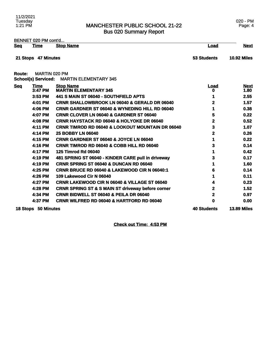020 - PM Page: 4

BENNET 020 PM cont'd... **Seq Time Stop Name Load Next**

**Route:** MARTIN 020 PM

**School(s) Serviced:** MARTIN ELEMENTARY 345

| <u>Seq</u> | <b>Time</b><br>3:47 PM | <b>Stop Name</b><br><b>MARTIN ELEMENTARY 345</b>             | <b>Load</b><br>o   | <b>Next</b><br>1.80 |
|------------|------------------------|--------------------------------------------------------------|--------------------|---------------------|
|            | 3:53 PM                | 441 S MAIN ST 06040 - SOUTHFIELD APTS                        |                    | 2.55                |
|            | 4:01 PM                | <b>CRNR SHALLOWBROOK LN 06040 &amp; GERALD DR 06040</b>      | 2                  | 1.57                |
|            | 4:06 PM                | <b>CRNR GARDNER ST 06040 &amp; WYNEDING HILL RD 06040</b>    |                    | 0.38                |
|            | 4:07 PM                | <b>CRNR CLOVER LN 06040 &amp; GARDNER ST 06040</b>           | 5                  | 0.22                |
|            | 4:08 PM                | <b>CRNR HAYSTACK RD 06040 &amp; HOLYOKE DR 06040</b>         | 2                  | 0.52                |
|            | 4:11 PM                | <b>CRNR TIMROD RD 06040 &amp; LOOKOUT MOUNTAIN DR 06040</b>  | 3                  | 1.07                |
|            | 4:14 PM                | <b>25 BOBBY LN 06040</b>                                     | 2                  | 0.26                |
|            | 4:15 PM                | <b>CRNR GARDNER ST 06040 &amp; JOYCE LN 06040</b>            |                    | 0.22                |
|            | 4:16 PM                | <b>CRNR TIMROD RD 06040 &amp; COBB HILL RD 06040</b>         | 3                  | 0.14                |
|            | 4:17 PM                | <b>125 Timrod Rd 06040</b>                                   |                    | 0.42                |
|            | 4:19 PM                | 481 SPRING ST 06040 - KINDER CARE pull in driveway           |                    | 0.17                |
|            | 4:19 PM                | CRNR SPRING ST 06040 & DUNCAN RD 06040                       |                    | 1.60                |
|            | 4:25 PM                | <b>CRNR BRUCE RD 06040 &amp; LAKEWOOD CIR N 06040:1</b>      | 6                  | 0.14                |
|            | 4:26 PM                | 109 Lakewood Cir N 06040                                     |                    | 0.11                |
|            | 4:27 PM                | <b>CRNR LAKEWOOD CIR N 06040 &amp; VILLAGE ST 06040</b>      |                    | 0.23                |
|            | 4:28 PM                | <b>CRNR SPRING ST &amp; S MAIN ST driveway before corner</b> | 2                  | 1.52                |
|            | 4:34 PM                | <b>CRNR BIDWELL ST 06040 &amp; PEILA DR 06040</b>            | $\mathbf{2}$       | 0.97                |
|            | 4:37 PM                | <b>CRNR WILFRED RD 06040 &amp; HARTFORD RD 06040</b>         | 0                  | 0.00                |
|            | 18 Stops 50 Minutes    |                                                              | <b>40 Students</b> | <b>13.89 Miles</b>  |

**Check out Time: 4:53 PM**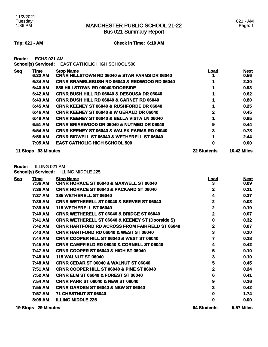Bus 021 Summary Report

### 021 - AM Page: 1

### **Trip: 021 - AM Check in Time: 6:10 AM**

**Route:** ECHS 021 AM

**School(s) Serviced:** EAST CATHOLIC HIGH SCHOOL 500

| <b>Seg</b> | Time       | <b>Stop Name</b>                                         | <u>Load</u>        | <b>Next</b>        |
|------------|------------|----------------------------------------------------------|--------------------|--------------------|
|            | 6:32 AM    | <b>CRNR HILLSTOWN RD 06040 &amp; STAR FARMS DR 06040</b> |                    | 0.56               |
|            | 6:34 AM    | <b>CRNR BRAMBLEBUSH RD 06040 &amp; REDWOOD RD 06040</b>  |                    | 2.30               |
|            | 6:40 AM    | 888 HILLSTOWN RD 06040/DOORSIDE                          |                    | 0.93               |
|            | 6:42 AM    | <b>CRNR BUSH HILL RD 06040 &amp; DESOUSA DR 06040</b>    |                    | 0.62               |
|            | 6:43 AM    | <b>CRNR BUSH HILL RD 06040 &amp; GARNET RD 06040</b>     |                    | 0.80               |
|            | 6:45 AM    | <b>CRNR KEENEY ST 06040 &amp; RUSHFORDE DR 06040</b>     |                    | 0.25               |
|            | 6:46 AM    | <b>CRNR KEENEY ST 06040 &amp; W GERALD DR 06040</b>      |                    | 0.45               |
|            | 6:48 AM    | <b>CRNR KEENEY ST 06040 &amp; BELLA VISTA LN 06040</b>   |                    | 0.85               |
|            | 6:51 AM    | <b>CRNR BRIARWOOD DR 06040 &amp; NUTMEG DR 06040</b>     | 9                  | 0.44               |
|            | 6:54 AM    | <b>CRNR KEENEY ST 06040 &amp; WALEK FARMS RD 06040</b>   | 3                  | 0.78               |
|            | 6:56 AM    | <b>CRNR BIDWELL ST 06040 &amp; WETHERELL ST 06040</b>    |                    | 2.44               |
|            | 7:05 AM    | <b>EAST CATHOLIC HIGH SCHOOL 500</b>                     | 0                  | 0.00               |
| 11 Stops   | 33 Minutes |                                                          | <b>22 Students</b> | <b>10.42 Miles</b> |

**Route:** ILLING 021 AM **School(s) Serviced:** ILLING MIDDLE 225

| <b>Seq</b> | <u>Time</u>         | <b>Stop Name</b>                                            | <u>Load</u>        | <b>Next</b> |
|------------|---------------------|-------------------------------------------------------------|--------------------|-------------|
|            | 7:36 AM             | CRNR HORACE ST 06040 & MAXWELL ST 06040                     | 3                  | 0.09        |
|            | 7:36 AM             | <b>CRNR HORACE ST 06040 &amp; PACKARD ST 06040</b>          | 2                  | 0.11        |
|            | 7:37 AM             | <b>185 WETHERELL ST 06040</b>                               | 4                  | 0.37        |
|            | 7:39 AM             | <b>CRNR WETHERELL ST 06040 &amp; SERVER ST 06040</b>        | $\mathbf 2$        | 0.03        |
|            | 7:39 AM             | 115 WETHERELL ST 06040                                      | $\mathbf 2$        | 0.19        |
|            | 7:40 AM             | <b>CRNR WETHERELL ST 06040 &amp; BRIDGE ST 06040</b>        | 2                  | 0.07        |
|            | 7:41 AM             | <b>CRNR WETHERELL ST 06040 &amp; KEENEY ST (Doorside S)</b> | 0                  | 0.32        |
|            | 7:42 AM             | <b>CRNR HARTFORD RD ACROSS FROM FAIRFIELD ST 06040</b>      | 2                  | 0.07        |
|            | 7:43 AM             | <b>CRNR HARTFORD RD 06040 &amp; WEST ST 06040</b>           | 3                  | 0.10        |
|            | 7:44 AM             | <b>CRNR COOPER HILL ST 06040 &amp; WEST ST 06040</b>        | 7                  | 0.18        |
|            | 7:45 AM             | <b>CRNR CAMPFIELD RD 06040 &amp; CORNELL ST 06040</b>       | 4                  | 0.42        |
|            | 7:47 AM             | <b>CRNR COOPER ST 06040 &amp; HIGH ST 06040</b>             | 5                  | 0.10        |
|            | 7:48 AM             | <b>115 WALNUT ST 06040</b>                                  | 3                  | 0.10        |
|            | 7:48 AM             | CRNR CEDAR ST 06040 & WALNUT ST 06040                       | 5                  | 0.45        |
|            | 7:51 AM             | CRNR COOPER HILL ST 06040 & PINE ST 06040                   | 2                  | 0.24        |
|            | 7:52 AM             | <b>CRNR ELM ST 06040 &amp; FOREST ST 06040</b>              | 6                  | 0.41        |
|            | 7:54 AM             | <b>CRNR PARK ST 06040 &amp; NEW ST 06040</b>                | 9                  | 0.16        |
|            | 7:55 AM             | <b>CRNR GARDEN ST 06040 &amp; NEW ST 06040</b>              | 3                  | 0.42        |
|            | 7:57 AM             | <b>71 CHESTNUT ST 06040</b>                                 | 0                  | 1.74        |
|            | 8:05 AM             | <b>ILLING MIDDLE 225</b>                                    | 0                  | 0.00        |
|            | 19 Stops 29 Minutes |                                                             | <b>64 Students</b> | 5.57 Miles  |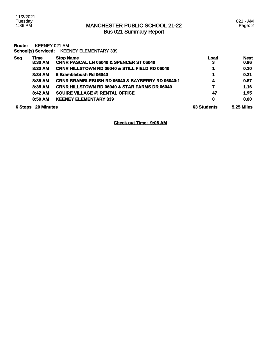11/2/2021 Tuesday 1:36 PM

**Route:** KEENEY 021 AM **School(s) Serviced:** KEENEY ELEMENTARY 339 **Seq Time Stop Name Load Next 8:30 AM CRNR PASCAL LN 06040 & SPENCER ST 06040 3 0.96 8:33 AM CRNR HILLSTOWN RD 06040 & STILL FIELD RD 06040 1 0.10 8:34 AM 6 Bramblebush Rd 06040 1 0.21 8:35 AM CRNR BRAMBLEBUSH RD 06040 & BAYBERRY RD 06040:1 4 0.87 8:38 AM CRNR HILLSTOWN RD 06040 & STAR FARMS DR 06040 7 1.16 8:42 AM SQUIRE VILLAGE @ RENTAL OFFICE 47 1.95 8:50 AM KEENEY ELEMENTARY 339 0 0.00** 

**6 Stops 20 Minutes 63 Students 5.25 Miles** 

**Check out Time: 9:06 AM**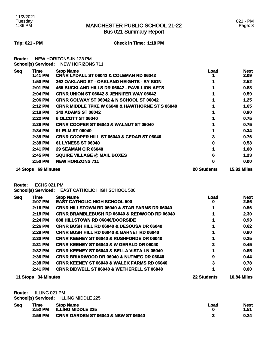Bus 021 Summary Report

### 021 - PM Page: 3

### **Trip: 021 - PM Check in Time: 1:18 PM**

**Route:** NEW HORIZONS-IN 123 PM **School(s) Serviced:** NEW HORIZONS 711

| <b>Seg</b> | Time              | <b>Stop Name</b>                                           | Load               | <b>Next</b>        |
|------------|-------------------|------------------------------------------------------------|--------------------|--------------------|
|            | 1:41 PM           | <b>CRNR LYDALL ST 06042 &amp; COLEMAN RD 06042</b>         |                    | 2.09               |
|            | 1:50 PM           | 362 OAKLAND ST - OAKLAND HEIGHTS - BY SIGN                 |                    | 2.52               |
|            | 2:01 PM           | 465 BUCKLAND HILLS DR 06042 - PAVILLION APTS               |                    | 0.88               |
|            | 2:04 PM           | <b>CRNR UNION ST 06042 &amp; JENNIFER WAY 06042</b>        |                    | 0.59               |
|            | 2:06 PM           | <b>CRNR GOLWAY ST 06042 &amp; N SCHOOL ST 06042</b>        |                    | 1.25               |
|            | 2:12 PM           | <b>CRNR MIDDLE TPKE W 06040 &amp; HAWTHORNE ST S 06040</b> |                    | 1.65               |
|            | 2:18 PM           | <b>342 ADAMS ST 06042</b>                                  |                    | 0.90               |
|            | 2:22 PM           | 6 OLCOTT ST 06040                                          |                    | 0.75               |
|            | $2:26$ PM         | <b>CRNR COOPER ST 06040 &amp; WALNUT ST 06040</b>          |                    | 0.75               |
|            | 2:34 PM           | 91 ELM ST 06040                                            |                    | 0.34               |
|            | 2:35 PM           | <b>CRNR COOPER HILL ST 06040 &amp; CEDAR ST 06040</b>      | 3                  | 0.76               |
|            | 2:38 PM           | 61 LYNESS ST 06040                                         | 0                  | 0.53               |
|            | 2:41 PM           | <b>29 SEAMAN CIR 06040</b>                                 |                    | 1.08               |
|            | 2:45 PM           | <b>SQUIRE VILLAGE @ MAIL BOXES</b>                         | 6                  | 1.23               |
|            | 2:50 PM           | <b>NEW HORIZONS 711</b>                                    | 0                  | 0.00               |
| 14 Stops   | <b>69 Minutes</b> |                                                            | <b>20 Students</b> | <b>15.32 Miles</b> |

**Route:** ECHS 021 PM

**School(s) Serviced:** EAST CATHOLIC HIGH SCHOOL 500

| <b>Seq</b> | <b>Time</b>       | <b>Stop Name</b>                                         | Load               | <b>Next</b>        |
|------------|-------------------|----------------------------------------------------------|--------------------|--------------------|
|            | 2:07 PM           | <b>EAST CATHOLIC HIGH SCHOOL 500</b>                     | O                  | 2.86               |
|            | 2:16 PM           | <b>CRNR HILLSTOWN RD 06040 &amp; STAR FARMS DR 06040</b> |                    | 0.56               |
|            | 2:18 PM           | <b>CRNR BRAMBLEBUSH RD 06040 &amp; REDWOOD RD 06040</b>  |                    | 2.30               |
|            | 2:24 PM           | 888 HILLSTOWN RD 06040/DOORSIDE                          |                    | 0.93               |
|            | 2:26 PM           | <b>CRNR BUSH HILL RD 06040 &amp; DESOUSA DR 06040</b>    |                    | 0.62               |
|            | $2:28$ PM         | <b>CRNR BUSH HILL RD 06040 &amp; GARNET RD 06040</b>     |                    | 0.80               |
|            | 2:30 PM           | <b>CRNR KEENEY ST 06040 &amp; RUSHFORDE DR 06040</b>     |                    | 0.25               |
|            | 2:31 PM           | <b>CRNR KEENEY ST 06040 &amp; W GERALD DR 06040</b>      | 2                  | 0.45               |
|            | 2:32 PM           | <b>CRNR KEENEY ST 06040 &amp; BELLA VISTA LN 06040</b>   |                    | 0.85               |
|            | 2:36 PM           | <b>CRNR BRIARWOOD DR 06040 &amp; NUTMEG DR 06040</b>     | 9                  | 0.44               |
|            | 2:38 PM           | <b>CRNR KEENEY ST 06040 &amp; WALEK FARMS RD 06040</b>   | 3                  | 0.78               |
|            | 2:41 PM           | <b>CRNR BIDWELL ST 06040 &amp; WETHERELL ST 06040</b>    |                    | 0.00               |
| 11 Stops   | <b>34 Minutes</b> |                                                          | <b>22 Students</b> | <b>10.84 Miles</b> |

**Route:** ILLING 021 PM

**School(s) Serviced:** ILLING MIDDLE 225

| <b>Seq</b> | Time    | <b>Stop Name</b>                               | Load | <b>Next</b> |
|------------|---------|------------------------------------------------|------|-------------|
|            | 2:52 PM | <b>ILLING MIDDLE 225</b>                       |      | 1.51        |
|            | 2:58 PM | <b>CRNR GARDEN ST 06040 &amp; NEW ST 06040</b> |      | 0.24        |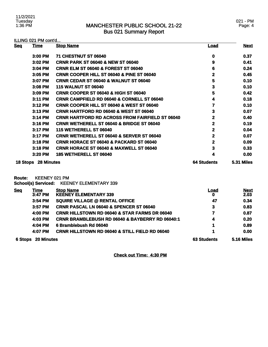021 - PM Page: 4

| ILLING 021 PM cont'd |                            |                                                          |                         |                     |
|----------------------|----------------------------|----------------------------------------------------------|-------------------------|---------------------|
| <b>Seq</b>           | <b>Time</b>                | <b>Stop Name</b>                                         | <u>Load</u>             | <b>Next</b>         |
|                      | 3:00 PM                    | 71 CHESTNUT ST 06040                                     | 0                       | 0.37                |
|                      | 3:02 PM                    | <b>CRNR PARK ST 06040 &amp; NEW ST 06040</b>             | 9                       | 0.41                |
|                      | 3:04 PM                    | <b>CRNR ELM ST 06040 &amp; FOREST ST 06040</b>           | 6                       | 0.24                |
|                      | 3:05 PM                    | CRNR COOPER HILL ST 06040 & PINE ST 06040                | $\mathbf 2$             | 0.45                |
|                      | 3:07 PM                    | CRNR CEDAR ST 06040 & WALNUT ST 06040                    | 5                       | 0.10                |
|                      | 3:08 PM                    | <b>115 WALNUT ST 06040</b>                               | 3                       | 0.10                |
|                      | 3:09 PM                    | <b>CRNR COOPER ST 06040 &amp; HIGH ST 06040</b>          | 5                       | 0.42                |
|                      | 3:11 PM                    | <b>CRNR CAMPFIELD RD 06040 &amp; CORNELL ST 06040</b>    | 4                       | 0.18                |
|                      | 3:12 PM                    | <b>CRNR COOPER HILL ST 06040 &amp; WEST ST 06040</b>     | 7                       | 0.10                |
|                      | 3:13 PM                    | <b>CRNR HARTFORD RD 06040 &amp; WEST ST 06040</b>        | 3                       | 0.07                |
|                      | 3:14 PM                    | <b>CRNR HARTFORD RD ACROSS FROM FAIRFIELD ST 06040</b>   | 2                       | 0.40                |
|                      | 3:16 PM                    | <b>CRNR WETHERELL ST 06040 &amp; BRIDGE ST 06040</b>     | $\overline{2}$          | 0.19                |
|                      | 3:17 PM                    | 115 WETHERELL ST 06040                                   | $\mathbf 2$             | 0.04                |
|                      | 3:17 PM                    | <b>CRNR WETHERELL ST 06040 &amp; SERVER ST 06040</b>     | $\overline{\mathbf{2}}$ | 0.07                |
|                      | 3:18 PM                    | <b>CRNR HORACE ST 06040 &amp; PACKARD ST 06040</b>       | $\overline{2}$          | 0.09                |
|                      | 3:18 PM                    | <b>CRNR HORACE ST 06040 &amp; MAXWELL ST 06040</b>       | 3                       | 0.33                |
|                      | 3:20 PM                    | <b>185 WETHERELL ST 06040</b>                            | 4                       | 0.00                |
| 18 Stops 28 Minutes  |                            | <b>64 Students</b>                                       | <b>5.31 Miles</b>       |                     |
| <b>Route:</b>        |                            | KEENEY 021 PM                                            |                         |                     |
|                      | <b>School(s) Serviced:</b> | <b>KEENEY ELEMENTARY 339</b>                             |                         |                     |
| <b>Seq</b>           | <b>Time</b><br>3:47 PM     | <b>Stop Name</b><br><b>KEENEY ELEMENTARY 339</b>         | <u>Load</u><br>0        | <b>Next</b><br>2.03 |
|                      | 3:54 PM                    | <b>SQUIRE VILLAGE @ RENTAL OFFICE</b>                    | 47                      | 0.34                |
|                      | 3:57 PM                    | <b>CRNR PASCAL LN 06040 &amp; SPENCER ST 06040</b>       | $\overline{\mathbf{3}}$ | 0.83                |
|                      | 4:00 PM                    | <b>CRNR HILLSTOWN RD 06040 &amp; STAR FARMS DR 06040</b> | 7                       | 0.87                |

| <b>CRNR BRAMBLEBUSH RD 06040 &amp; BAYBERRY RD 06040:1</b> | 4 | 0.20 |
|------------------------------------------------------------|---|------|
| 4:04 PM 6 Bramblebush Rd 06040                             |   | 0.89 |
| <b>CRNR HILLSTOWN RD 06040 &amp; STILL FIELD RD 06040</b>  |   | 0.00 |
|                                                            |   |      |

**6 Stops 20 Minutes 63 Students 5.16 Miles** 

**Check out Time: 4:30 PM**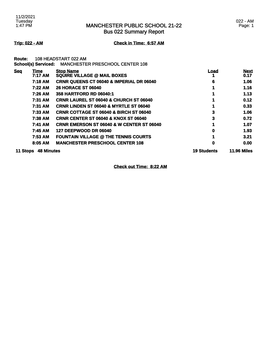Bus 022 Summary Report

### 022 - AM Page: 1

**Trip: 022 - AM Check in Time: 6:57 AM**

**Route:** 108 HEADSTART 022 AM

|            | <b>School(s) Serviced:</b> | <b>MANCHESTER PRESCHOOL CENTER 108</b>               |                    |                     |
|------------|----------------------------|------------------------------------------------------|--------------------|---------------------|
| <b>Seq</b> | <u>Time</u><br>7:17 AM     | <b>Stop Name</b><br>SQUIRE VILLAGE @ MAIL BOXES      | <u>Load</u>        | <b>Next</b><br>0.17 |
|            | 7:18 AM                    | <b>CRNR QUEENS CT 06040 &amp; IMPERIAL DR 06040</b>  | 6                  | 1.06                |
|            | 7:22 AM                    | <b>26 HORACE ST 06040</b>                            |                    | 1.16                |
|            | 7:26 AM                    | 358 HARTFORD RD 06040:1                              |                    | 1.13                |
|            | <b>7:31 AM</b>             | <b>CRNR LAUREL ST 06040 &amp; CHURCH ST 06040</b>    |                    | 0.12                |
|            | 7:31 AM                    | <b>CRNR LINDEN ST 06040 &amp; MYRTLE ST 06040</b>    |                    | 0.33                |
|            | 7:33 AM                    | <b>CRNR COTTAGE ST 06040 &amp; BIRCH ST 06040</b>    | 3                  | 1.06                |
|            | 7:38 AM                    | <b>CRNR CENTER ST 06040 &amp; KNOX ST 06040</b>      | 3                  | 0.72                |
|            | 7:41 AM                    | <b>CRNR EMERSON ST 06040 &amp; W CENTER ST 06040</b> |                    | 1.07                |
|            | 7:45 AM                    | 127 DEEPWOOD DR 06040                                | 0                  | 1.93                |
|            | 7:53 AM                    | <b>FOUNTAIN VILLAGE @ THE TENNIS COURTS</b>          |                    | 3.21                |
|            | 8:05 AM                    | <b>MANCHESTER PRESCHOOL CENTER 108</b>               | 0                  | 0.00                |
| 11 Stops   | <b>48 Minutes</b>          |                                                      | <b>19 Students</b> | <b>11.96 Miles</b>  |

**Check out Time: 8:22 AM**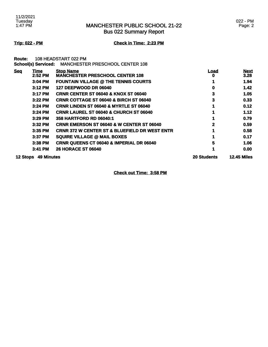Bus 022 Summary Report

### 022 - PM Page: 2

**Trip: 022 - PM Check in Time: 2:23 PM**

**Route:** 108 HEADSTART 022 PM

|                 | <b>School(s) Serviced:</b> | <b>MANCHESTER PRESCHOOL CENTER 108</b>                     |                    |                     |
|-----------------|----------------------------|------------------------------------------------------------|--------------------|---------------------|
| <b>Seq</b>      | Time<br>2:52 PM            | <b>Stop Name</b><br><b>MANCHESTER PRESCHOOL CENTER 108</b> | Load<br>0          | <b>Next</b><br>3.28 |
|                 | $3:04$ PM                  | <b>FOUNTAIN VILLAGE @ THE TENNIS COURTS</b>                |                    | 1.94                |
|                 | 3:12 PM                    | <b>127 DEEPWOOD DR 06040</b>                               | 0                  | 1.42                |
|                 | 3:17 PM                    | <b>CRNR CENTER ST 06040 &amp; KNOX ST 06040</b>            | 3                  | 1.05                |
|                 | 3:22 PM                    | <b>CRNR COTTAGE ST 06040 &amp; BIRCH ST 06040</b>          | 3                  | 0.33                |
|                 | $3:24$ PM                  | <b>CRNR LINDEN ST 06040 &amp; MYRTLE ST 06040</b>          |                    | 0.12                |
|                 | 3:24 PM                    | <b>CRNR LAUREL ST 06040 &amp; CHURCH ST 06040</b>          |                    | 1.12                |
|                 | $3:29$ PM                  | 358 HARTFORD RD 06040:1                                    |                    | 0.79                |
|                 | $3:32$ PM                  | <b>CRNR EMERSON ST 06040 &amp; W CENTER ST 06040</b>       | 2                  | 0.59                |
|                 | 3:35 PM                    | <b>CRNR 372 W CENTER ST &amp; BLUEFIELD DR WEST ENTR</b>   |                    | 0.58                |
|                 | 3:37 PM                    | <b>SQUIRE VILLAGE @ MAIL BOXES</b>                         |                    | 0.17                |
|                 | $3:38$ PM                  | <b>CRNR QUEENS CT 06040 &amp; IMPERIAL DR 06040</b>        | 5                  | 1.06                |
|                 | 3:41 PM                    | <b>26 HORACE ST 06040</b>                                  |                    | 0.00                |
| <b>12 Stops</b> | <b>49 Minutes</b>          |                                                            | <b>20 Students</b> | <b>12.45 Miles</b>  |

**Check out Time: 3:58 PM**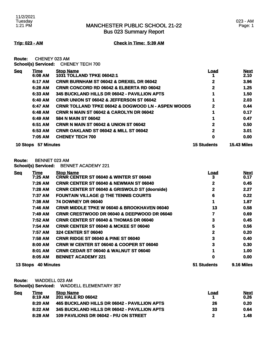Bus 023 Summary Report

### **Trip: 023 - AM Check in Time: 5:39 AM**

**Route:** CHENEY 023 AM **School(s) Serviced:** CHENEY TECH 700

| <b>Seq</b> | Time       | <b>Stop Name</b>                                              | <u>Load</u>        | <b>Next</b>        |
|------------|------------|---------------------------------------------------------------|--------------------|--------------------|
|            | 6:08 AM    | <b>1031 TOLLAND TPKE 06042:1</b>                              |                    | 2.10               |
|            | 6:17 AM    | <b>CRNR BURNHAM ST 06042 &amp; DREXEL DR 06042</b>            | 2                  | 3.96               |
|            | 6:28 AM    | <b>CRNR CONCORD RD 06042 &amp; ELBERTA RD 06042</b>           | 2                  | 1.25               |
|            | 6:33 AM    | 345 BUCKLAND HILLS DR 06042 - PAVILLION APTS                  |                    | 1.50               |
|            | 6:40 AM    | <b>CRNR UNION ST 06042 &amp; JEFFERSON ST 06042</b>           |                    | 2.03               |
|            | 6:47 AM    | <b>CRNR TOLLAND TPKE 06042 &amp; DOGWOOD LN - ASPEN WOODS</b> | 2                  | 0.44               |
|            | 6:48 AM    | <b>CRNR N MAIN ST 06042 &amp; CAROLYN DR 06042</b>            |                    | 0.17               |
|            | 6:49 AM    | 584 N MAIN ST 06042                                           |                    | 0.47               |
|            | 6:51 AM    | <b>CRNR N MAIN ST 06042 &amp; UNION ST 06042</b>              | 2                  | 0.50               |
|            | 6:53 AM    | <b>CRNR OAKLAND ST 06042 &amp; MILL ST 06042</b>              | $\mathbf{2}$       | 3.01               |
|            | 7:05 AM    | <b>CHENEY TECH 700</b>                                        | 0                  | 0.00               |
| 10 Stops   | 57 Minutes |                                                               | <b>15 Students</b> | <b>15.43 Miles</b> |

### **Route:** BENNET 023 AM

**School(s) Serviced:** BENNET ACADEMY 221

| <b>Seq</b> | <b>Time</b> | <b>Stop Name</b>                                         | Load | <b>Next</b> |
|------------|-------------|----------------------------------------------------------|------|-------------|
|            | 7:25 AM     | <b>CRNR CENTER ST 06040 &amp; WINTER ST 06040</b>        | 3    | 0.17        |
|            | 7:26 AM     | <b>CRNR CENTER ST 06040 &amp; NEWMAN ST 06040</b>        | 2    | 0.45        |
|            | 7:28 AM     | <b>CRNR CENTER ST 06040 &amp; GRISWOLD ST (doorside)</b> | 2    | 2.27        |
|            | 7:37 AM     | <b>FOUNTAIN VILLAGE @ THE TENNIS COURTS</b>              | 6    | 0.22        |
|            | 7:38 AM     | <b>74 DOWNEY DR 06040</b>                                |      | 1.87        |
|            | 7:46 AM     | <b>CRNR MIDDLE TPKE W 06040 &amp; BROOKHAVEN 06040</b>   | 13   | 0.58        |
|            | 7:49 AM     | <b>CRNR CRESTWOOD DR 06040 &amp; DEEPWOOD DR 06040</b>   |      | 0.69        |
|            | 7:52 AM     | <b>CRNR CENTER ST 06040 &amp; THOMAS DR 06040</b>        | 3    | 0.45        |
|            | 7:54 AM     | <b>CRNR CENTER ST 06040 &amp; MCKEE ST 06040</b>         | 5    | 0.56        |
|            | 7:57 AM     | <b>324 CENTER ST 06040</b>                               | 2    | 0.20        |
|            | 7:58 AM     | <b>CRNR RIDGE ST 06040 &amp; PINE ST 06040</b>           | 3    | 0.40        |
|            | 8:00 AM     | <b>CRNR W CENTER ST 06040 &amp; COOPER ST 06040</b>      | 3    | 0.30        |
|            | 8:01 AM     | <b>CRNR CEDAR ST 06040 &amp; WALNUT ST 06040</b>         |      | 1.00        |
|            | 8:05 AM     | <b>BENNET ACADEMY 221</b>                                | 0    | 0.00        |
|            |             |                                                          |      |             |

### **13 Stops 40 Minutes 51 Students 9.16 Miles**

**Route:** WADDELL 023 AM

**School(s) Serviced:** WADDELL ELEMENTARY 357

| Time      | <b>Stop Name</b>                             | Load | <u>Next</u> |
|-----------|----------------------------------------------|------|-------------|
| 8:19 AM   | <b>201 HALE RD 06042</b>                     |      | 0.26        |
| $8:20$ AM | 465 BUCKLAND HILLS DR 06042 - PAVILLION APTS | 26   | 0.20        |
| 8:22AM    | 345 BUCKLAND HILLS DR 06042 - PAVILLION APTS | 33   | 0.64        |
| 8:28 AM   | 109 PAVILIONS DR 06042 - P/U ON STREET       | 2    | 1.48        |
|           |                                              |      |             |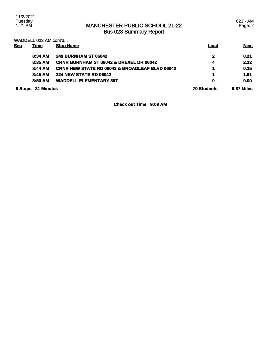11/2/2021 Tuesday 1:21 PM

## MANCHESTER PUBLIC SCHOOL 21-22 Bus 023 Summary Report

023 - AM Page: 2

|            | WADDELL 023 AM cont'd |                                                           |                    |             |
|------------|-----------------------|-----------------------------------------------------------|--------------------|-------------|
| <b>Sea</b> | Time                  | <b>Stop Name</b>                                          | Load               | <b>Next</b> |
|            | 8:34 AM               | <b>249 BURNHAM ST 06042</b>                               | 2                  | 0.21        |
|            | 8:35 AM               | <b>CRNR BURNHAM ST 06042 &amp; DREXEL DR 06042</b>        | 4                  | 2.32        |
|            | 8:44 AM               | <b>CRNR NEW STATE RD 06042 &amp; BROADLEAF BLVD 06042</b> |                    | 0.15        |
|            | 8:45AM                | <b>224 NEW STATE RD 06042</b>                             |                    | 1.61        |
|            | 8:50 AM               | <b>WADDELL ELEMENTARY 357</b>                             | 0                  | 0.00        |
|            | 8 Stops 31 Minutes    |                                                           | <b>70 Students</b> | 6.87 Miles  |

**Check out Time: 9:09 AM**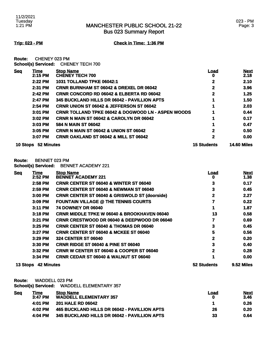### 023 - PM Page: 3

**Trip: 023 - PM Check in Time: 1:36 PM**

**Route:** CHENEY 023 PM **School(s) Serviced:** CHENEY TECH 700

| <b>10 Stops</b> | 52 Minutes      |                                                               | <b>15 Students</b> | <b>14.60 Miles</b>  |
|-----------------|-----------------|---------------------------------------------------------------|--------------------|---------------------|
|                 | 3:07 PM         | <b>CRNR OAKLAND ST 06042 &amp; MILL ST 06042</b>              | 2                  | 0.00                |
|                 | $3:05$ PM       | <b>CRNR N MAIN ST 06042 &amp; UNION ST 06042</b>              | 2                  | 0.50                |
|                 | $3:03$ PM       | 584 N MAIN ST 06042                                           |                    | 0.47                |
|                 | 3:02 PM         | <b>CRNR N MAIN ST 06042 &amp; CAROLYN DR 06042</b>            | 1                  | 0.17                |
|                 | 3:01 PM         | <b>CRNR TOLLAND TPKE 06042 &amp; DOGWOOD LN - ASPEN WOODS</b> | 1                  | 0.44                |
|                 | $2:54$ PM       | <b>CRNR UNION ST 06042 &amp; JEFFERSON ST 06042</b>           |                    | 2.03                |
|                 | 2:47 PM         | 345 BUCKLAND HILLS DR 06042 - PAVILLION APTS                  |                    | 1.50                |
|                 | 2:42 PM         | <b>CRNR CONCORD RD 06042 &amp; ELBERTA RD 06042</b>           | 2                  | 1.25                |
|                 | 2:31 PM         | <b>CRNR BURNHAM ST 06042 &amp; DREXEL DR 06042</b>            | 2                  | 3.96                |
|                 | 2:22 PM         | <b>1031 TOLLAND TPKE 06042:1</b>                              | $\mathbf{2}$       | 2.10                |
| <b>Seg</b>      | Time<br>2:15 PM | <b>Stop Name</b><br><b>CHENEY TECH 700</b>                    | <u>Load</u><br>O   | <b>Next</b><br>2.18 |
|                 |                 |                                                               |                    |                     |

### **Route:** BENNET 023 PM

**School(s) Serviced:** BENNET ACADEMY 221

| <b>Seq</b> | <b>Time</b>         | <b>Stop Name</b>                                         | <u>Load</u>  | <b>Next</b> |
|------------|---------------------|----------------------------------------------------------|--------------|-------------|
|            | 2:52 PM             | <b>BENNET ACADEMY 221</b>                                | 0            | 1.38        |
|            | 2:58 PM             | <b>CRNR CENTER ST 06040 &amp; WINTER ST 06040</b>        | 3            | 0.17        |
|            | 2:59 PM             | <b>CRNR CENTER ST 06040 &amp; NEWMAN ST 06040</b>        | 3            | 0.45        |
|            | 3:00 PM             | <b>CRNR CENTER ST 06040 &amp; GRISWOLD ST (doorside)</b> | $\mathbf 2$  | 2.27        |
|            | 3:09 PM             | <b>FOUNTAIN VILLAGE @ THE TENNIS COURTS</b>              |              | 0.22        |
|            | 3:11 PM             | <b>74 DOWNEY DR 06040</b>                                |              | 1.87        |
|            | 3:18 PM             | <b>CRNR MIDDLE TPKE W 06040 &amp; BROOKHAVEN 06040</b>   | 13           | 0.58        |
|            | 3:21 PM             | <b>CRNR CRESTWOOD DR 06040 &amp; DEEPWOOD DR 06040</b>   |              | 0.69        |
|            | 3:25 PM             | <b>CRNR CENTER ST 06040 &amp; THOMAS DR 06040</b>        | 3            | 0.45        |
|            | 3:27 PM             | <b>CRNR CENTER ST 06040 &amp; MCKEE ST 06040</b>         | 5            | 0.56        |
|            | 3:29 PM             | <b>324 CENTER ST 06040</b>                               | 2            | 0.20        |
|            | 3:30 PM             | <b>CRNR RIDGE ST 06040 &amp; PINE ST 06040</b>           | 3            | 0.40        |
|            | 3:32 PM             | <b>CRNR W CENTER ST 06040 &amp; COOPER ST 06040</b>      | $\mathbf{2}$ | 0.28        |
|            | 3:34 PM             | CRNR CEDAR ST 06040 & WALNUT ST 06040                    |              | 0.00        |
|            | 13 Stops 42 Minutes |                                                          | 52 Students  | 9.52 Miles  |

**Route:** WADDELL 023 PM

**School(s) Serviced:** WADDELL ELEMENTARY 357

| <u>Seq</u> | Time      | <b>Stop Name</b>                             | Load | <b>Next</b> |
|------------|-----------|----------------------------------------------|------|-------------|
|            | $3:47$ PM | <b>WADDELL ELEMENTARY 357</b>                |      | 3.46        |
|            | 4:01 PM   | <b>201 HALE RD 06042</b>                     |      | 0.26        |
|            | 4:02 PM   | 465 BUCKLAND HILLS DR 06042 - PAVILLION APTS | 26   | 0.20        |
|            | 4:04 PM   | 345 BUCKLAND HILLS DR 06042 - PAVILLION APTS | 33   | 0.64        |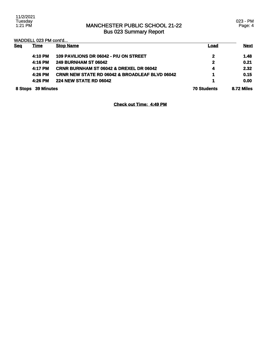WADDELL 023 PM cont'd...

| <b>Seq</b> | <b>Time</b>       | <b>Stop Name</b>                                          | Load               | <b>Next</b> |
|------------|-------------------|-----------------------------------------------------------|--------------------|-------------|
|            | 4:10 PM           | 109 PAVILIONS DR 06042 - P/U ON STREET                    | 2                  | 1.48        |
|            | 4:16 PM           | <b>249 BURNHAM ST 06042</b>                               | 2                  | 0.21        |
|            | 4:17 PM           | <b>CRNR BURNHAM ST 06042 &amp; DREXEL DR 06042</b>        | 4                  | 2.32        |
|            | 4:26 PM           | <b>CRNR NEW STATE RD 06042 &amp; BROADLEAF BLVD 06042</b> | 1                  | 0.15        |
|            | 4:26 PM           | <b>224 NEW STATE RD 06042</b>                             | 1                  | 0.00        |
| 8 Stops    | <b>39 Minutes</b> |                                                           | <b>70 Students</b> | 8.72 Miles  |

**Check out Time: 4:49 PM**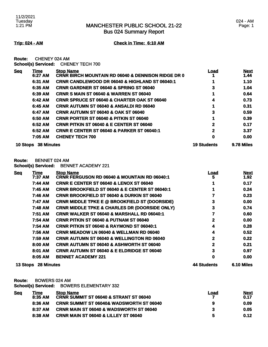### 024 - AM Page: 1

### **Trip: 024 - AM Check in Time: 6:10 AM**

**Route:** CHENEY 024 AM **School(s) Serviced:** CHENEY TECH 700

| <b>Seq</b> | Time              | <b>Stop Name</b>                                              | Load               | <b>Next</b> |
|------------|-------------------|---------------------------------------------------------------|--------------------|-------------|
|            | 6:27 AM           | <b>CRNR BIRCH MOUNTAIN RD 06040 &amp; DENNISON RIDGE DR 0</b> |                    | 1.44        |
|            | 6:31 AM           | <b>CRNR CANDLEWOOD DR 06040 &amp; HIGHLAND ST 06040:1</b>     |                    | 1.10        |
|            | 6:35 AM           | <b>CRNR GARDNER ST 06040 &amp; SPRING ST 06040</b>            | 3                  | 1.04        |
|            | 6:39 AM           | <b>CRNR S MAIN ST 06040 &amp; WARREN ST 06040</b>             |                    | 0.64        |
|            | 6:42 AM           | <b>CRNR SPRUCE ST 06040 &amp; CHARTER OAK ST 06040</b>        | 4                  | 0.73        |
|            | 6:45 AM           | <b>CRNR AUTUMN ST 06040 &amp; ANSALDI RD 06040</b>            |                    | 0.31        |
|            | 6:47 AM           | <b>CRNR AUTUMN ST 06040 &amp; OAK ST 06040</b>                | 3                  | 0.59        |
|            | 6:50 AM           | <b>CRNR PORTER ST 06040 &amp; PITKIN ST 06040</b>             |                    | 0.39        |
|            | 6:52 AM           | <b>CRNR PITKIN ST 06040 &amp; E CENTER ST 06040</b>           | 2                  | 0.17        |
|            | 6:52 AM           | <b>CRNR E CENTER ST 06040 &amp; PARKER ST 06040:1</b>         | 2                  | 3.37        |
|            | 7:05 AM           | <b>CHENEY TECH 700</b>                                        | 0                  | 0.00        |
| 10 Stops   | <b>38 Minutes</b> |                                                               | <b>19 Students</b> | 9.78 Miles  |

## **Route:** BENNET 024 AM

**School(s) Serviced:** BENNET ACADEMY 221

| <b>Seq</b> | <b>Time</b>         | <b>Stop Name</b>                                         | <u>Load</u>        | <b>Next</b> |
|------------|---------------------|----------------------------------------------------------|--------------------|-------------|
|            | 7:37 AM             | <b>CRNR FERGUSON RD 06040 &amp; MOUNTAIN RD 06040:1</b>  | 5                  | 1.92        |
|            | 7:44 AM             | <b>CRNR E CENTER ST 06040 &amp; LENOX ST 06040</b>       |                    | 0.17        |
|            | 7:45 AM             | CRNR BROOKFIELD ST 06040 & E CENTER ST 06040:1           |                    | 0.24        |
|            | 7:46 AM             | <b>CRNR BROOKFIELD ST 06040 &amp; DURKIN ST 06040</b>    |                    | 0.23        |
|            | 7:47 AM             | <b>CRNR MIDDLE TPKE E @ BROOKFIELD ST (DOORSIDE)</b>     | 3                  | 0.00        |
|            | 7:48 AM             | <b>CRNR MIDDLE TPKE &amp; CHARLES DR (DOORSIDE ONLY)</b> | 3                  | 0.74        |
|            | 7:51 AM             | CRNR WALKER ST 06040 & MARSHALL RD 06040:1               |                    | 0.60        |
|            | 7:54 AM             | <b>CRNR PITKIN ST 06040 &amp; PUTNAM ST 06040</b>        | 2                  | 0.00        |
|            | 7:54 AM             | <b>CRNR PITKIN ST 06040 &amp; RAYMOND ST 06040:1</b>     | 4                  | 0.28        |
|            | 7:56 AM             | <b>CRNR MEADOW LN 06040 &amp; WELLMAN RD 06040</b>       | 4                  | 0.52        |
|            | 7:59 AM             | <b>CRNR AUTUMN ST 06040 &amp; WELLINGTON RD 06040</b>    | 2                  | 0.22        |
|            | 8:00 AM             | <b>CRNR AUTUMN ST 06040 &amp; ASHWORTH ST 06040</b>      | 2                  | 0.21        |
|            | 8:01 AM             | <b>CRNR AUTUMN ST 06040 &amp; E ELDRIDGE ST 06040</b>    | 3                  | 0.97        |
|            | 8:05 AM             | <b>BENNET ACADEMY 221</b>                                | 0                  | 0.00        |
|            | 13 Stops 28 Minutes |                                                          | <b>44 Students</b> | 6.10 Miles  |

**Route:** BOWERS 024 AM

**School(s) Serviced:** BOWERS ELEMENTARY 332

| <b>Seg</b> | Fime    | <b>Stop Name</b>                                    | Load | <b>Next</b> |
|------------|---------|-----------------------------------------------------|------|-------------|
|            | 8:35 AM | <b>CRNR SUMMIT ST 06040 &amp; STRANT ST 06040</b>   |      | 0.17        |
|            | 8:36 AM | <b>CRNR SUMMIT ST 06040&amp; WADSWORTH ST 06040</b> | 9    | 0.09        |
|            | 8:37 AM | <b>CRNR MAIN ST 06040 &amp; WADSWORTH ST 06040</b>  |      | 0.05        |
|            | 8:38 AM | <b>CRNR MAIN ST 06040 &amp; LILLEY ST 06040</b>     | 5    | 0.12        |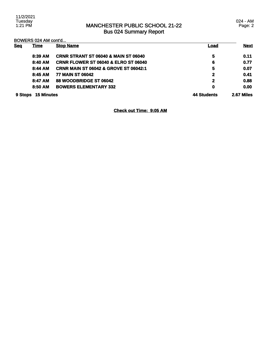024 - AM Page: 2

BOWERS 024 AM cont'd...

| <b>Sea</b> | <u>Time</u>       | <b>Stop Name</b>                                 | <u>Load</u>  | <b>Next</b> |
|------------|-------------------|--------------------------------------------------|--------------|-------------|
|            | 8:39 AM           | <b>CRNR STRANT ST 06040 &amp; MAIN ST 06040</b>  | 5            | 0.11        |
|            | 8:40 AM           | <b>CRNR FLOWER ST 06040 &amp; ELRO ST 06040</b>  | 6            | 0.77        |
|            | 8:44 AM           | <b>CRNR MAIN ST 06042 &amp; GROVE ST 06042:1</b> | 5            | 0.07        |
|            | 8:45 AM           | <b>77 MAIN ST 06042</b>                          | $\mathbf{2}$ | 0.41        |
|            | 8:47 AM           | 88 WOODBRIDGE ST 06042                           | $\mathbf{2}$ | 0.88        |
|            | 8:50 AM           | <b>BOWERS ELEMENTARY 332</b>                     | $\mathbf 0$  | 0.00        |
| 9 Stops    | <b>15 Minutes</b> |                                                  | 44 Students  | 2.67 Miles  |

**Check out Time: 9:05 AM**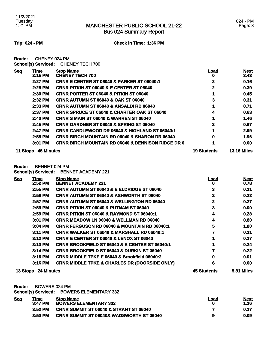**Trip: 024 - PM Check in Time: 1:36 PM**

**Route:** CHENEY 024 PM **School(s) Serviced:** CHENEY TECH 700

| <b>Seq</b> | Time              | <b>Stop Name</b>                                              | Load               | <b>Next</b>        |
|------------|-------------------|---------------------------------------------------------------|--------------------|--------------------|
|            | 2:15 PM           | <b>CHENEY TECH 700</b>                                        | 0                  | 3.43               |
|            | 2:27 PM           | <b>CRNR E CENTER ST 06040 &amp; PARKER ST 06040:1</b>         | 2                  | 0.16               |
|            | 2:28 PM           | <b>CRNR PITKIN ST 06040 &amp; E CENTER ST 06040</b>           | 2                  | 0.39               |
|            | 2:30 PM           | <b>CRNR PORTER ST 06040 &amp; PITKIN ST 06040</b>             |                    | 0.45               |
|            | 2:32 PM           | <b>CRNR AUTUMN ST 06040 &amp; OAK ST 06040</b>                | 3                  | 0.31               |
|            | 2:33 PM           | <b>CRNR AUTUMN ST 06040 &amp; ANSALDI RD 06040</b>            |                    | 0.71               |
|            | 2:37 PM           | <b>CRNR SPRUCE ST 06040 &amp; CHARTER OAK ST 06040</b>        | 4                  | 0.63               |
|            | 2:40 PM           | <b>CRNR S MAIN ST 06040 &amp; WARREN ST 06040</b>             |                    | 1.46               |
|            | 2:45 PM           | <b>CRNR GARDNER ST 06040 &amp; SPRING ST 06040</b>            | 3                  | 0.67               |
|            | 2:47 PM           | <b>CRNR CANDLEWOOD DR 06040 &amp; HIGHLAND ST 06040:1</b>     |                    | 2.99               |
|            | 2:55 PM           | <b>CRNR BIRCH MOUNTAIN RD 06040 &amp; SHARON DR 06040</b>     | 0                  | 1.96               |
|            | 3:01 PM           | <b>CRNR BIRCH MOUNTAIN RD 06040 &amp; DENNISON RIDGE DR 0</b> |                    | 0.00               |
| 11 Stops   | <b>46 Minutes</b> |                                                               | <b>19 Students</b> | <b>13.16 Miles</b> |

**Route:** BENNET 024 PM

**School(s) Serviced:** BENNET ACADEMY 221

| <b>Seg</b> | <b>Time</b> | <b>Stop Name</b>                                          | <u>Load</u> | <b>Next</b> |
|------------|-------------|-----------------------------------------------------------|-------------|-------------|
|            | 2:52 PM     | <b>BENNET ACADEMY 221</b>                                 | o           | 0.78        |
|            | 2:55 PM     | <b>CRNR AUTUMN ST 06040 &amp; E ELDRIDGE ST 06040</b>     | 3           | 0.21        |
|            | 2:56 PM     | <b>CRNR AUTUMN ST 06040 &amp; ASHWORTH ST 06040</b>       | 2           | 0.22        |
|            | 2:57 PM     | <b>CRNR AUTUMN ST 06040 &amp; WELLINGTON RD 06040</b>     | 2           | 0.27        |
|            | 2:59 PM     | <b>CRNR PITKIN ST 06040 &amp; PUTNAM ST 06040</b>         | 3           | 0.00        |
|            | $2:59$ PM   | <b>CRNR PITKIN ST 06040 &amp; RAYMOND ST 06040:1</b>      | 4           | 0.28        |
|            | 3:01 PM     | <b>CRNR MEADOW LN 06040 &amp; WELLMAN RD 06040</b>        | 4           | 0.80        |
|            | 3:04 PM     | <b>CRNR FERGUSON RD 06040 &amp; MOUNTAIN RD 06040:1</b>   | 5           | 1.80        |
|            | 3:11 PM     | <b>CRNR WALKER ST 06040 &amp; MARSHALL RD 06040:1</b>     |             | 0.31        |
|            | $3:12$ PM   | <b>CRNR E CENTER ST 06040 &amp; LENOX ST 06040</b>        |             | 0.17        |
|            | 3:13 PM     | <b>CRNR BROOKFIELD ST 06040 &amp; E CENTER ST 06040:1</b> |             | 0.24        |
|            | 3:14 PM     | <b>CRNR BROOKFIELD ST 06040 &amp; DURKIN ST 06040</b>     |             | 0.22        |
|            | 3:16 PM     | CRNR MIDDLE TPKE E 06040 & Brookfield 06040:2             | 0           | 0.01        |
|            | 3:16 PM     | <b>CRNR MIDDLE TPKE &amp; CHARLES DR (DOORSIDE ONLY)</b>  | 6           | 0.00        |
|            |             |                                                           |             |             |

### **13 Stops 24 Minutes 45 Students 5.31 Miles**

**Route:** BOWERS 024 PM

**School(s) Serviced:** BOWERS ELEMENTARY 332

| <b>Seg</b> | Time      | <b>Stop Name</b>                                    | Load | <b>Next</b> |
|------------|-----------|-----------------------------------------------------|------|-------------|
|            | $3:47$ PM | <b>BOWERS ELEMENTARY 332</b>                        |      | 1.16        |
|            | 3:52 PM   | <b>CRNR SUMMIT ST 06040 &amp; STRANT ST 06040</b>   |      | 0.17        |
|            | $3:53$ PM | <b>CRNR SUMMIT ST 06040&amp; WADSWORTH ST 06040</b> | 9    | 0.09        |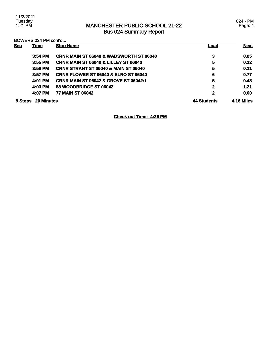024 - PM Page: 4

BOWERS 024 PM cont'd...

| <b>Seg</b> | <b>Time</b>       | <b>Stop Name</b>                                   | <u>Load</u>        | <b>Next</b>       |
|------------|-------------------|----------------------------------------------------|--------------------|-------------------|
|            | $3:54$ PM         | <b>CRNR MAIN ST 06040 &amp; WADSWORTH ST 06040</b> | 3                  | 0.05              |
|            | 3:55 PM           | <b>CRNR MAIN ST 06040 &amp; LILLEY ST 06040</b>    | 5                  | 0.12              |
|            | 3:56 PM           | <b>CRNR STRANT ST 06040 &amp; MAIN ST 06040</b>    | 5                  | 0.11              |
|            | $3:57$ PM         | <b>CRNR FLOWER ST 06040 &amp; ELRO ST 06040</b>    | 6                  | 0.77              |
|            | 4:01 PM           | <b>CRNR MAIN ST 06042 &amp; GROVE ST 06042:1</b>   | 5                  | 0.48              |
|            | 4:03 PM           | 88 WOODBRIDGE ST 06042                             | $\mathbf{2}$       | 1.21              |
|            | 4:07 PM           | <b>77 MAIN ST 06042</b>                            | $\mathbf{2}$       | 0.00              |
| 9 Stops    | <b>20 Minutes</b> |                                                    | <b>44 Students</b> | <b>4.16 Miles</b> |

**Check out Time: 4:26 PM**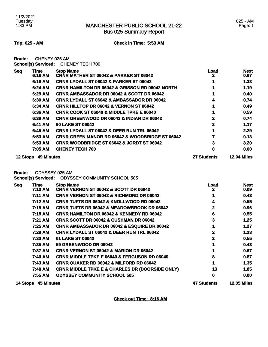Bus 025 Summary Report

### 025 - AM Page: 1

**Trip: 025 - AM Check in Time: 5:53 AM**

| Route: | CHENEY 025 AM |                                     |
|--------|---------------|-------------------------------------|
|        |               | School(s) Serviced: CHENEY TECH 700 |

| <b>Seq</b> | <b>Time</b>                | <b>Stop Name</b>                                                     | <u>Load</u>        | <u>Next</u>         |
|------------|----------------------------|----------------------------------------------------------------------|--------------------|---------------------|
|            | 6:16 AM                    | <b>CRNR MATHER ST 06042 &amp; PARKER ST 06042</b>                    | 2                  | 0.67                |
|            | 6:19 AM                    | <b>CRNR LYDALL ST 06042 &amp; PARKER ST 06042</b>                    |                    | 1.33                |
|            | 6:24 AM                    | <b>CRNR HAMILTON DR 06042 &amp; GRISSON RD 06042 NORTH</b>           |                    | 1.19                |
|            | 6:29 AM                    | <b>CRNR AMBASSADOR DR 06042 &amp; SCOTT DR 06042</b>                 |                    | 0.40                |
|            | 6:30 AM                    | <b>CRNR LYDALL ST 06042 &amp; AMBASSADOR DR 06042</b>                | 4                  | 0.74                |
|            | 6:34 AM                    | <b>CRNR HILLTOP DR 06042 &amp; VERNON ST 06042</b>                   |                    | 0.49                |
|            | 6:36 AM                    | <b>CRNR COOK ST 06040 &amp; MIDDLE TPKE E 06040</b>                  |                    | 0.59                |
|            | 6:38 AM                    | <b>CRNR GREENWOOD DR 06042 &amp; INDIAN DR 06042</b>                 | 2                  | 0.74                |
|            | 6:41 AM                    | <b>90 LAKE ST 06042</b>                                              | 3                  | 1.17                |
|            | 6:45 AM                    | <b>CRNR LYDALL ST 06042 &amp; DEER RUN TRL 06042</b>                 | 1                  | 2.29                |
|            | 6:53 AM                    | <b>CRNR GREEN MANOR RD 06042 &amp; WOODBRIDGE ST 06042</b>           |                    | 0.13                |
|            | 6:53 AM                    | CRNR WOODBRIDGE ST 06042 & JORDT ST 06042                            | 3                  | 3.20                |
|            | 7:05 AM                    | <b>CHENEY TECH 700</b>                                               | 0                  | 0.00                |
|            | 12 Stops 49 Minutes        |                                                                      | <b>27 Students</b> | <b>12.94 Miles</b>  |
| Route:     |                            | ODYSSEY 025 AM                                                       |                    |                     |
|            | <b>School(s) Serviced:</b> | <b>ODYSSEY COMMUNITY SCHOOL 505</b>                                  |                    |                     |
| <b>Seq</b> | Time<br>7:10 AM            | <b>Stop Name</b><br><b>CRNR VERNON ST 06042 &amp; SCOTT DR 06042</b> | <u>Load</u><br>2   | <b>Next</b><br>0.09 |
|            | 7:11 AM                    | <b>CRNR VERNON ST 06042 &amp; RICHMOND DR 06042</b>                  |                    | 0.43                |
|            | 7.19 AM                    | CRNR THETS DR 06042 & KNOLL WOOD RD 06042                            | 4                  | <b>055</b>          |

| 7:12 AM | <b>CRNR TUFTS DR 06042 &amp; KNOLLWOOD RD 06042</b>        | 4  | 0.55 |
|---------|------------------------------------------------------------|----|------|
| 7:15 AM | <b>CRNR TUFTS DR 06042 &amp; MEADOWBROOK DR 06042</b>      | 2  | 0.96 |
| 7:18 AM | <b>CRNR HAMILTON DR 06042 &amp; KENNEDY RD 06042</b>       | 6  | 0.55 |
| 7:21 AM | <b>CRNR SCOTT DR 06042 &amp; CUSHMAN DR 06042</b>          | 3  | 1.25 |
| 7:25 AM | <b>CRNR AMBASSADOR DR 06042 &amp; ESQUIRE DR 06042</b>     |    | 1.27 |
| 7:29 AM | <b>CRNR LYDALL ST 06042 &amp; DEER RUN TRL 06042</b>       | 2  | 1.23 |
| 7:33 AM | 61 LAKE ST 06042                                           | 2  | 0.55 |
| 7:35 AM | <b>59 GREENWOOD DR 06042</b>                               |    | 0.43 |
| 7:37 AM | <b>CRNR VERNON ST 06042 &amp; MARION DR 06042</b>          |    | 0.67 |
| 7:40 AM | <b>CRNR MIDDLE TPKE E 06040 &amp; FERGUSON RD 06040</b>    | 8  | 0.87 |
| 7:43 AM | <b>CRNR QUAKER RD 06042 &amp; MILFORD RD 06042</b>         |    | 1.35 |
| 7:48 AM | <b>CRNR MIDDLE TPKE E &amp; CHARLES DR (DOORSIDE ONLY)</b> | 13 | 1.85 |
| 7:55 AM | <b>ODYSSEY COMMUNITY SCHOOL 505</b>                        | 0  | 0.00 |
|         |                                                            |    |      |

**14 Stops 45 Minutes 47 Students 12.05 Miles** 

**Check out Time: 8:16 AM**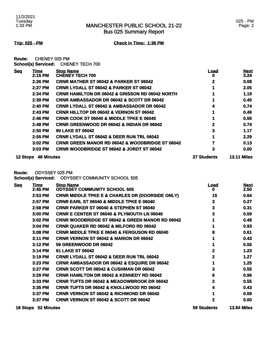**Trip: 025 - PM Check in Time: 1:36 PM**

**Route:** CHENEY 025 PM **School(s) Serviced:** CHENEY TECH 700

| <b>Seq</b>      | Time              | <b>Stop Name</b>                                           | <u>Load</u>        | <b>Next</b>        |
|-----------------|-------------------|------------------------------------------------------------|--------------------|--------------------|
|                 | 2:15 PM           | <b>CHENEY TECH 700</b>                                     | o                  | 3.24               |
|                 | 2:26 PM           | <b>CRNR MATHER ST 06042 &amp; PARKER ST 06042</b>          | 2                  | 0.08               |
|                 | 2:27 PM           | <b>CRNR LYDALL ST 06042 &amp; PARKER ST 06042</b>          |                    | 2.05               |
|                 | 2:34 PM           | <b>CRNR HAMILTON DR 06042 &amp; GRISSON RD 06042 NORTH</b> |                    | 1.19               |
|                 | 2:39 PM           | <b>CRNR AMBASSADOR DR 06042 &amp; SCOTT DR 06042</b>       |                    | 0.40               |
|                 | 2:40 PM           | <b>CRNR LYDALL ST 06042 &amp; AMBASSADOR DR 06042</b>      | 4                  | 0.74               |
|                 | 2:43 PM           | <b>CRNR HILLTOP DR 06042 &amp; VERNON ST 06042</b>         |                    | 0.49               |
|                 | 2:46 PM           | <b>CRNR COOK ST 06040 &amp; MIDDLE TPKE E 06040</b>        |                    | 0.59               |
|                 | 2:48 PM           | <b>CRNR GREENWOOD DR 06042 &amp; INDIAN DR 06042</b>       | 2                  | 0.74               |
|                 | 2:50 PM           | <b>90 LAKE ST 06042</b>                                    | 3                  | 1.17               |
|                 | 2:55 PM           | <b>CRNR LYDALL ST 06042 &amp; DEER RUN TRL 06042</b>       |                    | 2.29               |
|                 | 3:02 PM           | <b>CRNR GREEN MANOR RD 06042 &amp; WOODBRIDGE ST 06042</b> |                    | 0.13               |
|                 | 3:03 PM           | <b>CRNR WOODBRIDGE ST 06042 &amp; JORDT ST 06042</b>       | 3                  | 0.00               |
| <b>12 Stops</b> | <b>48 Minutes</b> |                                                            | <b>27 Students</b> | <b>13.11 Miles</b> |

**Route:** ODYSSEY 025 PM

**School(s) Serviced:** ODYSSEY COMMUNITY SCHOOL 505

| <b>Seq</b> | Time<br>2:45 PM | <b>Stop Name</b><br><b>ODYSSEY COMMUNITY SCHOOL 505</b>    | Load<br>o | <b>Next</b><br>2.50 |
|------------|-----------------|------------------------------------------------------------|-----------|---------------------|
|            | 2:53 PM         | <b>CRNR MIDDLE TPKE E &amp; CHARLES DR (DOORSIDE ONLY)</b> | 15        | 0.64                |
|            | 2:57 PM         | <b>CRNR EARL ST 06040 &amp; MIDDLE TPKE E 06040</b>        | 3         | 0.27                |
|            | 2:58 PM         | <b>CRNR PARKER ST 06040 &amp; STEPHEN ST 06040</b>         | 3         | 0.31                |
|            | 3:00 PM         | <b>CRNR E CENTER ST 06040 &amp; PLYMOUTH LN 06040</b>      | 3         | 0.59                |
|            | 3:02 PM         | <b>CRNR WOODBRIDGE ST 06042 &amp; GREEN MANOR RD 06042</b> |           | 0.48                |
|            | 3:04 PM         | <b>CRNR QUAKER RD 06042 &amp; MILFORD RD 06042</b>         |           | 0.93                |
|            | 3:08 PM         | <b>CRNR MIDDLE TPKE E 06040 &amp; FERGUSON RD 06040</b>    | 8         | 0.61                |
|            | 3:11 PM         | <b>CRNR VERNON ST 06042 &amp; MARION DR 06042</b>          |           | 0.43                |
|            | 3:12 PM         | <b>59 GREENWOOD DR 06042</b>                               |           | 0.55                |
|            | 3:14 PM         | 61 LAKE ST 06042                                           | 2         | 1.23                |
|            | 3:19 PM         | <b>CRNR LYDALL ST 06042 &amp; DEER RUN TRL 06042</b>       | 2         | 1.27                |
|            | 3:23 PM         | <b>CRNR AMBASSADOR DR 06042 &amp; ESQUIRE DR 06042</b>     |           | 1.25                |
|            | 3:27 PM         | <b>CRNR SCOTT DR 06042 &amp; CUSHMAN DR 06042</b>          | 3         | 0.55                |
|            | 3:29 PM         | <b>CRNR HAMILTON DR 06042 &amp; KENNEDY RD 06042</b>       | 6         | 0.96                |
|            | 3:33 PM         | <b>CRNR TUFTS DR 06042 &amp; MEADOWBROOK DR 06042</b>      | 2         | 0.55                |
|            | 3:35 PM         | <b>CRNR TUFTS DR 06042 &amp; KNOLLWOOD RD 06042</b>        | 4         | 0.43                |
|            | 3:37 PM         | <b>CRNR VERNON ST 06042 &amp; RICHMOND DR 06042</b>        |           | 0.09                |
|            | 3:37 PM         | CRNR VERNON ST 06042 & SCOTT DR 06042                      | 2         | 0.00                |
|            |                 |                                                            |           |                     |

**18 Stops 52 Minutes 59 Students 13.64 Miles**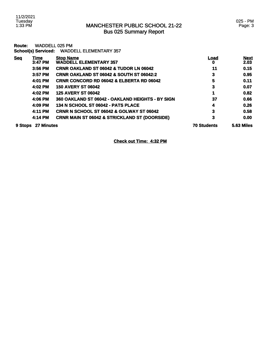11/2/2021 Tuesday 1:33 PM

## MANCHESTER PUBLIC SCHOOL 21-22 Bus 025 Summary Report

| Route:     | <b>School(s) Serviced:</b> | WADDELL 025 PM<br><b>WADDELL ELEMENTARY 357</b>          |                    |                     |
|------------|----------------------------|----------------------------------------------------------|--------------------|---------------------|
| <b>Seq</b> | Time<br>3:47 PM            | <b>Stop Name</b><br><b>WADDELL ELEMENTARY 357</b>        | Load<br>o          | <b>Next</b><br>2.03 |
|            | 3:56 PM                    | <b>CRNR OAKLAND ST 06042 &amp; TUDOR LN 06042</b>        | 11                 | 0.15                |
|            | $3:57$ PM                  | <b>CRNR OAKLAND ST 06042 &amp; SOUTH ST 06042:2</b>      | 3                  | 0.95                |
|            | 4:01 PM                    | <b>CRNR CONCORD RD 06042 &amp; ELBERTA RD 06042</b>      | 5                  | 0.11                |
|            | 4:02 PM                    | <b>150 AVERY ST 06042</b>                                | 3                  | 0.07                |
|            | 4:02 PM                    | <b>125 AVERY ST 06042</b>                                | 1                  | 0.82                |
|            | 4:06 PM                    | 360 OAKLAND ST 06042 - OAKLAND HEIGHTS - BY SIGN         | 37                 | 0.66                |
|            | 4:09 PM                    | 134 N SCHOOL ST 06042 - PATS PLACE                       | 4                  | 0.26                |
|            | 4:11 PM                    | <b>CRNR N SCHOOL ST 06042 &amp; GOLWAY ST 06042</b>      | 3                  | 0.58                |
|            | 4:14 PM                    | <b>CRNR MAIN ST 06042 &amp; STRICKLAND ST (DOORSIDE)</b> | 3                  | 0.00                |
| 9 Stops    | 27 Minutes                 |                                                          | <b>70 Students</b> | <b>5.63 Miles</b>   |

**Check out Time: 4:32 PM**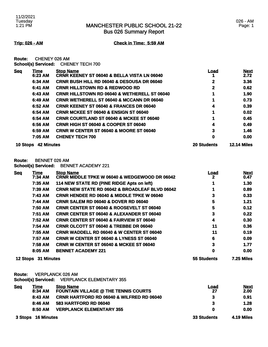Bus 026 Summary Report

### 026 - AM Page: 1

**Trip: 026 - AM Check in Time: 5:59 AM**

**Route:** CHENEY 026 AM **School(s) Serviced:** CHENEY TECH 700

| <b>Seq</b>      | Time              | <b>Stop Name</b>                                        | Load               | <b>Next</b>        |
|-----------------|-------------------|---------------------------------------------------------|--------------------|--------------------|
|                 | 6:23 AM           | <b>CRNR KEENEY ST 06040 &amp; BELLA VISTA LN 06040</b>  |                    | 2.72               |
|                 | 6:34 AM           | <b>CRNR BUSH HILL RD 06040 &amp; DESOUSA DR 06040</b>   | 2                  | 3.36               |
|                 | 6:41 AM           | <b>CRNR HILLSTOWN RD &amp; REDWOOD RD</b>               | 2                  | 0.62               |
|                 | 6:43 AM           | <b>CRNR HILLSTOWN RD 06040 &amp; WETHERELL ST 06040</b> |                    | 1.90               |
|                 | 6:49 AM           | <b>CRNR WETHERELL ST 06040 &amp; MCCANN DR 06040</b>    |                    | 0.73               |
|                 | 6:52 AM           | <b>CRNR KEENEY ST 06040 &amp; FRANCES DR 06040</b>      | 4                  | 0.39               |
|                 | 6:54 AM           | <b>CRNR MCKEE ST 06040 &amp; ENSIGN ST 06040</b>        |                    | 0.02               |
|                 | 6:54 AM           | <b>CRNR COURTLAND ST 06040 &amp; MCKEE ST 06040</b>     |                    | 0.45               |
|                 | 6:56 AM           | <b>CRNR HIGH ST 06040 &amp; COOPER ST 06040</b>         | 4                  | 0.49               |
|                 | 6:59 AM           | <b>CRNR W CENTER ST 06040 &amp; MOORE ST 06040</b>      | 3                  | 1.46               |
|                 | 7:05 AM           | <b>CHENEY TECH 700</b>                                  | 0                  | 0.00               |
| <b>10 Stops</b> | <b>42 Minutes</b> |                                                         | <b>20 Students</b> | <b>12.14 Miles</b> |

### **Route:** BENNET 026 AM

**School(s) Serviced:** BENNET ACADEMY 221

| <b>Seq</b> | <u>Time</u>         | <b>Stop Name</b>                                          | <u>Load</u>        | <b>Next</b>       |
|------------|---------------------|-----------------------------------------------------------|--------------------|-------------------|
|            | 7:34 AM             | <b>CRNR MIDDLE TPKE W 06040 &amp; WEDGEWOOD DR 06042</b>  | 2                  | 0.47              |
|            | 7:35 AM             | 114 NEW STATE RD (PINE RIDGE Apts on left)                |                    | 1.30              |
|            | 7:39 AM             | <b>CRNR NEW STATE RD 06042 &amp; BROADLEAF BLVD 06042</b> |                    | 0.89              |
|            | 7:43 AM             | <b>CRNR HENDEE RD 06040 &amp; MIDDLE TPKE W 06040</b>     | 3                  | 0.33              |
|            | 7:44 AM             | <b>CRNR SALEM RD 06040 &amp; DOVER RD 06040</b>           | 5                  | 1.21              |
|            | 7:50 AM             | <b>CRNR CENTER ST 06040 &amp; ROOSEVELT ST 06040</b>      | 5                  | 0.12              |
|            | 7:51 AM             | <b>CRNR CENTER ST 06040 &amp; ALEXANDER ST 06040</b>      | 3                  | 0.22              |
|            | 7:52 AM             | <b>CRNR CENTER ST 06040 &amp; FAIRVIEW ST 06040</b>       | 4                  | 0.30              |
|            | 7:54 AM             | <b>CRNR OLCOTT ST 06040 &amp; TREBBE DR 06040</b>         | 11                 | 0.36              |
|            | 7:55 AM             | <b>CRNR WADDELL RD 06040 &amp; W CENTER ST 06040</b>      | 11                 | 0.19              |
|            | 7:57 AM             | <b>CRNR W CENTER ST 06040 &amp; LYNESS ST 06040</b>       | 6                  | 0.09              |
|            | 7:58 AM             | <b>CRNR W CENTER ST 06040 &amp; MCKEE ST 06040</b>        | 3                  | 1.77              |
|            | 8:05 AM             | <b>BENNET ACADEMY 221</b>                                 | 0                  | 0.00              |
|            | 12 Stops 31 Minutes |                                                           | <b>55 Students</b> | <b>7.25 Miles</b> |

**Route:** VERPLANCK 026 AM

**School(s) Serviced:** VERPLANCK ELEMENTARY 355

| <u>Seq</u> | Time               | <b>Stop Name</b>                                     | <u>Load</u> | <b>Next</b> |
|------------|--------------------|------------------------------------------------------|-------------|-------------|
|            | 8:34 AM            | <b>FOUNTAIN VILLAGE @ THE TENNIS COURTS</b>          | 27          | 2.00        |
|            | 8:43 AM            | <b>CRNR HARTFORD RD 06040 &amp; WILFRED RD 06040</b> | 3           | 0.91        |
|            | 8:46 AM            | 583 HARTFORD RD 06040                                | 3           | 1.28        |
|            | 8:50 AM            | <b>VERPLANCK ELEMENTARY 355</b>                      | 0           | 0.00        |
|            | 3 Stops 16 Minutes |                                                      | 33 Students | 4.19 Miles  |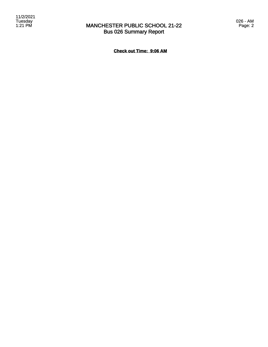026 - AM Page: 2

**Check out Time: 9:06 AM**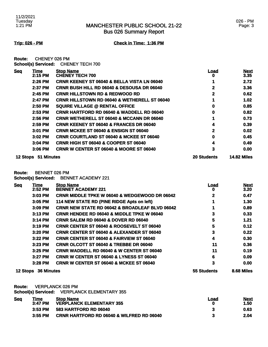**Trip: 026 - PM Check in Time: 1:36 PM**

**Route:** CHENEY 026 PM **School(s) Serviced:** CHENEY TECH 700

| <u>Seq</u>      | Time       | <b>Stop Name</b>                                        | Load               | <b>Next</b>        |
|-----------------|------------|---------------------------------------------------------|--------------------|--------------------|
|                 | 2:15 PM    | <b>CHENEY TECH 700</b>                                  | 0                  | 3.35               |
|                 | 2:26 PM    | <b>CRNR KEENEY ST 06040 &amp; BELLA VISTA LN 06040</b>  |                    | 2.72               |
|                 | 2:37 PM    | <b>CRNR BUSH HILL RD 06040 &amp; DESOUSA DR 06040</b>   | 2                  | 3.36               |
|                 | 2:45 PM    | <b>CRNR HILLSTOWN RD &amp; REDWOOD RD</b>               | 2                  | 0.62               |
|                 | 2:47 PM    | <b>CRNR HILLSTOWN RD 06040 &amp; WETHERELL ST 06040</b> |                    | 1.02               |
|                 | 2:50 PM    | <b>SQUIRE VILLAGE @ RENTAL OFFICE</b>                   | 0                  | 0.85               |
|                 | 2:53 PM    | <b>CRNR HARTFORD RD 06040 &amp; WADDELL RD 06040</b>    | 0                  | 0.82               |
|                 | 2:56 PM    | <b>CRNR WETHERELL ST 06040 &amp; MCCANN DR 06040</b>    |                    | 0.73               |
|                 | 2:59 PM    | <b>CRNR KEENEY ST 06040 &amp; FRANCES DR 06040</b>      | 4                  | 0.39               |
|                 | 3:01 PM    | <b>CRNR MCKEE ST 06040 &amp; ENSIGN ST 06040</b>        | $\mathbf{2}$       | 0.02               |
|                 | 3:02 PM    | <b>CRNR COURTLAND ST 06040 &amp; MCKEE ST 06040</b>     | 0                  | 0.45               |
|                 | $3:04$ PM  | <b>CRNR HIGH ST 06040 &amp; COOPER ST 06040</b>         | 4                  | 0.49               |
|                 | 3:06 PM    | <b>CRNR W CENTER ST 06040 &amp; MOORE ST 06040</b>      | 3                  | 0.00               |
| <b>12 Stops</b> | 51 Minutes |                                                         | <b>20 Students</b> | <b>14.82 Miles</b> |

**Route:** BENNET 026 PM

**School(s) Serviced:** BENNET ACADEMY 221

| <b>Seq</b>      | <u>Time</u>       | <b>Stop Name</b>                                          | <u>Load</u>        | <b>Next</b> |
|-----------------|-------------------|-----------------------------------------------------------|--------------------|-------------|
|                 | 2:52 PM           | <b>BENNET ACADEMY 221</b>                                 | o                  | 3.20        |
|                 | 3:03 PM           | <b>CRNR MIDDLE TPKE W 06040 &amp; WEDGEWOOD DR 06042</b>  |                    | 0.47        |
|                 | 3:05 PM           | 114 NEW STATE RD (PINE RIDGE Apts on left)                |                    | 1.30        |
|                 | 3:09 PM           | <b>CRNR NEW STATE RD 06042 &amp; BROADLEAF BLVD 06042</b> |                    | 0.89        |
|                 | 3:13 PM           | <b>CRNR HENDEE RD 06040 &amp; MIDDLE TPKE W 06040</b>     | 3                  | 0.33        |
|                 | 3:14 PM           | <b>CRNR SALEM RD 06040 &amp; DOVER RD 06040</b>           | 5                  | 1.21        |
|                 | 3:19 PM           | <b>CRNR CENTER ST 06040 &amp; ROOSEVELT ST 06040</b>      | 5                  | 0.12        |
|                 | $3:20$ PM         | <b>CRNR CENTER ST 06040 &amp; ALEXANDER ST 06040</b>      | 3                  | 0.22        |
|                 | 3:22 PM           | <b>CRNR CENTER ST 06040 &amp; FAIRVIEW ST 06040</b>       | 4                  | 0.30        |
|                 | $3:23$ PM         | <b>CRNR OLCOTT ST 06040 &amp; TREBBE DR 06040</b>         | 11                 | 0.36        |
|                 | 3:25 PM           | <b>CRNR WADDELL RD 06040 &amp; W CENTER ST 06040</b>      | 11                 | 0.19        |
|                 | $3:27$ PM         | <b>CRNR W CENTER ST 06040 &amp; LYNESS ST 06040</b>       | 6                  | 0.09        |
|                 | 3:28 PM           | <b>CRNR W CENTER ST 06040 &amp; MCKEE ST 06040</b>        | 3                  | 0.00        |
| <b>12 Stops</b> | <b>36 Minutes</b> |                                                           | <b>55 Students</b> | 8.68 Miles  |

**Route:** VERPLANCK 026 PM

**School(s) Serviced:** VERPLANCK ELEMENTARY 355

| <u>Seq</u> | <u>Time</u><br>$3:47$ PM | <b>Stop Name</b><br><b>VERPLANCK ELEMENTARY 355</b>  | Load<br>О | Next<br>1.50 |
|------------|--------------------------|------------------------------------------------------|-----------|--------------|
|            | $3:53$ PM                | 583 HARTFORD RD 06040                                |           | 0.63         |
|            | 3:55 PM                  | <b>CRNR HARTFORD RD 06040 &amp; WILFRED RD 06040</b> |           | 2.04         |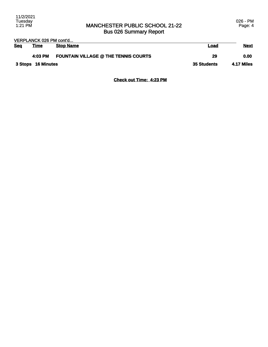|     | VERPLANCK 026 PM cont'd |                                             |             |             |
|-----|-------------------------|---------------------------------------------|-------------|-------------|
| Sea | <u>Time</u>             | <b>Stop Name</b>                            | Load        | <b>Next</b> |
|     | 4:03 PM                 | <b>FOUNTAIN VILLAGE @ THE TENNIS COURTS</b> | 29          | 0.00        |
|     | 3 Stops 16 Minutes      |                                             | 35 Students | 4.17 Miles  |

**Check out Time: 4:23 PM**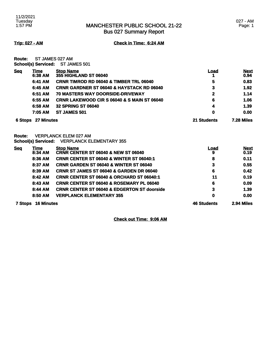Bus 027 Summary Report

**Trip: 027 - AM Check in Time: 6:24 AM**

**Route:** ST JAMES 027 AM **School(s) Serviced:** ST JAMES 501

| <b>Seq</b>     | Time                      | <b>Stop Name</b>                                                             | Load               | <b>Next</b> |
|----------------|---------------------------|------------------------------------------------------------------------------|--------------------|-------------|
|                | 6:38 AM                   | 355 HIGHLAND ST 06040                                                        |                    | 0.94        |
|                | 6:41 AM                   | CRNR TIMROD RD 06040 & TIMBER TRL 06040                                      | 5                  | 0.83        |
|                | 6:45 AM                   | CRNR GARDNER ST 06040 & HAYSTACK RD 06040                                    | 3                  | 1.92        |
|                | 6:51 AM                   | 70 MASTERS WAY DOORSIDE-DRIVEWAY                                             | 2                  | 1.14        |
|                | 6:55 AM                   | <b>CRNR LAKEWOOD CIR S 06040 &amp; S MAIN ST 06040</b>                       | 6                  | 1.06        |
|                | 6:58 AM                   | <b>32 SPRING ST 06040</b>                                                    | 4                  | 1.39        |
|                | 7:05 AM                   | ST JAMES 501                                                                 | 0                  | 0.00        |
|                | <b>6 Stops 27 Minutes</b> |                                                                              | <b>21 Students</b> | 7.28 Miles  |
| Route:         |                           | <b>VERPLANCK ELEM 027 AM</b><br>School(s) Serviced: VERPLANCK ELEMENTARY 355 |                    |             |
| <b>Seq</b>     | Time                      | <b>Stop Name</b>                                                             | <u>Load</u>        | <b>Next</b> |
|                | 8:34 AM                   | <b>CRNR CENTER ST 06040 &amp; NEW ST 06040</b>                               | 9                  | 0.19        |
|                | 8:36 AM                   | <b>CRNR CENTER ST 06040 &amp; WINTER ST 06040:1</b>                          | 8                  | 0.11        |
|                | 8:37 AM                   | <b>CRNR GARDEN ST 06040 &amp; WINTER ST 06040</b>                            | 3                  | 0.55        |
|                | 8:39 AM                   | CRNR ST JAMES ST 06040 & GARDEN DR 06040                                     | 6                  | 0.42        |
|                | 8:42 AM                   | <b>CRNR CENTER ST 06040 &amp; ORCHARD ST 06040:1</b>                         | 11                 | 0.19        |
|                | 8:43 AM                   | CRNR CENTER ST 06040 & ROSEMARY PL 06040                                     | 6                  | 0.09        |
|                | 8:44 AM                   | <b>CRNR CENTER ST 06040 &amp; EDGERTON ST doorside</b>                       | 3                  | 1.39        |
|                | 8:50 AM                   | <b>VERPLANCK ELEMENTARY 355</b>                                              | 0                  | 0.00        |
| <b>7 Stops</b> | <b>16 Minutes</b>         |                                                                              | <b>46 Students</b> | 2.94 Miles  |

**Check out Time: 9:06 AM**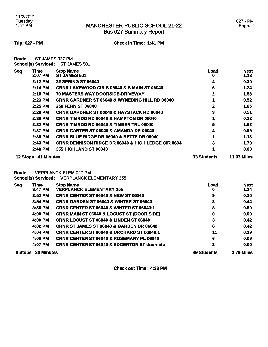**Trip: 027 - PM Check in Time: 1:41 PM**

| Route: | ST JAMES 027 PM            |              |
|--------|----------------------------|--------------|
|        | <b>School(s) Serviced:</b> | ST JAMES 501 |

| <b>Seq</b> | <b>Time</b><br>2:07 PM     | <b>Stop Name</b><br>ST JAMES 501                              | Load<br>o               | <b>Next</b><br>1.13 |
|------------|----------------------------|---------------------------------------------------------------|-------------------------|---------------------|
|            | 2:12 PM                    | <b>32 SPRING ST 06040</b>                                     | 4                       | 0.30                |
|            | 2:14 PM                    | <b>CRNR LAKEWOOD CIR S 06040 &amp; S MAIN ST 06040</b>        | 6                       | 1.24                |
|            | 2:18 PM                    | 70 MASTERS WAY DOORSIDE-DRIVEWAY                              | $\mathbf 2$             | 1.53                |
|            | 2:23 PM                    | <b>CRNR GARDNER ST 06040 &amp; WYNEDING HILL RD 06040</b>     | 1                       | 0.52                |
|            | 2:25 PM                    | <b>250 FERN ST 06040</b>                                      | $\overline{\mathbf{2}}$ | 1.05                |
|            | 2:28 PM                    | <b>CRNR GARDNER ST 06040 &amp; HAYSTACK RD 06040</b>          | 3                       | 0.51                |
|            | 2:30 PM                    | <b>CRNR TIMROD RD 06040 &amp; HAMPTON DR 06040</b>            | 1                       | 0.32                |
|            | 2:32 PM                    | <b>CRNR TIMROD RD 06040 &amp; TIMBER TRL 06040</b>            | 5                       | 1.82                |
|            | 2:37 PM                    | <b>CRNR CARTER ST 06040 &amp; AMANDA DR 06040</b>             | 4                       | 0.59                |
|            | 2:39 PM                    | CRNR BLUE RIDGE DR 06040 & BETTE DR 06040                     | 1                       | 1.13                |
|            | 2:43 PM                    | <b>CRNR DENNISON RIDGE DR 06040 &amp; HIGH LEDGE CIR 0604</b> | 3                       | 1.79                |
|            | 2:48 PM                    | <b>355 HIGHLAND ST 06040</b>                                  | 1                       | 0.00                |
|            | 12 Stops 41 Minutes        |                                                               |                         | <b>11.93 Miles</b>  |
| Route:     |                            | <b>VERPLANCK ELEM 027 PM</b>                                  |                         |                     |
|            | <b>School(s) Serviced:</b> | <b>VERPLANCK ELEMENTARY 355</b>                               |                         |                     |
| <b>Seq</b> | Time<br>$3:47$ PM          | <b>Stop Name</b><br><b>VERPLANCK ELEMENTARY 355</b>           | <u>Load</u><br>0        | <b>Next</b><br>1.34 |
|            | $3:52$ PM                  | <b>CRNR CENTER ST 06040 &amp; NEW ST 06040</b>                | 9                       | 0.30                |
|            | 3:54 PM                    | <b>CRNR GARDEN ST 06040 &amp; WINTER ST 06040</b>             | 3                       | 0.44                |
|            | 3:56 PM                    | <b>CRNR CENTER ST 06040 &amp; WINTER ST 06040:1</b>           | 8                       | 0.50                |
|            | 4:00 PM                    | <b>CRNR MAIN ST 06040 &amp; LOCUST ST (DOOR SIDE)</b>         | 0                       | 0.09                |
|            | 4:00 PM                    | <b>CRNR LOCUST ST 06040 &amp; LINDEN ST 06040</b>             | 3                       | 0.42                |
|            | 4:02 PM                    | CRNR ST JAMES ST 06040 & GARDEN DR 06040                      | 6                       | 0.42                |
|            | 4:04 PM                    | <b>CRNR CENTER ST 06040 &amp; ORCHARD ST 06040:1</b>          | 11                      | 0.19                |
|            | 4:06 PM                    | <b>CRNR CENTER ST 06040 &amp; ROSEMARY PL 06040</b>           | 6                       | 0.09                |
|            | 4:07 PM                    | <b>CRNR CENTER ST 06040 &amp; EDGERTON ST doorside</b>        | 3                       | 0.00                |
|            | 9 Stops 20 Minutes         |                                                               | <b>49 Students</b>      | 3.79 Miles          |

**Check out Time: 4:23 PM**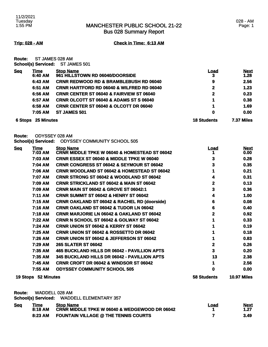Bus 028 Summary Report

**Trip: 028 - AM Check in Time: 6:13 AM**

**Route:** ST JAMES 028 AM **School(s) Serviced:** ST JAMES 501

| <b>Seq</b> | Time<br>6:40 AM | <b>Stop Name</b><br>961 HILLSTOWN RD 06040/DOORSIDE  | <u>Load</u><br>3   | <b>Next</b><br>1.28 |
|------------|-----------------|------------------------------------------------------|--------------------|---------------------|
|            | 6:43 AM         | <b>CRNR REDWOOD RD &amp; BRAMBLEBUSH RD 06040</b>    | 9                  | 2.56                |
|            | 6:51 AM         | <b>CRNR HARTFORD RD 06040 &amp; WILFRED RD 06040</b> | $\mathbf{2}$       | 1.23                |
|            | 6:56 AM         | <b>CRNR CENTER ST 06040 &amp; FAIRVIEW ST 06040</b>  | $\mathbf{2}$       | 0.23                |
|            | 6:57 AM         | CRNR OLCOTT ST 06040 & ADAMS ST S 06040              | 1                  | 0.38                |
|            | 6:58 AM         | <b>CRNR CENTER ST 06040 &amp; OLCOTT DR 06040</b>    | 1                  | 1.69                |
|            | 7:05 AM         | <b>ST JAMES 501</b>                                  | 0                  | 0.00                |
| 6 Stops    | 25 Minutes      |                                                      | <b>18 Students</b> | 7.37 Miles          |

**Route:** ODYSSEY 028 AM

**School(s) Serviced:** ODYSSEY COMMUNITY SCHOOL 505

| <b>Seq</b> | <u>Time</u>         | <b>Stop Name</b>                                         | <u>Load</u>        | <b>Next</b>        |
|------------|---------------------|----------------------------------------------------------|--------------------|--------------------|
|            | 7:03 AM             | <b>CRNR MIDDLE TPKE W 06040 &amp; HOMESTEAD ST 06042</b> |                    | 0.00               |
|            | 7:03 AM             | <b>CRNR ESSEX ST 06040 &amp; MIDDLE TPKE W 06040</b>     | 3                  | 0.28               |
|            | 7:04 AM             | <b>CRNR CONGRESS ST 06042 &amp; SEYMOUR ST 06042</b>     | 3                  | 0.35               |
|            | 7:06 AM             | <b>CRNR WOODLAND ST 06042 &amp; HOMESTEAD ST 06042</b>   |                    | 0.21               |
|            | 7:07 AM             | <b>CRNR STRONG ST 06042 &amp; WOODLAND ST 06042</b>      | 4                  | 0.31               |
|            | 7:09 AM             | <b>CRNR STRICKLAND ST 06042 &amp; MAIN ST 06042</b>      | 2                  | 0.13               |
|            | 7:09 AM             | <b>CRNR MAIN ST 06042 &amp; GROVE ST 06042:1</b>         | 3                  | 0.36               |
|            | 7:11 AM             | <b>CRNR SUMMIT ST 06042 &amp; HENRY ST 06042</b>         | 4                  | 1.00               |
|            | 7:15 AM             | <b>CRNR OAKLAND ST 06042 &amp; RACHEL RD (doorside)</b>  | 6                  | 0.08               |
|            | 7:16 AM             | <b>CRNR OAKLAND ST 06042 &amp; TUDOR LN 06042</b>        | 6                  | 0.40               |
|            | 7:18 AM             | <b>CRNR MARJORIE LN 06042 &amp; OAKLAND ST 06042</b>     | 2                  | 0.92               |
|            | 7:22 AM             | <b>CRNR N SCHOOL ST 06042 &amp; GOLWAY ST 06042</b>      |                    | 0.33               |
|            | 7:24 AM             | <b>CRNR UNION ST 06042 &amp; KERRY ST 06042</b>          |                    | 0.19               |
|            | 7:25 AM             | <b>CRNR UNION ST 06042 &amp; ROSSETTO DR 06042</b>       |                    | 0.18               |
|            | 7:26 AM             | <b>CRNR UNION ST 06042 &amp; JEFFERSON ST 06042</b>      |                    | 0.83               |
|            | 7:29 AM             | <b>265 SLATER ST 06042</b>                               | 2                  | 0.26               |
|            | 7:35 AM             | 465 BUCKLAND HILLS DR 06042 - PAVILLION APTS             | 3                  | 0.20               |
|            | 7:35 AM             | 345 BUCKLAND HILLS DR 06042 - PAVILLION APTS             | 13                 | 2.38               |
|            | 7:45 AM             | <b>CRNR CROFT DR 06042 &amp; WINDSOR ST 06042</b>        | 1                  | 2.56               |
|            | 7:55 AM             | <b>ODYSSEY COMMUNITY SCHOOL 505</b>                      | 0                  | 0.00               |
|            | 19 Stops 52 Minutes |                                                          | <b>58 Students</b> | <b>10.97 Miles</b> |

**Route:** WADDELL 028 AM

**School(s) Serviced:** WADDELL ELEMENTARY 357

| <b>Seq</b> | <u>Time</u> | <b>Stop Name</b>                                         | <u>Load</u> | <b>Next</b> |
|------------|-------------|----------------------------------------------------------|-------------|-------------|
|            | 8:18 AM     | <b>CRNR MIDDLE TPKE W 06040 &amp; WEDGEWOOD DR 06042</b> |             | 1.27        |
|            | 8:23 AM     | <b>FOUNTAIN VILLAGE @ THE TENNIS COURTS</b>              |             | 3.49        |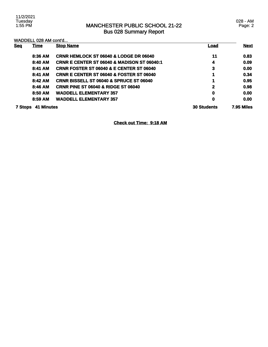028 - AM Page: 2

| <b>Seq</b>     | <b>Time</b>       | <b>Stop Name</b>                                       | Load               | <b>Next</b>       |
|----------------|-------------------|--------------------------------------------------------|--------------------|-------------------|
|                |                   |                                                        |                    |                   |
|                | 8:36 AM           | <b>CRNR HEMLOCK ST 06040 &amp; LODGE DR 06040</b>      | 11                 | 0.83              |
|                | 8:40 AM           | <b>CRNR E CENTER ST 06040 &amp; MADISON ST 06040:1</b> | 4                  | 0.09              |
|                | 8:41 AM           | <b>CRNR FOSTER ST 06040 &amp; E CENTER ST 06040</b>    | 3                  | 0.00              |
|                | 8:41 AM           | <b>CRNR E CENTER ST 06040 &amp; FOSTER ST 06040</b>    | 1                  | 0.34              |
|                | 8:42 AM           | <b>CRNR BISSELL ST 06040 &amp; SPRUCE ST 06040</b>     | 1                  | 0.95              |
|                | 8:46 AM           | <b>CRNR PINE ST 06040 &amp; RIDGE ST 06040</b>         | 2                  | 0.98              |
|                | 8:50 AM           | <b>WADDELL ELEMENTARY 357</b>                          | 0                  | 0.00              |
|                | 8:59 AM           | <b>WADDELL ELEMENTARY 357</b>                          | 0                  | 0.00              |
| <b>7 Stops</b> | <b>41 Minutes</b> |                                                        | <b>30 Students</b> | <b>7.95 Miles</b> |

**Check out Time: 9:18 AM**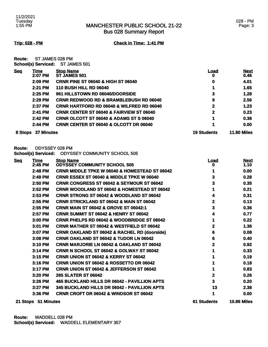Bus 028 Summary Report

**Trip: 028 - PM Check in Time: 1:41 PM**

**Route:** ST JAMES 028 PM **School(s) Serviced:** ST JAMES 501

| <b>Seq</b> | Time<br>2:07 PM   | <b>Stop Name</b><br>ST JAMES 501                     | Load<br>0          | <b>Next</b><br>0.46 |
|------------|-------------------|------------------------------------------------------|--------------------|---------------------|
|            | 2:09 PM           | <b>CRNR PINE ST 06040 &amp; HIGH ST 06040</b>        | 0                  | 4.01                |
|            | 2:21 PM           | <b>110 BUSH HILL RD 06040</b>                        |                    | 1.65                |
|            | $2:25$ PM         | 961 HILLSTOWN RD 06040/DOORSIDE                      | 3                  | 1.28                |
|            | 2:29 PM           | <b>CRNR REDWOOD RD &amp; BRAMBLEBUSH RD 06040</b>    | 9                  | 2.56                |
|            | 2:37 PM           | <b>CRNR HARTFORD RD 06040 &amp; WILFRED RD 06040</b> | $\mathbf 2$        | 1.23                |
|            | 2:41 PM           | <b>CRNR CENTER ST 06040 &amp; FAIRVIEW ST 06040</b>  | 2                  | 0.23                |
|            | 2:42 PM           | <b>CRNR OLCOTT ST 06040 &amp; ADAMS ST S 06040</b>   | 1                  | 0.38                |
|            | $2:44$ PM         | <b>CRNR CENTER ST 06040 &amp; OLCOTT DR 06040</b>    |                    | 0.00                |
| 8 Stops    | <b>37 Minutes</b> |                                                      | <b>19 Students</b> | <b>11.80 Miles</b>  |

**Route:** ODYSSEY 028 PM

**School(s) Serviced:** ODYSSEY COMMUNITY SCHOOL 505

| <b>Seq</b> | <b>Time</b>         | <b>Stop Name</b>                                         | <u>Load</u> | <b>Next</b>        |
|------------|---------------------|----------------------------------------------------------|-------------|--------------------|
|            | 2:45 PM             | <b>ODYSSEY COMMUNITY SCHOOL 505</b>                      |             | 1.10               |
|            | 2:48 PM             | <b>CRNR MIDDLE TPKE W 06040 &amp; HOMESTEAD ST 06042</b> |             | 0.00               |
|            | 2:49 PM             | <b>CRNR ESSEX ST 06040 &amp; MIDDLE TPKE W 06040</b>     | 3           | 0.28               |
|            | 2:50 PM             | <b>CRNR CONGRESS ST 06042 &amp; SEYMOUR ST 06042</b>     | 3           | 0.35               |
|            | 2:52 PM             | <b>CRNR WOODLAND ST 06042 &amp; HOMESTEAD ST 06042</b>   |             | 0.21               |
|            | 2:53 PM             | <b>CRNR STRONG ST 06042 &amp; WOODLAND ST 06042</b>      | 4           | 0.31               |
|            | 2:55 PM             | <b>CRNR STRICKLAND ST 06042 &amp; MAIN ST 06042</b>      | 2           | 0.13               |
|            | 2:55 PM             | <b>CRNR MAIN ST 06042 &amp; GROVE ST 06042:1</b>         | 3           | 0.36               |
|            | 2:57 PM             | <b>CRNR SUMMIT ST 06042 &amp; HENRY ST 06042</b>         | 4           | 0.77               |
|            | 3:00 PM             | <b>CRNR PHELPS RD 06042 &amp; WOODBRIDGE ST 06042</b>    |             | 0.22               |
|            | 3:01 PM             | <b>CRNR MATHER ST 06042 &amp; WESTFIELD ST 06042</b>     | 2           | 1.36               |
|            | 3:07 PM             | <b>CRNR OAKLAND ST 06042 &amp; RACHEL RD (doorside)</b>  | 6           | 0.08               |
|            | 3:08 PM             | <b>CRNR OAKLAND ST 06042 &amp; TUDOR LN 06042</b>        | 6           | 0.40               |
|            | 3:10 PM             | <b>CRNR MARJORIE LN 06042 &amp; OAKLAND ST 06042</b>     | 2           | 0.92               |
|            | 3:14 PM             | <b>CRNR N SCHOOL ST 06042 &amp; GOLWAY ST 06042</b>      |             | 0.33               |
|            | 3:15 PM             | <b>CRNR UNION ST 06042 &amp; KERRY ST 06042</b>          |             | 0.19               |
|            | 3:16 PM             | <b>CRNR UNION ST 06042 &amp; ROSSETTO DR 06042</b>       |             | 0.18               |
|            | 3:17 PM             | <b>CRNR UNION ST 06042 &amp; JEFFERSON ST 06042</b>      |             | 0.83               |
|            | 3:20 PM             | <b>265 SLATER ST 06042</b>                               | 2           | 0.26               |
|            | 3:26 PM             | 465 BUCKLAND HILLS DR 06042 - PAVILLION APTS             | 3           | 0.20               |
|            | 3:27 PM             | 345 BUCKLAND HILLS DR 06042 - PAVILLION APTS             | 13          | 2.38               |
|            | 3:36 PM             | <b>CRNR CROFT DR 06042 &amp; WINDSOR ST 06042</b>        | 1           | 0.00               |
|            | 21 Stops 51 Minutes |                                                          | 61 Students | <b>10.86 Miles</b> |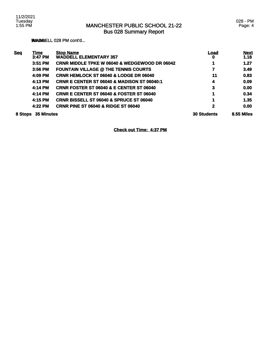**ROUNDELL 028 PM cont'd...** 

| <b>Seq</b> | <u>Time</u>       | <b>Stop Name</b>                                         | <u>Load</u>        | <b>Next</b>       |
|------------|-------------------|----------------------------------------------------------|--------------------|-------------------|
|            | 3:47 PM           | <b>WADDELL ELEMENTARY 357</b>                            | 0                  | 1.18              |
|            | 3:51 PM           | <b>CRNR MIDDLE TPKE W 06040 &amp; WEDGEWOOD DR 06042</b> |                    | 1.27              |
|            | 3:56 PM           | <b>FOUNTAIN VILLAGE @ THE TENNIS COURTS</b>              |                    | 3.49              |
|            | 4:09 PM           | <b>CRNR HEMLOCK ST 06040 &amp; LODGE DR 06040</b>        | 11                 | 0.83              |
|            | 4:13 PM           | <b>CRNR E CENTER ST 06040 &amp; MADISON ST 06040:1</b>   | 4                  | 0.09              |
|            | 4:14 PM           | <b>CRNR FOSTER ST 06040 &amp; E CENTER ST 06040</b>      | 3                  | 0.00              |
|            | 4:14 PM           | <b>CRNR E CENTER ST 06040 &amp; FOSTER ST 06040</b>      | 1                  | 0.34              |
|            | 4:15 PM           | <b>CRNR BISSELL ST 06040 &amp; SPRUCE ST 06040</b>       | 1                  | 1.35              |
|            | 4:22 PM           | <b>CRNR PINE ST 06040 &amp; RIDGE ST 06040</b>           | 2                  | 0.00              |
| 8 Stops    | <b>35 Minutes</b> |                                                          | <b>30 Students</b> | <b>8.55 Miles</b> |

**Check out Time: 4:37 PM**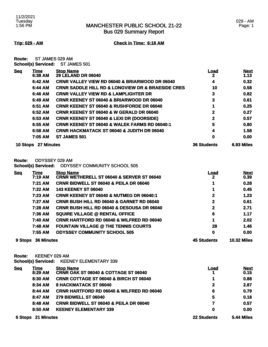**Trip: 029 - AM Check in Time: 6:16 AM**

**Route:** ST JAMES 029 AM **School(s) Serviced:** ST JAMES 501

| <b>Seq</b>      | Time       | <b>Stop Name</b>                                                 | <u>Load</u>        | <b>Next</b> |
|-----------------|------------|------------------------------------------------------------------|--------------------|-------------|
|                 | 6:38 AM    | <b>29 LELAND DR 06040</b>                                        | 2                  | 1.13        |
|                 | 6:42 AM    | <b>CRNR VALLEY VIEW RD 06040 &amp; BRIARWOOD DR 06040</b>        | 4                  | 0.32        |
|                 | 6:44 AM    | <b>CRNR SADDLE HILL RD &amp; LONGVIEW DR &amp; BRAESIDE CRES</b> | 10                 | 0.58        |
|                 | 6:46 AM    | <b>CRNR VALLEY VIEW RD &amp; LAMPLIGHTER DR</b>                  | 3                  | 0.82        |
|                 | 6:49 AM    | <b>CRNR KEENEY ST 06040 &amp; BRIARWOOD DR 06040</b>             | 3                  | 0.61        |
|                 | 6:51 AM    | <b>CRNR KEENEY ST 06040 &amp; RUSHFORDE DR 06040</b>             |                    | 0.25        |
|                 | 6:52 AM    | <b>CRNR KEENEY ST 06040 &amp; W GERALD DR 06040</b>              | 2                  | 0.27        |
|                 | 6:53 AM    | <b>CRNR KEENEY ST 06040 &amp; LEXI DR (DOORSIDE)</b>             | 2                  | 0.57        |
|                 | 6:55 AM    | <b>CRNR KEENEY ST 06040 &amp; WALEK FARMS RD 06040:1</b>         | 5                  | 0.80        |
|                 | 6:58 AM    | <b>CRNR HACKMATACK ST 06040 &amp; JUDITH DR 06040</b>            | 4                  | 1.58        |
|                 | 7:05 AM    | <b>ST JAMES 501</b>                                              | 0                  | 0.00        |
| <b>10 Stops</b> | 27 Minutes |                                                                  | <b>36 Students</b> | 6.93 Miles  |

**Route:** ODYSSEY 029 AM

**School(s) Serviced:** ODYSSEY COMMUNITY SCHOOL 505

| <b>Seq</b> | <u>Time</u>       | <b>Stop Name</b>                                      | <u>Load</u>        | <b>Next</b>        |
|------------|-------------------|-------------------------------------------------------|--------------------|--------------------|
|            | 7:19 AM           | <b>CRNR WETHERELL ST 06040 &amp; SERVER ST 06040</b>  | 2                  | 0.39               |
|            | 7:21 AM           | <b>CRNR BIDWELL ST 06040 &amp; PEILA DR 06040</b>     |                    | 0.28               |
|            | 7:22 AM           | <b>143 KEENEY ST 06040</b>                            |                    | 0.45               |
|            | 7:23 AM           | <b>CRNR KEENEY ST 06040 &amp; NUTMEG DR 06040:1</b>   | $\mathbf{2}$       | 1.23               |
|            | 7:27 AM           | <b>CRNR BUSH HILL RD 06040 &amp; GARNET RD 06040</b>  | 2                  | 0.61               |
|            | 7:28 AM           | <b>CRNR BUSH HILL RD 06040 &amp; DESOUSA DR 06040</b> | 2                  | 2.71               |
|            | 7:36 AM           | <b>SQUIRE VILLAGE @ RENTAL OFFICE</b>                 | 6                  | 1.17               |
|            | 7:40 AM           | <b>CRNR HARTFORD RD 06040 &amp; WILFRED RD 06040</b>  |                    | 2.02               |
|            | 7:48 AM           | <b>FOUNTAIN VILLAGE @ THE TENNIS COURTS</b>           | 28                 | 1.46               |
|            | 7:55 AM           | <b>ODYSSEY COMMUNITY SCHOOL 505</b>                   | $\mathbf 0$        | 0.00               |
| 9 Stops    | <b>36 Minutes</b> |                                                       | <b>45 Students</b> | <b>10.32 Miles</b> |

**Route:** KEENEY 029 AM

**School(s) Serviced:** KEENEY ELEMENTARY 339

| <u>Seq</u> | Time<br>8:29 AM           | <b>Stop Name</b><br><b>CRNR OAK ST 06040 &amp; COTTAGE ST 06040</b> | Load               | <b>Next</b><br>0.15 |
|------------|---------------------------|---------------------------------------------------------------------|--------------------|---------------------|
|            | 8:30 AM                   | <b>CRNR COTTAGE ST 06040 &amp; BIRCH ST 06040</b>                   | 1                  | 0.88                |
|            | 8:34 AM                   | 8 HACKMATACK ST 06040                                               | $\mathbf{2}$       | 2.87                |
|            | 8:44 AM                   | <b>CRNR HARTFORD RD 06040 &amp; WILFRED RD 06040</b>                | 6                  | 0.79                |
|            | 8:47 AM                   | <b>279 BIDWELL ST 06040</b>                                         | 5                  | 0.18                |
|            | 8:48 AM                   | <b>CRNR BIDWELL ST 06040 &amp; PEILA DR 06040</b>                   |                    | 0.57                |
|            | 8:50 AM                   | <b>KEENEY ELEMENTARY 339</b>                                        | 0                  | 0.00                |
|            | <b>6 Stops 21 Minutes</b> |                                                                     | <b>22 Students</b> | <b>5.44 Miles</b>   |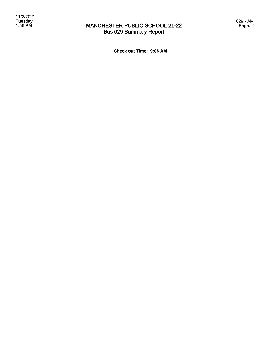029 - AM Page: 2

**Check out Time: 9:06 AM**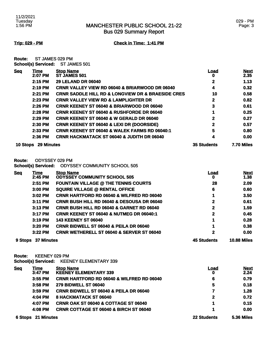### 029 - PM Page: 3

**Trip: 029 - PM Check in Time: 1:41 PM**

**Route:** ST JAMES 029 PM **School(s) Serviced:** ST JAMES 501

| <b>Seg</b> | Time              | <b>Stop Name</b>                                                 | Load               | <b>Next</b>       |
|------------|-------------------|------------------------------------------------------------------|--------------------|-------------------|
|            | 2:07 PM           | <b>ST JAMES 501</b>                                              | o                  | 2.35              |
|            | 2:15 PM           | <b>29 LELAND DR 06040</b>                                        | 2                  | 1.13              |
|            | 2:19 PM           | <b>CRNR VALLEY VIEW RD 06040 &amp; BRIARWOOD DR 06040</b>        | 4                  | 0.32              |
|            | 2:21 PM           | <b>CRNR SADDLE HILL RD &amp; LONGVIEW DR &amp; BRAESIDE CRES</b> | 10                 | 0.58              |
|            | 2:23 PM           | <b>CRNR VALLEY VIEW RD &amp; LAMPLIGHTER DR</b>                  | 2                  | 0.82              |
|            | 2:26 PM           | <b>CRNR KEENEY ST 06040 &amp; BRIARWOOD DR 06040</b>             | 3                  | 0.61              |
|            | 2:28 PM           | <b>CRNR KEENEY ST 06040 &amp; RUSHFORDE DR 06040</b>             |                    | 0.25              |
|            | 2:29 PM           | <b>CRNR KEENEY ST 06040 &amp; W GERALD DR 06040</b>              | 2                  | 0.27              |
|            | 2:30 PM           | <b>CRNR KEENEY ST 06040 &amp; LEXI DR (DOORSIDE)</b>             | 2                  | 0.57              |
|            | 2:33 PM           | <b>CRNR KEENEY ST 06040 &amp; WALEK FARMS RD 06040:1</b>         | 5                  | 0.80              |
|            | 2:36 PM           | <b>CRNR HACKMATACK ST 06040 &amp; JUDITH DR 06040</b>            | 4                  | 0.00              |
| 10 Stops   | <b>29 Minutes</b> |                                                                  | <b>35 Students</b> | <b>7.70 Miles</b> |

**Route:** ODYSSEY 029 PM

**School(s) Serviced:** ODYSSEY COMMUNITY SCHOOL 505

| <b>Seq</b> | Time              | <b>Stop Name</b>                                      | Load               | <b>Next</b>        |
|------------|-------------------|-------------------------------------------------------|--------------------|--------------------|
|            | 2:45 PM           | <b>ODYSSEY COMMUNITY SCHOOL 505</b>                   | o                  | 1.38               |
|            | 2:51 PM           | <b>FOUNTAIN VILLAGE @ THE TENNIS COURTS</b>           | 28                 | 2.09               |
|            | 3:00 PM           | <b>SQUIRE VILLAGE @ RENTAL OFFICE</b>                 | 6                  | 0.60               |
|            | 3:02 PM           | <b>CRNR HARTFORD RD 06040 &amp; WILFRED RD 06040</b>  |                    | 3.50               |
|            | 3:11 PM           | <b>CRNR BUSH HILL RD 06040 &amp; DESOUSA DR 06040</b> | 2                  | 0.61               |
|            | $3:13$ PM         | <b>CRNR BUSH HILL RD 06040 &amp; GARNET RD 06040</b>  | $\mathbf{2}$       | 1.59               |
|            | $3:17$ PM         | <b>CRNR KEENEY ST 06040 &amp; NUTMEG DR 06040:1</b>   | 2                  | 0.45               |
|            | 3:19 PM           | <b>143 KEENEY ST 06040</b>                            |                    | 0.28               |
|            | $3:20$ PM         | <b>CRNR BIDWELL ST 06040 &amp; PEILA DR 06040</b>     |                    | 0.38               |
|            | $3:22$ PM         | <b>CRNR WETHERELL ST 06040 &amp; SERVER ST 06040</b>  | 2                  | 0.00               |
| 9 Stops    | <b>37 Minutes</b> |                                                       | <b>45 Students</b> | <b>10.88 Miles</b> |

**Route:** KEENEY 029 PM

**School(s) Serviced:** KEENEY ELEMENTARY 339

| <b>Seg</b> | Time<br>3:47 PM           | <b>Stop Name</b><br><b>KEENEY ELEMENTARY 339</b>     | Load<br>0          | <b>Next</b><br>2.24 |
|------------|---------------------------|------------------------------------------------------|--------------------|---------------------|
|            | 3:55 PM                   | <b>CRNR HARTFORD RD 06040 &amp; WILFRED RD 06040</b> | 6                  | 0.79                |
|            | 3:58 PM                   | <b>279 BIDWELL ST 06040</b>                          | 5                  | 0.18                |
|            | $3:59$ PM                 | <b>CRNR BIDWELL ST 06040 &amp; PEILA DR 06040</b>    |                    | 1.28                |
|            | 4:04 PM                   | 8 HACKMATACK ST 06040                                | 2                  | 0.72                |
|            | 4:07 PM                   | <b>CRNR OAK ST 06040 &amp; COTTAGE ST 06040</b>      | 1                  | 0.15                |
|            | 4:08 PM                   | <b>CRNR COTTAGE ST 06040 &amp; BIRCH ST 06040</b>    | 1                  | 0.00                |
|            | <b>6 Stops 21 Minutes</b> |                                                      | <b>22 Students</b> | <b>5.36 Miles</b>   |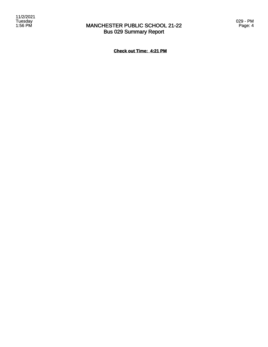**Check out Time: 4:21 PM**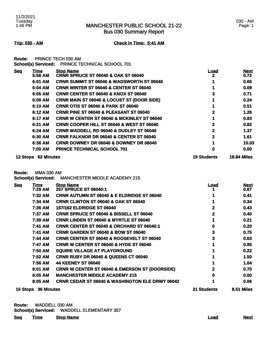Bus 030 Summary Report

**Trip: 030 - AM Check in Time: 5:41 AM**

**Route:** PRINCE TECH 030 AM

| <b>School(s) Serviced: PRINCE TECHNICAL SCHOOL 701</b> |  |
|--------------------------------------------------------|--|
|                                                        |  |

| <u>Sea</u> | Time       | <b>Stop Name</b>                                      | <u>Load</u>        | <b>Next</b>        |
|------------|------------|-------------------------------------------------------|--------------------|--------------------|
|            | 5:58 AM    | <b>CRNR SPRUCE ST 06040 &amp; OAK ST 06040</b>        | $\mathbf{2}$       | 0.72               |
|            | 6:01 AM    | <b>CRNR SUMMIT ST 06040 &amp; WADSWORTH ST 06040</b>  |                    | 0.65               |
|            | 6:04 AM    | <b>CRNR WINTER ST 06040 &amp; CENTER ST 06040</b>     |                    | 0.09               |
|            | 6:05 AM    | <b>CRNR CENTER ST 06040 &amp; KNOX ST 06040</b>       |                    | 0.71               |
|            | 6:09 AM    | <b>CRNR MAIN ST 06040 &amp; LOCUST ST (DOOR SIDE)</b> |                    | 0.24               |
|            | 6:10 AM    | <b>CRNR OTIS ST 06040 &amp; PARK ST 06040</b>         |                    | 0.51               |
|            | 6:12 AM    | <b>CRNR PINE ST 06040 &amp; PLEASANT ST 06040</b>     |                    | 1.26               |
|            | 6:17 AM    | <b>CRNR W CENTER ST 06040 &amp; MCKINLEY ST 06040</b> |                    | 0.83               |
|            | 6:21 AM    | <b>CRNR COOPER HILL ST 06040 &amp; WEST ST 06040</b>  |                    | 0.82               |
|            | 6:24 AM    | <b>CRNR WADDELL RD 06040 &amp; DUDLEY ST 06040</b>    |                    | 1.37               |
|            | 6:30 AM    | <b>CRNR FALKNOR DR 06040 &amp; CENTER ST 06040</b>    |                    | 1.61               |
|            | 6:36 AM    | <b>CRNR DOWNEY DR 06040 &amp; DOWNEY DR 06040</b>     |                    | 10.03              |
|            | 7:00 AM    | <b>PRINCE TECHNICAL SCHOOL 701</b>                    | 0                  | 0.00               |
| 12 Stops   | 62 Minutes |                                                       | <b>19 Students</b> | <b>18.84 Miles</b> |
|            |            |                                                       |                    |                    |

**Route:** MMA 030 AM

**School(s) Serviced:** MANCHESTER MIDDLE ACADEMY 215

| <b>Seq</b> | <u>Time</u><br>7:29 AM | <b>Stop Name</b><br>257 SPRUCE ST 06040:1                  | <u>Load</u>  | <b>Next</b><br>0.67 |
|------------|------------------------|------------------------------------------------------------|--------------|---------------------|
|            | 7:32 AM                | <b>CRNR AUTUMN ST 06040 &amp; E ELDRIDGE ST 06040</b>      |              | 0.41                |
|            | 7:34 AM                | <b>CRNR CLINTON ST 06040 &amp; OAK ST 06040</b>            |              | 0.34                |
|            | 7:36 AM                | 157/162 ELDRIDGE ST 06040                                  | $\mathbf{2}$ | 0.43                |
|            | 7:37 AM                | <b>CRNR SPRUCE ST 06040 &amp; BISSELL ST 06040</b>         | 2            | 0.40                |
|            | 7:39 AM                | <b>CRNR LINDEN ST 06040 &amp; MYRTLE ST 06040</b>          |              | 0.21                |
|            | 7:41 AM                | <b>CRNR CENTER ST 06040 &amp; ORCHARD ST 06040:1</b>       | 0            | 0.20                |
|            | 7:41 AM                | <b>CRNR GARDEN ST 06040 &amp; BOW ST 06040</b>             | 3            | 0.75                |
|            | 7:44 AM                | <b>CRNR CENTER ST 06040 &amp; ROOSEVELT ST 06040</b>       | 3            | 0.63                |
|            | 7:47 AM                | <b>CRNR W CENTER ST 06040 &amp; HYDE ST 06040</b>          |              | 0.95                |
|            | 7:50 AM                | <b>SQUIRE VILLAGE AT PLAYGROUND</b>                        |              | 0.22                |
|            | 7:52 AM                | <b>CRNR RUBY DR 06040 &amp; QUEENS CT 06040</b>            |              | 1.50                |
|            | 7:56 AM                | <b>44 KEENEY ST 06040</b>                                  |              | 1.04                |
|            | 8:01 AM                | <b>CRNR W CENTER ST 06040 &amp; EMERSON ST (DOORSIDE)</b>  | 2            | 0.70                |
|            | 8:05 AM                | <b>MANCHESTER MIDDLE ACADEMY 215</b>                       |              | 0.00                |
|            | 8:05 AM                | <b>CRNR CEDAR ST 06040 &amp; WASHINGTON ELE DRWY 06042</b> |              | 0.06                |
|            | 15 Stops 36 Minutes    |                                                            | 21 Students  | 8.51 Miles          |

| <b>Route:</b> | WADDELL 030 AM      |                               |
|---------------|---------------------|-------------------------------|
|               | School(s) Serviced: | <b>WADDELL ELEMENTARY 357</b> |

| <u>Seq</u> | <b>Time</b> | <b>Stop Name</b> | Load | <b>Next</b> |
|------------|-------------|------------------|------|-------------|
|            |             |                  |      |             |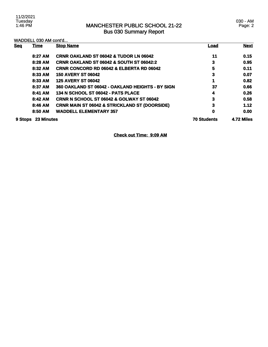|                              | WADDELL 030 AM cont'd |                                                          |            |             |
|------------------------------|-----------------------|----------------------------------------------------------|------------|-------------|
| <b>Seq</b>                   | <u>Time</u>           | <b>Stop Name</b>                                         | Load       | <b>Next</b> |
|                              | 8:27 AM               | <b>CRNR OAKLAND ST 06042 &amp; TUDOR LN 06042</b>        | 11         | 0.15        |
|                              | 8:28 AM               | <b>CRNR OAKLAND ST 06042 &amp; SOUTH ST 06042:2</b>      | 3          | 0.95        |
|                              | 8:32 AM               | <b>CRNR CONCORD RD 06042 &amp; ELBERTA RD 06042</b>      | 5          | 0.11        |
|                              | 8:33 AM               | <b>150 AVERY ST 06042</b>                                | 3          | 0.07        |
|                              | 8:33 AM               | <b>125 AVERY ST 06042</b>                                |            | 0.82        |
|                              | 8:37 AM               | 360 OAKLAND ST 06042 - OAKLAND HEIGHTS - BY SIGN         | 37         | 0.66        |
|                              | 8:41 AM               | 134 N SCHOOL ST 06042 - PATS PLACE                       | 4          | 0.26        |
|                              | 8:42 AM               | <b>CRNR N SCHOOL ST 06042 &amp; GOLWAY ST 06042</b>      | 3          | 0.58        |
|                              | 8:46 AM               | <b>CRNR MAIN ST 06042 &amp; STRICKLAND ST (DOORSIDE)</b> | 3          | 1.12        |
|                              | 8:50 AM               | <b>WADDELL ELEMENTARY 357</b>                            | 0          | 0.00        |
| <b>23 Minutes</b><br>9 Stops |                       | <b>70 Students</b>                                       | 4.72 Miles |             |

**Check out Time: 9:09 AM**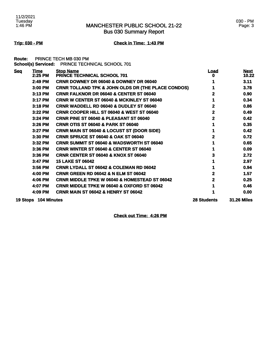Bus 030 Summary Report

### **Trip: 030 - PM Check in Time: 1:43 PM**

**Route:** PRINCE TECH MB 030 PM **School(s) Serviced:** PRINCE TECHNICAL SCHOOL 701

| <b>Seq</b> | Time                 | <b>Stop Name</b>                                              | <b>Load</b>        | <b>Next</b>        |
|------------|----------------------|---------------------------------------------------------------|--------------------|--------------------|
|            | 2:25 PM              | PRINCE TECHNICAL SCHOOL 701                                   | o                  | 10.22              |
|            | 2:49 PM              | CRNR DOWNEY DR 06040 & DOWNEY DR 06040                        |                    | 3.11               |
|            | 3:00 PM              | <b>CRNR TOLLAND TPK &amp; JOHN OLDS DR (THE PLACE CONDOS)</b> |                    | 3.78               |
|            | 3:13 PM              | <b>CRNR FALKNOR DR 06040 &amp; CENTER ST 06040</b>            |                    | 0.90               |
|            | 3:17 PM              | <b>CRNR W CENTER ST 06040 &amp; MCKINLEY ST 06040</b>         |                    | 0.34               |
|            | $3:18$ PM            | <b>CRNR WADDELL RD 06040 &amp; DUDLEY ST 06040</b>            | 2                  | 0.86               |
|            | 3:22 PM              | <b>CRNR COOPER HILL ST 06040 &amp; WEST ST 06040</b>          | 2                  | 0.49               |
|            | 3:24 PM              | CRNR PINE ST 06040 & PLEASANT ST 06040                        | 2                  | 0.42               |
|            | 3:26 PM              | <b>CRNR OTIS ST 06040 &amp; PARK ST 06040</b>                 |                    | 0.35               |
|            | 3:27 PM              | <b>CRNR MAIN ST 06040 &amp; LOCUST ST (DOOR SIDE)</b>         |                    | 0.42               |
|            | 3:30 PM              | <b>CRNR SPRUCE ST 06040 &amp; OAK ST 06040</b>                |                    | 0.72               |
|            | 3:32 PM              | <b>CRNR SUMMIT ST 06040 &amp; WADSWORTH ST 06040</b>          |                    | 0.65               |
|            | 3:36 PM              | <b>CRNR WINTER ST 06040 &amp; CENTER ST 06040</b>             |                    | 0.09               |
|            | 3:36 PM              | <b>CRNR CENTER ST 06040 &amp; KNOX ST 06040</b>               |                    | 2.72               |
|            | 3:47 PM              | <b>15 LAKE ST 06042</b>                                       |                    | 2.97               |
|            | 3:56 PM              | CRNR LYDALL ST 06042 & COLEMAN RD 06042                       |                    | 0.94               |
|            | 4:00 PM              | <b>CRNR GREEN RD 06042 &amp; N ELM ST 06042</b>               |                    | 1.57               |
|            | 4:06 PM              | <b>CRNR MIDDLE TPKE W 06040 &amp; HOMESTEAD ST 06042</b>      |                    | 0.25               |
|            | 4:07 PM              | <b>CRNR MIDDLE TPKE W 06040 &amp; OXFORD ST 06042</b>         |                    | 0.46               |
|            | 4:09 PM              | <b>CRNR MAIN ST 06042 &amp; HENRY ST 06042</b>                |                    | 0.00               |
|            | 19 Stops 104 Minutes |                                                               | <b>28 Students</b> | <b>31.26 Miles</b> |

**Check out Time: 4:26 PM**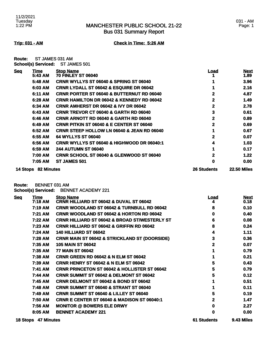Bus 031 Summary Report

**Trip: 031 - AM Check in Time: 5:26 AM**

**Route:** ST JAMES 031 AM **School(s) Serviced:** ST JAMES 501

| <b>Seq</b> | Time<br>5:43 AM | <b>Stop Name</b><br><b>70 FINLEY ST 06040</b>         | <u>Load</u>        | <u>Next</u><br>1.89 |
|------------|-----------------|-------------------------------------------------------|--------------------|---------------------|
|            | 5:48 AM         | <b>CRNR WYLLYS ST 06040 &amp; SPRING ST 06040</b>     |                    | 3.96                |
|            | 6:03 AM         | <b>CRNR LYDALL ST 06042 &amp; ESQUIRE DR 06042</b>    |                    | 2.16                |
|            | 6:11 AM         | <b>CRNR PORTER ST 06040 &amp; BUTTERNUT RD 06040</b>  |                    | 4.87                |
|            | 6:28 AM         | <b>CRNR HAMILTON DR 06042 &amp; KENNEDY RD 06042</b>  | 2                  | 1.49                |
|            | 6:34 AM         | <b>CRNR AMHERST DR 06042 &amp; IVY DR 06042</b>       | 2                  | 2.78                |
|            | 6:43 AM         | <b>CRNR TREVOR CT 06040 &amp; GARTH RD 06040</b>      | 3                  | 0.61                |
|            | 6:46 AM         | <b>CRNR ARNOTT RD 06040 &amp; GARTH RD 06040</b>      | $\mathbf{2}$       | 0.89                |
|            | 6:49 AM         | <b>CRNR PITKIN ST 06040 &amp; E CENTER ST 06040</b>   | 2                  | 0.69                |
|            | 6:52 AM         | <b>CRNR STEEP HOLLOW LN 06040 &amp; JEAN RD 06040</b> |                    | 0.67                |
|            | 6:55 AM         | 64 WYLLYS ST 06040                                    | 2                  | 0.07                |
|            | 6:56 AM         | CRNR WYLLYS ST 06040 & HIGHWOOD DR 06040:1            | 4                  | 1.03                |
|            | 6:59 AM         | <b>244 AUTUMN ST 06040</b>                            |                    | 0.17                |
|            | 7:00 AM         | <b>CRNR SCHOOL ST 06040 &amp; GLENWOOD ST 06040</b>   | 2                  | 1.22                |
|            | 7:05 AM         | <b>ST JAMES 501</b>                                   | 0                  | 0.00                |
| 14 Stops   | 82 Minutes      |                                                       | <b>26 Students</b> | <b>22.50 Miles</b>  |

**Route:** BENNET 031 AM

**School(s) Serviced:** BENNET ACADEMY 221

| <b>Seg</b> | <b>Time</b><br>7:18 AM | <b>Stop Name</b><br><b>CRNR HILLIARD ST 06042 &amp; DUVAL ST 06042</b> | <u>Load</u><br>4   | <b>Next</b><br>0.18 |
|------------|------------------------|------------------------------------------------------------------------|--------------------|---------------------|
|            | 7:19 AM                | <b>CRNR WOODLAND ST 06042 &amp; TURNBULL RD 06042</b>                  | 8                  | 0.10                |
|            | 7:21 AM                | <b>CRNR WOODLAND ST 06042 &amp; HORTON RD 06042</b>                    | 0                  | 0.40                |
|            | 7:22 AM                | <b>CRNR HILLIARD ST 06042 &amp; BROAD ST/WESTERLY ST</b>               | 6                  | 0.08                |
|            | 7:23 AM                | <b>CRNR HILLIARD ST 06042 &amp; GRIFFIN RD 06042</b>                   | 8                  | 0.24                |
|            | 7:24 AM                | <b>140 HILLIARD ST 06042</b>                                           | 4                  | 1.11                |
|            | 7:28 AM                | <b>CRNR MAIN ST 06042 &amp; STRICKLAND ST (DOORSIDE)</b>               | 3                  | 0.36                |
|            | 7:35 AM                | <b>105 MAIN ST 06042</b>                                               | 2                  | 0.07                |
|            | 7:35 AM                | <b>77 MAIN ST 06042</b>                                                |                    | 0.79                |
|            | 7:38 AM                | <b>CRNR GREEN RD 06042 &amp; N ELM ST 06042</b>                        |                    | 0.21                |
|            | 7:39 AM                | <b>CRNR HENRY ST 06042 &amp; N ELM ST 06042</b>                        | 5                  | 0.43                |
|            | 7:41 AM                | <b>CRNR PRINCETON ST 06042 &amp; HOLLISTER ST 06042</b>                | 5                  | 0.79                |
|            | 7:44 AM                | <b>CRNR SUMMIT ST 06042 &amp; DELMONT ST 06042</b>                     | 5                  | 0.12                |
|            | 7:45 AM                | <b>CRNR DELMONT ST 06042 &amp; BOND ST 06042</b>                       |                    | 0.51                |
|            | 7:48 AM                | <b>CRNR SUMMIT ST 06040 &amp; STRANT ST 06040</b>                      |                    | 0.11                |
|            | 7:49 AM                | <b>CRNR SUMMIT ST 06040 &amp; LILLEY ST 06040</b>                      | 5                  | 0.19                |
|            | 7:50 AM                | <b>CRNR E CENTER ST 06040 &amp; MADISON ST 06040:1</b>                 | 2                  | 1.47                |
|            | 7:56 AM                | <b>MONITOR @ BOWERS ELE DRWY</b>                                       | 0                  | 2.27                |
|            | 8:05 AM                | <b>BENNET ACADEMY 221</b>                                              | 0                  | 0.00                |
|            | 18 Stops 47 Minutes    |                                                                        | <b>61 Students</b> | <b>9.43 Miles</b>   |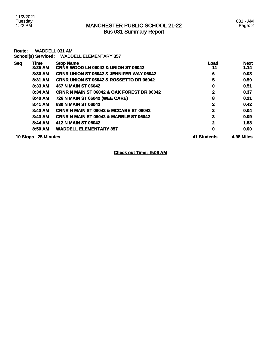| Route:     |                     | <b>WADDELL 031 AM</b>                                              |              |                     |
|------------|---------------------|--------------------------------------------------------------------|--------------|---------------------|
|            | School(s) Serviced: | <b>WADDELL ELEMENTARY 357</b>                                      |              |                     |
| <b>Seq</b> | Time<br>8:25 AM     | <b>Stop Name</b><br><b>CRNR WOOD LN 06042 &amp; UNION ST 06042</b> | Load<br>11   | <b>Next</b><br>1.14 |
|            | 8:30 AM             | <b>CRNR UNION ST 06042 &amp; JENNIFER WAY 06042</b>                | 6            | 0.08                |
|            | 8:31 AM             | <b>CRNR UNION ST 06042 &amp; ROSSETTO DR 06042</b>                 | 5            | 0.59                |
|            | 8:33 AM             | 467 N MAIN ST 06042                                                | 0            | 0.51                |
|            | 8:34 AM             | <b>CRNR N MAIN ST 06042 &amp; OAK FOREST DR 06042</b>              | 2            | 0.37                |
|            | 8:40 AM             | 726 N MAIN ST 06042 (WEE CARE)                                     | 8            | 0.21                |
|            | 8:41 AM             | 630 N MAIN ST 06042                                                | $\mathbf{2}$ | 0.42                |
|            | 8:43 AM             | <b>CRNR N MAIN ST 06042 &amp; MCCABE ST 06042</b>                  | 2            | 0.04                |
|            | 8:43 AM             | <b>CRNR N MAIN ST 06042 &amp; MARBLE ST 06042</b>                  | 3            | 0.09                |
|            | 8:44 AM             | 412 N MAIN ST 06042                                                | $\mathbf{2}$ | 1.53                |
|            | 8:50 AM             | <b>WADDELL ELEMENTARY 357</b>                                      | 0            | 0.00                |
|            | 10 Stops 25 Minutes |                                                                    | 41 Students  | 4.98 Miles          |

**Check out Time: 9:09 AM**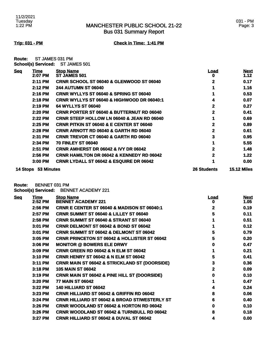Bus 031 Summary Report

**Trip: 031 - PM Check in Time: 1:41 PM**

**Route:** ST JAMES 031 PM **School(s) Serviced:** ST JAMES 501

| <b>Seq</b> | <u>Time</u> | <b>Stop Name</b>                                      | Load               | <b>Next</b>        |
|------------|-------------|-------------------------------------------------------|--------------------|--------------------|
|            | 2:07 PM     | ST JAMES 501                                          | o                  | 1.12               |
|            | 2:11 PM     | <b>CRNR SCHOOL ST 06040 &amp; GLENWOOD ST 06040</b>   | 2                  | 0.17               |
|            | 2:12 PM     | <b>244 AUTUMN ST 06040</b>                            |                    | 1.16               |
|            | 2:16 PM     | <b>CRNR WYLLYS ST 06040 &amp; SPRING ST 06040</b>     |                    | 0.53               |
|            | 2:18 PM     | <b>CRNR WYLLYS ST 06040 &amp; HIGHWOOD DR 06040:1</b> | 4                  | 0.07               |
|            | 2:19 PM     | 64 WYLLYS ST 06040                                    | 2                  | 0.27               |
|            | 2:20 PM     | <b>CRNR PORTER ST 06040 &amp; BUTTERNUT RD 06040</b>  | 2                  | 0.41               |
|            | 2:22 PM     | <b>CRNR STEEP HOLLOW LN 06040 &amp; JEAN RD 06040</b> |                    | 0.69               |
|            | $2:25$ PM   | <b>CRNR PITKIN ST 06040 &amp; E CENTER ST 06040</b>   | 2                  | 0.89               |
|            | 2:28 PM     | <b>CRNR ARNOTT RD 06040 &amp; GARTH RD 06040</b>      | 2                  | 0.61               |
|            | 2:31 PM     | <b>CRNR TREVOR CT 06040 &amp; GARTH RD 06040</b>      | 3                  | 0.95               |
|            | 2:34 PM     | <b>70 FINLEY ST 06040</b>                             |                    | 5.55               |
|            | 2:51 PM     | <b>CRNR AMHERST DR 06042 &amp; IVY DR 06042</b>       | 2                  | 1.48               |
|            | 2:56 PM     | <b>CRNR HAMILTON DR 06042 &amp; KENNEDY RD 06042</b>  | 2                  | 1.22               |
|            | 3:00 PM     | <b>CRNR LYDALL ST 06042 &amp; ESQUIRE DR 06042</b>    |                    | 0.00               |
| 14 Stops   | 53 Minutes  |                                                       | <b>26 Students</b> | <b>15.12 Miles</b> |

**Route:** BENNET 031 PM

**School(s) Serviced:** BENNET ACADEMY 221

| <b>Seg</b> | <b>Time</b><br>2:52 PM | <b>Stop Name</b><br><b>BENNET ACADEMY 221</b>            | <u>Load</u><br>o | <b>Next</b><br>1.05 |
|------------|------------------------|----------------------------------------------------------|------------------|---------------------|
|            | 2:56 PM                | <b>CRNR E CENTER ST 06040 &amp; MADISON ST 06040:1</b>   | 2                | 0.19                |
|            | 2:57 PM                | <b>CRNR SUMMIT ST 06040 &amp; LILLEY ST 06040</b>        | 5                | 0.11                |
|            | 2:58 PM                | <b>CRNR SUMMIT ST 06040 &amp; STRANT ST 06040</b>        |                  | 0.51                |
|            | 3:01 PM                | <b>CRNR DELMONT ST 06042 &amp; BOND ST 06042</b>         |                  | 0.12                |
|            | 3:01 PM                | <b>CRNR SUMMIT ST 06042 &amp; DELMONT ST 06042</b>       | 5                | 0.79                |
|            | 3:05 PM                | <b>CRNR PRINCETON ST 06042 &amp; HOLLISTER ST 06042</b>  | 5                | 0.20                |
|            | 3:06 PM                | <b>MONITOR @ BOWERS ELE DRWY</b>                         | 0                | 0.47                |
|            | 3:09 PM                | <b>CRNR GREEN RD 06042 &amp; N ELM ST 06042</b>          |                  | 0.21                |
|            | 3:10 PM                | <b>CRNR HENRY ST 06042 &amp; N ELM ST 06042</b>          | 5                | 0.41                |
|            | 3:11 PM                | <b>CRNR MAIN ST 06042 &amp; STRICKLAND ST (DOORSIDE)</b> | 3                | 0.36                |
|            | 3:18 PM                | <b>105 MAIN ST 06042</b>                                 | 2                | 0.09                |
|            | 3:19 PM                | <b>CRNR MAIN ST 06042 &amp; PINE HILL ST (DOORSIDE)</b>  | 0                | 0.10                |
|            | 3:20 PM                | <b>77 MAIN ST 06042</b>                                  |                  | 0.47                |
|            | 3:22 PM                | <b>140 HILLIARD ST 06042</b>                             |                  | 0.24                |
|            | 3:23 PM                | <b>CRNR HILLIARD ST 06042 &amp; GRIFFIN RD 06042</b>     | 8                | 0.06                |
|            | 3:24 PM                | <b>CRNR HILLIARD ST 06042 &amp; BROAD ST/WESTERLY ST</b> | 6                | 0.40                |
|            | 3:26 PM                | <b>CRNR WOODLAND ST 06042 &amp; HORTON RD 06042</b>      | 0                | 0.10                |
|            | 3:26 PM                | <b>CRNR WOODLAND ST 06042 &amp; TURNBULL RD 06042</b>    | 8                | 0.18                |
|            | 3:27 PM                | CRNR HILLIARD ST 06042 & DUVAL ST 06042                  | 4                | 0.00                |
|            |                        |                                                          |                  |                     |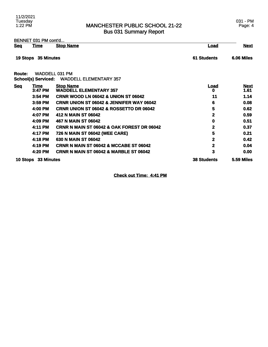### MANCHESTER PUBLIC SCHOOL 21-22 Bus 031 Summary Report

BENNET 031 PM cont'd...

| <u>Seq</u> | Time                | <b>Stop Name</b>                                       | <u>Load</u>        | <b>Next</b>         |
|------------|---------------------|--------------------------------------------------------|--------------------|---------------------|
|            | 19 Stops 35 Minutes |                                                        | <b>61 Students</b> | 6.06 Miles          |
| Route:     | School(s) Serviced: | <b>WADDELL 031 PM</b><br><b>WADDELL ELEMENTARY 357</b> |                    |                     |
| <b>Seq</b> | Time<br>3:47 PM     | <b>Stop Name</b><br><b>WADDELL ELEMENTARY 357</b>      | <u>Load</u><br>0   | <b>Next</b><br>1.61 |
|            | 3:54 PM             | <b>CRNR WOOD LN 06042 &amp; UNION ST 06042</b>         | 11                 | 1.14                |
|            | 3:59 PM             | <b>CRNR UNION ST 06042 &amp; JENNIFER WAY 06042</b>    | 6                  | 0.08                |
|            | 4:00 PM             | <b>CRNR UNION ST 06042 &amp; ROSSETTO DR 06042</b>     | 5                  | 0.62                |
|            | 4:07 PM             | 412 N MAIN ST 06042                                    | $\mathbf 2$        | 0.59                |
|            | 4:09 PM             | 467 N MAIN ST 06042                                    | 0                  | 0.51                |
|            | 4:11 PM             | <b>CRNR N MAIN ST 06042 &amp; OAK FOREST DR 06042</b>  | 2                  | 0.37                |
|            | 4:17 PM             | 726 N MAIN ST 06042 (WEE CARE)                         | 5                  | 0.21                |
|            | 4:18 PM             | 630 N MAIN ST 06042                                    | 2                  | 0.42                |
|            | 4:19 PM             | <b>CRNR N MAIN ST 06042 &amp; MCCABE ST 06042</b>      | 2                  | 0.04                |
|            | 4:20 PM             | <b>CRNR N MAIN ST 06042 &amp; MARBLE ST 06042</b>      | 3                  | 0.00                |
|            | 10 Stops 33 Minutes |                                                        | <b>38 Students</b> | <b>5.59 Miles</b>   |

**Check out Time: 4:41 PM**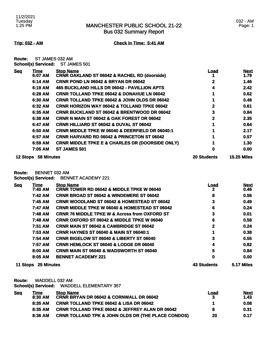Bus 032 Summary Report

**Trip: 032 - AM Check in Time: 5:41 AM**

**Route:** ST JAMES 032 AM **School(s) Serviced:** ST JAMES 501

| <b>Seq</b> | Time       | <b>Stop Name</b>                                           | <u>Load</u>        | <b>Next</b>        |
|------------|------------|------------------------------------------------------------|--------------------|--------------------|
|            | 6:07 AM    | <b>CRNR OAKLAND ST 06042 &amp; RACHEL RD (doorside)</b>    |                    | 1.79               |
|            | 6:14 AM    | <b>CRNR POND LN 06042 &amp; BRYAN DR 06042</b>             | 2                  | 1.46               |
|            | 6:19 AM    | 465 BUCKLAND HILLS DR 06042 - PAVILLION APTS               | 4                  | 2.42               |
|            | 6:28 AM    | <b>CRNR TOLLAND TPKE 06042 &amp; DONAHUE LN 06042</b>      |                    | 0.62               |
|            | 6:30 AM    | <b>CRNR TOLLAND TPKE 06042 &amp; JOHN OLDS DR 06042</b>    |                    | 0.48               |
|            | 6:32 AM    | <b>CRNR HORIZON WAY 06042 &amp; TOLLAND TPKE 06042</b>     |                    | 0.61               |
|            | 6:35 AM    | <b>CRNR BUCKLAND ST 06042 &amp; BRENTWOOD DR 06042</b>     | 3                  | 0.84               |
|            | 6:38 AM    | <b>CRNR N MAIN ST 06042 &amp; OAK FOREST DR 06042</b>      | 2                  | 2.35               |
|            | 6:47 AM    | <b>CRNR HILLIARD ST 06042 &amp; DUVAL ST 06042</b>         |                    | 0.64               |
|            | 6:50 AM    | <b>CRNR MIDDLE TPKE W 06040 &amp; DEERFIELD DR 06040:1</b> |                    | 2.17               |
|            | 6:57 AM    | <b>CRNR HARVARD RD 06042 &amp; PRINCETON ST 06042</b>      |                    | 0.57               |
|            | 6:59 AM    | <b>CRNR MIDDLE TPKE E &amp; CHARLES DR (DOORSIDE ONLY)</b> |                    | 1.30               |
|            | 7:05 AM    | <b>ST JAMES 501</b>                                        | O                  | 0.00               |
| 12 Stops   | 58 Minutes |                                                            | <b>20 Students</b> | <b>15.25 Miles</b> |

**Route:** BENNET 032 AM

**School(s) Serviced:** BENNET ACADEMY 221

| <u>Seq</u> | <u>Time</u> | <b>Stop Name</b>                                         | <u>Load</u> | <b>Next</b> |
|------------|-------------|----------------------------------------------------------|-------------|-------------|
|            | 7:40 AM     | <b>CRNR TOWER RD 06042 &amp; MIDDLE TPKE W 06040</b>     | 2           | 0.46        |
|            | 7:42 AM     | <b>CRNR BROAD ST 06042 &amp; WINDEMERE ST 06042</b>      | 8           | 0.56        |
|            | 7:45 AM     | <b>CRNR WOODLAND ST 06042 &amp; HOMESTEAD ST 06042</b>   | 3           | 0.49        |
|            | 7:47 AM     | <b>CRNR MIDDLE TPKE W 06040 &amp; HOMESTEAD ST 06042</b> | 6           | 0.24        |
|            | 7:48 AM     | <b>CRNR 76 MIDDLE TPKE W &amp; Across from OXFORD ST</b> | 3           | 0.01        |
|            | 7:48 AM     | <b>CRNR OXFORD ST 06042 &amp; MIDDLE TPKE W 06040</b>    | 6           | 0.58        |
|            | 7:51 AM     | <b>CRNR MAIN ST 06042 &amp; CAMBRIDGE ST 06042</b>       | $\mathbf 2$ | 0.24        |
|            | 7:53 AM     | <b>CRNR HAYNES ST 06040 &amp; MAIN ST 06040:1</b>        |             | 0.38        |
|            | 7:54 AM     | <b>CRNR BIGELOW ST 06040 &amp; LIBERTY ST 06040</b>      | 3           | 0.55        |
|            | 7:57 AM     | <b>CRNR HEMLOCK ST 06040 &amp; LODGE DR 06040</b>        | 4           | 0.82        |
|            | 8:00 AM     | <b>CRNR MAIN ST 06040 &amp; WADSWORTH ST 06040</b>       | 5           | 0.84        |
|            | 8:05 AM     | <b>BENNET ACADEMY 221</b>                                | 0           | 0.00        |
|            |             |                                                          |             |             |

**11 Stops 25 Minutes 43 Students 5.17 Miles** 

**Route:** WADDELL 032 AM

**School(s) Serviced:** WADDELL ELEMENTARY 357

| <u>Sea</u> | Time    | <b>Stop Name</b>                                              | Load | <u>Next</u> |
|------------|---------|---------------------------------------------------------------|------|-------------|
|            | 8:30 AM | <b>CRNR BRYAN DR 06042 &amp; CORNWALL DR 06042</b>            |      | 1.43        |
|            | 8:35 AM | <b>CRNR TOLLAND TPKE 06042 &amp; LISA DR 06042</b>            |      | 0.08        |
|            | 8:35 AM | <b>CRNR TOLLAND TPKE 06042 &amp; JEFFREY ALAN DR 06042</b>    | 8    | 0.31        |
|            | 8:36 AM | <b>CRNR TOLLAND TPK &amp; JOHN OLDS DR (THE PLACE CONDOS)</b> | 20   | 0.17        |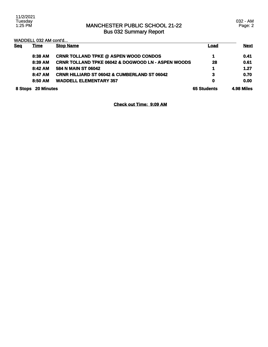### MANCHESTER PUBLIC SCHOOL 21-22 Bus 032 Summary Report

| <b>Seq</b> | WADDELL 032 AM cont'd<br><u>Time</u> | <b>Stop Name</b>                                              | Load               | <b>Next</b> |
|------------|--------------------------------------|---------------------------------------------------------------|--------------------|-------------|
|            | 8:38 AM                              | <b>CRNR TOLLAND TPKE @ ASPEN WOOD CONDOS</b>                  | 4                  | 0.41        |
|            | 8:39 AM                              | <b>CRNR TOLLAND TPKE 06042 &amp; DOGWOOD LN - ASPEN WOODS</b> | 28                 | 0.61        |
|            | 8:42 AM                              | 584 N MAIN ST 06042                                           |                    | 1.27        |
|            | 8:47 AM                              | CRNR HILLIARD ST 06042 & CUMBERLAND ST 06042                  | 3                  | 0.70        |
|            | 8:50 AM                              | <b>WADDELL ELEMENTARY 357</b>                                 | 0                  | 0.00        |
| 8 Stops    | <b>20 Minutes</b>                    |                                                               | <b>65 Students</b> | 4.98 Miles  |

**Check out Time: 9:09 AM**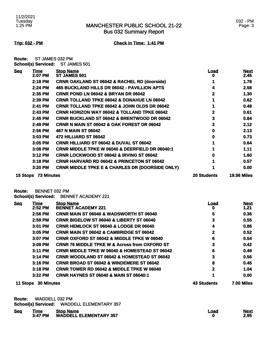### MANCHESTER PUBLIC SCHOOL 21-22 Bus 032 Summary Report

### 032 - PM Page: 3

**Trip: 032 - PM Check in Time: 1:41 PM**

| <b>Route:</b> | ST JAMES 032 PM            |              |
|---------------|----------------------------|--------------|
|               | <b>School(s) Serviced:</b> | ST JAMES 501 |

| <b>Seq</b> | Time              | <b>Stop Name</b>                                           | <u>Load</u>        | <b>Next</b>        |
|------------|-------------------|------------------------------------------------------------|--------------------|--------------------|
|            | 2:07 PM           | <b>ST JAMES 501</b>                                        |                    | 2.45               |
|            | 2:18 PM           | <b>CRNR OAKLAND ST 06042 &amp; RACHEL RD (doorside)</b>    |                    | 1.78               |
|            | 2:24 PM           | 465 BUCKLAND HILLS DR 06042 - PAVILLION APTS               |                    | 2.58               |
|            | 2:35 PM           | <b>CRNR POND LN 06042 &amp; BRYAN DR 06042</b>             | 2                  | 1.30               |
|            | 2:39 PM           | <b>CRNR TOLLAND TPKE 06042 &amp; DONAHUE LN 06042</b>      |                    | 0.62               |
|            | 2:41 PM           | <b>CRNR TOLLAND TPKE 06042 &amp; JOHN OLDS DR 06042</b>    |                    | 0.48               |
|            | 2:43 PM           | <b>CRNR HORIZON WAY 06042 &amp; TOLLAND TPKE 06042</b>     |                    | 0.61               |
|            | 2:45 PM           | <b>CRNR BUCKLAND ST 06042 &amp; BRENTWOOD DR 06042</b>     | 3                  | 0.84               |
|            | $2:49$ PM         | <b>CRNR N MAIN ST 06042 &amp; OAK FOREST DR 06042</b>      | 2                  | 2.12               |
|            | 2:56 PM           | 467 N MAIN ST 06042                                        |                    | 2.13               |
|            | 3:03 PM           | <b>472 HILLIARD ST 06042</b>                               | n                  | 0.73               |
|            | $3:05$ PM         | <b>CRNR HILLIARD ST 06042 &amp; DUVAL ST 06042</b>         |                    | 0.64               |
|            | 3:08 PM           | <b>CRNR MIDDLE TPKE W 06040 &amp; DEERFIELD DR 06040:1</b> |                    | 1.11               |
|            | 3:12 PM           | <b>CRNR LOCKWOOD ST 06042 &amp; IRVING ST 06042</b>        |                    | 1.60               |
|            | $3:18$ PM         | <b>CRNR HARVARD RD 06042 &amp; PRINCETON ST 06042</b>      |                    | 0.57               |
|            | 3:20 PM           | <b>CRNR MIDDLE TPKE E &amp; CHARLES DR (DOORSIDE ONLY)</b> |                    | 0.00               |
| 15 Stops   | <b>73 Minutes</b> |                                                            | <b>20 Students</b> | <b>19.56 Miles</b> |

**Route:** BENNET 032 PM

**School(s) Serviced:** BENNET ACADEMY 221

| <b>Seq</b> | <u>Time</u>       | <b>Stop Name</b>                                         | <u>Load</u>        | <b>Next</b>       |
|------------|-------------------|----------------------------------------------------------|--------------------|-------------------|
|            | 2:52 PM           | <b>BENNET ACADEMY 221</b>                                | o                  | 1.21              |
|            | 2:56 PM           | <b>CRNR MAIN ST 06040 &amp; WADSWORTH ST 06040</b>       | 5                  | 0.36              |
|            | 2:59 PM           | <b>CRNR BIGELOW ST 06040 &amp; LIBERTY ST 06040</b>      | 3                  | 0.55              |
|            | 3:01 PM           | <b>CRNR HEMLOCK ST 06040 &amp; LODGE DR 06040</b>        | 4                  | 0.86              |
|            | 3:05 PM           | <b>CRNR MAIN ST 06042 &amp; CAMBRIDGE ST 06042</b>       | 2                  | 0.52              |
|            | 3:07 PM           | <b>CRNR OXFORD ST 06042 &amp; MIDDLE TPKE W 06040</b>    | 6                  | 0.54              |
|            | 3:09 PM           | <b>CRNR 76 MIDDLE TPKE W &amp; Across from OXFORD ST</b> | 3                  | 0.42              |
|            | 3:11 PM           | <b>CRNR MIDDLE TPKE W 06040 &amp; HOMESTEAD ST 06042</b> | 6                  | 0.49              |
|            | 3:14 PM           | <b>CRNR WOODLAND ST 06042 &amp; HOMESTEAD ST 06042</b>   | 3                  | 0.56              |
|            | 3:16 PM           | <b>CRNR BROAD ST 06042 &amp; WINDEMERE ST 06042</b>      | 8                  | 0.45              |
|            | 3:18 PM           | <b>CRNR TOWER RD 06042 &amp; MIDDLE TPKE W 06040</b>     | 2                  | 1.04              |
|            | $3:22$ PM         | <b>CRNR HAYNES ST 06040 &amp; MAIN ST 06040:1</b>        |                    | 0.00              |
| 11 Stops   | <b>30 Minutes</b> |                                                          | <b>43 Students</b> | <b>7.00 Miles</b> |

| Route: WADDELL 032 PM |  |
|-----------------------|--|
|                       |  |

**School(s) Serviced:** WADDELL ELEMENTARY 357

| <u>Sea</u> | Time    | <b>Stop Name</b>              | ∟oad | <b>Next</b> |
|------------|---------|-------------------------------|------|-------------|
|            | 3:47 PM | <b>WADDELL ELEMENTARY 357</b> |      | 2.95        |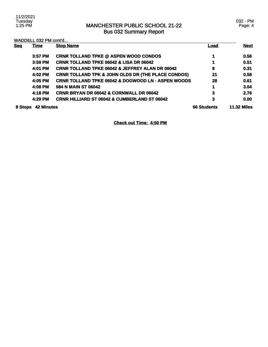### MANCHESTER PUBLIC SCHOOL 21-22 Bus 032 Summary Report

WADDELL 032 PM cont'd...

| <b>Seq</b> | <b>Time</b>       | <b>Stop Name</b>                                              | <u>Load</u>        | <b>Next</b>        |
|------------|-------------------|---------------------------------------------------------------|--------------------|--------------------|
|            | $3:57$ PM         | <b>CRNR TOLLAND TPKE @ ASPEN WOOD CONDOS</b>                  |                    | 0.56               |
|            | 3:59 PM           | <b>CRNR TOLLAND TPKE 06042 &amp; LISA DR 06042</b>            |                    | 0.51               |
|            | 4:01 PM           | <b>CRNR TOLLAND TPKE 06042 &amp; JEFFREY ALAN DR 06042</b>    | 8                  | 0.31               |
|            | 4:02 PM           | <b>CRNR TOLLAND TPK &amp; JOHN OLDS DR (THE PLACE CONDOS)</b> | 21                 | 0.58               |
|            | 4:05 PM           | <b>CRNR TOLLAND TPKE 06042 &amp; DOGWOOD LN - ASPEN WOODS</b> | 28                 | 0.61               |
|            | 4:08 PM           | 584 N MAIN ST 06042                                           | 1                  | 3.04               |
|            | 4:18 PM           | <b>CRNR BRYAN DR 06042 &amp; CORNWALL DR 06042</b>            | 3                  | 2.76               |
|            | 4:29 PM           | <b>CRNR HILLIARD ST 06042 &amp; CUMBERLAND ST 06042</b>       | 3                  | 0.00               |
| 8 Stops    | <b>42 Minutes</b> |                                                               | <b>66 Students</b> | <b>11.32 Miles</b> |

**Check out Time: 4:50 PM**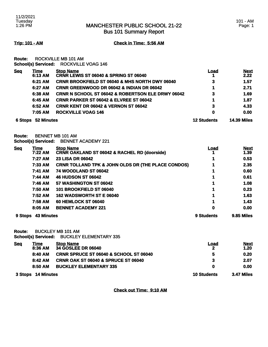### MANCHESTER PUBLIC SCHOOL 21-22 Bus 101 Summary Report

**Trip: 101 - AM Check in Time: 5:56 AM**

**Route:** ROCKVILLE MB 101 AM **School(s) Serviced:** ROCKVILLE VOAG 146

| <b>Seq</b> | <u>Time</u><br>6:13 AM | <b>Stop Name</b><br>CRNR LEWIS ST 06040 & SPRING ST 06040    | <u>Load</u>        | <b>Next</b><br>2.22 |
|------------|------------------------|--------------------------------------------------------------|--------------------|---------------------|
|            | 6:21 AM                | <b>CRNR BROOKFIELD ST 06040 &amp; MHS NORTH DWY 06040</b>    | 3                  | 1.57                |
|            | 6:27 AM                | <b>CRNR GREENWOOD DR 06042 &amp; INDIAN DR 06042</b>         |                    | 2.71                |
|            | 6:38 AM                | <b>CRNR N SCHOOL ST 06042 &amp; ROBERTSON ELE DRWY 06042</b> | 3                  | 1.69                |
|            | 6:45 AM                | <b>CRNR PARKER ST 06042 &amp; ELVREE ST 06042</b>            | 1                  | 1.87                |
|            | 6:52 AM                | <b>CRNR KENT DR 06042 &amp; VERNON ST 06042</b>              | 3                  | 4.33                |
|            | 7:05 AM                | <b>ROCKVILLE VOAG 146</b>                                    | 0                  | 0.00                |
| 6 Stops    | 52 Minutes             |                                                              | <b>12 Students</b> | <b>14.39 Miles</b>  |

**Route:** BENNET MB 101 AM **School(s) Serviced:** BENNET ACADEMY 221

| <b>Seq</b> | <u>Time</u>       | <b>Stop Name</b>                                              | Load       | <b>Next</b> |
|------------|-------------------|---------------------------------------------------------------|------------|-------------|
|            | 7:22 AM           | <b>CRNR OAKLAND ST 06042 &amp; RACHEL RD (doorside)</b>       |            | 1.39        |
|            | 7:27 AM           | <b>23 LISA DR 06042</b>                                       |            | 0.53        |
|            | 7:33 AM           | <b>CRNR TOLLAND TPK &amp; JOHN OLDS DR (THE PLACE CONDOS)</b> |            | 2.35        |
|            | 7:41 AM           | <b>74 WOODLAND ST 06042</b>                                   |            | 0.60        |
|            | 7:44 AM           | <b>46 HUDSON ST 06042</b>                                     |            | 0.61        |
|            | 7:46 AM           | 57 WASHINGTON ST 06042                                        |            | 1.08        |
|            | 7:50 AM           | 101 BROOKFIELD ST 06040                                       |            | 0.23        |
|            | 7:52 AM           | 162 WADSWORTH ST E 06040                                      |            | 1.63        |
|            | 7:58 AM           | <b>60 HEMLOCK ST 06040</b>                                    |            | 1.43        |
|            | 8:05 AM           | <b>BENNET ACADEMY 221</b>                                     | 0          | 0.00        |
| 9 Stops    | <b>43 Minutes</b> |                                                               | 9 Students | 9.85 Miles  |

**Route:** BUCKLEY MB 101 AM

**School(s) Serviced:** BUCKLEY ELEMENTARY 335

| <u>Seq</u>         | <u>Time</u> | <b>Stop Name</b>                                  | <b>Load</b>       | <b>Next</b> |
|--------------------|-------------|---------------------------------------------------|-------------------|-------------|
|                    | 8:36 AM     | <b>34 GOSLEE DR 06040</b>                         | 2                 | 1.20        |
|                    | 8:40 AM     | <b>CRNR SPRUCE ST 06040 &amp; SCHOOL ST 06040</b> | 5                 | 0.20        |
|                    | 8:42 AM     | <b>CRNR OAK ST 06040 &amp; SPRUCE ST 06040</b>    | 3                 | 2.07        |
|                    | 8:50 AM     | <b>BUCKLEY ELEMENTARY 335</b>                     | 0                 | 0.00        |
| 3 Stops 14 Minutes |             | <b>10 Students</b>                                | <b>3.47 Miles</b> |             |

**Check out Time: 9:10 AM**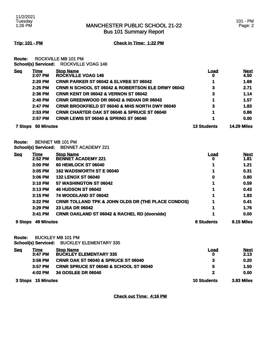Bus 101 Summary Report

**Trip: 101 - PM Check in Time: 1:22 PM**

**Route:** ROCKVILLE MB 101 PM **School(s) Serviced:** ROCKVILLE VOAG 146

| <b>Seq</b>     | <u>Time</u><br>2:07 PM | <b>Stop Name</b><br><b>ROCKVILLE VOAG 146</b>                | Load<br>o          | <b>Next</b><br>4.50 |
|----------------|------------------------|--------------------------------------------------------------|--------------------|---------------------|
|                | 2:20 PM                | <b>CRNR PARKER ST 06042 &amp; ELVREE ST 06042</b>            |                    | 1.68                |
|                | 2:25 PM                | <b>CRNR N SCHOOL ST 06042 &amp; ROBERTSON ELE DRWY 06042</b> | 3                  | 2.71                |
|                | $2:36$ PM              | <b>CRNR KENT DR 06042 &amp; VERNON ST 06042</b>              | 3                  | 1.14                |
|                | 2:40 PM                | <b>CRNR GREENWOOD DR 06042 &amp; INDIAN DR 06042</b>         |                    | 1.57                |
|                | 2:47 PM                | <b>CRNR BROOKFIELD ST 06040 &amp; MHS NORTH DWY 06040</b>    | 3                  | 1.83                |
|                | $2:53$ PM              | <b>CRNR CHARTER OAK ST 06040 &amp; SPRUCE ST 06040</b>       |                    | 0.86                |
|                | 2:57 PM                | <b>CRNR LEWIS ST 06040 &amp; SPRING ST 06040</b>             |                    | 0.00                |
| <b>7 Stops</b> | 50 Minutes             |                                                              | <b>13 Students</b> | <b>14.29 Miles</b>  |

**Route:** BENNET MB 101 PM **School(s) Serviced:** BENNET ACADEMY 221

| <b>Seq</b> | <u>Time</u>       | <b>Stop Name</b>                                              | Load       | <b>Next</b>       |
|------------|-------------------|---------------------------------------------------------------|------------|-------------------|
|            | $2:52$ PM         | <b>BENNET ACADEMY 221</b>                                     | U          | 1.81              |
|            | 3:00 PM           | <b>60 HEMLOCK ST 06040</b>                                    | 1          | 1.21              |
|            | 3:05 PM           | 162 WADSWORTH ST E 06040                                      |            | 0.31              |
|            | 3:06 PM           | <b>132 LENOX ST 06040</b>                                     | 0          | 0.80              |
|            | 3:10 PM           | 57 WASHINGTON ST 06042                                        | 1          | 0.59              |
|            | 3:13 PM           | <b>46 HUDSON ST 06042</b>                                     |            | 0.43              |
|            | 3:15 PM           | <b>74 WOODLAND ST 06042</b>                                   |            | 1.83              |
|            | 3:22 PM           | <b>CRNR TOLLAND TPK &amp; JOHN OLDS DR (THE PLACE CONDOS)</b> | 1          | 0.41              |
|            | 3:29 PM           | <b>23 LISA DR 06042</b>                                       | 1          | 1.76              |
|            | 3:41 PM           | <b>CRNR OAKLAND ST 06042 &amp; RACHEL RD (doorside)</b>       |            | 0.00              |
| 9 Stops    | <b>49 Minutes</b> |                                                               | 8 Students | <b>9.15 Miles</b> |

**Route:** BUCKLEY MB 101 PM

**School(s) Serviced:** BUCKLEY ELEMENTARY 335

| <u>Seq</u>         | Time      | <b>Stop Name</b>                                  | Load              | <b>Next</b> |
|--------------------|-----------|---------------------------------------------------|-------------------|-------------|
|                    | 3:47 PM   | <b>BUCKLEY ELEMENTARY 335</b>                     | 0                 | 2.13        |
|                    | $3:56$ PM | <b>CRNR OAK ST 06040 &amp; SPRUCE ST 06040</b>    |                   | 0.20        |
|                    | $3:57$ PM | <b>CRNR SPRUCE ST 06040 &amp; SCHOOL ST 06040</b> | 5                 | 1.50        |
|                    | 4:02 PM   | 34 GOSLEE DR 06040                                |                   | 0.00        |
| 3 Stops 15 Minutes |           | <b>10 Students</b>                                | <b>3.83 Miles</b> |             |

**Check out Time: 4:16 PM**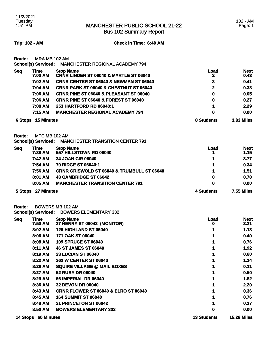Bus 102 Summary Report

**Trip: 102 - AM Check in Time: 6:40 AM**

**Route:** MRA MB 102 AM **School(s) Serviced:** MANCHESTER REGIONAL ACADEMY 794

|            | 7:15 AM                | <b>MANCHESTER REGIONAL ACADEMY 794</b>                                | 0                | 0.00                |
|------------|------------------------|-----------------------------------------------------------------------|------------------|---------------------|
|            | 7:08 AM                | 253 HARTFORD RD 06040:1                                               | 1                | 2.29                |
|            | 7:06 AM                | <b>CRNR PINE ST 06040 &amp; FOREST ST 06040</b>                       | 0                | 0.27                |
|            | 7:06 AM                | <b>CRNR PINE ST 06040 &amp; PLEASANT ST 06040</b>                     | 0                | 0.05                |
|            | 7:04 AM                | <b>CRNR PARK ST 06040 &amp; CHESTNUT ST 06040</b>                     | $\mathbf{2}$     | 0.38                |
|            | 7:02 AM                | <b>CRNR CENTER ST 06040 &amp; NEWMAN ST 06040</b>                     | 3                | 0.41                |
| <b>Seq</b> | <u>Time</u><br>7:00 AM | <b>Stop Name</b><br><b>CRNR LINDEN ST 06040 &amp; MYRTLE ST 06040</b> | <u>Load</u><br>2 | <b>Next</b><br>0.43 |
|            |                        | SCROOKS) SEIVICED: MANUTESTER REGIUNAL AUADEMT 794                    |                  |                     |

**Route:** MTC MB 102 AM

|  | School(s) Serviced: MANCHESTER TRANSITION CENTER 791 |
|--|------------------------------------------------------|
|--|------------------------------------------------------|

| <b>Seq</b> | Time<br>7:38 AM | <b>Stop Name</b><br>557 HILLSTOWN RD 06040            | <b>Load</b> | <b>Next</b><br>1.15 |
|------------|-----------------|-------------------------------------------------------|-------------|---------------------|
|            | 7:42 AM         | <b>34 JOAN CIR 06040</b>                              |             | 3.77                |
|            | 7:54 AM         | <b>70 RIDGE ST 06040:1</b>                            |             | 0.34                |
|            | 7:56 AM         | <b>CRNR GRISWOLD ST 06040 &amp; TRUMBULL ST 06040</b> |             | 1.51                |
|            | 8:01 AM         | <b>43 CAMBRIDGE ST 06042</b>                          | 0           | 0.78                |
|            | 8:05 AM         | <b>MANCHESTER TRANSITION CENTER 791</b>               | 0           | 0.00                |
| 5 Stops    | 27 Minutes      |                                                       | 4 Students  | <b>7.55 Miles</b>   |

**Route:** BOWERS MB 102 AM

**School(s) Serviced:** BOWERS ELEMENTARY 332

| <u>Seq</u> | <u>Time</u>       | <b>Stop Name</b>                                | <u>Load</u>        | <b>Next</b>        |
|------------|-------------------|-------------------------------------------------|--------------------|--------------------|
|            | 7:50 AM           | 27 HENRY ST 06042 (MONITOR)                     | 0                  | 3.21               |
|            | 8:02 AM           | <b>126 HIGHLAND ST 06040</b>                    |                    | 1.13               |
|            | 8:06 AM           | 171 OAK ST 06040                                |                    | 0.40               |
|            | 8:08 AM           | <b>109 SPRUCE ST 06040</b>                      |                    | 0.76               |
|            | 8:11 AM           | <b>46 ST JAMES ST 06040</b>                     |                    | 1.92               |
|            | 8:19 AM           | <b>23 LUCIAN ST 06040</b>                       |                    | 0.60               |
|            | 8:22 AM           | <b>262 W CENTER ST 06040</b>                    |                    | 1.14               |
|            | 8:26 AM           | <b>SQUIRE VILLAGE @ MAIL BOXES</b>              |                    | 0.11               |
|            | 8:27 AM           | <b>52 RUBY DR 06040</b>                         |                    | 0.50               |
|            | 8:29 AM           | <b>66 IMPERIAL DR 06040</b>                     |                    | 1.82               |
|            | 8:36 AM           | <b>32 DEVON DR 06040</b>                        |                    | 2.20               |
|            | 8:43 AM           | <b>CRNR FLOWER ST 06040 &amp; ELRO ST 06040</b> |                    | 0.36               |
|            | 8:45 AM           | <b>164 SUMMIT ST 06040</b>                      |                    | 0.76               |
|            | 8:48 AM           | 21 PRINCETON ST 06042                           |                    | 0.37               |
|            | 8:50 AM           | <b>BOWERS ELEMENTARY 332</b>                    | 0                  | 0.00               |
| 14 Stops   | <b>60 Minutes</b> |                                                 | <b>13 Students</b> | <b>15.28 Miles</b> |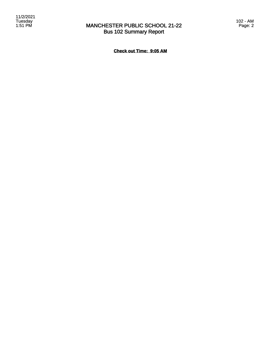### MANCHESTER PUBLIC SCHOOL 21-22 Bus 102 Summary Report

**Check out Time: 9:05 AM**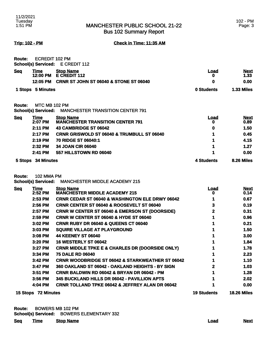Bus 102 Summary Report

**Trip: 102 - PM Check in Time: 11:35 AM**

| <b>Route:</b> | <b>ECREDIT 102 PM</b><br><b>School(s) Serviced:</b> | E CREDIT 112                                                      |                    |                     |
|---------------|-----------------------------------------------------|-------------------------------------------------------------------|--------------------|---------------------|
| <b>Seq</b>    | <u>Time</u>                                         | <b>Stop Name</b>                                                  | <u>Load</u>        | <u>Next</u>         |
|               | 12:00 PM<br>12:05 PM                                | E CREDIT 112<br><b>CRNR ST JOHN ST 06040 &amp; STONE ST 06040</b> | 0<br>0             | 1.33<br>0.00        |
|               | 1 Stops 5 Minutes                                   |                                                                   | 0 Students         | <b>1.33 Miles</b>   |
| <b>Route:</b> | MTC MB 102 PM                                       |                                                                   |                    |                     |
|               | <b>School(s) Serviced:</b>                          | <b>MANCHESTER TRANSITION CENTER 791</b>                           |                    |                     |
| <b>Seq</b>    | <b>Time</b><br>$2:07$ PM                            | <b>Stop Name</b><br><b>MANCHESTER TRANSITION CENTER 791</b>       | Load<br>o          | <u>Next</u><br>0.89 |
|               | 2:11 PM                                             | 43 CAMBRIDGE ST 06042                                             | 0                  | 1.50                |
|               | 2:17 PM                                             | <b>CRNR GRISWOLD ST 06040 &amp; TRUMBULL ST 06040</b>             | 1                  | 0.45                |
|               | 2:19 PM                                             | 70 RIDGE ST 06040:1                                               | 1                  | 4.15                |
|               | 2:32 PM                                             | 34 JOAN CIR 06040                                                 | 1                  | 1.27                |
|               | 2:41 PM                                             | 557 HILLSTOWN RD 06040                                            |                    | 0.00                |
|               | 5 Stops 34 Minutes                                  |                                                                   | <b>4 Students</b>  | 8.26 Miles          |
| Route:        | 102 MMA PM<br><b>School(s) Serviced:</b>            | <b>MANCHESTER MIDDLE ACADEMY 215</b>                              |                    |                     |
| <b>Seq</b>    | <b>Time</b><br>2:52 PM                              | <b>Stop Name</b><br><b>MANCHESTER MIDDLE ACADEMY 215</b>          | <b>Load</b><br>o   | <b>Next</b><br>0.14 |
|               | 2:53 PM                                             | <b>CRNR CEDAR ST 06040 &amp; WASHINGTON ELE DRWY 06042</b>        | 1                  | 0.67                |
|               | 2:56 PM                                             | <b>CRNR CENTER ST 06040 &amp; ROOSEVELT ST 06040</b>              | 3                  | 0.19                |
|               | 2:57 PM                                             | <b>CRNR W CENTER ST 06040 &amp; EMERSON ST (DOORSIDE)</b>         | 2                  | 0.31                |
|               | 2:59 PM                                             | <b>CRNR W CENTER ST 06040 &amp; HYDE ST 06040</b>                 | 1                  | 0.96                |
|               | 3:02 PM                                             | <b>CRNR RUBY DR 06040 &amp; QUEENS CT 06040</b>                   | 1                  | 0.21                |
|               | 3:03 PM                                             | <b>SQUIRE VILLAGE AT PLAYGROUND</b>                               | 1                  | 1.50                |
|               | 3:08 PM                                             | <b>44 KEENEY ST 06040</b>                                         |                    | 3.00                |
|               | 3:20 PM                                             | <b>16 WESTERLY ST 06042</b>                                       | 1                  | 1.84                |
|               | 3:27 PM                                             | <b>CRNR MIDDLE TPKE E &amp; CHARLES DR (DOORSIDE ONLY)</b>        | 1                  | 1.78                |
|               | 3:34 PM                                             | <b>75 DALE RD 06040</b>                                           | 1                  | 2.23                |
|               | 3:42 PM                                             | <b>CRNR WOODBRIDGE ST 06042 &amp; STARKWEATHER ST 06042</b>       |                    | 1.10                |
|               | 3:47 PM                                             | 360 OAKLAND ST 06042 - OAKLAND HEIGHTS - BY SIGN                  | 2                  | 1.03                |
|               | 3:51 PM                                             | <b>CRNR BALDWIN RD 06042 &amp; BRYAN DR 06042 - PM</b>            |                    | 1.28                |
|               | 3:56 PM                                             | 345 BUCKLAND HILLS DR 06042 - PAVILLION APTS                      | 1                  | 2.02                |
|               | 4:04 PM                                             | <b>CRNR TOLLAND TPKE 06042 &amp; JEFFREY ALAN DR 06042</b>        | 1                  | 0.00                |
|               | 15 Stops 72 Minutes                                 |                                                                   | <b>19 Students</b> | <b>18.26 Miles</b>  |

| <b>19 Students</b> | <b>18.26 Mil</b> |  |
|--------------------|------------------|--|
|                    |                  |  |

| Route: | <b>BOWERS MB 102 PM</b> |                                           |
|--------|-------------------------|-------------------------------------------|
|        |                         | School(s) Serviced: BOWERS ELEMENTARY 332 |

**Seq Time Stop Name Load Next**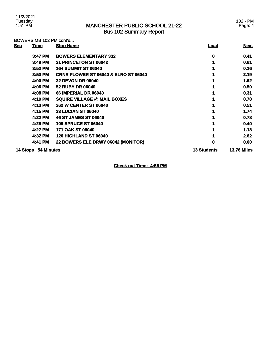### MANCHESTER PUBLIC SCHOOL 21-22 Bus 102 Summary Report

102 - PM Page: 4

### BOWERS MB 102 PM cont'd...

| <u>Seq</u> | <u>Time</u>         | <b>Stop Name</b>                                | <u>Load</u>        | <b>Next</b>        |
|------------|---------------------|-------------------------------------------------|--------------------|--------------------|
|            | 3:47 PM             | <b>BOWERS ELEMENTARY 332</b>                    | 0                  | 0.41               |
|            | 3:49 PM             | 21 PRINCETON ST 06042                           |                    | 0.61               |
|            | 3:52 PM             | <b>164 SUMMIT ST 06040</b>                      |                    | 0.16               |
|            | $3:53$ PM           | <b>CRNR FLOWER ST 06040 &amp; ELRO ST 06040</b> |                    | 2.19               |
|            | 4:00 PM             | <b>32 DEVON DR 06040</b>                        |                    | 1.62               |
|            | 4:06 PM             | <b>52 RUBY DR 06040</b>                         |                    | 0.50               |
|            | 4:08 PM             | 66 IMPERIAL DR 06040                            |                    | 0.31               |
|            | 4:10 PM             | <b>SQUIRE VILLAGE @ MAIL BOXES</b>              |                    | 0.78               |
|            | 4:13 PM             | <b>262 W CENTER ST 06040</b>                    |                    | 0.51               |
|            | 4:15 PM             | <b>23 LUCIAN ST 06040</b>                       |                    | 1.74               |
|            | 4:22 PM             | <b>46 ST JAMES ST 06040</b>                     |                    | 0.78               |
|            | 4:25 PM             | <b>109 SPRUCE ST 06040</b>                      |                    | 0.40               |
|            | 4:27 PM             | <b>171 OAK ST 06040</b>                         |                    | 1.13               |
|            | 4:32 PM             | <b>126 HIGHLAND ST 06040</b>                    |                    | 2.62               |
|            | 4:41 PM             | 22 BOWERS ELE DRWY 06042 (MONITOR)              | 0                  | 0.00               |
|            | 14 Stops 54 Minutes |                                                 | <b>13 Students</b> | <b>13.76 Miles</b> |

**Check out Time: 4:56 PM**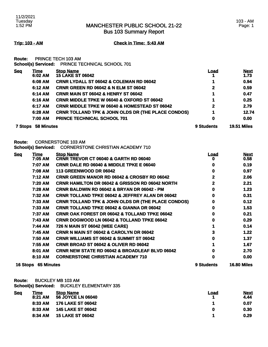Bus 103 Summary Report

### **Trip: 103 - AM Check in Time: 5:43 AM**

**Route:** PRINCE TECH 103 AM

**School(s) Serviced:** PRINCE TECHNICAL SCHOOL 701

| <b>Seg</b> | <b>Time</b><br>6:02 AM | <b>Stop Name</b><br><b>15 LAKE ST 06042</b>                   | <u>Load</u>  | <b>Next</b><br>1.73 |
|------------|------------------------|---------------------------------------------------------------|--------------|---------------------|
|            | 6:08 AM                | <b>CRNR LYDALL ST 06042 &amp; COLEMAN RD 06042</b>            |              | 0.94                |
|            | 6:12 AM                | <b>CRNR GREEN RD 06042 &amp; N ELM ST 06042</b>               | $\mathbf{2}$ | 0.59                |
|            | 6:14 AM                | <b>CRNR MAIN ST 06042 &amp; HENRY ST 06042</b>                |              | 0.47                |
|            | 6:16 AM                | <b>CRNR MIDDLE TPKE W 06040 &amp; OXFORD ST 06042</b>         |              | 0.25                |
|            | 6:17 AM                | <b>CRNR MIDDLE TPKE W 06040 &amp; HOMESTEAD ST 06042</b>      | $\mathbf{2}$ | 2.79                |
|            | 6:28 AM                | <b>CRNR TOLLAND TPK &amp; JOHN OLDS DR (THE PLACE CONDOS)</b> |              | 12.74               |
|            | 7:00 AM                | <b>PRINCE TECHNICAL SCHOOL 701</b>                            | 0            | 0.00                |
| 7 Stops    | 58 Minutes             |                                                               | 9 Students   | <b>19.51 Miles</b>  |

**Route:** CORNERSTONE 103 AM

**School(s) Serviced:** CORNERSTONE CHRISTIAN ACADEMY 710

| <u>Seq</u> | <u>Time</u>                | <b>Stop Name</b>                                              | <u>Load</u> | <b>Next</b>        |
|------------|----------------------------|---------------------------------------------------------------|-------------|--------------------|
|            | 7:05 AM                    | CRNR TREVOR CT 06040 & GARTH RD 06040                         | o           | 0.58 <sup>°</sup>  |
|            | 7:07 AM                    | <b>CRNR DALE RD 06040 &amp; MIDDLE TPKE E 06040</b>           | 0           | 0.19               |
|            | 7:08 AM                    | 113 GREENWOOD DR 06042                                        | 0           | 0.97               |
|            | 7:12 AM                    | <b>CRNR GREEN MANOR RD 06042 &amp; CROSBY RD 06042</b>        | 2           | 2.06               |
|            | 7:20 AM                    | <b>CRNR HAMILTON DR 06042 &amp; GRISSON RD 06042 NORTH</b>    | 2           | 2.21               |
|            | 7:28 AM                    | <b>CRNR BALDWIN RD 06042 &amp; BRYAN DR 06042 - PM</b>        | 0           | 1.23               |
|            | 7:32 AM                    | <b>CRNR TOLLAND TPKE 06042 &amp; JEFFREY ALAN DR 06042</b>    | 0           | 0.31               |
|            | 7:33 AM                    | <b>CRNR TOLLAND TPK &amp; JOHN OLDS DR (THE PLACE CONDOS)</b> | 0           | 0.12               |
|            | 7:33 AM                    | <b>CRNR TOLLAND TPKE 06042 &amp; GIANNA DR 06042</b>          | 0           | 1.53               |
|            | 7:37 AM                    | <b>CRNR OAK FOREST DR 06042 &amp; TOLLAND TPKE 06042</b>      | 0           | 0.21               |
|            | 7:43 AM                    | <b>CRNR DOGWOOD LN 06042 &amp; TOLLAND TPKE 06042</b>         | 0           | 0.29               |
|            | 7:44 AM                    | 726 N MAIN ST 06042 (WEE CARE)                                |             | 0.14               |
|            | 7:45 AM                    | <b>CRNR N MAIN ST 06042 &amp; CAROLYN DR 06042</b>            | 3           | 1.22               |
|            | 7:50 AM                    | <b>CRNR WILLIAMS ST 06042 &amp; SUMMIT ST 06042</b>           | Ω           | 1.37               |
|            | 7:55 AM                    | <b>CRNR BROAD ST 06042 &amp; OLIVER RD 06042</b>              |             | 1.67               |
|            | 8:01 AM                    | <b>CRNR NEW STATE RD 06042 &amp; BROADLEAF BLVD 06042</b>     | 0           | 2.70               |
|            | 8:10 AM                    | <b>CORNERSTONE CHRISTIAN ACADEMY 710</b>                      | o           | 0.00               |
|            | <b>16 Stops 65 Minutes</b> |                                                               | 9 Students  | <b>16.80 Miles</b> |

**Route:** BUCKLEY MB 103 AM

**School(s) Serviced:** BUCKLEY ELEMENTARY 335

| <b>Seq</b> | Time<br>8:21 AM | <b>Stop Name</b><br><b>56 JOYCE LN 06040</b> | Load | <b>Next</b><br>4.44 |
|------------|-----------------|----------------------------------------------|------|---------------------|
|            | 8:33 AM         | 176 LAKE ST 06042                            |      | 0.07                |
|            | 8:33 AM         | <b>145 LAKE ST 06042</b>                     | 0    | 0.30                |
|            | 8:34 AM         | <b>15 LAKE ST 06042</b>                      |      | 0.29                |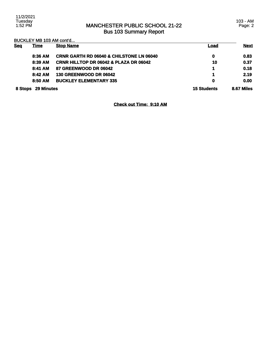11/2/2021 Tuesday 1:52 PM

### MANCHESTER PUBLIC SCHOOL 21-22 Bus 103 Summary Report

103 - AM Page: 2

BUCKLEY MB 103 AM cont'd...

| <b>Sea</b> | <u>Time</u>       | <b>Stop Name</b>                                    | <b>Load</b>        | <b>Next</b> |
|------------|-------------------|-----------------------------------------------------|--------------------|-------------|
|            | 8:36 AM           | <b>CRNR GARTH RD 06040 &amp; CHILSTONE LN 06040</b> | 0                  | 0.83        |
|            | 8:39 AM           | <b>CRNR HILLTOP DR 06042 &amp; PLAZA DR 06042</b>   | 10                 | 0.37        |
|            | 8:41 AM           | 87 GREENWOOD DR 06042                               | 4                  | 0.18        |
|            | 8:42 AM           | <b>130 GREENWOOD DR 06042</b>                       | 4                  | 2.19        |
|            | 8:50 AM           | <b>BUCKLEY ELEMENTARY 335</b>                       | 0                  | 0.00        |
| 8 Stops    | <b>29 Minutes</b> |                                                     | <b>15 Students</b> | 8.67 Miles  |

**Check out Time: 9:10 AM**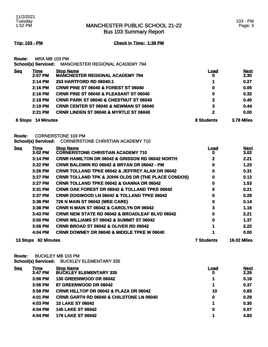Bus 103 Summary Report

### **Trip: 103 - PM Check in Time: 1:39 PM**

**Route:** MRA MB 103 PM **School(s) Serviced:** MANCHESTER REGIONAL ACADEMY 794

| <b>Seq</b>     | Time<br>2:07 PM   | <b>Stop Name</b><br><b>MANCHESTER REGIONAL ACADEMY 794</b> | <u>Load</u><br>0  | <b>Next</b><br>2.30 |
|----------------|-------------------|------------------------------------------------------------|-------------------|---------------------|
|                | 2:14 PM           | <b>253 HARTFORD RD 06040:1</b>                             | 1                 | 0.27                |
|                | $2:16$ PM         | <b>CRNR PINE ST 06040 &amp; FOREST ST 06040</b>            | 0                 | 0.05                |
|                | 2:16 PM           | <b>CRNR PINE ST 06040 &amp; PLEASANT ST 06040</b>          | 0                 | 0.32                |
|                | 2:18 PM           | <b>CRNR PARK ST 06040 &amp; CHESTNUT ST 06040</b>          | $\mathbf{2}$      | 0.40                |
|                | 2:19 PM           | <b>CRNR CENTER ST 06040 &amp; NEWMAN ST 06040</b>          | 3                 | 0.44                |
|                | 2:21 PM           | <b>CRNR LINDEN ST 06040 &amp; MYRTLE ST 06040</b>          | 2                 | 0.00                |
| <b>6 Stops</b> | <b>14 Minutes</b> |                                                            | <b>8 Students</b> | <b>3.78 Miles</b>   |

**Route:** CORNERSTONE 103 PM

|  | School(s) Serviced: CORNERSTONE CHRISTIAN ACADEMY 710 |  |
|--|-------------------------------------------------------|--|
|--|-------------------------------------------------------|--|

| <b>Seq</b> | <b>Time</b>         | <b>Stop Name</b>                                              | Load              | <b>Next</b>        |
|------------|---------------------|---------------------------------------------------------------|-------------------|--------------------|
|            | 3:02 PM             | <b>CORNERSTONE CHRISTIAN ACADEMY 710</b>                      | o                 | 3.02               |
|            | 3:14 PM             | <b>CRNR HAMILTON DR 06042 &amp; GRISSON RD 06042 NORTH</b>    | 2                 | 2.21               |
|            | 3:22 PM             | <b>CRNR BALDWIN RD 06042 &amp; BRYAN DR 06042 - PM</b>        | 0                 | 1.23               |
|            | 3:26 PM             | <b>CRNR TOLLAND TPKE 06042 &amp; JEFFREY ALAN DR 06042</b>    | 0                 | 0.31               |
|            | 3:27 PM             | <b>CRNR TOLLAND TPK &amp; JOHN OLDS DR (THE PLACE CONDOS)</b> | 0                 | 0.12               |
|            | 3:27 PM             | <b>CRNR TOLLAND TPKE 06042 &amp; GIANNA DR 06042</b>          | 0                 | 1.53               |
|            | 3:31 PM             | <b>CRNR OAK FOREST DR 06042 &amp; TOLLAND TPKE 06042</b>      | 0                 | 0.21               |
|            | 3:37 PM             | <b>CRNR DOGWOOD LN 06042 &amp; TOLLAND TPKE 06042</b>         | 0                 | 0.29               |
|            | 3:38 PM             | 726 N MAIN ST 06042 (WEE CARE)                                | 0                 | 0.14               |
|            | 3:38 PM             | CRNR N MAIN ST 06042 & CAROLYN DR 06042                       | 3                 | 1.16               |
|            | $3:43$ PM           | <b>CRNR NEW STATE RD 06042 &amp; BROADLEAF BLVD 06042</b>     | 0                 | 2.21               |
|            | 3:50 PM             | <b>CRNR WILLIAMS ST 06042 &amp; SUMMIT ST 06042</b>           | 0                 | 1.37               |
|            | 3:56 PM             | <b>CRNR BROAD ST 06042 &amp; OLIVER RD 06042</b>              |                   | 2.22               |
|            | 4:04 PM             | <b>CRNR DOWNEY DR 06040 &amp; MIDDLE TPKE W 06040</b>         |                   | 0.00               |
|            | 13 Stops 62 Minutes |                                                               | <b>7 Students</b> | <b>16.02 Miles</b> |

**Route:** BUCKLEY MB 103 PM **School(s) Serviced:** BUCKLEY ELEMENTARY 335

| <b>Seq</b> | <u>Time</u><br>3:47 PM | <b>Stop Name</b><br><b>BUCKLEY ELEMENTARY 335</b>   | <u>Load</u><br>0 | <b>Next</b><br>2.26 |
|------------|------------------------|-----------------------------------------------------|------------------|---------------------|
|            | 3:56 PM                | 130 GREENWOOD DR 06042                              |                  | 0.18                |
|            | 3:56 PM                | 87 GREENWOOD DR 06042                               | 4                | 0.37                |
|            | 3:58 PM                | <b>CRNR HILLTOP DR 06042 &amp; PLAZA DR 06042</b>   | 10               | 0.83                |
|            | 4:01 PM                | <b>CRNR GARTH RD 06040 &amp; CHILSTONE LN 06040</b> | 0                | 0.29                |
|            | 4:03 PM                | <b>15 LAKE ST 06042</b>                             |                  | 0.30                |
|            | 4:04 PM                | <b>145 LAKE ST 06042</b>                            | 0                | 0.07                |
|            | 4:04 PM                | <b>176 LAKE ST 06042</b>                            |                  | 4.83                |
|            |                        |                                                     |                  |                     |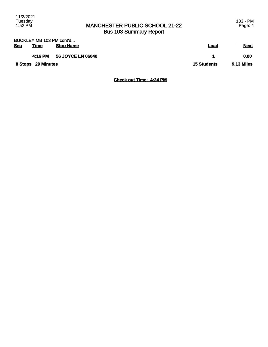### MANCHESTER PUBLIC SCHOOL 21-22 Bus 103 Summary Report

| BUCKLEY MB 103 PM cont'd |             |                          |                   |             |
|--------------------------|-------------|--------------------------|-------------------|-------------|
| Seq                      | <u>Time</u> | <b>Stop Name</b>         | <u>Load</u>       | <b>Next</b> |
|                          | 4:16 PM     | <b>56 JOYCE LN 06040</b> |                   | 0.00        |
| 8 Stops 29 Minutes       |             | <b>15 Students</b>       | <b>9.13 Miles</b> |             |

**Check out Time: 4:24 PM**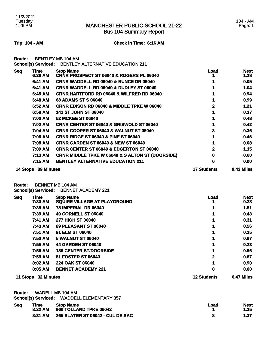Bus 104 Summary Report

### 104 - AM Page: 1

**Trip: 104 - AM Check in Time: 6:16 AM**

**Route:** BENTLEY MB 104 AM

|            | <b>School(s) Serviced:</b> | <b>BENTLEY ALTERNATIVE EDUCATION 211</b>                     |                    |                     |
|------------|----------------------------|--------------------------------------------------------------|--------------------|---------------------|
| <b>Seq</b> | Time<br>6:36 AM            | <b>Stop Name</b><br>CRNR PROSPECT ST 06040 & ROGERS PL 06040 | <u>Load</u>        | <b>Next</b><br>1.28 |
|            | 6:41 AM                    | <b>CRNR WADDELL RD 06040 &amp; BUNCE DR 06040</b>            |                    | 0.05                |
|            | 6:41 AM                    | <b>CRNR WADDELL RD 06040 &amp; DUDLEY ST 06040</b>           |                    | 1.04                |
|            | 6:45 AM                    | <b>CRNR HARTFORD RD 06040 &amp; WILFRED RD 06040</b>         |                    | 0.94                |
|            | 6:48 AM                    | <b>68 ADAMS ST S 06040</b>                                   |                    | 0.99                |
|            | 6:52 AM                    | <b>CRNR EDISON RD 06040 &amp; MIDDLE TPKE W 06040</b>        |                    | 1.21                |
|            | 6:58 AM                    | <b>141 ST JOHN ST 06040</b>                                  |                    | 0.37                |
|            | 7:00 AM                    | <b>52 MCKEE ST 06040</b>                                     |                    | 0.48                |
|            | 7:02 AM                    | <b>CRNR CENTER ST 06040 &amp; GRISWOLD ST 06040</b>          |                    | 0.42                |
|            | 7:04 AM                    | <b>CRNR COOPER ST 06040 &amp; WALNUT ST 06040</b>            | 3                  | 0.36                |
|            | 7:06 AM                    | <b>CRNR RIDGE ST 06040 &amp; PINE ST 06040</b>               |                    | 0.46                |
|            | 7:08 AM                    | <b>CRNR GARDEN ST 06040 &amp; NEW ST 06040</b>               |                    | 0.08                |
|            | 7:09 AM                    | <b>CRNR CENTER ST 06040 &amp; EDGERTON ST 06040</b>          | 2                  | 1.15                |
|            | 7:13 AM                    | <b>CRNR MIDDLE TPKE W 06040 &amp; S ALTON ST (DOORSIDE)</b>  | 0                  | 0.60                |
|            | 7:15 AM                    | <b>BENTLEY ALTERNATIVE EDUCATION 211</b>                     | 0                  | 0.00                |
|            | 14 Stops 39 Minutes        |                                                              | <b>17 Students</b> | 9.43 Miles          |

**Route:** BENNET MB 104 AM

**School(s) Serviced:** BENNET ACADEMY 221

| <b>Seq</b> | <u>Time</u>         | <b>Stop Name</b>              | <u>Load</u>        | <b>Next</b> |
|------------|---------------------|-------------------------------|--------------------|-------------|
|            | 7:33 AM             | SQUIRE VILLAGE AT PLAYGROUND  |                    | 0.28        |
|            | 7:35 AM             | <b>78 IMPERIAL DR 06040</b>   |                    | 1.51        |
|            | 7:39 AM             | <b>49 CORNELL ST 06040</b>    |                    | 0.43        |
|            | 7:41 AM             | <b>277 HIGH ST 06040</b>      |                    | 0.31        |
|            | 7:43 AM             | <b>89 PLEASANT ST 06040</b>   |                    | 0.56        |
|            | 7:51 AM             | 91 ELM ST 06040               |                    | 0.35        |
|            | 7:53 AM             | <b>5 WALNUT ST 06040</b>      |                    | 0.67        |
|            | 7:55 AM             | <b>44 GARDEN ST 06040</b>     |                    | 0.23        |
|            | 7:56 AM             | <b>138 CENTER ST/DOORSIDE</b> |                    | 0.56        |
|            | 7:59 AM             | <b>81 FOSTER ST 06040</b>     | 2                  | 0.67        |
|            | 8:02 AM             | <b>224 OAK ST 06040</b>       |                    | 0.90        |
|            | 8:05 AM             | <b>BENNET ACADEMY 221</b>     | 0                  | 0.00        |
|            | 11 Stops 32 Minutes |                               | <b>12 Students</b> | 6.47 Miles  |

**Route:** WADELL MB 104 AM

**School(s) Serviced:** WADDELL ELEMENTARY 357

| <b>Seq</b> | <u>Time</u> | <b>Stop Name</b>                        | Load | <b>Next</b> |
|------------|-------------|-----------------------------------------|------|-------------|
|            | 8:22 AM     | 960 TOLLAND TPKE 06042                  |      | 1.35        |
|            | 8:31 AM     | <b>265 SLATER ST 06042 - CUL DE SAC</b> |      | 1.37        |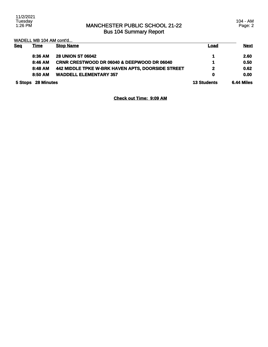### MANCHESTER PUBLIC SCHOOL 21-22 Bus 104 Summary Report

104 - AM Page: 2

|  |  |  |  |  | WADELL MB 104 AM cont'd |  |
|--|--|--|--|--|-------------------------|--|
|  |  |  |  |  |                         |  |

| <b>Seg</b>         | <u>Time</u> | <b>Stop Name</b>                                       | <b>Load</b>        | <b>Next</b> |
|--------------------|-------------|--------------------------------------------------------|--------------------|-------------|
|                    | 8:36 AM     | <b>28 UNION ST 06042</b>                               |                    | 2.60        |
|                    | 8:46 AM     | <b>CRNR CRESTWOOD DR 06040 &amp; DEEPWOOD DR 06040</b> |                    | 0.50        |
|                    | 8:48 AM     | 442 MIDDLE TPKE W-BRK HAVEN APTS, DOORSIDE STREET      | $\mathbf{2}$       | 0.62        |
|                    | 8:50 AM     | <b>WADDELL ELEMENTARY 357</b>                          | $\mathbf 0$        | 0.00        |
| 5 Stops 28 Minutes |             |                                                        | <b>13 Students</b> | 6.44 Miles  |

**Check out Time: 9:09 AM**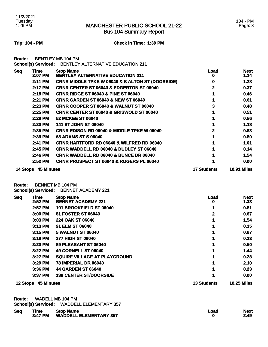Bus 104 Summary Report

### 104 - PM Page: 3

**Trip: 104 - PM Check in Time: 1:39 PM**

**Route:** BENTLEY MB 104 PM

|  | <b>School(s) Serviced:     BENTLEY ALTERNATIVE EDUCATION 211</b> |
|--|------------------------------------------------------------------|
|--|------------------------------------------------------------------|

| <b>Seq</b> | Time              | <b>Stop Name</b>                                            | Load               | <b>Next</b>        |
|------------|-------------------|-------------------------------------------------------------|--------------------|--------------------|
|            | 2:07 PM           | <b>BENTLEY ALTERNATIVE EDUCATION 211</b>                    |                    | 1.14               |
|            | 2:11 PM           | <b>CRNR MIDDLE TPKE W 06040 &amp; S ALTON ST (DOORSIDE)</b> |                    | 1.28               |
|            | 2:17 PM           | <b>CRNR CENTER ST 06040 &amp; EDGERTON ST 06040</b>         | 2                  | 0.37               |
|            | 2:18 PM           | <b>CRNR RIDGE ST 06040 &amp; PINE ST 06040</b>              |                    | 0.46               |
|            | 2:21 PM           | <b>CRNR GARDEN ST 06040 &amp; NEW ST 06040</b>              |                    | 0.61               |
|            | 2:23 PM           | <b>CRNR COOPER ST 06040 &amp; WALNUT ST 06040</b>           | 3                  | 0.48               |
|            | 2:25 PM           | <b>CRNR CENTER ST 06040 &amp; GRISWOLD ST 06040</b>         |                    | 0.51               |
|            | 2:28 PM           | <b>52 MCKEE ST 06040</b>                                    |                    | 0.56               |
|            | 2:30 PM           | <b>141 ST JOHN ST 06040</b>                                 |                    | 1.18               |
|            | 2:35 PM           | <b>CRNR EDISON RD 06040 &amp; MIDDLE TPKE W 06040</b>       | 2                  | 0.83               |
|            | 2:39 PM           | <b>68 ADAMS ST S 06040</b>                                  |                    | 0.80               |
|            | 2:41 PM           | <b>CRNR HARTFORD RD 06040 &amp; WILFRED RD 06040</b>        |                    | 1.01               |
|            | 2:45 PM           | <b>CRNR WADDELL RD 06040 &amp; DUDLEY ST 06040</b>          |                    | 0.14               |
|            | 2:46 PM           | <b>CRNR WADDELL RD 06040 &amp; BUNCE DR 06040</b>           |                    | 1.54               |
|            | 2:52 PM           | <b>CRNR PROSPECT ST 06040 &amp; ROGERS PL 06040</b>         |                    | 0.00               |
| 14 Stops   | <b>45 Minutes</b> |                                                             | <b>17 Students</b> | <b>10.91 Miles</b> |

**Route:** BENNET MB 104 PM

**School(s) Serviced:** BENNET ACADEMY 221

| <b>Seg</b>      | <u>Time</u>       | <b>Stop Name</b>                    | <u>Load</u>        | <b>Next</b>        |
|-----------------|-------------------|-------------------------------------|--------------------|--------------------|
|                 | 2:52 PM           | <b>BENNET ACADEMY 221</b>           | 0                  | 1.33               |
|                 | 2:57 PM           | 101 BROOKFIELD ST 06040             |                    | 0.81               |
|                 | 3:00 PM           | 81 FOSTER ST 06040                  | 2                  | 0.67               |
|                 | 3:03 PM           | 224 OAK ST 06040                    |                    | 1.54               |
|                 | 3:13 PM           | 91 ELM ST 06040                     |                    | 0.35               |
|                 | $3:15$ PM         | <b>5 WALNUT ST 06040</b>            |                    | 0.67               |
|                 | 3:18 PM           | <b>277 HIGH ST 06040</b>            |                    | 0.33               |
|                 | 3:20 PM           | <b>89 PLEASANT ST 06040</b>         |                    | 0.50               |
|                 | 3:22 PM           | <b>49 CORNELL ST 06040</b>          |                    | 1.44               |
|                 | 3:27 PM           | <b>SQUIRE VILLAGE AT PLAYGROUND</b> |                    | 0.28               |
|                 | 3:29 PM           | 78 IMPERIAL DR 06040                |                    | 2.10               |
|                 | 3:36 PM           | <b>44 GARDEN ST 06040</b>           |                    | 0.23               |
|                 | 3:37 PM           | <b>138 CENTER ST/DOORSIDE</b>       |                    | 0.00               |
| <b>12 Stops</b> | <b>45 Minutes</b> |                                     | <b>13 Students</b> | <b>10.25 Miles</b> |

**Route:** WADELL MB 104 PM

|  | <b>School(s) Serviced: WADDELL ELEMENTARY 357</b> |
|--|---------------------------------------------------|
|--|---------------------------------------------------|

| <b>Seq</b> | <u>Time</u><br>3:47 PM | <b>Stop Name</b><br><b>WADDELL ELEMENTARY 357</b> | Load | <b>Next</b><br>2.49 |
|------------|------------------------|---------------------------------------------------|------|---------------------|
|            |                        |                                                   |      |                     |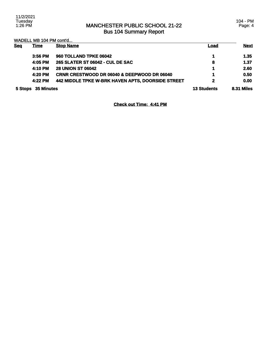### MANCHESTER PUBLIC SCHOOL 21-22 Bus 104 Summary Report

104 - PM Page: 4

WADELL MB 104 PM cont'd...

| <b>Sea</b> | <u>Time</u>        | <b>Stop Name</b>                                       | <b>Load</b>        | <b>Next</b>       |
|------------|--------------------|--------------------------------------------------------|--------------------|-------------------|
|            | $3:56$ PM          | 960 TOLLAND TPKE 06042                                 |                    | 1.35              |
|            | 4:05 PM            | 265 SLATER ST 06042 - CUL DE SAC                       | 8                  | 1.37              |
|            | 4:10 PM            | <b>28 UNION ST 06042</b>                               | 1                  | 2.60              |
|            | 4:20 PM            | <b>CRNR CRESTWOOD DR 06040 &amp; DEEPWOOD DR 06040</b> | 1                  | 0.50              |
|            | 4:22 PM            | 442 MIDDLE TPKE W-BRK HAVEN APTS, DOORSIDE STREET      | $\mathbf{2}$       | 0.00              |
|            | 5 Stops 35 Minutes |                                                        | <b>13 Students</b> | <b>8.31 Miles</b> |

**Check out Time: 4:41 PM**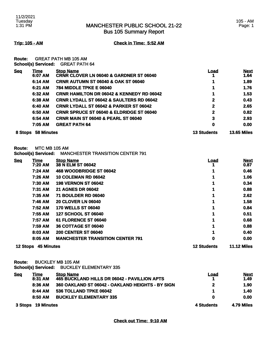Bus 105 Summary Report

**Trip: 105 - AM Check in Time: 5:52 AM**

**Route:** GREAT PATH MB 105 AM **School(s) Serviced:** GREAT PATH 64

| <b>Seq</b> | Time<br>6:07 AM   | <b>Stop Name</b><br><b>CRNR CLOVER LN 06040 &amp; GARDNER ST 06040</b> | Load               | <b>Next</b><br>1.64 |
|------------|-------------------|------------------------------------------------------------------------|--------------------|---------------------|
|            | 6:14 AM           | <b>CRNR AUTUMN ST 06040 &amp; OAK ST 06040</b>                         | 1                  | 1.89                |
|            | 6:21 AM           | <b>784 MIDDLE TPKE E 06040</b>                                         | 1                  | 1.76                |
|            | 6:32 AM           | <b>CRNR HAMILTON DR 06042 &amp; KENNEDY RD 06042</b>                   | 1                  | 1.53                |
|            | 6:38 AM           | <b>CRNR LYDALL ST 06042 &amp; SAULTERS RD 06042</b>                    | $\mathbf{2}$       | 0.43                |
|            | 6:40 AM           | <b>CRNR LYDALL ST 06042 &amp; PARKER ST 06042</b>                      | $\mathbf{2}$       | 2.65                |
|            | 6:50 AM           | <b>CRNR SPRUCE ST 06040 &amp; ELDRIDGE ST 06040</b>                    | $\mathbf{2}$       | 0.82                |
|            | 6:54 AM           | <b>CRNR MAIN ST 06040 &amp; PEARL ST 06040</b>                         | 3                  | 2.93                |
|            | 7:05 AM           | <b>GREAT PATH 64</b>                                                   | 0                  | 0.00                |
| 8 Stops    | <b>58 Minutes</b> |                                                                        | <b>13 Students</b> | <b>13.65 Miles</b>  |

**Route:** MTC MB 105 AM

**School(s) Serviced:** MANCHESTER TRANSITION CENTER 791

| <b>Seq</b>      | Time              | <b>Stop Name</b>                        | <u>Load</u>        | <b>Next</b>        |
|-----------------|-------------------|-----------------------------------------|--------------------|--------------------|
|                 | 7:20 AM           | 38 N ELM ST 06042                       |                    | 0.87               |
|                 | 7:24 AM           | 468 WOODBRIDGE ST 06042                 |                    | 0.46               |
|                 | 7:26 AM           | <b>10 COLEMAN RD 06042</b>              |                    | 1.06               |
|                 | 7:30 AM           | <b>198 VERNON ST 06042</b>              |                    | 0.34               |
|                 | 7:31 AM           | <b>21 AGNES DR 06042</b>                |                    | 0.88               |
|                 | 7:35 AM           | <b>71 BOULDER RD 06040</b>              |                    | 2.62               |
|                 | 7:46 AM           | <b>20 CLOVER LN 06040</b>               |                    | 1.58               |
|                 | 7:52 AM           | <b>170 WELLS ST 06040</b>               |                    | 0.84               |
|                 | 7:55 AM           | <b>127 SCHOOL ST 06040</b>              |                    | 0.51               |
|                 | 7:57 AM           | 61 FLORENCE ST 06040                    |                    | 0.68               |
|                 | 7:59 AM           | <b>36 COTTAGE ST 06040</b>              |                    | 0.88               |
|                 | 8:03 AM           | <b>200 CENTER ST 06040</b>              |                    | 0.40               |
|                 | 8:05 AM           | <b>MANCHESTER TRANSITION CENTER 791</b> | 0                  | 0.00               |
| <b>12 Stops</b> | <b>45 Minutes</b> |                                         | <b>12 Students</b> | <b>11.12 Miles</b> |

**Route:** BUCKLEY MB 105 AM

**School(s) Serviced:** BUCKLEY ELEMENTARY 335

| <b>Seq</b>         | <b>Time</b> | <b>Stop Name</b>                                 | Load       | <b>Next</b> |
|--------------------|-------------|--------------------------------------------------|------------|-------------|
|                    | 8:31 AM     | 465 BUCKLAND HILLS DR 06042 - PAVILLION APTS     |            | 1.49        |
|                    | 8:36 AM     | 360 OAKLAND ST 06042 - OAKLAND HEIGHTS - BY SIGN | 2          | 1.90        |
|                    | 8:44 AM     | 536 TOLLAND TPKE 06042                           |            | 1.40        |
|                    | 8:50 AM     | <b>BUCKLEY ELEMENTARY 335</b>                    | 0          | 0.00        |
| 3 Stops 19 Minutes |             | 4 Students                                       | 4.79 Miles |             |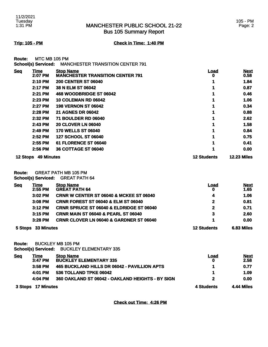Bus 105 Summary Report

**Trip: 105 - PM Check in Time: 1:40 PM**

**Route:** MTC MB 105 PM **School(s) Serviced:** MANCHESTER TRANSITION CENTER 791

|            | OVIIVVILUJ VVI TIVVU. |                                         |                    |                    |
|------------|-----------------------|-----------------------------------------|--------------------|--------------------|
| <b>Seq</b> | Time                  | <b>Stop Name</b>                        | <u>Load</u>        | <b>Next</b>        |
|            | 2:07 PM               | <b>MANCHESTER TRANSITION CENTER 791</b> | O                  | 0.58               |
|            | <b>2:10 PM</b>        | <b>200 CENTER ST 06040</b>              |                    | 1.84               |
|            | 2:17 PM               | 38 N ELM ST 06042                       |                    | 0.87               |
|            | 2:21 PM               | 468 WOODBRIDGE ST 06042                 |                    | 0.46               |
|            | 2:23 PM               | <b>10 COLEMAN RD 06042</b>              |                    | 1.06               |
|            | 2:27 PM               | <b>198 VERNON ST 06042</b>              |                    | 0.34               |
|            | 2:28 PM               | <b>21 AGNES DR 06042</b>                |                    | 0.88               |
|            | 2:32 PM               | <b>71 BOULDER RD 06040</b>              |                    | 2.62               |
|            | 2:43 PM               | <b>20 CLOVER LN 06040</b>               |                    | 1.58               |
|            | 2:49 PM               | <b>170 WELLS ST 06040</b>               |                    | 0.84               |
|            | 2:52 PM               | <b>127 SCHOOL ST 06040</b>              |                    | 0.75               |
|            | 2:55 PM               | 61 FLORENCE ST 06040                    |                    | 0.41               |
|            | 2:56 PM               | 36 COTTAGE ST 06040                     |                    | 0.00               |
| 12 Stops   | <b>49 Minutes</b>     |                                         | <b>12 Students</b> | <b>12.23 Miles</b> |

**Route:** GREAT PATH MB 105 PM

**School(s) Serviced:** GREAT PATH 64

| <b>Seq</b>            | Time<br>2:55 PM | <b>Stop Name</b><br><b>GREAT PATH 64</b>            | <b>Load</b><br>0   | <b>Next</b><br>1.65 |
|-----------------------|-----------------|-----------------------------------------------------|--------------------|---------------------|
|                       | $3:02$ PM       | <b>CRNR W CENTER ST 06040 &amp; MCKEE ST 06040</b>  | 4                  | 1.06                |
|                       | $3:08$ PM       | <b>CRNR FOREST ST 06040 &amp; ELM ST 06040</b>      | $\mathbf{2}$       | 0.81                |
|                       | $3:12$ PM       | <b>CRNR SPRUCE ST 06040 &amp; ELDRIDGE ST 06040</b> | $\mathbf{2}$       | 0.71                |
|                       | 3:15 PM         | <b>CRNR MAIN ST 06040 &amp; PEARL ST 06040</b>      | 3                  | 2.60                |
|                       | $3:28$ PM       | <b>CRNR CLOVER LN 06040 &amp; GARDNER ST 06040</b>  |                    | 0.00                |
| 33 Minutes<br>5 Stops |                 |                                                     | <b>12 Students</b> | 6.83 Miles          |

**Route:** BUCKLEY MB 105 PM

**School(s) Serviced:** BUCKLEY ELEMENTARY 335

| <u>Seq</u>         | <u>Time</u> | <b>Stop Name</b>                                 | Load       | <b>Next</b>       |
|--------------------|-------------|--------------------------------------------------|------------|-------------------|
|                    | 3:47 PM     | <b>BUCKLEY ELEMENTARY 335</b>                    |            | 2.58              |
|                    | $3:58$ PM   | 465 BUCKLAND HILLS DR 06042 - PAVILLION APTS     |            | 0.77              |
|                    | 4:01 PM     | 536 TOLLAND TPKE 06042                           |            | 1.09              |
|                    | 4:04 PM     | 360 OAKLAND ST 06042 - OAKLAND HEIGHTS - BY SIGN |            | 0.00              |
| 3 Stops 17 Minutes |             |                                                  | 4 Students | <b>4.44 Miles</b> |

**Check out Time: 4:26 PM**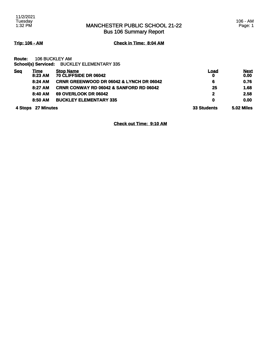Bus 106 Summary Report

**Trip: 106 - AM Check in Time: 8:04 AM**

**Route:** 106 BUCKLEY AM **School(s) Serviced:** BUCKLEY ELEMENTARY 335

| <b>Seq</b>            | Time<br>8:23 AM | <b>Stop Name</b><br>70 CLIFFSIDE DR 06042           | Load       | <b>Next</b><br>0.00 |
|-----------------------|-----------------|-----------------------------------------------------|------------|---------------------|
|                       | 8:24 AM         | <b>CRNR GREENWOOD DR 06042 &amp; LYNCH DR 06042</b> | 6          | 0.76                |
|                       | 8:27 AM         | <b>CRNR CONWAY RD 06042 &amp; SANFORD RD 06042</b>  | 25         | 1.68                |
|                       | 8:40 AM         | <b>69 OVERLOOK DR 06042</b>                         | 2          | 2.58                |
|                       | 8:50 AM         | <b>BUCKLEY ELEMENTARY 335</b>                       | 0          | 0.00                |
| 27 Minutes<br>4 Stops |                 | <b>33 Students</b>                                  | 5.02 Miles |                     |

**Check out Time: 9:10 AM**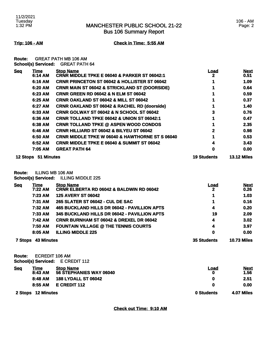Bus 106 Summary Report

**Trip: 106 - AM Check in Time: 5:55 AM**

**Route:** GREAT PATH MB 106 AM **School(s) Serviced:** GREAT PATH 64

| <b>Seq</b> | Time                | <b>Stop Name</b>                                           | <u>Load</u>        | <b>Next</b>        |
|------------|---------------------|------------------------------------------------------------|--------------------|--------------------|
|            | 6:14 AM             | <b>CRNR MIDDLE TPKE E 06040 &amp; PARKER ST 06042:1</b>    | 2                  | 0.51               |
|            | 6:16 AM             | <b>CRNR PRINCETON ST 06042 &amp; HOLLISTER ST 06042</b>    |                    | 1.09               |
|            | 6:20 AM             | <b>CRNR MAIN ST 06042 &amp; STRICKLAND ST (DOORSIDE)</b>   |                    | 0.64               |
|            | 6:23 AM             | <b>CRNR GREEN RD 06042 &amp; N ELM ST 06042</b>            |                    | 0.59               |
|            | 6:25 AM             | <b>CRNR OAKLAND ST 06042 &amp; MILL ST 06042</b>           |                    | 0.37               |
|            | 6:27 AM             | <b>CRNR OAKLAND ST 06042 &amp; RACHEL RD (doorside)</b>    |                    | 1.40               |
|            | 6:33 AM             | <b>CRNR GOLWAY ST 06042 &amp; N SCHOOL ST 06042</b>        | 3                  | 0.76               |
|            | 6:36 AM             | <b>CRNR TOLLAND TPKE 06042 &amp; UNION ST 06042:1</b>      |                    | 0.47               |
|            | 6:38 AM             | <b>CRNR TOLLAND TPKE @ ASPEN WOOD CONDOS</b>               |                    | 2.35               |
|            | 6:46 AM             | <b>CRNR HILLIARD ST 06042 &amp; BILYEU ST 06042</b>        | 2                  | 0.98               |
|            | 6:50 AM             | <b>CRNR MIDDLE TPKE W 06040 &amp; HAWTHORNE ST S 06040</b> |                    | 0.53               |
|            | 6:52 AM             | <b>CRNR MIDDLE TPKE E 06040 &amp; SUMMIT ST 06042</b>      |                    | 3.43               |
|            | 7:05 AM             | <b>GREAT PATH 64</b>                                       | 0                  | 0.00               |
|            | 12 Stops 51 Minutes |                                                            | <b>19 Students</b> | <b>13.12 Miles</b> |

**Route:** ILLING MB 106 AM

**School(s) Serviced:** ILLING MIDDLE 225

| <b>Seq</b>                          | <u>Time</u> | <b>Stop Name</b>                                    | <u>Load</u>        | <b>Next</b> |
|-------------------------------------|-------------|-----------------------------------------------------|--------------------|-------------|
|                                     | 7:22 AM     | <b>CRNR ELBERTA RD 06042 &amp; BALDWIN RD 06042</b> |                    | 0.26        |
|                                     | 7:23 AM     | <b>125 AVERY ST 06042</b>                           |                    | 1.03        |
|                                     | 7:31 AM     | 265 SLATER ST 06042 - CUL DE SAC                    |                    | 0.16        |
|                                     | 7:32 AM     | 465 BUCKLAND HILLS DR 06042 - PAVILLION APTS        | 4                  | 0.20        |
|                                     | 7:33 AM     | 345 BUCKLAND HILLS DR 06042 - PAVILLION APTS        | 19                 | 2.09        |
|                                     | 7:42 AM     | <b>CRNR BURNHAM ST 06042 &amp; DREXEL DR 06042</b>  | 4                  | 3.02        |
|                                     | 7:50 AM     | <b>FOUNTAIN VILLAGE @ THE TENNIS COURTS</b>         | 4                  | 3.97        |
|                                     | 8:05 AM     | <b>ILLING MIDDLE 225</b>                            | 0                  | 0.00        |
| <b>43 Minutes</b><br><b>7 Stops</b> |             | <b>35 Students</b>                                  | <b>10.73 Miles</b> |             |

**Route:** ECREDIT 106 AM **School(s) Serviced:** E CREDIT 112

| <b>Seq</b> | Time<br>8:43 AM    | <b>Stop Name</b><br>56 STEPHANIES WAY 06040 | Load       | <b>Next</b><br>1.56 |
|------------|--------------------|---------------------------------------------|------------|---------------------|
|            | 8:48 AM            | <b>188 LYDALL ST 06042</b>                  |            | 2.51                |
|            | 8:55 AM            | E CREDIT 112                                |            | 0.00                |
|            | 2 Stops 12 Minutes |                                             | 0 Students | 4.07 Miles          |

**Check out Time: 9:10 AM**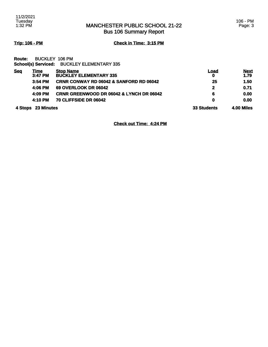Bus 106 Summary Report

**Trip: 106 - PM Check in Time: 3:15 PM**

**Route:** BUCKLEY 106 PM **School(s) Serviced:** BUCKLEY ELEMENTARY 335

| <b>Seg</b>         | Time<br>3:47 PM | <b>Stop Name</b><br><b>BUCKLEY ELEMENTARY 335</b>   | Load<br>$\mathbf 0$ | <b>Next</b><br>1.79 |
|--------------------|-----------------|-----------------------------------------------------|---------------------|---------------------|
|                    | $3:54$ PM       | <b>CRNR CONWAY RD 06042 &amp; SANFORD RD 06042</b>  | 25                  | 1.50                |
|                    | 4:06 PM         | <b>69 OVERLOOK DR 06042</b>                         | 2                   | 0.71                |
|                    | 4:09 PM         | <b>CRNR GREENWOOD DR 06042 &amp; LYNCH DR 06042</b> | 6                   | 0.00                |
|                    | 4:10 PM         | 70 CLIFFSIDE DR 06042                               | 0                   | 0.00                |
| 4 Stops 23 Minutes |                 | <b>33 Students</b>                                  | 4.00 Miles          |                     |

**Check out Time: 4:24 PM**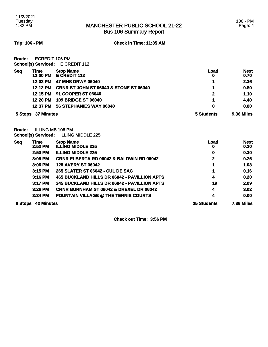### MANCHESTER PUBLIC SCHOOL 21-22 Bus 106 Summary Report

**Trip: 106 - PM Check in Time: 11:35 AM**

**Route:** ECREDIT 106 PM **School(s) Serviced:** E CREDIT 112

| 5 Stops    | 37 Minutes       |                                                   | 5 Students | 9.36 Miles          |
|------------|------------------|---------------------------------------------------|------------|---------------------|
|            | 12:37 PM         | 56 STEPHANIES WAY 06040                           | 0          | 0.00                |
|            | 12:20 PM         | <b>109 BRIDGE ST 06040</b>                        |            | 4.40                |
|            | 12:15 PM         | <b>91 COOPER ST 06040</b>                         | 2          | 1.10                |
|            | 12:12 PM         | <b>CRNR ST JOHN ST 06040 &amp; STONE ST 06040</b> |            | 0.80                |
|            | 12:03 PM         | 47 MHS DRWY 06040                                 |            | 2.36                |
| <b>Seq</b> | Time<br>12:00 PM | <b>Stop Name</b><br><b>E CREDIT 112</b>           | Load<br>0  | <b>Next</b><br>0.70 |
|            |                  | <b>UCHOURS, UCH VICCU.</b> LUITLUIT TIZ           |            |                     |

**Route:** ILLING MB 106 PM **School(s) Serviced:** ILLING MIDDLE 225

| <b>Seg</b>                   | <u>Time</u> | <b>Stop Name</b>                                    | <u>Load</u>        | <b>Next</b>       |
|------------------------------|-------------|-----------------------------------------------------|--------------------|-------------------|
|                              | 2:52 PM     | <b>ILLING MIDDLE 225</b>                            | o                  | 0.30              |
|                              | 2:53 PM     | <b>ILLING MIDDLE 225</b>                            | 0                  | 0.30              |
|                              | $3:05$ PM   | <b>CRNR ELBERTA RD 06042 &amp; BALDWIN RD 06042</b> | $\mathbf 2$        | 0.26              |
|                              | 3:06 PM     | <b>125 AVERY ST 06042</b>                           |                    | 1.03              |
|                              | 3:15 PM     | <b>265 SLATER ST 06042 - CUL DE SAC</b>             |                    | 0.16              |
|                              | 3:16 PM     | 465 BUCKLAND HILLS DR 06042 - PAVILLION APTS        | 4                  | 0.20              |
|                              | 3:17 PM     | 345 BUCKLAND HILLS DR 06042 - PAVILLION APTS        | 19                 | 2.09              |
|                              | 3:26 PM     | <b>CRNR BURNHAM ST 06042 &amp; DREXEL DR 06042</b>  | 4                  | 3.02              |
|                              | 3:34 PM     | <b>FOUNTAIN VILLAGE @ THE TENNIS COURTS</b>         | 4                  | 0.00              |
| <b>42 Minutes</b><br>6 Stops |             |                                                     | <b>35 Students</b> | <b>7.36 Miles</b> |

**Check out Time: 3:56 PM**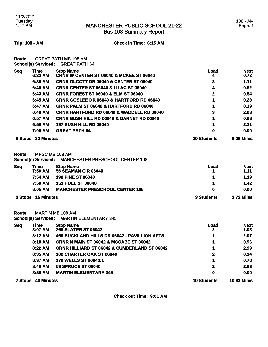Bus 108 Summary Report

**Trip: 108 - AM Check in Time: 6:15 AM**

**Route:** GREAT PATH MB 108 AM **School(s) Serviced:** GREAT PATH 64

| <b>Seq</b> | Time              | <b>Stop Name</b>                                     | Load               | <b>Next</b> |
|------------|-------------------|------------------------------------------------------|--------------------|-------------|
|            | 6:33 AM           | <b>CRNR W CENTER ST 06040 &amp; MCKEE ST 06040</b>   | 4                  | 0.72        |
|            | 6:36 AM           | <b>CRNR OLCOTT DR 06040 &amp; CENTER ST 06040</b>    | 3                  | 1.11        |
|            | 6:40 AM           | <b>CRNR CENTER ST 06040 &amp; LILAC ST 06040</b>     | 4                  | 0.62        |
|            | 6:43 AM           | <b>CRNR FOREST ST 06040 &amp; ELM ST 06040</b>       | 2                  | 0.54        |
|            | 6:45 AM           | <b>CRNR GOSLEE DR 06040 &amp; HARTFORD RD 06040</b>  |                    | 0.28        |
|            | 6:47 AM           | <b>CRNR PALM ST 06040 &amp; HARTFORD RD 06040</b>    |                    | 0.39        |
|            | 6:48 AM           | <b>CRNR HARTFORD RD 06040 &amp; WADDELL RD 06040</b> | 3                  | 2.63        |
|            | 6:57 AM           | <b>CRNR BUSH HILL RD 06040 &amp; GARNET RD 06040</b> |                    | 0.68        |
|            | 6:58 AM           | <b>197 BUSH HILL RD 06040</b>                        |                    | 2.31        |
|            | 7:05 AM           | <b>GREAT PATH 64</b>                                 | 0                  | 0.00        |
| 9 Stops    | <b>32 Minutes</b> |                                                      | <b>20 Students</b> | 9.28 Miles  |

**Route:** MPSC MB 108 AM

**School(s) Serviced:** MANCHESTER PRESCHOOL CENTER 108

| <b>Seq</b> | Time    | <b>Stop Name</b>                       | Load | <b>Next</b> |
|------------|---------|----------------------------------------|------|-------------|
|            | 7:50 AM | <b>56 SEAMAN CIR 06040</b>             |      | 1.11        |
|            | 7:54 AM | <b>190 PINE ST 06040</b>               |      | 1.19        |
|            | 7:59 AM | <b>153 HOLL ST 06040</b>               |      | 1.42        |
|            | 8:05 AM | <b>MANCHESTER PRESCHOOL CENTER 108</b> | 0    | 0.00        |
|            |         |                                        |      |             |

**3 Stops 15 Minutes 3 Students 3.72 Miles** 

**Route:** MARTIN MB 108 AM

**School(s) Serviced:** MARTIN ELEMENTARY 345

| <b>Seq</b>                          | Time    | <b>Stop Name</b>                                        | Load               | <b>Next</b>        |
|-------------------------------------|---------|---------------------------------------------------------|--------------------|--------------------|
|                                     | 8:07 AM | <b>265 SLATER ST 06042</b>                              |                    | 1.08               |
|                                     | 8:12 AM | 465 BUCKLAND HILLS DR 06042 - PAVILLION APTS            |                    | 2.07               |
|                                     | 8:18 AM | <b>CRNR N MAIN ST 06042 &amp; MCCABE ST 06042</b>       |                    | 0.96               |
|                                     | 8:22 AM | <b>CRNR HILLIARD ST 06042 &amp; CUMBERLAND ST 06042</b> |                    | 2.99               |
|                                     | 8:35 AM | <b>102 CHARTER OAK ST 06040</b>                         | 2                  | 0.34               |
|                                     | 8:37 AM | 170 WELLS ST 06040:1                                    | 1                  | 0.76               |
|                                     | 8:40 AM | <b>59 SPRUCE ST 06040</b>                               | 2                  | 2.63               |
|                                     | 8:50 AM | <b>MARTIN ELEMENTARY 345</b>                            | 0                  | 0.00               |
| <b>43 Minutes</b><br><b>7 Stops</b> |         |                                                         | <b>10 Students</b> | <b>10.83 Miles</b> |

**Check out Time: 9:01 AM**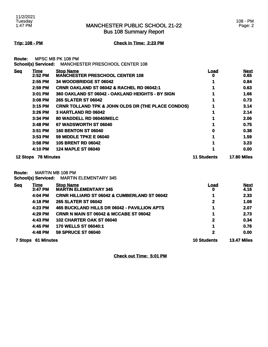Bus 108 Summary Report

**Trip: 108 - PM Check in Time: 2:23 PM**

**Route:** MPSC MB PK 108 PM **School(s) Serviced:** MANCHESTER PRESCHOOL CENTER 108

|            |                     | SCNOOI(S) SEIVICEQ: MANUTESTER PRESUNUUL UENTER 106           |             |                     |
|------------|---------------------|---------------------------------------------------------------|-------------|---------------------|
| <b>Seq</b> | Time<br>2:52 PM     | <b>Stop Name</b><br><b>MANCHESTER PRESCHOOL CENTER 108</b>    | Load<br>O   | <b>Next</b><br>0.65 |
|            | 2:55 PM             | 34 WOODBRIDGE ST 06042                                        |             | 0.84                |
|            | $2:59$ PM           | <b>CRNR OAKLAND ST 06042 &amp; RACHEL RD 06042:1</b>          |             | 0.63                |
|            | 3:01 PM             | 360 OAKLAND ST 06042 - OAKLAND HEIGHTS - BY SIGN              |             | 1.66                |
|            | 3:08 PM             | <b>265 SLATER ST 06042</b>                                    |             | 0.73                |
|            | $3:15$ PM           | <b>CRNR TOLLAND TPK &amp; JOHN OLDS DR (THE PLACE CONDOS)</b> |             | 3.14                |
|            | 3:26 PM             | 3 HARTLAND RD 06042                                           |             | 2.14                |
|            | $3:34$ PM           | 80 WADDELL RD 06040/MELC                                      |             | 2.06                |
|            | 3:48 PM             | 67 WADSWORTH ST 06040                                         |             | 0.75                |
|            | 3:51 PM             | <b>160 BENTON ST 06040</b>                                    | 0           | 0.38                |
|            | $3:53$ PM           | <b>59 MIDDLE TPKE E 06040</b>                                 |             | 1.59                |
|            | 3:58 PM             | <b>105 BRENT RD 06042</b>                                     |             | 3.23                |
|            | 4:10 PM             | <b>124 MAPLE ST 06040</b>                                     |             | 0.00                |
|            | 12 Stops 78 Minutes |                                                               | 11 Students | <b>17.80 Miles</b>  |

**Route:** MARTIN MB 108 PM

**School(s) Serviced:** MARTIN ELEMENTARY 345

| <b>Seq</b>                | <u>Time</u> | <b>Stop Name</b>                                  | <u>Load</u>        | <b>Next</b>        |
|---------------------------|-------------|---------------------------------------------------|--------------------|--------------------|
|                           | 3:47 PM     | <b>MARTIN ELEMENTARY 345</b>                      | 0                  | 4.16               |
|                           | 4:04 PM     | CRNR HILLIARD ST 06042 & CUMBERLAND ST 06042      |                    | 2.33               |
|                           | 4:18 PM     | <b>265 SLATER ST 06042</b>                        | 2                  | 1.08               |
|                           | 4:23 PM     | 465 BUCKLAND HILLS DR 06042 - PAVILLION APTS      | 1                  | 2.07               |
|                           | 4:29 PM     | <b>CRNR N MAIN ST 06042 &amp; MCCABE ST 06042</b> |                    | 2.73               |
|                           | 4:43 PM     | 102 CHARTER OAK ST 06040                          | 2                  | 0.34               |
|                           | 4:45 PM     | 170 WELLS ST 06040:1                              | 1                  | 0.76               |
|                           | 4:48 PM     | <b>59 SPRUCE ST 06040</b>                         | $\mathbf 2$        | 0.00               |
| <b>7 Stops 61 Minutes</b> |             |                                                   | <b>10 Students</b> | <b>13.47 Miles</b> |

**Check out Time: 5:01 PM**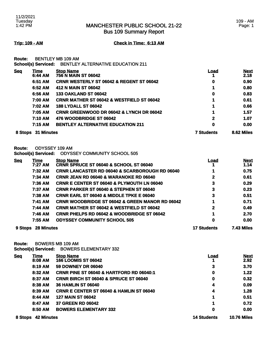Bus 109 Summary Report

**Trip: 109 - AM Check in Time: 6:13 AM**

| <b>Route:</b> |                 | <b>BENTLEY MB 109 AM</b><br><b>School(s) Serviced: BENTLEY ALTERNATIVE EDUCATION 211</b> |      |                     |
|---------------|-----------------|------------------------------------------------------------------------------------------|------|---------------------|
| <b>Seq</b>    | Time<br>6:44 AM | <b>Stop Name</b><br><b>756 N MAIN ST 06042</b>                                           | Load | <b>Next</b><br>2.18 |
|               | 6:51 AM         | <b>CRNR WESTERLY ST 06042 &amp; REGENT ST 06042</b>                                      | 0    | 0.90                |
|               | 6:52 AM         | 412 N MAIN ST 06042                                                                      | 1    | 0.80                |
|               | 6:56 AM         | <b>133 OAKLAND ST 06042</b>                                                              | 0    | 0.83                |
|               | 7:00 AM         | <b>CRNR MATHER ST 06042 &amp; WESTFIELD ST 06042</b>                                     | 1    | 0.61                |
|               | 7:02 AM         | <b>188 LYDALL ST 06042</b>                                                               |      | 0.66                |
|               | 7:05 AM         | <b>CRNR GREENWOOD DR 06042 &amp; LYNCH DR 06042</b>                                      | 1    | 1.57                |
|               | <b>7:10 AM</b>  | 476 WOODBRIDGE ST 06042                                                                  | 2    | 1.07                |
|               | 7:15 AM         | <b>BENTLEY ALTERNATIVE EDUCATION 211</b>                                                 | 0    | 0.00                |

**8 Stops 31 Minutes 7 Students 8.62 Miles** 

**Route:** ODYSSEY 109 AM

**School(s) Serviced:** ODYSSEY COMMUNITY SCHOOL 505

| <u>Seq</u>                   | <u>Time</u> | <b>Stop Name</b>                                           | Load              | <b>Next</b> |
|------------------------------|-------------|------------------------------------------------------------|-------------------|-------------|
|                              | 7:27 AM     | <b>CRNR SPRUCE ST 06040 &amp; SCHOOL ST 06040</b>          |                   | 1.14        |
|                              | 7:32 AM     | <b>CRNR LANCASTER RD 06040 &amp; SCARBOROUGH RD 06040</b>  |                   | 0.75        |
|                              | 7:34 AM     | <b>CRNR JEAN RD 06040 &amp; WARANOKE RD 06040</b>          | 2                 | 0.61        |
|                              | 7:36 AM     | <b>CRNR E CENTER ST 06040 &amp; PLYMOUTH LN 06040</b>      | 3                 | 0.29        |
|                              | 7:37 AM     | <b>CRNR PARKER ST 06040 &amp; STEPHEN ST 06040</b>         | 3                 | 0.23        |
|                              | 7:38 AM     | <b>CRNR EARL ST 06040 &amp; MIDDLE TPKE E 06040</b>        | 3                 | 0.51        |
|                              | 7:41 AM     | <b>CRNR WOODBRIDGE ST 06042 &amp; GREEN MANOR RD 06042</b> |                   | 0.71        |
|                              | 7:44 AM     | <b>CRNR MATHER ST 06042 &amp; WESTFIELD ST 06042</b>       | 2                 | 0.49        |
|                              | 7:46 AM     | <b>CRNR PHELPS RD 06042 &amp; WOODBRIDGE ST 06042</b>      |                   | 2.70        |
|                              | 7:55 AM     | <b>ODYSSEY COMMUNITY SCHOOL 505</b>                        | 0                 | 0.00        |
| <b>28 Minutes</b><br>9 Stops |             | <b>17 Students</b>                                         | <b>7.43 Miles</b> |             |

**Route:** BOWERS MB 109 AM

**School(s) Serviced:** BOWERS ELEMENTARY 332

| <b>Seq</b>                   | Time    | <b>Stop Name</b>                                    | Load               | <b>Next</b> |
|------------------------------|---------|-----------------------------------------------------|--------------------|-------------|
|                              | 8:08 AM | <b>166 LOOMIS ST 06042</b>                          |                    | 2.92        |
|                              | 8:19 AM | <b>59 DOWNEY DR 06040</b>                           | 3                  | 3.70        |
|                              | 8:32 AM | <b>CRNR PINE ST 06040 &amp; HARTFORD RD 06040:1</b> | 0                  | 1.22        |
|                              | 8:37 AM | CRNR BIRCH ST 06040 & SPRUCE ST 06040               | 0                  | 0.32        |
|                              | 8:38 AM | <b>36 HAMLIN ST 06040</b>                           | 4                  | 0.09        |
|                              | 8:39 AM | <b>CRNR E CENTER ST 06040 &amp; HAMLIN ST 06040</b> | 4                  | 1.28        |
|                              | 8:44 AM | <b>127 MAIN ST 06042</b>                            | 1                  | 0.51        |
|                              | 8:47 AM | <b>37 GREEN RD 06042</b>                            | 1                  | 0.72        |
|                              | 8:50 AM | <b>BOWERS ELEMENTARY 332</b>                        | 0                  | 0.00        |
| <b>42 Minutes</b><br>8 Stops |         | <b>14 Students</b>                                  | <b>10.76 Miles</b> |             |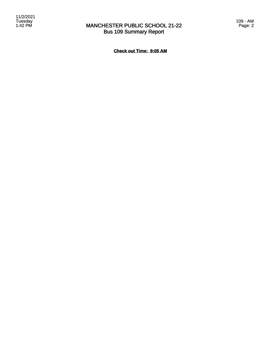### MANCHESTER PUBLIC SCHOOL 21-22 Bus 109 Summary Report

**Check out Time: 9:05 AM**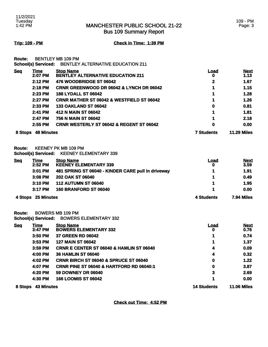Bus 109 Summary Report

### 109 - PM Page: 3

**Trip: 109 - PM Check in Time: 1:39 PM**

**Route:** BENTLEY MB 109 PM

|            | <b>School(s) Serviced:</b> | <b>BENTLEY ALTERNATIVE EDUCATION 211</b>                     |                   |                     |
|------------|----------------------------|--------------------------------------------------------------|-------------------|---------------------|
| <b>Seq</b> | <b>Time</b><br>2:07 PM     | <b>Stop Name</b><br><b>BENTLEY ALTERNATIVE EDUCATION 211</b> | <u>Load</u><br>0  | <b>Next</b><br>1.13 |
|            | 2:12 PM                    | 476 WOODBRIDGE ST 06042                                      | 2                 | 1.67                |
|            | 2:18 PM                    | <b>CRNR GREENWOOD DR 06042 &amp; LYNCH DR 06042</b>          |                   | 1.15                |
|            | 2:23 PM                    | <b>188 LYDALL ST 06042</b>                                   | 1                 | 1.28                |
|            | 2:27 PM                    | <b>CRNR MATHER ST 06042 &amp; WESTFIELD ST 06042</b>         |                   | 1.26                |
|            | 2:33 PM                    | <b>133 OAKLAND ST 06042</b>                                  | 0                 | 0.81                |
|            | 2:41 PM                    | 412 N MAIN ST 06042                                          |                   | 1.81                |
|            | 2:47 PM                    | 756 N MAIN ST 06042                                          |                   | 2.18                |
|            | 2:55 PM                    | <b>CRNR WESTERLY ST 06042 &amp; REGENT ST 06042</b>          | 0                 | 0.00                |
| 8 Stops    | <b>48 Minutes</b>          |                                                              | <b>7 Students</b> | <b>11.29 Miles</b>  |

**Route:** KEENEY PK MB 109 PM

**School(s) Serviced:** KEENEY ELEMENTARY 339

| <b>Seq</b> | Time      | <b>Stop Name</b>                                   | Load | <b>Next</b> |
|------------|-----------|----------------------------------------------------|------|-------------|
|            | $2:52$ PM | <b>KEENEY ELEMENTARY 339</b>                       |      | 3.59        |
|            | 3:01 PM   | 481 SPRING ST 06040 - KINDER CARE pull in driveway |      | 1.91        |
|            | $3:08$ PM | 202 OAK ST 06040                                   |      | 0.49        |
|            | 3:10 PM   | <b>112 AUTUMN ST 06040</b>                         |      | 1.95        |
|            | $3:17$ PM | <b>160 BRANFORD ST 06040</b>                       |      | 0.00        |
|            |           |                                                    |      |             |

### **4 Stops 25 Minutes 4 Students 7.94 Miles**

**Route:** BOWERS MB 109 PM

**School(s) Serviced:** BOWERS ELEMENTARY 332

| <b>Seq</b> | Time              | <b>Stop Name</b>                                    | Load               | <b>Next</b>        |
|------------|-------------------|-----------------------------------------------------|--------------------|--------------------|
|            | $3:47$ PM         | <b>BOWERS ELEMENTARY 332</b>                        | o                  | 0.76               |
|            | 3:50 PM           | <b>37 GREEN RD 06042</b>                            |                    | 0.74               |
|            | $3:53$ PM         | <b>127 MAIN ST 06042</b>                            |                    | 1.37               |
|            | $3:59$ PM         | <b>CRNR E CENTER ST 06040 &amp; HAMLIN ST 06040</b> | 4                  | 0.09               |
|            | 4:00 PM           | <b>36 HAMLIN ST 06040</b>                           | 4                  | 0.32               |
|            | 4:02 PM           | <b>CRNR BIRCH ST 06040 &amp; SPRUCE ST 06040</b>    | 0                  | 1.22               |
|            | 4:07 PM           | <b>CRNR PINE ST 06040 &amp; HARTFORD RD 06040:1</b> | 0                  | 3.87               |
|            | 4:20 PM           | <b>59 DOWNEY DR 06040</b>                           | 3                  | 2.69               |
|            | 4:30 PM           | <b>166 LOOMIS ST 06042</b>                          |                    | 0.00               |
| 8 Stops    | <b>43 Minutes</b> |                                                     | <b>14 Students</b> | <b>11.06 Miles</b> |

**Check out Time: 4:52 PM**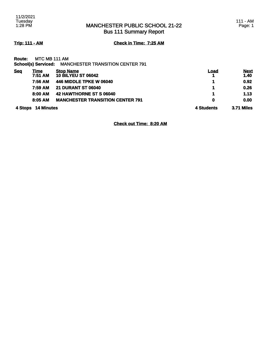Bus 111 Summary Report

**Trip: 111 - AM Check in Time: 7:25 AM**

| <b>Route:</b> | MTC MB 111 AM |  |
|---------------|---------------|--|
|               |               |  |

| 4 Stops    | <b>14 Minutes</b> |                                                             | 4 Students | <b>3.71 Miles</b>   |
|------------|-------------------|-------------------------------------------------------------|------------|---------------------|
|            | 8:05 AM           | <b>MANCHESTER TRANSITION CENTER 791</b>                     | 0          | 0.00                |
|            | 8:00 AM           | 42 HAWTHORNE ST S 06040                                     |            | 1.13                |
|            | 7:59 AM           | <b>21 DURANT ST 06040</b>                                   | 1          | 0.26                |
|            | 7:56 AM           | 446 MIDDLE TPKE W 06040                                     |            | 0.92                |
| <b>Seq</b> | Time<br>7:51 AM   | <b>Stop Name</b><br><b>10 BILYEU ST 06042</b>               | Load       | <b>Next</b><br>1.40 |
|            |                   | <b>School(s) Serviced: MANCHESTER TRANSITION CENTER 791</b> |            |                     |

**Check out Time: 8:20 AM**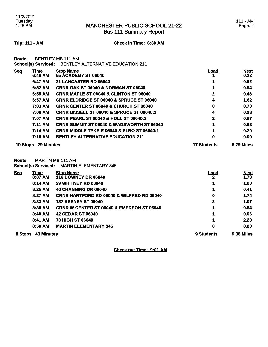Bus 111 Summary Report

### **Trip: 111 - AM Check in Time: 6:30 AM**

| <b>Route: BENTLEY MB 111 AM</b> |                                                       |
|---------------------------------|-------------------------------------------------------|
|                                 | School(s) Serviced: BENTLEY ALTERNATIVE EDUCATION 211 |

| <b>10 Stops</b> | <b>29 Minutes</b> |                                                       | <b>17 Students</b> | 6.79 Miles        |
|-----------------|-------------------|-------------------------------------------------------|--------------------|-------------------|
|                 | 7:15 AM           | <b>BENTLEY ALTERNATIVE EDUCATION 211</b>              | 0                  | 0.00              |
|                 | 7:14 AM           | <b>CRNR MIDDLE TPKE E 06040 &amp; ELRO ST 06040:1</b> |                    | 0.20              |
|                 | 7:11 AM           | <b>CRNR SUMMIT ST 06040 &amp; WADSWORTH ST 06040</b>  |                    | 0.63              |
|                 | 7:07 AM           | <b>CRNR PEARL ST 06040 &amp; HOLL ST 06040:2</b>      | 2                  | 0.87              |
|                 | 7:06 AM           | <b>CRNR BISSELL ST 06040 &amp; SPRUCE ST 06040:2</b>  | 4                  | 0.23              |
|                 | 7:03 AM           | <b>CRNR CENTER ST 06040 &amp; CHURCH ST 06040</b>     | 0                  | 0.70              |
|                 | 6:57 AM           | <b>CRNR ELDRIDGE ST 06040 &amp; SPRUCE ST 06040</b>   | 4                  | 1.62              |
|                 | 6:55 AM           | <b>CRNR MAPLE ST 06040 &amp; CLINTON ST 06040</b>     | 2                  | 0.46              |
|                 | 6:52 AM           | <b>CRNR OAK ST 06040 &amp; NORMAN ST 06040</b>        |                    | 0.94              |
|                 | 6:47 AM           | 21 LANCASTER RD 06040                                 |                    | 0.92 <sub>1</sub> |
|                 | 6:46 AM           | <b>55 ACADEMY ST 06040</b>                            |                    | 0.22              |
| <b>Seq</b>      | Time              | <b>Stop Name</b>                                      | <u>Load</u>        | <b>Next</b>       |

**Route:** MARTIN MB 111 AM **School(s) Serviced:** MARTIN ELEMENTARY 345

| <b>Seq</b>                   | <u>Time</u> | <b>Stop Name</b>                                     | <b>Load</b> | <b>Next</b> |
|------------------------------|-------------|------------------------------------------------------|-------------|-------------|
|                              | 8:07 AM     | <b>116 DOWNEY DR 06040</b>                           |             | 1.73        |
|                              | 8:14 AM     | <b>29 WHITNEY RD 06040</b>                           |             | 1.60        |
|                              | 8:25 AM     | 40 CHANNING DR 06040                                 |             | 0.41        |
|                              | 8:27 AM     | <b>CRNR HARTFORD RD 06040 &amp; WILFRED RD 06040</b> | 0           | 1.74        |
|                              | 8:33 AM     | <b>137 KEENEY ST 06040</b>                           | 2           | 1.07        |
|                              | 8:38 AM     | <b>CRNR W CENTER ST 06040 &amp; EMERSON ST 06040</b> | 1           | 0.54        |
|                              | 8:40 AM     | <b>42 CEDAR ST 06040</b>                             |             | 0.06        |
|                              | 8:41 AM     | <b>73 HIGH ST 06040</b>                              |             | 2.23        |
|                              | 8:50 AM     | <b>MARTIN ELEMENTARY 345</b>                         | 0           | 0.00        |
| <b>43 Minutes</b><br>8 Stops |             | 9 Students                                           | 9.38 Miles  |             |

**Check out Time: 9:01 AM**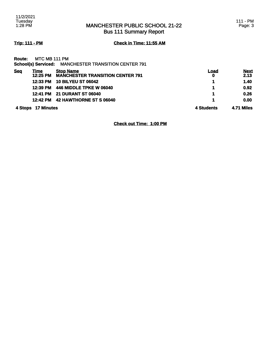Bus 111 Summary Report

**Trip: 111 - PM Check in Time: 11:55 AM**

|     | Route: MTC MB 111 PM |                                                      |
|-----|----------------------|------------------------------------------------------|
|     |                      | School(s) Serviced: MANCHESTER TRANSITION CENTER 791 |
| Sea | Time                 | <b>Stop Name</b>                                     |

|            | 4 Stops 17 Minutes |                                                             | 4 Students       | 4.71 Miles          |
|------------|--------------------|-------------------------------------------------------------|------------------|---------------------|
|            | 12:42 PM           | 42 HAWTHORNE ST S 06040                                     |                  | 0.00                |
|            |                    | 12:41 PM 21 DURANT ST 06040                                 |                  | 0.26                |
|            | 12:39 PM           | 446 MIDDLE TPKE W 06040                                     |                  | 0.92                |
|            | 12:33 PM           | <b>10 BILYEU ST 06042</b>                                   |                  | 1.40                |
| <b>Seq</b> | Time<br>12:25 PM   | <b>Stop Name</b><br><b>MANCHESTER TRANSITION CENTER 791</b> | <u>Load</u><br>0 | <b>Next</b><br>2.13 |

**Check out Time: 1:00 PM**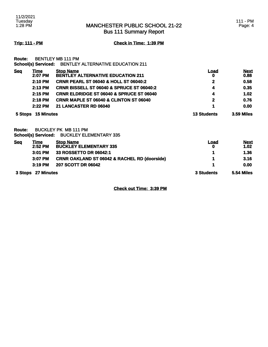Bus 111 Summary Report

### 111 - PM Page: 4

**Trip: 111 - PM Check in Time: 1:39 PM**

| Route:     |                    | <b>BENTLEY MB 111 PM</b>                              |                    |                   |
|------------|--------------------|-------------------------------------------------------|--------------------|-------------------|
|            |                    | School(s) Serviced: BENTLEY ALTERNATIVE EDUCATION 211 |                    |                   |
| <b>Seq</b> | Time               | <b>Stop Name</b>                                      | <u>Load</u>        | <b>Next</b>       |
|            | 2:07 PM            | <b>BENTLEY ALTERNATIVE EDUCATION 211</b>              | 0                  | 0.88              |
|            | 2:10 PM            | <b>CRNR PEARL ST 06040 &amp; HOLL ST 06040:2</b>      | 2                  | 0.58              |
|            | $2:13$ PM          | <b>CRNR BISSELL ST 06040 &amp; SPRUCE ST 06040:2</b>  | 4                  | 0.35              |
|            | 2:15 PM            | <b>CRNR ELDRIDGE ST 06040 &amp; SPRUCE ST 06040</b>   | 4                  | 1.02              |
|            | 2:18 PM            | <b>CRNR MAPLE ST 06040 &amp; CLINTON ST 06040</b>     | $\mathbf{2}$       | 0.76              |
|            | $2:22$ PM          | 21 LANCASTER RD 06040                                 | 1                  | 0.00              |
|            | 5 Stops 15 Minutes |                                                       | <b>13 Students</b> | <b>3.59 Miles</b> |

**Route:** BUCKLEY PK MB 111 PM **School(s) Serviced:** BUCKLEY ELEMENTARY 335

| <b>Seg</b>         | Time      | <b>Stop Name</b>                                        | Load              | <b>Next</b> |
|--------------------|-----------|---------------------------------------------------------|-------------------|-------------|
|                    | $2:52$ PM | <b>BUCKLEY ELEMENTARY 335</b>                           | 0                 | 1.02        |
|                    | $3:01$ PM | 33 ROSSETTO DR 06042:1                                  |                   | 1.36        |
|                    | $3:07$ PM | <b>CRNR OAKLAND ST 06042 &amp; RACHEL RD (doorside)</b> |                   | 3.16        |
|                    | $3:19$ PM | 207 SCOTT DR 06042                                      |                   | 0.00        |
| 3 Stops 27 Minutes |           | 3 Students                                              | <b>5.54 Miles</b> |             |

**Check out Time: 3:39 PM**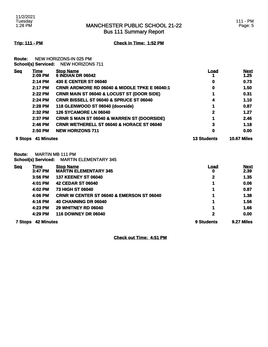Bus 111 Summary Report

**Trip: 111 - PM Check in Time: 1:52 PM**

**Route:** NEW HORIZONS-IN 025 PM **School(s) Serviced:** NEW HORIZONS 711

| <b>Seq</b> | Time<br>2:09 PM | <b>Stop Name</b><br><b>6 INDIAN DR 06042</b>             | Load               | <b>Next</b><br>1.25 |
|------------|-----------------|----------------------------------------------------------|--------------------|---------------------|
|            | 2:14 PM         | 430 E CENTER ST 06040                                    | 0                  | 0.73                |
|            | 2:17 PM         | <b>CRNR ARDMORE RD 06040 &amp; MIDDLE TPKE E 06040:1</b> | 0                  | 1.50                |
|            | 2:22 PM         | <b>CRNR MAIN ST 06040 &amp; LOCUST ST (DOOR SIDE)</b>    |                    | 0.31                |
|            | $2:24$ PM       | <b>CRNR BISSELL ST 06040 &amp; SPRUCE ST 06040</b>       |                    | 1.10                |
|            | $2:28$ PM       | 118 GLENWOOD ST 06040 (doorside)                         |                    | 0.87                |
|            | 2:32 PM         | <b>126 SYCAMORE LN 06040</b>                             | 2                  | 1.27                |
|            | 2:37 PM         | <b>CRNR S MAIN ST 06040 &amp; WARREN ST (DOORSIDE)</b>   |                    | 2.46                |
|            | 2:46 PM         | <b>CRNR WETHERELL ST 06040 &amp; HORACE ST 06040</b>     | 3                  | 1.18                |
|            | 2:50 PM         | <b>NEW HORIZONS 711</b>                                  | 0                  | 0.00                |
| 9 Stops    | 41 Minutes      |                                                          | <b>13 Students</b> | <b>10.67 Miles</b>  |

**Route:** MARTIN MB 111 PM

**School(s) Serviced:** MARTIN ELEMENTARY 345

| <b>Seg</b>     | <u>Time</u><br>3:47 PM | <b>Stop Name</b><br><b>MARTIN ELEMENTARY 345</b>     | <u>Load</u><br>0 | <b>Next</b><br>2.39 |
|----------------|------------------------|------------------------------------------------------|------------------|---------------------|
|                | 3:56 PM                | <b>137 KEENEY ST 06040</b>                           | 2                | 1.35                |
|                | 4:01 PM                | <b>42 CEDAR ST 06040</b>                             | 1                | 0.06                |
|                | 4:02 PM                | <b>73 HIGH ST 06040</b>                              | 1                | 0.87                |
|                | 4:06 PM                | <b>CRNR W CENTER ST 06040 &amp; EMERSON ST 06040</b> | 1                | 1.38                |
|                | 4:16 PM                | 40 CHANNING DR 06040                                 | 1                | 1.56                |
|                | 4:23 PM                | <b>29 WHITNEY RD 06040</b>                           | 1                | 1.66                |
|                | 4:29 PM                | <b>116 DOWNEY DR 06040</b>                           | 2                | 0.00                |
| <b>7 Stops</b> | <b>42 Minutes</b>      |                                                      | 9 Students       | 9.27 Miles          |

**Check out Time: 4:51 PM**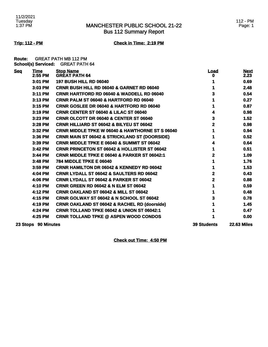### MANCHESTER PUBLIC SCHOOL 21-22 Bus 112 Summary Report

**Trip: 112 - PM Check in Time: 2:19 PM**

**Route:** GREAT PATH MB 112 PM **School(s) Serviced:** GREAT PATH 64

| <b>Seq</b> | <b>Time</b><br>2:55 PM | <b>Stop Name</b><br><b>GREAT PATH 64</b>                   | <b>Load</b><br>o   | <b>Next</b><br>2.23 |
|------------|------------------------|------------------------------------------------------------|--------------------|---------------------|
|            | 3:01 PM                | <b>197 BUSH HILL RD 06040</b>                              |                    | 0.69                |
|            | 3:03 PM                | CRNR BUSH HILL RD 06040 & GARNET RD 06040                  |                    | 2.48                |
|            | 3:11 PM                | <b>CRNR HARTFORD RD 06040 &amp; WADDELL RD 06040</b>       | 3                  | 0.54                |
|            | 3:13 PM                | <b>CRNR PALM ST 06040 &amp; HARTFORD RD 06040</b>          |                    | 0.27                |
|            | $3:15$ PM              | <b>CRNR GOSLEE DR 06040 &amp; HARTFORD RD 06040</b>        |                    | 0.87                |
|            | 3:19 PM                | CRNR CENTER ST 06040 & LILAC ST 06040                      | 4                  | 0.98                |
|            | 3:23 PM                | <b>CRNR OLCOTT DR 06040 &amp; CENTER ST 06040</b>          | 3                  | 1.52                |
|            | 3:28 PM                | <b>CRNR HILLIARD ST 06042 &amp; BILYEU ST 06042</b>        | 2                  | 0.98                |
|            | 3:32 PM                | <b>CRNR MIDDLE TPKE W 06040 &amp; HAWTHORNE ST S 06040</b> | 1                  | 0.94                |
|            | 3:36 PM                | <b>CRNR MAIN ST 06042 &amp; STRICKLAND ST (DOORSIDE)</b>   |                    | 0.52                |
|            | 3:39 PM                | <b>CRNR MIDDLE TPKE E 06040 &amp; SUMMIT ST 06042</b>      | 4                  | 0.64                |
|            | 3:42 PM                | <b>CRNR PRINCETON ST 06042 &amp; HOLLISTER ST 06042</b>    | 1                  | 0.51                |
|            | 3:44 PM                | <b>CRNR MIDDLE TPKE E 06040 &amp; PARKER ST 06042:1</b>    | 2                  | 1.09                |
|            | 3:48 PM                | <b>784 MIDDLE TPKE E 06040</b>                             |                    | 1.76                |
|            | 3:59 PM                | <b>CRNR HAMILTON DR 06042 &amp; KENNEDY RD 06042</b>       |                    | 1.53                |
|            | 4:04 PM                | <b>CRNR LYDALL ST 06042 &amp; SAULTERS RD 06042</b>        | 2                  | 0.43                |
|            | 4:06 PM                | <b>CRNR LYDALL ST 06042 &amp; PARKER ST 06042</b>          | 2                  | 0.88                |
|            | 4:10 PM                | <b>CRNR GREEN RD 06042 &amp; N ELM ST 06042</b>            |                    | 0.59                |
|            | 4:12 PM                | <b>CRNR OAKLAND ST 06042 &amp; MILL ST 06042</b>           |                    | 0.48                |
|            | 4:15 PM                | CRNR GOLWAY ST 06042 & N SCHOOL ST 06042                   | 3                  | 0.78                |
|            | 4:19 PM                | <b>CRNR OAKLAND ST 06042 &amp; RACHEL RD (doorside)</b>    |                    | 1.45                |
|            | 4:24 PM                | CRNR TOLLAND TPKE 06042 & UNION ST 06042:1                 |                    | 0.47                |
|            | 4:25 PM                | <b>CRNR TOLLAND TPKE @ ASPEN WOOD CONDOS</b>               |                    | 0.00                |
|            | 23 Stops 90 Minutes    |                                                            | <b>39 Students</b> | <b>22.63 Miles</b>  |

**Check out Time: 4:50 PM**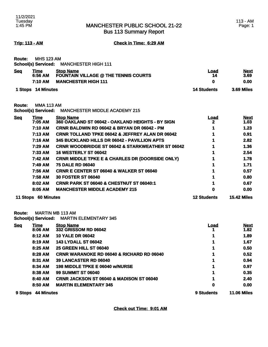Bus 113 Summary Report

**Trip: 113 - AM Check in Time: 6:29 AM**

| <b>Route:</b>      | <b>MHS 123 AM</b>                 | School(s) Serviced: MANCHESTER HIGH 111                                                       |                 |                             |
|--------------------|-----------------------------------|-----------------------------------------------------------------------------------------------|-----------------|-----------------------------|
| <b>Seq</b>         | <b>Time</b><br>6:56 AM<br>7:10 AM | <b>Stop Name</b><br><b>FOUNTAIN VILLAGE @ THE TENNIS COURTS</b><br><b>MANCHESTER HIGH 111</b> | Load<br>14<br>0 | <b>Next</b><br>3.69<br>0.00 |
| 1 Stops 14 Minutes |                                   | <b>14 Students</b>                                                                            | 3.69 Miles      |                             |
| Route:             | <b>MMA 113 AM</b>                 | School(s) Serviced: MANCHESTER MIDDLE ACADEMY 215                                             |                 |                             |
| <b>Seq</b>         | <u>Time</u>                       | <b>Stop Name</b>                                                                              | Load            | <b>Next</b>                 |

| сч | шю<br>7:05 AM | <u>огор наше</u><br>360 OAKLAND ST 06042 - OAKLAND HEIGHTS - BY SIGN | Lvau<br>2 | <u>NGVI</u><br>1.03 |
|----|---------------|----------------------------------------------------------------------|-----------|---------------------|
|    |               |                                                                      |           |                     |
|    | 7:10 AM       | <b>CRNR BALDWIN RD 06042 &amp; BRYAN DR 06042 - PM</b>               |           | 1.23                |
|    | 7:13 AM       | <b>CRNR TOLLAND TPKE 06042 &amp; JEFFREY ALAN DR 06042</b>           |           | 0.91                |
|    | 7:16 AM       | 345 BUCKLAND HILLS DR 06042 - PAVILLION APTS                         |           | 2.82                |
|    | 7:29 AM       | <b>CRNR WOODBRIDGE ST 06042 &amp; STARKWEATHER ST 06042</b>          |           | 1.36                |
|    | 7:33 AM       | <b>16 WESTERLY ST 06042</b>                                          |           | 2.54                |
|    | 7:42 AM       | <b>CRNR MIDDLE TPKE E &amp; CHARLES DR (DOORSIDE ONLY)</b>           |           | 1.78                |
|    | 7:49 AM       | <b>75 DALE RD 06040</b>                                              |           | 1.71                |
|    | 7:56 AM       | <b>CRNR E CENTER ST 06040 &amp; WALKER ST 06040</b>                  |           | 0.57                |
|    | 7:58 AM       | <b>30 FOSTER ST 06040</b>                                            |           | 0.80                |
|    | 8:02 AM       | <b>CRNR PARK ST 06040 &amp; CHESTNUT ST 06040:1</b>                  |           | 0.67                |
|    | 8:05 AM       | <b>MANCHESTER MIDDLE ACADEMY 215</b>                                 |           | 0.00                |
|    |               |                                                                      |           |                     |

### **11 Stops 60 Minutes 12 Students 15.42 Miles**

**Route:** MARTIN MB 113 AM

**School(s) Serviced:** MARTIN ELEMENTARY 345

| <b>Seq</b>     | Time              | <b>Stop Name</b>                                     | <b>Load</b> | <b>Next</b>        |
|----------------|-------------------|------------------------------------------------------|-------------|--------------------|
|                | 8:06 AM           | 332 GRISSOM RD 06042                                 |             | 1.82               |
|                | 8:12 AM           | <b>10 YALE DR 06042</b>                              |             | 1.89               |
|                | 8:19 AM           | <b>143 LYDALL ST 06042</b>                           |             | 1.67               |
|                | 8:25 AM           | <b>25 GREEN HILL ST 06040</b>                        |             | 0.50               |
|                | 8:28 AM           | <b>CRNR WARANOKE RD 06040 &amp; RICHARD RD 06040</b> |             | 0.52               |
|                | 8:31 AM           | <b>39 LANCASTER RD 06040</b>                         |             | 0.94               |
|                | 8:34 AM           | <b>198 MIDDLE TPKE E 06040 w/NURSE</b>               |             | 0.97               |
|                | 8:38 AM           | <b>99 SUMMIT ST 06040</b>                            |             | 0.35               |
|                | 8:40 AM           | <b>CRNR JACKSON ST 06040 &amp; MADISON ST 06040</b>  |             | 2.40               |
|                | 8:50 AM           | <b>MARTIN ELEMENTARY 345</b>                         | 0           | 0.00               |
| <b>9 Stops</b> | <b>44 Minutes</b> |                                                      | 9 Students  | <b>11.06 Miles</b> |

**Check out Time: 9:01 AM**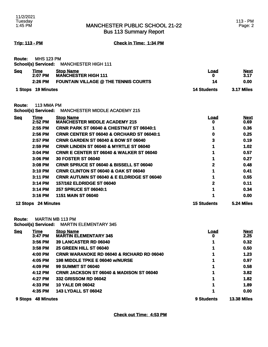Bus 113 Summary Report

**Trip: 113 - PM Check in Time: 1:34 PM**

| <b>Route: MHS 123 PM</b> |                                         |
|--------------------------|-----------------------------------------|
|                          | School(s) Serviced: MANCHESTER HIGH 111 |

| <b>Seq</b> | <u>Time</u><br>2:07 PM | <b>Stop Name</b><br><b>MANCHESTER HIGH 111</b> | Load               | <b>Next</b><br>3.17 |
|------------|------------------------|------------------------------------------------|--------------------|---------------------|
|            | $2:26$ PM              | <b>FOUNTAIN VILLAGE @ THE TENNIS COURTS</b>    |                    | 0.00                |
|            | 1 Stops 19 Minutes     |                                                | <b>14 Students</b> | 3.17 Miles          |

**Route:** 113 MMA PM

**School(s) Serviced:** MANCHESTER MIDDLE ACADEMY 215

| 3:10 PM<br>$3:11$ PM<br>3:14 PM<br>3:14 PM<br>3:16 PM | <b>CRNR CLINTON ST 06040 &amp; OAK ST 06040</b><br><b>CRNR AUTUMN ST 06040 &amp; E ELDRIDGE ST 06040</b><br><b>157/162 ELDRIDGE ST 06040</b><br>257 SPRUCE ST 06040:1<br><b>1151 MAIN ST 06040</b> | $\mathbf{2}$     | 0.41<br>0.55<br>0.11<br>0.34<br>0.00 |
|-------------------------------------------------------|----------------------------------------------------------------------------------------------------------------------------------------------------------------------------------------------------|------------------|--------------------------------------|
|                                                       |                                                                                                                                                                                                    |                  |                                      |
|                                                       |                                                                                                                                                                                                    |                  |                                      |
|                                                       |                                                                                                                                                                                                    |                  |                                      |
|                                                       |                                                                                                                                                                                                    |                  |                                      |
|                                                       |                                                                                                                                                                                                    |                  |                                      |
| 3:08 PM                                               | <b>CRNR SPRUCE ST 06040 &amp; BISSELL ST 06040</b>                                                                                                                                                 | 2                | 0.48                                 |
| $3:06$ PM                                             | <b>30 FOSTER ST 06040</b>                                                                                                                                                                          |                  | 0.27                                 |
| 3:04 PM                                               | <b>CRNR E CENTER ST 06040 &amp; WALKER ST 06040</b>                                                                                                                                                |                  | 0.57                                 |
| $2:59$ PM                                             | <b>CRNR LINDEN ST 06040 &amp; MYRTLE ST 06040</b>                                                                                                                                                  |                  | 1.02                                 |
| 2:57 PM                                               | <b>CRNR GARDEN ST 06040 &amp; BOW ST 06040</b>                                                                                                                                                     | 3                | 0.19                                 |
| 2:56 PM                                               | <b>CRNR CENTER ST 06040 &amp; ORCHARD ST 06040:1</b>                                                                                                                                               |                  | 0.25                                 |
| 2:55 PM                                               | <b>CRNR PARK ST 06040 &amp; CHESTNUT ST 06040:1</b>                                                                                                                                                |                  | 0.36                                 |
| $2:52$ PM                                             | <b>MANCHESTER MIDDLE ACADEMY 215</b>                                                                                                                                                               | o                | <b>Next</b><br>0.69                  |
|                                                       | <b>Time</b>                                                                                                                                                                                        | <b>Stop Name</b> | Load                                 |

**Route:** MARTIN MB 113 PM **School(s) Serviced:** MARTIN ELEMENTARY 345

| <b>Seg</b> | Time              | <b>Stop Name</b>                                     | <u>Load</u> | <b>Next</b>        |
|------------|-------------------|------------------------------------------------------|-------------|--------------------|
|            | 3:47 PM           | <b>MARTIN ELEMENTARY 345</b>                         | o           | 2.25               |
|            | 3:56 PM           | <b>39 LANCASTER RD 06040</b>                         |             | 0.32               |
|            | $3:58$ PM         | <b>25 GREEN HILL ST 06040</b>                        |             | 0.50               |
|            | 4:00 PM           | <b>CRNR WARANOKE RD 06040 &amp; RICHARD RD 06040</b> |             | 1.23               |
|            | 4:05 PM           | 198 MIDDLE TPKE E 06040 w/NURSE                      |             | 0.97               |
|            | 4:09 PM           | <b>99 SUMMIT ST 06040</b>                            |             | 0.58               |
|            | 4:12 PM           | <b>CRNR JACKSON ST 06040 &amp; MADISON ST 06040</b>  |             | 3.82               |
|            | 4:27 PM           | 332 GRISSOM RD 06042                                 |             | 1.82               |
|            | 4:33 PM           | <b>10 YALE DR 06042</b>                              |             | 1.89               |
|            | 4:35 PM           | <b>143 LYDALL ST 06042</b>                           |             | 0.00               |
| 9 Stops    | <b>48 Minutes</b> |                                                      | 9 Students  | <b>13.38 Miles</b> |

**Check out Time: 4:53 PM**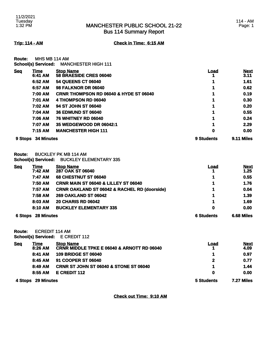### MANCHESTER PUBLIC SCHOOL 21-22 Bus 114 Summary Report

**Trip: 114 - AM Check in Time: 6:15 AM**

**Route:** MHS MB 114 AM **School(s) Serviced:** MANCHESTER HIGH 111

| <b>Seq</b> | Time              | <b>Stop Name</b>                                  | Load       | <b>Next</b> |
|------------|-------------------|---------------------------------------------------|------------|-------------|
|            | 6:41 AM           | 58 BRAESIDE CRES 06040                            |            | 3.11        |
|            | 6:52 AM           | <b>54 QUEENS CT 06040</b>                         |            | 1.61        |
|            | 6:57 AM           | <b>98 FALKNOR DR 06040</b>                        |            | 0.62        |
|            | 7:00 AM           | <b>CRNR THOMPSON RD 06040 &amp; HYDE ST 06040</b> |            | 0.19        |
|            | 7:01 AM           | 4 THOMPSON RD 06040                               |            | 0.30        |
|            | 7:02 AM           | 94 ST JOHN ST 06040                               |            | 0.20        |
|            | 7:04 AM           | <b>36 EDMUND ST 06040</b>                         |            | 0.55        |
|            | 7:06 AM           | <b>76 WHITNEY RD 06040</b>                        |            | 0.24        |
|            | 7:07 AM           | 35 WEDGEWOOD DR 06042:1                           |            | 2.29        |
|            | 7:15 AM           | <b>MANCHESTER HIGH 111</b>                        | 0          | 0.00        |
| 9 Stops    | <b>34 Minutes</b> |                                                   | 9 Students | 9.11 Miles  |

**Route:** BUCKLEY PK MB 114 AM

**School(s) Serviced:** BUCKLEY ELEMENTARY 335

| <b>Seq</b> | <u>Time</u><br>7:42 AM | <b>Stop Name</b><br>287 OAK ST 06040                    | <b>Load</b>       | <b>Next</b><br>1.25 |
|------------|------------------------|---------------------------------------------------------|-------------------|---------------------|
|            | 7:47 AM                | <b>68 CHESTNUT ST 06040</b>                             |                   | 0.55                |
|            | 7:50 AM                | <b>CRNR MAIN ST 06040 &amp; LILLEY ST 06040</b>         |                   | 1.76                |
|            | 7:57 AM                | <b>CRNR OAKLAND ST 06042 &amp; RACHEL RD (doorside)</b> |                   | 0.04                |
|            | 7:58 AM                | <b>269 OAKLAND ST 06042</b>                             |                   | 1.39                |
|            | 8:03 AM                | <b>20 CHARIS RD 06042</b>                               | 4                 | 1.69                |
|            | 8:10 AM                | <b>BUCKLEY ELEMENTARY 335</b>                           | 0                 | 0.00                |
| 6 Stops    | <b>28 Minutes</b>      |                                                         | <b>6 Students</b> | 6.68 Miles          |

**Route:** ECREDIT 114 AM **School(s) Serviced:** E CREDIT 112

|            |                        | <b>UUIIUUI(3) UUI VIUUU.</b> LUILLUITTI L                      |      |                     |
|------------|------------------------|----------------------------------------------------------------|------|---------------------|
| <u>Seq</u> | <u>Time</u><br>8:26 AM | <b>Stop Name</b><br>CRNR MIDDLE TPKE E 06040 & ARNOTT RD 06040 | Load | <b>Next</b><br>4.09 |
|            | 8:41 AM                | <b>109 BRIDGE ST 06040</b>                                     |      | 0.97                |
|            | 8:45 AM                | 91 COOPER ST 06040                                             | 2    | 0.77                |
|            | $8:49$ AM              | <b>CRNR ST JOHN ST 06040 &amp; STONE ST 06040</b>              | 1    | 1.44                |
|            | 8:55 AM                | E CREDIT 112                                                   | Ω    | 0.00                |

**4 Stops 29 Minutes 5 Students 7.27 Miles** 

**Check out Time: 9:10 AM**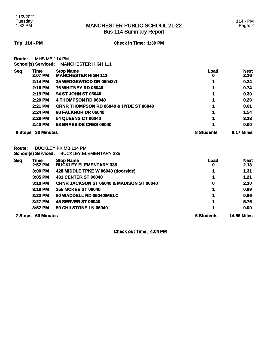### MANCHESTER PUBLIC SCHOOL 21-22 Bus 114 Summary Report

**Trip: 114 - PM Check in Time: 1:39 PM**

**Route:** MHS MB 114 PM

| . |                            |                            |
|---|----------------------------|----------------------------|
|   | <b>School(s) Serviced:</b> | <b>MANCHESTER HIGH 111</b> |

| <b>Seq</b> | <u>Time</u>       | <b>Stop Name</b>                                  | <u>Load</u> | <b>Next</b> |
|------------|-------------------|---------------------------------------------------|-------------|-------------|
|            | 2:07 PM           | <b>MANCHESTER HIGH 111</b>                        | O           | 2.16        |
|            | 2:14 PM           | 35 WEDGEWOOD DR 06042:1                           | 1           | 0.24        |
|            | $2:16$ PM         | <b>76 WHITNEY RD 06040</b>                        | 1           | 0.74        |
|            | 2:19 PM           | 94 ST JOHN ST 06040                               | 1           | 0.30        |
|            | 2:20 PM           | 4 THOMPSON RD 06040                               | 1           | 0.20        |
|            | 2:21 PM           | <b>CRNR THOMPSON RD 06040 &amp; HYDE ST 06040</b> | 1           | 0.61        |
|            | 2:24 PM           | <b>98 FALKNOR DR 06040</b>                        | 1           | 1.54        |
|            | 2:29 PM           | <b>54 QUEENS CT 06040</b>                         | 1           | 3.38        |
|            | $2:40$ PM         | 58 BRAESIDE CRES 06040                            | 1           | 0.00        |
| 8 Stops    | <b>33 Minutes</b> |                                                   | 8 Students  | 9.17 Miles  |

**Route:** BUCKLEY PK MB 114 PM **School(s) Serviced:** BUCKLEY ELEMENTARY 335

| <b>Seq</b> | Time<br>2:52 PM   | <b>Stop Name</b><br><b>BUCKLEY ELEMENTARY 335</b>   | Load<br>0         | <b>Next</b><br>2.13 |
|------------|-------------------|-----------------------------------------------------|-------------------|---------------------|
|            | 3:00 PM           | 428 MIDDLE TPKE W 06040 (doorside)                  |                   | 1.31                |
|            | 3:05 PM           | 431 CENTER ST 06040                                 |                   | 1.21                |
|            | 3:10 PM           | <b>CRNR JACKSON ST 06040 &amp; MADISON ST 06040</b> | 0                 | 2.30                |
|            | 3:19 PM           | <b>255 MCKEE ST 06040</b>                           |                   | 0.89                |
|            | 3:23 PM           | 80 WADDELL RD 06040/MELC                            |                   | 0.96                |
|            | 3:27 PM           | <b>45 SERVER ST 06040</b>                           |                   | 5.76                |
|            | 3:52 PM           | 59 CHILSTONE LN 06040                               |                   | 0.00                |
| 7 Stops    | <b>60 Minutes</b> |                                                     | <b>6 Students</b> | <b>14.56 Miles</b>  |

**Check out Time: 4:04 PM**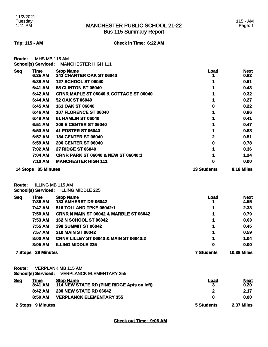### MANCHESTER PUBLIC SCHOOL 21-22 Bus 115 Summary Report

**Trip: 115 - AM Check in Time: 6:22 AM**

| <b>Route:</b> | MHS MB 115 AM              |                            |
|---------------|----------------------------|----------------------------|
|               | <b>School(s) Serviced:</b> | <b>MANCHESTER HIGH 111</b> |

| <b>Seq</b> | Time       | <b>Stop Name</b>                                  | Load               | <b>Next</b> |
|------------|------------|---------------------------------------------------|--------------------|-------------|
|            | 6:35 AM    | <b>343 CHARTER OAK ST 06040</b>                   |                    | 0.82        |
|            | 6:38 AM    | <b>127 SCHOOL ST 06040</b>                        |                    | 0.61        |
|            | 6:41 AM    | <b>55 CLINTON ST 06040</b>                        |                    | 0.43        |
|            | 6:42 AM    | <b>CRNR MAPLE ST 06040 &amp; COTTAGE ST 06040</b> |                    | 0.32        |
|            | 6:44 AM    | 52 OAK ST 06040                                   |                    | 0.27        |
|            | 6:45 AM    | <b>161 OAK ST 06040</b>                           | 0                  | 0.22        |
|            | 6:46 AM    | <b>107 FLORENCE ST 06040</b>                      |                    | 0.86        |
|            | 6:49 AM    | <b>61 HAMLIN ST 06040</b>                         |                    | 0.41        |
|            | 6:51 AM    | <b>206 E CENTER ST 06040</b>                      |                    | 0.47        |
|            | 6:53 AM    | <b>41 FOSTER ST 06040</b>                         |                    | 0.88        |
|            | 6:57 AM    | <b>184 CENTER ST 06040</b>                        | 2                  | 0.51        |
|            | 6:59 AM    | <b>206 CENTER ST 06040</b>                        | 0                  | 0.78        |
|            | 7:02 AM    | <b>27 RIDGE ST 06040</b>                          |                    | 0.36        |
|            | 7:04 AM    | <b>CRNR PARK ST 06040 &amp; NEW ST 06040:1</b>    |                    | 1.24        |
|            | 7:10 AM    | <b>MANCHESTER HIGH 111</b>                        | 0                  | 0.00        |
| 14 Stops   | 35 Minutes |                                                   | <b>13 Students</b> | 8.18 Miles  |

**Route:** ILLING MB 115 AM

**School(s) Serviced:** ILLING MIDDLE 225

| <b>Seq</b> | Time              | <b>Stop Name</b>                                  | <u>Load</u>       | <b>Next</b>        |
|------------|-------------------|---------------------------------------------------|-------------------|--------------------|
|            | 7:36 AM           | <b>133 AMHERST DR 06042</b>                       |                   | 4.55               |
|            | 7:47 AM           | 516 TOLLAND TPKE 06042:1                          | 1                 | 2.33               |
|            | 7:50 AM           | <b>CRNR N MAIN ST 06042 &amp; MARBLE ST 06042</b> | 1                 | 0.79               |
|            | 7:53 AM           | <b>162 N SCHOOL ST 06042</b>                      | 1                 | 0.63               |
|            | 7:55 AM           | <b>398 SUMMIT ST 06042</b>                        | 1                 | 0.45               |
|            | 7:57 AM           | <b>210 MAIN ST 06042</b>                          | 1                 | 0.59               |
|            | 8:00 AM           | <b>CRNR LILLEY ST 06040 &amp; MAIN ST 06040:2</b> | 1                 | 1.04               |
|            | 8:05 AM           | <b>ILLING MIDDLE 225</b>                          | 0                 | 0.00               |
| 7 Stops    | <b>29 Minutes</b> |                                                   | <b>7 Students</b> | <b>10.38 Miles</b> |

**Route:** VERPLANK MB 115 AM

**School(s) Serviced:** VERPLANCK ELEMENTARY 355

| <u>Seq</u>        | Time    | <b>Stop Name</b>                           | Load       | <b>Next</b> |
|-------------------|---------|--------------------------------------------|------------|-------------|
|                   | 8:41 AM | 114 NEW STATE RD (PINE RIDGE Apts on left) |            | 0.20        |
|                   | 8:42 AM | <b>230 NEW STATE RD 06042</b>              |            | 2.17        |
|                   | 8:50 AM | <b>VERPLANCK ELEMENTARY 355</b>            |            | 0.00        |
| 2 Stops 9 Minutes |         | 5 Students                                 | 2.37 Miles |             |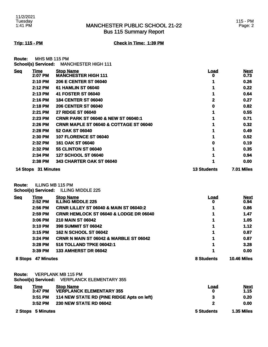### MANCHESTER PUBLIC SCHOOL 21-22 Bus 115 Summary Report

### 115 - PM Page: 2

### **Trip: 115 - PM Check in Time: 1:39 PM**

**Route:** MHS MB 115 PM **School(s) Serviced:** MANCHESTER HIGH 111

| <b>Seq</b> | Time       | <b>Stop Name</b>                                  | Load               | <b>Next</b>       |
|------------|------------|---------------------------------------------------|--------------------|-------------------|
|            | 2:07 PM    | <b>MANCHESTER HIGH 111</b>                        | o                  | 0.73              |
|            | 2:10 PM    | <b>206 E CENTER ST 06040</b>                      |                    | 0.26              |
|            | 2:12 PM    | <b>61 HAMLIN ST 06040</b>                         |                    | 0.22              |
|            | 2:13 PM    | 41 FOSTER ST 06040                                |                    | 0.64              |
|            | 2:16 PM    | <b>184 CENTER ST 06040</b>                        | 2                  | 0.27              |
|            | 2:18 PM    | <b>206 CENTER ST 06040</b>                        | 0                  | 0.82              |
|            | 2:21 PM    | <b>27 RIDGE ST 06040</b>                          |                    | 0.55              |
|            | 2:23 PM    | <b>CRNR PARK ST 06040 &amp; NEW ST 06040:1</b>    |                    | 0.71              |
|            | $2:26$ PM  | <b>CRNR MAPLE ST 06040 &amp; COTTAGE ST 06040</b> |                    | 0.32              |
|            | 2:28 PM    | 52 OAK ST 06040                                   |                    | 0.49              |
|            | 2:30 PM    | <b>107 FLORENCE ST 06040</b>                      |                    | 0.52              |
|            | 2:32 PM    | 161 OAK ST 06040                                  | 0                  | 0.19              |
|            | 2:32 PM    | <b>55 CLINTON ST 06040</b>                        |                    | 0.35              |
|            | 2:34 PM    | <b>127 SCHOOL ST 06040</b>                        |                    | 0.94              |
|            | 2:38 PM    | <b>343 CHARTER OAK ST 06040</b>                   |                    | 0.00              |
| 14 Stops   | 31 Minutes |                                                   | <b>13 Students</b> | <b>7.01 Miles</b> |

**Route:** ILLING MB 115 PM

**School(s) Serviced:** ILLING MIDDLE 225

| <b>Seq</b> | Time              | <b>Stop Name</b>                                  | <u>Load</u> | <b>Next</b>        |
|------------|-------------------|---------------------------------------------------|-------------|--------------------|
|            | 2:52 PM           | <b>ILLING MIDDLE 225</b>                          | 0           | 0.94               |
|            | 2:56 PM           | <b>CRNR LILLEY ST 06040 &amp; MAIN ST 06040:2</b> |             | 0.86               |
|            | 2:59 PM           | <b>CRNR HEMLOCK ST 06040 &amp; LODGE DR 06040</b> |             | 1.47               |
|            | 3:06 PM           | <b>210 MAIN ST 06042</b>                          |             | 1.05               |
|            | 3:10 PM           | <b>398 SUMMIT ST 06042</b>                        |             | 1.12               |
|            | $3:15$ PM         | <b>162 N SCHOOL ST 06042</b>                      |             | 0.87               |
|            | $3:24$ PM         | <b>CRNR N MAIN ST 06042 &amp; MARBLE ST 06042</b> |             | 0.87               |
|            | 3:28 PM           | 516 TOLLAND TPKE 06042:1                          |             | 3.28               |
|            | $3:39$ PM         | <b>133 AMHERST DR 06042</b>                       |             | 0.00               |
| 8 Stops    | <b>47 Minutes</b> |                                                   | 8 Students  | <b>10.46 Miles</b> |

**Route:** VERPLANK MB 115 PM

**School(s) Serviced:** VERPLANCK ELEMENTARY 355

| <b>Seg</b> | Time              | <b>Stop Name</b>                           | Load       | <b>Next</b>       |
|------------|-------------------|--------------------------------------------|------------|-------------------|
|            | 3:47 PM           | <b>VERPLANCK ELEMENTARY 355</b>            | 0          | 1.15              |
|            | 3:51 PM           | 114 NEW STATE RD (PINE RIDGE Apts on left) |            | 0.20              |
|            | $3:52$ PM         | <b>230 NEW STATE RD 06042</b>              |            | 0.00              |
|            | 2 Stops 5 Minutes |                                            | 5 Students | <b>1.35 Miles</b> |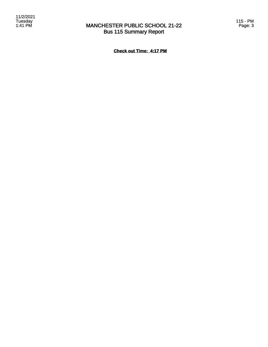### MANCHESTER PUBLIC SCHOOL 21-22 Bus 115 Summary Report

115 - PM Page: 3

**Check out Time: 4:17 PM**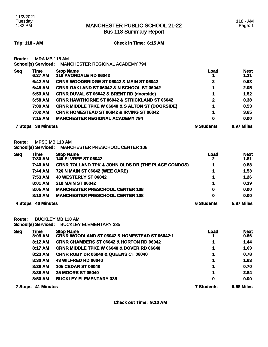Bus 118 Summary Report

### 118 - AM Page: 1

**Trip: 118 - AM Check in Time: 6:15 AM**

**Route:** MRA MB 118 AM

|            | <b>School(s) Serviced:</b> | <b>MANCHESTER REGIONAL ACADEMY 794</b>                      |              |                     |
|------------|----------------------------|-------------------------------------------------------------|--------------|---------------------|
| <b>Seq</b> | <u>Time</u><br>6:37 AM     | <b>Stop Name</b><br><b>116 AVONDALE RD 06042</b>            | <u>Load</u>  | <b>Next</b><br>1.21 |
|            | 6:42 AM                    | <b>CRNR WOODBRIDGE ST 06042 &amp; MAIN ST 06042</b>         | $\mathbf{2}$ | 0.63                |
|            | 6:45 AM                    | <b>CRNR OAKLAND ST 06042 &amp; N SCHOOL ST 06042</b>        |              | 2.05                |
|            | 6:53 AM                    | <b>CRNR DUVAL ST 06042 &amp; BRENT RD (doorside)</b>        |              | 1.52                |
|            | 6:58 AM                    | <b>CRNR HAWTHORNE ST 06042 &amp; STRICKLAND ST 06042</b>    | $\mathbf{2}$ | 0.38                |
|            | 7:00 AM                    | <b>CRNR MIDDLE TPKE W 06040 &amp; S ALTON ST (DOORSIDE)</b> |              | 0.53                |
|            | 7:02 AM                    | <b>CRNR HOMESTEAD ST 06042 &amp; IRVING ST 06042</b>        |              | 3.65                |
|            | 7:15 AM                    | <b>MANCHESTER REGIONAL ACADEMY 794</b>                      | 0            | 0.00                |
| 7 Stops    | <b>38 Minutes</b>          |                                                             | 9 Students   | 9.97 Miles          |

**Route:** MPSC MB 118 AM

**School(s) Serviced:** MANCHESTER PRESCHOOL CENTER 108

| <b>Seq</b>                   | <u>Time</u> | <b>Stop Name</b>                                              | <b>Load</b>       | <b>Next</b> |
|------------------------------|-------------|---------------------------------------------------------------|-------------------|-------------|
|                              | 7:30 AM     | <b>149 ELVREE ST 06042</b>                                    | 2                 | 1.81        |
|                              | 7:40 AM     | <b>CRNR TOLLAND TPK &amp; JOHN OLDS DR (THE PLACE CONDOS)</b> |                   | 0.88        |
|                              | 7:44 AM     | 726 N MAIN ST 06042 (WEE CARE)                                |                   | 1.53        |
|                              | 7:53 AM     | <b>40 WESTERLY ST 06042</b>                                   |                   | 1.26        |
|                              | 8:01 AM     | <b>210 MAIN ST 06042</b>                                      |                   | 0.39        |
|                              | 8:05 AM     | <b>MANCHESTER PRESCHOOL CENTER 108</b>                        | 0                 | 0.00        |
|                              | 8:10 AM     | <b>MANCHESTER PRESCHOOL CENTER 108</b>                        | 0                 | 0.00        |
| <b>40 Minutes</b><br>4 Stops |             |                                                               | <b>6 Students</b> | 5.87 Miles  |

**Route:** BUCKLEY MB 118 AM

**School(s) Serviced:** BUCKLEY ELEMENTARY 335

| <b>Seq</b> | Time       | <b>Stop Name</b>                                         | <u>Load</u>       | <b>Next</b> |
|------------|------------|----------------------------------------------------------|-------------------|-------------|
|            | 8:09 AM    | <b>CRNR WOODLAND ST 06042 &amp; HOMESTEAD ST 06042:1</b> |                   | 0.66        |
|            | 8:12 AM    | <b>CRNR CHAMBERS ST 06042 &amp; HORTON RD 06042</b>      |                   | 1.44        |
|            | 8:17 AM    | <b>CRNR MIDDLE TPKE W 06040 &amp; DOVER RD 06040</b>     |                   | 1.63        |
|            | 8:23 AM    | <b>CRNR RUBY DR 06040 &amp; QUEENS CT 06040</b>          | 1                 | 0.78        |
|            | 8:30 AM    | <b>43 WILFRED RD 06040</b>                               | 1                 | 1.63        |
|            | 8:36 AM    | <b>105 CEDAR ST 06040</b>                                | 1                 | 0.70        |
|            | 8:39 AM    | <b>25 MOORE ST 06040</b>                                 | 1                 | 2.84        |
|            | 8:50 AM    | <b>BUCKLEY ELEMENTARY 335</b>                            | 0                 | 0.00        |
| 7 Stops    | 41 Minutes |                                                          | <b>7 Students</b> | 9.68 Miles  |

**Check out Time: 9:10 AM**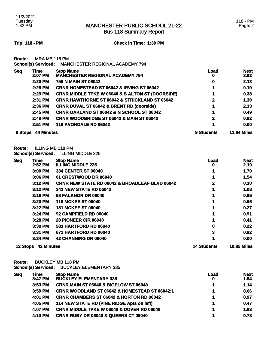Bus 118 Summary Report

**Trip: 118 - PM Check in Time: 1:39 PM**

**Route:** MRA MB 118 PM

| <b>School(s) Serviced:</b><br><b>MANCHESTER REGIONAL ACADEMY 794</b> |                   |                                                             |            |                     |
|----------------------------------------------------------------------|-------------------|-------------------------------------------------------------|------------|---------------------|
| <b>Seq</b>                                                           | Time<br>2:07 PM   | <b>Stop Name</b><br><b>MANCHESTER REGIONAL ACADEMY 794</b>  | Load<br>O  | <u>Next</u><br>3.92 |
|                                                                      | 2:20 PM           | 756 N MAIN ST 06042                                         | 0          | 2.13                |
|                                                                      | 2:28 PM           | <b>CRNR HOMESTEAD ST 06042 &amp; IRVING ST 06042</b>        | 1          | 0.19                |
|                                                                      | 2:29 PM           | <b>CRNR MIDDLE TPKE W 06040 &amp; S ALTON ST (DOORSIDE)</b> |            | 0.38                |
|                                                                      | 2:31 PM           | <b>CRNR HAWTHORNE ST 06042 &amp; STRICKLAND ST 06042</b>    | 2          | 1.38                |
|                                                                      | 2:36 PM           | <b>CRNR DUVAL ST 06042 &amp; BRENT RD (doorside)</b>        |            | 2.33                |
|                                                                      | 2:45 PM           | <b>CRNR OAKLAND ST 06042 &amp; N SCHOOL ST 06042</b>        |            | 0.49                |
|                                                                      | 2:48 PM           | <b>CRNR WOODBRIDGE ST 06042 &amp; MAIN ST 06042</b>         | 2          | 0.82                |
|                                                                      | 2:51 PM           | 116 AVONDALE RD 06042                                       |            | 0.00                |
| 8 Stops                                                              | <b>44 Minutes</b> |                                                             | 9 Students | <b>11.64 Miles</b>  |

**Route:** ILLING MB 118 PM

**School(s) Serviced:** ILLING MIDDLE 225

| <b>Seg</b>      | Time              | <b>Stop Name</b>                                          | <u>Load</u>        | <b>Next</b>        |
|-----------------|-------------------|-----------------------------------------------------------|--------------------|--------------------|
|                 | 2:52 PM           | <b>ILLING MIDDLE 225</b>                                  | o                  | 2.19               |
|                 | 3:00 PM           | <b>334 CENTER ST 06040</b>                                |                    | 1.70               |
|                 | $3:06$ PM         | 61 CRESTWOOD DR 06040                                     |                    | 1.54               |
|                 | 3:12 PM           | <b>CRNR NEW STATE RD 06042 &amp; BROADLEAF BLVD 06042</b> | 2                  | 0.10               |
|                 | 3:12 PM           | <b>243 NEW STATE RD 06042</b>                             |                    | 1.08               |
|                 | $3:16$ PM         | <b>98 FALKNOR DR 06040</b>                                |                    | 0.95               |
|                 | 3:20 PM           | <b>118 MCKEE ST 06040</b>                                 |                    | 0.56               |
|                 | 3:22 PM           | <b>181 MCKEE ST 06040</b>                                 |                    | 0.27               |
|                 | 3:24 PM           | 92 CAMPFIELD RD 06040                                     |                    | 0.91               |
|                 | 3:28 PM           | <b>28 PIONEER CIR 06040</b>                               |                    | 0.41               |
|                 | 3:30 PM           | <b>583 HARTFORD RD 06040</b>                              | 0                  | 0.22               |
|                 | 3:31 PM           | 671 HARTFORD RD 06040                                     | 3                  | 0.92               |
|                 | 3:34 PM           | 42 CHANNING DR 06040                                      |                    | 0.00               |
| <b>12 Stops</b> | <b>42 Minutes</b> |                                                           | <b>14 Students</b> | <b>10.85 Miles</b> |

**Route:** BUCKLEY MB 118 PM

**School(s) Serviced:** BUCKLEY ELEMENTARY 335

| <b>Seq</b> | <u>Time</u> | <b>Stop Name</b>                                     | <u>Load</u> | <b>Next</b> |
|------------|-------------|------------------------------------------------------|-------------|-------------|
|            | 3:47 PM     | <b>BUCKLEY ELEMENTARY 335</b>                        | 0           | 1.54        |
|            | 3:53 PM     | CRNR MAIN ST 06040 & BIGELOW ST 06040                |             | 1.14        |
|            | $3:59$ PM   | CRNR WOODLAND ST 06042 & HOMESTEAD ST 06042:1        |             | 0.66        |
|            | 4:01 PM     | <b>CRNR CHAMBERS ST 06042 &amp; HORTON RD 06042</b>  |             | 0.97        |
|            | 4:05 PM     | 114 NEW STATE RD (PINE RIDGE Apts on left)           |             | 0.47        |
|            | 4:07 PM     | <b>CRNR MIDDLE TPKE W 06040 &amp; DOVER RD 06040</b> |             | 1.63        |
|            | 4:13 PM     | <b>CRNR RUBY DR 06040 &amp; QUEENS CT 06040</b>      |             | 0.78        |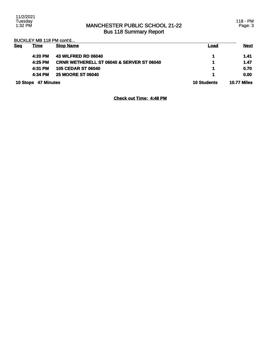### MANCHESTER PUBLIC SCHOOL 21-22 Bus 118 Summary Report

118 - PM Page: 3

BUCKLEY MB 118 PM cont'd...

| <b>Seq</b> | <b>Time</b>         | <b>Stop Name</b>                                     | Load               | <b>Next</b>        |
|------------|---------------------|------------------------------------------------------|--------------------|--------------------|
|            | 4:20 PM             | <b>43 WILFRED RD 06040</b>                           |                    | 1.41               |
|            | 4:25 PM             | <b>CRNR WETHERELL ST 06040 &amp; SERVER ST 06040</b> | 1                  | 1.47               |
|            | 4:31 PM             | <b>105 CEDAR ST 06040</b>                            | 1                  | 0.70               |
|            | 4:34 PM             | <b>25 MOORE ST 06040</b>                             | 4.                 | 0.00               |
|            | 10 Stops 47 Minutes |                                                      | <b>10 Students</b> | <b>10.77 Miles</b> |

**Check out Time: 4:48 PM**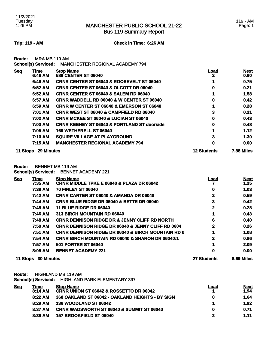Bus 119 Summary Report

**Trip: 119 - AM Check in Time: 6:26 AM**

**Route:** MRA MB 119 AM

|            | <b>School(s) Serviced:</b> | <b>MANCHESTER REGIONAL ACADEMY 794</b>                 |                    |                     |
|------------|----------------------------|--------------------------------------------------------|--------------------|---------------------|
| <b>Seq</b> | <u>Time</u><br>6:46 AM     | <b>Stop Name</b><br><b>589 CENTER ST 06040</b>         | <u>Load</u><br>2   | <b>Next</b><br>0.60 |
|            | 6:49 AM                    | <b>CRNR CENTER ST 06040 &amp; ROOSEVELT ST 06040</b>   |                    | 0.75                |
|            | 6:52 AM                    | <b>CRNR CENTER ST 06040 &amp; OLCOTT DR 06040</b>      | 0                  | 0.21                |
|            | 6:52 AM                    | <b>CRNR CENTER ST 06040 &amp; SALEM RD 06040</b>       |                    | 1.58                |
|            | 6:57 AM                    | <b>CRNR WADDELL RD 06040 &amp; W CENTER ST 06040</b>   | 0                  | 0.42                |
|            | 6:59 AM                    | <b>CRNR W CENTER ST 06040 &amp; EMERSON ST 06040</b>   |                    | 0.28                |
|            | 7:01 AM                    | <b>CRNR WEST ST 06040 &amp; CAMPFIELD RD 06040</b>     | 3                  | 0.21                |
|            | 7:02 AM                    | <b>CRNR MCKEE ST 06040 &amp; LUCIAN ST 06040</b>       | 0                  | 0.43                |
|            | 7:03 AM                    | <b>CRNR KEENEY ST 06040 &amp; PORTLAND ST doorside</b> | 0                  | 0.48                |
|            | 7:05 AM                    | 169 WETHERELL ST 06040                                 |                    | 1.12                |
|            | 7:10 AM                    | <b>SQUIRE VILLAGE AT PLAYGROUND</b>                    | 3                  | 1.30                |
|            | 7:15 AM                    | <b>MANCHESTER REGIONAL ACADEMY 794</b>                 | 0                  | 0.00                |
| 11 Stops   | <b>29 Minutes</b>          |                                                        | <b>12 Students</b> | <b>7.38 Miles</b>   |

**Route:** BENNET MB 119 AM

**School(s) Serviced:** BENNET ACADEMY 221

| <b>Seq</b> | Time              | <b>Stop Name</b>                                              | Load               | <b>Next</b> |
|------------|-------------------|---------------------------------------------------------------|--------------------|-------------|
|            | 7:35 AM           | <b>CRNR MIDDLE TPKE E 06040 &amp; PLAZA DR 06042</b>          |                    | 1.25        |
|            | 7:39 AM           | <b>70 FINLEY ST 06040</b>                                     | 0                  | 1.03        |
|            | 7:42 AM           | <b>CRNR CARTER ST 06040 &amp; AMANDA DR 06040</b>             | 2                  | 0.59        |
|            | 7:44 AM           | <b>CRNR BLUE RIDGE DR 06040 &amp; BETTE DR 06040</b>          | 3                  | 0.42        |
|            | 7:45 AM           | <b>11 BLUE RIDGE DR 06040</b>                                 | 2                  | 0.28        |
|            | 7:46 AM           | 313 BIRCH MOUNTAIN RD 06040                                   |                    | 0.43        |
|            | 7:48 AM           | <b>CRNR DENNISON RIDGE DR &amp; JENNY CLIFF RD NORTH</b>      | 6                  | 0.40        |
|            | 7:50 AM           | <b>CRNR DENNISON RIDGE DR 06040 &amp; JENNY CLIFF RD 0604</b> | $\mathbf{2}$       | 0.26        |
|            | 7:51 AM           | <b>CRNR DENNISON RIDGE DR 06040 &amp; BIRCH MOUNTAIN RD 0</b> | 1                  | 1.08        |
|            | 7:54 AM           | <b>CRNR BIRCH MOUNTAIN RD 06040 &amp; SHARON DR 06040:1</b>   | $\mathbf{2}$       | 0.86        |
|            | 7:57 AM           | <b>501 PORTER ST 06040</b>                                    |                    | 2.09        |
|            | 8:05 AM           | <b>BENNET ACADEMY 221</b>                                     | 0                  | 0.00        |
| 11 Stops   | <b>30 Minutes</b> |                                                               | <b>27 Students</b> | 8.69 Miles  |

**Route:** HIGHLAND MB 119 AM **School(s) Serviced:** HIGHLAND PARK ELEMENTARY 337

| <b>Seq</b> | Time<br>8:14 AM | <b>Stop Name</b><br><b>CRNR UNION ST 06042 &amp; ROSSETTO DR 06042</b> | Load | <b>Next</b><br>1.94 |
|------------|-----------------|------------------------------------------------------------------------|------|---------------------|
|            | 8:22AM          | 360 OAKLAND ST 06042 - OAKLAND HEIGHTS - BY SIGN                       | 0    | 1.64                |
|            | $8:29$ AM       | <b>136 WOODLAND ST 06042</b>                                           |      | 1.92                |
|            | 8:37 AM         | <b>CRNR WADSWORTH ST 06040 &amp; SUMMIT ST 06040</b>                   | 0    | 0.71                |
|            | 8:39 AM         | 157 BROOKFIELD ST 06040                                                |      | 1.11                |
|            |                 |                                                                        |      |                     |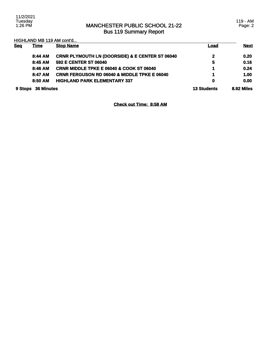### MANCHESTER PUBLIC SCHOOL 21-22 Bus 119 Summary Report

HIGHLAND MB 119 AM cont'd...

| <b>Sea</b> | <b>Time</b>       | <b>Stop Name</b>                                           | <u>Load</u>        | <b>Next</b> |
|------------|-------------------|------------------------------------------------------------|--------------------|-------------|
|            | 8:44 AM           | <b>CRNR PLYMOUTH LN (DOORSIDE) &amp; E CENTER ST 06040</b> | $\mathbf{2}$       | 0.20        |
|            | 8:45 AM           | 592 E CENTER ST 06040                                      | 5                  | 0.16        |
|            | 8:46 AM           | <b>CRNR MIDDLE TPKE E 06040 &amp; COOK ST 06040</b>        | 1                  | 0.24        |
|            | 8:47 AM           | <b>CRNR FERGUSON RD 06040 &amp; MIDDLE TPKE E 06040</b>    | 1                  | 1.00        |
|            | 8:50 AM           | <b>HIGHLAND PARK ELEMENTARY 337</b>                        | 0                  | 0.00        |
| 9 Stops    | <b>36 Minutes</b> |                                                            | <b>13 Students</b> | 8.92 Miles  |

**Check out Time: 8:58 AM**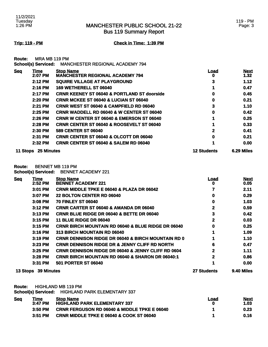Bus 119 Summary Report

**Trip: 119 - PM Check in Time: 1:39 PM**

**Route:** MRA MB 119 PM **School(s) Serviced:** MANCHESTER REGIONAL ACADEMY 794

|            | <u>sensens, sen mosan</u> |                                                            |                    |                     |
|------------|---------------------------|------------------------------------------------------------|--------------------|---------------------|
| <b>Seq</b> | <b>Time</b><br>2:07 PM    | <b>Stop Name</b><br><b>MANCHESTER REGIONAL ACADEMY 794</b> | <b>Load</b><br>0   | <b>Next</b><br>1.32 |
|            | 2:12 PM                   | <b>SQUIRE VILLAGE AT PLAYGROUND</b>                        | 3                  | 1.12                |
|            | $2:16$ PM                 | 169 WETHERELL ST 06040                                     |                    | 0.47                |
|            | 2:17 PM                   | <b>CRNR KEENEY ST 06040 &amp; PORTLAND ST doorside</b>     | 0                  | 0.45                |
|            | 2:20 PM                   | <b>CRNR MCKEE ST 06040 &amp; LUCIAN ST 06040</b>           | 0                  | 0.21                |
|            | 2:21 PM                   | <b>CRNR WEST ST 06040 &amp; CAMPFIELD RD 06040</b>         | 3                  | 1.10                |
|            | 2:25 PM                   | <b>CRNR WADDELL RD 06040 &amp; W CENTER ST 06040</b>       | 0                  | 0.42                |
|            | 2:26 PM                   | <b>CRNR W CENTER ST 06040 &amp; EMERSON ST 06040</b>       |                    | 0.25                |
|            | 2:28 PM                   | <b>CRNR CENTER ST 06040 &amp; ROOSEVELT ST 06040</b>       |                    | 0.33                |
|            | 2:30 PM                   | <b>589 CENTER ST 06040</b>                                 | 2                  | 0.41                |
|            | 2:31 PM                   | <b>CRNR CENTER ST 06040 &amp; OLCOTT DR 06040</b>          | 0                  | 0.21                |
|            | 2:32 PM                   | <b>CRNR CENTER ST 06040 &amp; SALEM RD 06040</b>           |                    | 0.00                |
|            | 11 Stops 25 Minutes       |                                                            | <b>12 Students</b> | 6.29 Miles          |

**Route:** BENNET MB 119 PM **School(s) Serviced:** BENNET ACADEMY 221

| <b>Seq</b> | Time              | <b>Stop Name</b>                                              | <u>Load</u>        | <b>Next</b> |
|------------|-------------------|---------------------------------------------------------------|--------------------|-------------|
|            | 2:52 PM           | <b>BENNET ACADEMY 221</b>                                     | o                  | 0.05        |
|            | 3:01 PM           | <b>CRNR MIDDLE TPKE E 06040 &amp; PLAZA DR 06042</b>          |                    | 2.11        |
|            | 3:07 PM           | <b>22 BOLTON CENTER RD 06040</b>                              | 0                  | 0.29        |
|            | 3:08 PM           | <b>70 FINLEY ST 06040</b>                                     | 0                  | 1.03        |
|            | 3:12 PM           | <b>CRNR CARTER ST 06040 &amp; AMANDA DR 06040</b>             | 2                  | 0.59        |
|            | $3:13$ PM         | <b>CRNR BLUE RIDGE DR 06040 &amp; BETTE DR 06040</b>          | 3                  | 0.42        |
|            | 3:15 PM           | <b>11 BLUE RIDGE DR 06040</b>                                 | 2                  | 0.03        |
|            | 3:15 PM           | <b>CRNR BIRCH MOUNTAIN RD 06040 &amp; BLUE RIDGE DR 06040</b> | 0                  | 0.25        |
|            | $3:16$ PM         | 313 BIRCH MOUNTAIN RD 06040                                   |                    | 1.09        |
|            | 3:19 PM           | <b>CRNR DENNISON RIDGE DR 06040 &amp; BIRCH MOUNTAIN RD 0</b> |                    | 1.10        |
|            | 3:23 PM           | <b>CRNR DENNISON RIDGE DR &amp; JENNY CLIFF RD NORTH</b>      | 6                  | 0.47        |
|            | $3:25$ PM         | <b>CRNR DENNISON RIDGE DR 06040 &amp; JENNY CLIFF RD 0604</b> | 2                  | 1.11        |
|            | 3:28 PM           | <b>CRNR BIRCH MOUNTAIN RD 06040 &amp; SHARON DR 06040:1</b>   | 2                  | 0.86        |
|            | 3:31 PM           | <b>501 PORTER ST 06040</b>                                    |                    | 0.00        |
| 13 Stops   | <b>39 Minutes</b> |                                                               | <b>27 Students</b> | 9.40 Miles  |

**Route:** HIGHLAND MB 119 PM

**School(s) Serviced:** HIGHLAND PARK ELEMENTARY 337

| <u>Sea</u> | Γime      | <b>Stop Name</b>                                        | Load | <b>Next</b> |
|------------|-----------|---------------------------------------------------------|------|-------------|
|            | $3:47$ PM | <b>HIGHLAND PARK ELEMENTARY 337</b>                     |      | 1.03        |
|            | $3:50$ PM | <b>CRNR FERGUSON RD 06040 &amp; MIDDLE TPKE E 06040</b> |      | 0.23        |
|            | $3:51$ PM | <b>CRNR MIDDLE TPKE E 06040 &amp; COOK ST 06040</b>     |      | 0.16        |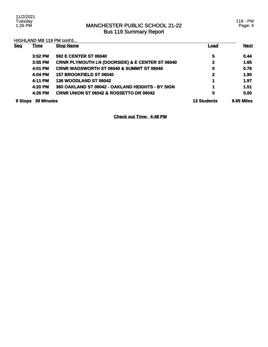### MANCHESTER PUBLIC SCHOOL 21-22 Bus 119 Summary Report

119 - PM Page: 4

| HIGHLAND MB 119 PM cont'd |                   |                                                            |                    |             |
|---------------------------|-------------------|------------------------------------------------------------|--------------------|-------------|
| <b>Seq</b>                | <b>Time</b>       | <b>Stop Name</b>                                           | Load               | <b>Next</b> |
|                           | $3:52$ PM         | 592 E CENTER ST 06040                                      | 5                  | 0.44        |
|                           | 3:55 PM           | <b>CRNR PLYMOUTH LN (DOORSIDE) &amp; E CENTER ST 06040</b> | $\mathbf{2}$       | 1.65        |
|                           | 4:01 PM           | <b>CRNR WADSWORTH ST 06040 &amp; SUMMIT ST 06040</b>       | 0                  | 0.76        |
|                           | 4:04 PM           | 157 BROOKFIELD ST 06040                                    | $\mathbf 2$        | 1.90        |
|                           | 4:11 PM           | 136 WOODLAND ST 06042                                      | 1                  | 1.97        |
|                           | 4:20 PM           | 360 OAKLAND ST 06042 - OAKLAND HEIGHTS - BY SIGN           | 1                  | 1.51        |
|                           | 4:26 PM           | <b>CRNR UNION ST 06042 &amp; ROSSETTO DR 06042</b>         | 0                  | 0.00        |
| 9 Stops                   | <b>39 Minutes</b> |                                                            | <b>13 Students</b> | 9.65 Miles  |

**Check out Time: 4:48 PM**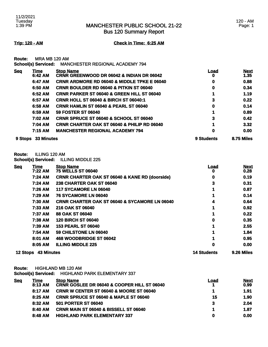Bus 120 Summary Report

**Trip: 120 - AM Check in Time: 6:25 AM**

**Route:** MRA MB 120 AM

|            | <b>School(s) Serviced:</b> | <b>MANCHESTER REGIONAL ACADEMY 794</b>                                   |            |                     |
|------------|----------------------------|--------------------------------------------------------------------------|------------|---------------------|
| <b>Seq</b> | Time<br>6:42 AM            | <b>Stop Name</b><br><b>CRNR GREENWOOD DR 06042 &amp; INDIAN DR 06042</b> | Load<br>0  | <b>Next</b><br>1.35 |
|            | 6:47 AM                    | <b>CRNR ARDMORE RD 06040 &amp; MIDDLE TPKE E 06040</b>                   | 0          | 0.88                |
|            | 6:50 AM                    | <b>CRNR BOULDER RD 06040 &amp; PITKIN ST 06040</b>                       | 0          | 0.34                |
|            | 6:52 AM                    | <b>CRNR PARKER ST 06040 &amp; GREEN HILL ST 06040</b>                    |            | 1.19                |
|            | 6:57 AM                    | <b>CRNR HOLL ST 06040 &amp; BIRCH ST 06040:1</b>                         | 3          | 0.22                |
|            | 6:58 AM                    | <b>CRNR HAMLIN ST 06040 &amp; PEARL ST 06040</b>                         | 0          | 0.14                |
|            | 6:59 AM                    | <b>59 FOSTER ST 06040</b>                                                |            | 0.89                |
|            | 7:02 AM                    | <b>CRNR SPRUCE ST 06040 &amp; SCHOOL ST 06040</b>                        | 3          | 0.42                |
|            | 7:04 AM                    | <b>CRNR CHARTER OAK ST 06040 &amp; PHILIP RD 06040</b>                   |            | 3.32                |
|            | 7:15 AM                    | <b>MANCHESTER REGIONAL ACADEMY 794</b>                                   | 0          | 0.00                |
| 9 Stops    | 33 Minutes                 |                                                                          | 9 Students | 8.75 Miles          |

**Route:** ILLING 120 AM

**School(s) Serviced:** ILLING MIDDLE 225

| <b>Seq</b>      | Time              | <b>Stop Name</b>                                          | <u>Load</u>        | <b>Next</b> |
|-----------------|-------------------|-----------------------------------------------------------|--------------------|-------------|
|                 | 7:22 AM           | <b>75 WELLS ST 06040</b>                                  | o                  | 0.28        |
|                 | 7:24 AM           | <b>CRNR CHARTER OAK ST 06040 &amp; KANE RD (doorside)</b> | 0                  | 0.19        |
|                 | 7:24 AM           | 238 CHARTER OAK ST 06040                                  | 3                  | 0.31        |
|                 | 7:26 AM           | 117 SYCAMORE LN 06040                                     |                    | 0.87        |
|                 | 7:29 AM           | <b>76 SYCAMORE LN 06040</b>                               |                    | 0.14        |
|                 | 7:30 AM           | <b>CRNR CHARTER OAK ST 06040 &amp; SYCAMORE LN 06040</b>  | 4                  | 0.64        |
|                 | 7:33 AM           | 216 OAK ST 06040                                          |                    | 0.92        |
|                 | 7:37 AM           | <b>88 OAK ST 06040</b>                                    |                    | 0.22        |
|                 | 7:38 AM           | <b>120 BIRCH ST 06040</b>                                 | 0                  | 0.35        |
|                 | 7:39 AM           | <b>153 PEARL ST 06040</b>                                 |                    | 2.55        |
|                 | 7:54 AM           | 59 CHILSTONE LN 06040                                     |                    | 1.84        |
|                 | 8:01 AM           | 468 WOODBRIDGE ST 06042                                   |                    | 0.95        |
|                 | 8:05 AM           | <b>ILLING MIDDLE 225</b>                                  | 0                  | 0.00        |
| <b>12 Stops</b> | <b>43 Minutes</b> |                                                           | <b>14 Students</b> | 9.26 Miles  |

**Route:** HIGHLAND MB 120 AM

**School(s) Serviced:** HIGHLAND PARK ELEMENTARY 337

| <u>Seq</u> | Time    | <b>Stop Name</b>                                       | Load | <b>Next</b> |
|------------|---------|--------------------------------------------------------|------|-------------|
|            | 8:13 AM | <b>CRNR GOSLEE DR 06040 &amp; COOPER HILL ST 06040</b> |      | 0.99        |
|            | 8:17 AM | <b>CRNR W CENTER ST 06040 &amp; MOORE ST 06040</b>     |      | 1.91        |
|            | 8:25AM  | <b>CRNR SPRUCE ST 06040 &amp; MAPLE ST 06040</b>       | 15   | 1.90        |
|            | 8:32 AM | <b>501 PORTER ST 06040</b>                             | 3    | 2.04        |
|            | 8:40 AM | <b>CRNR MAIN ST 06040 &amp; BISSELL ST 06040</b>       |      | 1.87        |
|            | 8:48 AM | <b>HIGHLAND PARK ELEMENTARY 337</b>                    | 0    | 0.00        |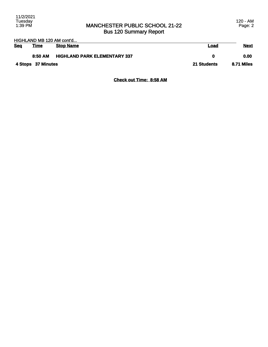### MANCHESTER PUBLIC SCHOOL 21-22 Bus 120 Summary Report

| HIGHLAND MB 120 AM cont'd |                    |                                     |             |             |
|---------------------------|--------------------|-------------------------------------|-------------|-------------|
| <b>Seq</b>                | <u>Time</u>        | <b>Stop Name</b>                    | <u>Load</u> | <b>Next</b> |
|                           | 8:50 AM            | <b>HIGHLAND PARK ELEMENTARY 337</b> | 0           | 0.00        |
|                           | 4 Stops 37 Minutes |                                     | 21 Students | 8.71 Miles  |

**Check out Time: 8:58 AM**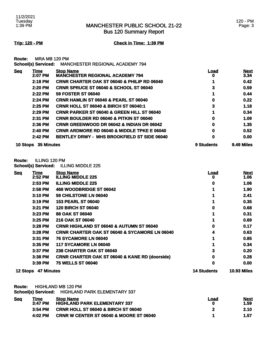Bus 120 Summary Report

**Trip: 120 - PM Check in Time: 1:39 PM**

**Route:** MRA MB 120 PM

|  | School(s) Serviced: MANCHESTER REGIONAL ACADEMY 794 |
|--|-----------------------------------------------------|
|--|-----------------------------------------------------|

| <b>Seq</b> | Time              | <b>Stop Name</b>                                       | Load       | <b>Next</b> |
|------------|-------------------|--------------------------------------------------------|------------|-------------|
|            | 2:07 PM           | <b>MANCHESTER REGIONAL ACADEMY 794</b>                 | o          | 3.34        |
|            | 2:18 PM           | <b>CRNR CHARTER OAK ST 06040 &amp; PHILIP RD 06040</b> |            | 0.42        |
|            | 2:20 PM           | <b>CRNR SPRUCE ST 06040 &amp; SCHOOL ST 06040</b>      | 3          | 0.59        |
|            | 2:22 PM           | <b>59 FOSTER ST 06040</b>                              |            | 0.44        |
|            | $2:24$ PM         | <b>CRNR HAMLIN ST 06040 &amp; PEARL ST 06040</b>       | 0          | 0.22        |
|            | $2:25$ PM         | <b>CRNR HOLL ST 06040 &amp; BIRCH ST 06040:1</b>       | 3          | 1.18        |
|            | $2:29$ PM         | <b>CRNR PARKER ST 06040 &amp; GREEN HILL ST 06040</b>  |            | 0.34        |
|            | 2:31 PM           | <b>CRNR BOULDER RD 06040 &amp; PITKIN ST 06040</b>     | 0          | 1.09        |
|            | 2:36 PM           | <b>CRNR GREENWOOD DR 06042 &amp; INDIAN DR 06042</b>   | 0          | 1.35        |
|            | 2:40 PM           | <b>CRNR ARDMORE RD 06040 &amp; MIDDLE TPKE E 06040</b> | 0          | 0.52        |
|            | 2:42 PM           | <b>BENTLEY DRWY - MHS BROOKFIELD ST SIDE 06040</b>     | 0          | 0.00        |
| 10 Stops   | <b>35 Minutes</b> |                                                        | 9 Students | 9.49 Miles  |

### **Route:** ILLING 120 PM

**School(s) Serviced:** ILLING MIDDLE 225

| <b>Seq</b> | Time              | <b>Stop Name</b>                                          | <u>Load</u>        | <b>Next</b>        |
|------------|-------------------|-----------------------------------------------------------|--------------------|--------------------|
|            | $2:52$ PM         | <b>ILLING MIDDLE 225</b>                                  | o                  | 1.06               |
|            | 2:53 PM           | <b>ILLING MIDDLE 225</b>                                  | 0                  | 1.06               |
|            | 2:58 PM           | <b>468 WOODBRIDGE ST 06042</b>                            |                    | 1.90               |
|            | 3:10 PM           | 59 CHILSTONE LN 06040                                     |                    | 2.41               |
|            | 3:19 PM           | <b>153 PEARL ST 06040</b>                                 |                    | 0.35               |
|            | 3:21 PM           | <b>120 BIRCH ST 06040</b>                                 | 0                  | 0.68               |
|            | 3:23 PM           | <b>88 OAK ST 06040</b>                                    |                    | 0.31               |
|            | 3:25 PM           | 216 OAK ST 06040                                          |                    | 0.69               |
|            | 3:28 PM           | <b>CRNR HIGHLAND ST 06040 &amp; AUTUMN ST 06040</b>       | 0                  | 0.17               |
|            | 3:28 PM           | <b>CRNR CHARTER OAK ST 06040 &amp; SYCAMORE LN 06040</b>  | 4                  | 0.63               |
|            | 3:31 PM           | <b>76 SYCAMORE LN 06040</b>                               |                    | 0.85               |
|            | 3:35 PM           | <b>117 SYCAMORE LN 06040</b>                              |                    | 0.34               |
|            | 3:37 PM           | <b>238 CHARTER OAK ST 06040</b>                           |                    | 0.20               |
|            | 3:38 PM           | <b>CRNR CHARTER OAK ST 06040 &amp; KANE RD (doorside)</b> | 0                  | 0.28               |
|            | 3:39 PM           | <b>75 WELLS ST 06040</b>                                  | 0                  | 0.00               |
| 12 Stops   | <b>47 Minutes</b> |                                                           | <b>14 Students</b> | <b>10.93 Miles</b> |

**Route:** HIGHLAND MB 120 PM

**School(s) Serviced:** HIGHLAND PARK ELEMENTARY 337

| <b>Seq</b> | Time      | <b>Stop Name</b>                                   | Load | <b>Next</b> |
|------------|-----------|----------------------------------------------------|------|-------------|
|            | $3:47$ PM | <b>HIGHLAND PARK ELEMENTARY 337</b>                | o    | 1.59        |
|            | $3:54$ PM | <b>CRNR HOLL ST 06040 &amp; BIRCH ST 06040</b>     |      | 2.10        |
|            | 4:02 PM   | <b>CRNR W CENTER ST 06040 &amp; MOORE ST 06040</b> |      | 1.57        |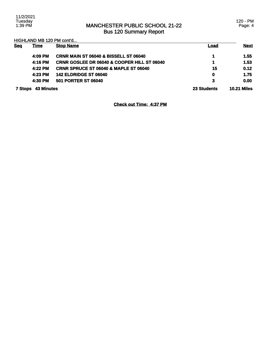### MANCHESTER PUBLIC SCHOOL 21-22 Bus 120 Summary Report

120 - PM Page: 4

HIGHLAND MB 120 PM cont'd...

| <b>Seq</b> | <u>Time</u>               | <b>Stop Name</b>                                       | <u>Load</u> | <b>Next</b>        |
|------------|---------------------------|--------------------------------------------------------|-------------|--------------------|
|            | 4:09 PM                   | CRNR MAIN ST 06040 & BISSELL ST 06040                  |             | 1.55               |
|            | 4:16 PM                   | <b>CRNR GOSLEE DR 06040 &amp; COOPER HILL ST 06040</b> | 4           | 1.53               |
|            | 4:22 PM                   | <b>CRNR SPRUCE ST 06040 &amp; MAPLE ST 06040</b>       | 15          | 0.12               |
|            | 4:23 PM                   | <b>142 ELDRIDGE ST 06040</b>                           | $\mathbf 0$ | 1.75               |
|            | 4:30 PM                   | <b>501 PORTER ST 06040</b>                             | 3           | 0.00               |
|            | <b>7 Stops 43 Minutes</b> |                                                        | 23 Students | <b>10.21 Miles</b> |

**Check out Time: 4:37 PM**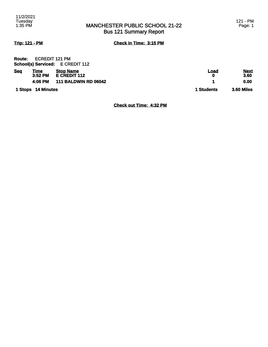### MANCHESTER PUBLIC SCHOOL 21-22 Bus 121 Summary Report

**Trip: 121 - PM Check in Time: 3:15 PM**

| <b>Route:</b> | ECREDIT 121 PM             |                     |  |
|---------------|----------------------------|---------------------|--|
|               | <b>School(s) Serviced:</b> | <b>E CREDIT 112</b> |  |

| <b>Seq</b> | <u>Time</u><br>$3:52$ PM<br>4:06 PM | <b>Stop Name</b><br>E CREDIT 112<br><b>111 BALDWIN RD 06042</b> | Load<br>Ω  | <b>Next</b><br>3.60<br>0.00 |
|------------|-------------------------------------|-----------------------------------------------------------------|------------|-----------------------------|
|            | 1 Stops 14 Minutes                  |                                                                 | 1 Students | 3.60 Miles                  |

**Check out Time: 4:32 PM**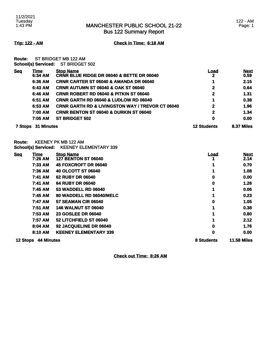Bus 122 Summary Report

122 - AM Page: 1

**Trip: 122 - AM Check in Time: 6:18 AM**

**Route:** ST BRIDGET MB 122 AM **School(s) Serviced:** ST BRIDGET 502

| <b>Seq</b> | <u>Time</u><br>6:34 AM | <b>Stop Name</b><br><b>CRNR BLUE RIDGE DR 06040 &amp; BETTE DR 06040</b> | Load<br>2          | <b>Next</b><br>0.59 |
|------------|------------------------|--------------------------------------------------------------------------|--------------------|---------------------|
|            | 6:36 AM                | <b>CRNR CARTER ST 06040 &amp; AMANDA DR 06040</b>                        |                    | 2.15                |
|            | 6:43 AM                | <b>CRNR AUTUMN ST 06040 &amp; OAK ST 06040</b>                           | $\mathbf{2}$       | 0.64                |
|            | 6:46 AM                | <b>CRNR ROBERT RD 06040 &amp; PITKIN ST 06040</b>                        | 2                  | 1.31                |
|            | 6:51 AM                | <b>CRNR GARTH RD 06040 &amp; LUDLOW RD 06040</b>                         |                    | 0.38                |
|            | 6:53 AM                | <b>CRNR GARTH RD &amp; LIVINGSTON WAY / TREVOR CT 06040</b>              | $\mathbf{2}$       | 1.96                |
|            | 7:00 AM                | <b>CRNR BENTON ST 06040 &amp; DURKIN ST 06040</b>                        | 2                  | 1.34                |
|            | 7:05 AM                | <b>ST BRIDGET 502</b>                                                    | 0                  | 0.00                |
| 7 Stops    | <b>31 Minutes</b>      |                                                                          | <b>12 Students</b> | 8.37 Miles          |

**Route:** KEENEY PK MB 122 AM **School(s) Serviced:** KEENEY ELEMENTARY 339

| <b>Seq</b>      | <u>Time</u>       | <b>Stop Name</b>             | <u>Load</u> | <b>Next</b>        |
|-----------------|-------------------|------------------------------|-------------|--------------------|
|                 | 7:26 AM           | <b>127 BENTON ST 06040</b>   |             | 2.14               |
|                 | 7:33 AM           | 45 FOXCROFT DR 06040         |             | 0.70               |
|                 | <b>7:36 AM</b>    | 40 OLCOTT ST 06040           |             | 1.08               |
|                 | 7:41 AM           | <b>62 RUBY DR 06040</b>      | 0           | 0.00               |
|                 | 7:41 AM           | <b>64 RUBY DR 06040</b>      | 0           | 1.26               |
|                 | 7:45 AM           | <b>53 WADDELL RD 06040</b>   |             | 0.06               |
|                 | 7:45 AM           | 80 WADDELL RD 06040/MELC     |             | 0.23               |
|                 | 7:47 AM           | <b>57 SEAMAN CIR 06040</b>   | 0           | 1.05               |
|                 | 7:51 AM           | <b>146 WALNUT ST 06040</b>   |             | 0.38               |
|                 | <b>7:53 AM</b>    | <b>23 GOSLEE DR 06040</b>    |             | 0.80               |
|                 | 7:57 AM           | 52 LITCHFIELD ST 06040       |             | 2.12               |
|                 | 8:04 AM           | 92 JACQUELINE DR 06040       | 0           | 1.76               |
|                 | 8:10 AM           | <b>KEENEY ELEMENTARY 339</b> | 0           | 0.00               |
| <b>12 Stops</b> | <b>44 Minutes</b> |                              | 8 Students  | <b>11.58 Miles</b> |

**Check out Time: 8:26 AM**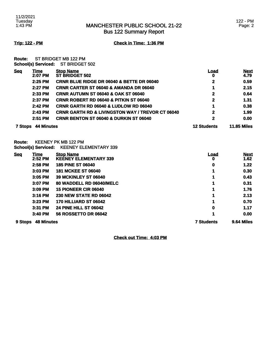Bus 122 Summary Report

**Trip: 122 - PM Check in Time: 1:36 PM**

**Route:** ST BRIDGET MB 122 PM **School(s) Serviced:** ST BRIDGET 502

| <b>Seq</b>     | Time<br>2:07 PM   | <b>Stop Name</b><br>ST BRIDGET 502                          | Load<br>0          | <b>Next</b><br>4.79 |
|----------------|-------------------|-------------------------------------------------------------|--------------------|---------------------|
|                | $2:25$ PM         | CRNR BLUE RIDGE DR 06040 & BETTE DR 06040                   | 2                  | 0.59                |
|                | 2:27 PM           | <b>CRNR CARTER ST 06040 &amp; AMANDA DR 06040</b>           |                    | 2.15                |
|                | 2:33 PM           | <b>CRNR AUTUMN ST 06040 &amp; OAK ST 06040</b>              | 2                  | 0.64                |
|                | 2:37 PM           | <b>CRNR ROBERT RD 06040 &amp; PITKIN ST 06040</b>           | 2                  | 1.31                |
|                | $2:42$ PM         | <b>CRNR GARTH RD 06040 &amp; LUDLOW RD 06040</b>            |                    | 0.38                |
|                | $2:43$ PM         | <b>CRNR GARTH RD &amp; LIVINGSTON WAY / TREVOR CT 06040</b> | 2                  | 1.99                |
|                | $2:51$ PM         | <b>CRNR BENTON ST 06040 &amp; DURKIN ST 06040</b>           | 2                  | 0.00                |
| <b>7 Stops</b> | <b>44 Minutes</b> |                                                             | <b>12 Students</b> | <b>11.85 Miles</b>  |

**Route:** KEENEY PK MB 122 PM **School(s) Serviced:** KEENEY ELEMENTARY 339

| Sea     | <u>Time</u><br>$2:52$ PM | <b>Stop Name</b><br><b>KEENEY ELEMENTARY 339</b> | <u>Load</u><br>0  | <b>Next</b><br>1.62 |
|---------|--------------------------|--------------------------------------------------|-------------------|---------------------|
|         | 2:58 PM                  | <b>185 PINE ST 06040</b>                         | 0                 | 1.22                |
|         | $3:03$ PM                | <b>181 MCKEE ST 06040</b>                        |                   | 0.30                |
|         | 3:05 PM                  | <b>39 MCKINLEY ST 06040</b>                      |                   | 0.43                |
|         | 3:07 PM                  | 80 WADDELL RD 06040/MELC                         |                   | 0.31                |
|         | $3:09$ PM                | <b>15 PIONEER CIR 06040</b>                      | 1                 | 1.76                |
|         | $3:16$ PM                | <b>230 NEW STATE RD 06042</b>                    |                   | 2.13                |
|         | 3:23 PM                  | 170 HILLIARD ST 06042                            | 1                 | 0.70                |
|         | 3:31 PM                  | <b>24 PINE HILL ST 06042</b>                     | 0                 | 1.17                |
|         | $3:40$ PM                | <b>56 ROSSETTO DR 06042</b>                      |                   | 0.00                |
| 9 Stops | <b>48 Minutes</b>        |                                                  | <b>7 Students</b> | 9.64 Miles          |

**Check out Time: 4:03 PM**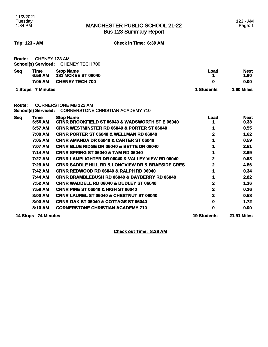### MANCHESTER PUBLIC SCHOOL 21-22 Bus 123 Summary Report

**Trip: 123 - AM Check in Time: 6:39 AM**

| Route:     | CHENEY 123 AM<br><b>School(s) Serviced:</b> | <b>CHENEY TECH 700</b>                                                   |                    |                     |
|------------|---------------------------------------------|--------------------------------------------------------------------------|--------------------|---------------------|
| <b>Seg</b> | Time<br>6:58 AM                             | <b>Stop Name</b><br><b>181 MCKEE ST 06040</b>                            | <u>Load</u><br>1   | <u>Next</u><br>1.60 |
|            | 7:05 AM                                     | <b>CHENEY TECH 700</b>                                                   | 0                  | 0.00                |
|            | 1 Stops 7 Minutes                           |                                                                          | 1 Students         | 1.60 Miles          |
| Route:     | <b>School(s) Serviced:</b>                  | <b>CORNERSTONE MB 123 AM</b><br><b>CORNERSTONE CHRISTIAN ACADEMY 710</b> |                    |                     |
| <b>Seq</b> | <b>Time</b>                                 | <b>Stop Name</b>                                                         | <b>Load</b>        | <b>Next</b>         |
|            | 6:56 AM                                     | <b>CRNR BROOKFIELD ST 06040 &amp; WADSWORTH ST E 06040</b>               | 1                  | 0.33                |
|            | 6:57 AM                                     | <b>CRNR WESTMINSTER RD 06040 &amp; PORTER ST 06040</b>                   | 1                  | 0.55                |
|            | 7:00 AM                                     | <b>CRNR PORTER ST 06040 &amp; WELLMAN RD 06040</b>                       | 2                  | 1.62                |
|            | 7:05 AM                                     | CRNR AMANDA DR 06040 & CARTER ST 06040                                   | 1                  | 0.59                |
|            | 7:07 AM                                     | CRNR BLUE RIDGE DR 06040 & BETTE DR 06040                                | 1                  | 2.51                |
|            | 7:14 AM                                     | <b>CRNR SPRING ST 06040 &amp; TAM RD 06040</b>                           | 1                  | 3.69                |
|            | 7:27 AM                                     | <b>CRNR LAMPLIGHTER DR 06040 &amp; VALLEY VIEW RD 06040</b>              | 2                  | 0.58                |
|            | 7:29 AM                                     | <b>CRNR SADDLE HILL RD &amp; LONGVIEW DR &amp; BRAESIDE CRES</b>         | 2                  | 4.86                |
|            | 7:42 AM                                     | <b>CRNR REDWOOD RD 06040 &amp; RALPH RD 06040</b>                        | 1                  | 0.34                |
|            | 7:44 AM                                     | <b>CRNR BRAMBLEBUSH RD 06040 &amp; BAYBERRY RD 06040</b>                 | 1                  | 2.82                |
|            | 7:52 AM                                     | <b>CRNR WADDELL RD 06040 &amp; DUDLEY ST 06040</b>                       | 2                  | 1.36                |
|            | 7:58 AM                                     | <b>CRNR PINE ST 06040 &amp; HIGH ST 06040</b>                            | 2                  | 0.36                |
|            | 8:00 AM                                     | <b>CRNR LAUREL ST 06040 &amp; CHESTNUT ST 06040</b>                      | 2                  | 0.58                |
|            | 8:03 AM                                     | <b>CRNR OAK ST 06040 &amp; COTTAGE ST 06040</b>                          | 0                  | 1.72                |
|            | 8:10 AM                                     | <b>CORNERSTONE CHRISTIAN ACADEMY 710</b>                                 | 0                  | 0.00                |
|            |                                             |                                                                          |                    |                     |
|            | 14 Stops 74 Minutes                         |                                                                          | <b>19 Students</b> | <b>21.91 Miles</b>  |

**Check out Time: 8:28 AM**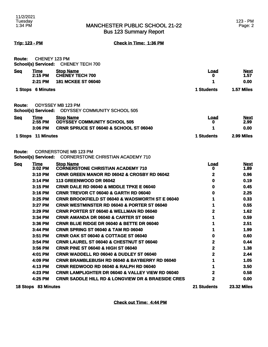**Trip: 123 - PM Check in Time: 1:36 PM**

| <b>Route:</b> | <b>CHENEY 123 PM</b><br><b>School(s) Serviced:</b> | <b>CHENEY TECH 700</b>                                                   |                   |                     |
|---------------|----------------------------------------------------|--------------------------------------------------------------------------|-------------------|---------------------|
| <b>Seq</b>    | <u>Time</u><br>$2:15$ PM                           | <b>Stop Name</b><br><b>CHENEY TECH 700</b>                               | <u>Load</u>       | <u>Next</u><br>1.57 |
|               | 2:21 PM                                            | <b>181 MCKEE ST 06040</b>                                                | o<br>1            | 0.00                |
|               |                                                    |                                                                          |                   | 1.57 Miles          |
|               | 1 Stops 6 Minutes                                  |                                                                          | 1 Students        |                     |
| <b>Route:</b> | <b>School(s) Serviced:</b>                         | <b>ODYSSEY MB 123 PM</b><br><b>ODYSSEY COMMUNITY SCHOOL 505</b>          |                   |                     |
| <b>Seq</b>    | Time<br>2:55 PM                                    | <b>Stop Name</b><br><b>ODYSSEY COMMUNITY SCHOOL 505</b>                  | <b>Load</b><br>U  | <u>Next</u><br>2.99 |
|               | 3:06 PM                                            | CRNR SPRUCE ST 06040 & SCHOOL ST 06040                                   | 1                 | 0.00                |
| 1 Stops       | <b>11 Minutes</b>                                  |                                                                          | <b>1 Students</b> | 2.99 Miles          |
| <b>Route:</b> | <b>School(s) Serviced:</b>                         | <b>CORNERSTONE MB 123 PM</b><br><b>CORNERSTONE CHRISTIAN ACADEMY 710</b> |                   |                     |
| <b>Seq</b>    | Time<br>3:02 PM                                    | <b>Stop Name</b><br><b>CORNERSTONE CHRISTIAN ACADEMY 710</b>             | <u>Load</u><br>0  | <u>Next</u><br>1.89 |
|               | 3:10 PM                                            | CRNR GREEN MANOR RD 06042 & CROSBY RD 06042                              | 2                 | 0.96                |
|               | 3:14 PM                                            | 113 GREENWOOD DR 06042                                                   | 0                 | 0.19                |
|               | 3:15 PM                                            | <b>CRNR DALE RD 06040 &amp; MIDDLE TPKE E 06040</b>                      | 0                 | 0.45                |
|               | 3:16 PM                                            | CRNR TREVOR CT 06040 & GARTH RD 06040                                    | 0                 | 2.25                |
|               | 3:25 PM                                            | <b>CRNR BROOKFIELD ST 06040 &amp; WADSWORTH ST E 06040</b>               | 1                 | 0.33                |
|               | 3:27 PM                                            | <b>CRNR WESTMINSTER RD 06040 &amp; PORTER ST 06040</b>                   | 1                 | 0.55                |
|               | 3:29 PM                                            | CRNR PORTER ST 06040 & WELLMAN RD 06040                                  | $\overline{2}$    | 1.62                |
|               | 3:34 PM                                            | CRNR AMANDA DR 06040 & CARTER ST 06040                                   | 1                 | 0.59                |
|               | 3:36 PM                                            | CRNR BLUE RIDGE DR 06040 & BETTE DR 06040                                | 1                 | 2.51                |
|               | 3:44 PM                                            | <b>CRNR SPRING ST 06040 &amp; TAM RD 06040</b>                           | 1                 | 1.99                |
|               | 3:51 PM                                            | <b>CRNR OAK ST 06040 &amp; COTTAGE ST 06040</b>                          | 0                 | 0.60                |
|               | 3:54 PM                                            | <b>CRNR LAUREL ST 06040 &amp; CHESTNUT ST 06040</b>                      | $\mathbf 2$       | 0.44                |
|               | 3:56 PM                                            | <b>CRNR PINE ST 06040 &amp; HIGH ST 06040</b>                            | $\mathbf 2$       | 1.38                |
|               | 4:01 PM                                            | <b>CRNR WADDELL RD 06040 &amp; DUDLEY ST 06040</b>                       | 2                 | 2.44                |
|               | 4:09 PM                                            | <b>CRNR BRAMBLEBUSH RD 06040 &amp; BAYBERRY RD 06040</b>                 | 1                 | 1.05                |
|               | 4:13 PM                                            | CRNR REDWOOD RD 06040 & RALPH RD 06040                                   | 1                 | 3.50                |
|               | 4:23 PM                                            | <b>CRNR LAMPLIGHTER DR 06040 &amp; VALLEY VIEW RD 06040</b>              | 2                 | 0.58                |
|               | 4:25 PM                                            | <b>CRNR SADDLE HILL RD &amp; LONGVIEW DR &amp; BRAESIDE CRES</b>         | $\mathbf 2$       | 0.00                |
|               | 18 Stops 83 Minutes                                |                                                                          | 21 Students       | <b>23.32 Miles</b>  |

**Check out Time: 4:44 PM**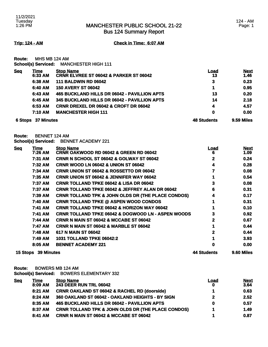Bus 124 Summary Report

**Trip: 124 - AM Check in Time: 6:07 AM**

**Route:** MHS MB 124 AM

|  | <b>School(s) Serviced:</b> | <b>MANCHESTER HIGH 111</b> |  |
|--|----------------------------|----------------------------|--|
|  |                            |                            |  |

| <b>Seq</b> | <u>Time</u>               | <b>Stop Name</b>                                  | <u>Load</u>        | <b>Next</b>       |
|------------|---------------------------|---------------------------------------------------|--------------------|-------------------|
|            | 6:33 AM                   | <b>CRNR ELVREE ST 06042 &amp; PARKER ST 06042</b> | 13                 | 1.46              |
|            | 6:38 AM                   | <b>111 BALDWIN RD 06042</b>                       | 3                  | 0.23              |
|            | 6:40 AM                   | <b>150 AVERY ST 06042</b>                         | 1                  | 0.95              |
|            | 6:43 AM                   | 465 BUCKLAND HILLS DR 06042 - PAVILLION APTS      | 13                 | 0.20              |
|            | 6:45 AM                   | 345 BUCKLAND HILLS DR 06042 - PAVILLION APTS      | 14                 | 2.18              |
|            | 6:53 AM                   | <b>CRNR DREXEL DR 06042 &amp; CROFT DR 06042</b>  | 4                  | 4.57              |
|            | 7:10 AM                   | <b>MANCHESTER HIGH 111</b>                        | $\mathbf 0$        | 0.00              |
|            | <b>6 Stops 37 Minutes</b> |                                                   | <b>48 Students</b> | <b>9.59 Miles</b> |

**Route:** BENNET 124 AM

**School(s) Serviced:** BENNET ACADEMY 221

| <b>Seq</b> | <u>Time</u>         | <b>Stop Name</b>                                              | <u>Load</u> | <b>Next</b> |
|------------|---------------------|---------------------------------------------------------------|-------------|-------------|
|            | 7:26 AM             | <b>CRNR OAKWOOD RD 06042 &amp; GREEN RD 06042</b>             | 6           | 1.09        |
|            | 7:31 AM             | <b>CRNR N SCHOOL ST 06042 &amp; GOLWAY ST 06042</b>           | 2           | 0.24        |
|            | 7:32 AM             | <b>CRNR WOOD LN 06042 &amp; UNION ST 06042</b>                | 4           | 0.28        |
|            | 7:34 AM             | <b>CRNR UNION ST 06042 &amp; ROSSETTO DR 06042</b>            |             | 0.08        |
|            | 7:35 AM             | <b>CRNR UNION ST 06042 &amp; JENNIFER WAY 06042</b>           |             | 0.54        |
|            | 7:37 AM             | <b>CRNR TOLLAND TPKE 06042 &amp; LISA DR 06042</b>            | 3           | 0.08        |
|            | 7:37 AM             | <b>CRNR TOLLAND TPKE 06042 &amp; JEFFREY ALAN DR 06042</b>    | 6           | 0.31        |
|            | 7:39 AM             | <b>CRNR TOLLAND TPK &amp; JOHN OLDS DR (THE PLACE CONDOS)</b> | 4           | 0.17        |
|            | 7:40 AM             | <b>CRNR TOLLAND TPKE @ ASPEN WOOD CONDOS</b>                  |             | 0.31        |
|            | 7:41 AM             | <b>CRNR TOLLAND TPKE 06042 &amp; HORIZON WAY 06042</b>        |             | 0.10        |
|            | 7:41 AM             | <b>CRNR TOLLAND TPKE 06042 &amp; DOGWOOD LN - ASPEN WOODS</b> | 3           | 0.92        |
|            | 7:44 AM             | <b>CRNR N MAIN ST 06042 &amp; MCCABE ST 06042</b>             |             | 0.67        |
|            | 7:47 AM             | <b>CRNR N MAIN ST 06042 &amp; MARBLE ST 06042</b>             |             | 0.44        |
|            | 7:48 AM             | 617 N MAIN ST 06042                                           | 2           | 0.44        |
|            | 7:49 AM             | <b>1031 TOLLAND TPKE 06042:2</b>                              |             | 3.93        |
|            | 8:05 AM             | <b>BENNET ACADEMY 221</b>                                     | 0           | 0.00        |
|            | 15 Stops 39 Minutes |                                                               | 44 Students | 9.60 Miles  |

**Route:** BOWERS MB 124 AM **School(s) Serviced:** BOWERS ELEMENTARY 332

| <u>Seq</u> | Time    | <b>Stop Name</b>                                              | Load         | <b>Next</b> |
|------------|---------|---------------------------------------------------------------|--------------|-------------|
|            | 8:09 AM | <b>243 DEER RUN TRL 06042</b>                                 | 0            | 3.64        |
|            | 8:21 AM | <b>CRNR OAKLAND ST 06042 &amp; RACHEL RD (doorside)</b>       |              | 0.63        |
|            | 8:24 AM | 360 OAKLAND ST 06042 - OAKLAND HEIGHTS - BY SIGN              | $\mathbf{2}$ | 2.52        |
|            | 8:35 AM | 465 BUCKLAND HILLS DR 06042 - PAVILLION APTS                  | 0            | 0.57        |
|            | 8:37 AM | <b>CRNR TOLLAND TPK &amp; JOHN OLDS DR (THE PLACE CONDOS)</b> |              | 1.49        |
|            | 8:41 AM | CRNR N MAIN ST 06042 & MCCABE ST 06042                        |              | 0.87        |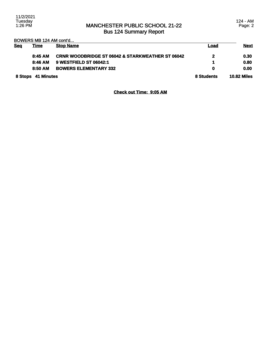### MANCHESTER PUBLIC SCHOOL 21-22 Bus 124 Summary Report

124 - AM Page: 2

BOWERS MB 124 AM cont'd...

| <b>Sea</b>         | <u>Time</u> | <b>Stop Name</b>                                            | Load       | <b>Next</b>        |
|--------------------|-------------|-------------------------------------------------------------|------------|--------------------|
|                    | 8:45AM      | <b>CRNR WOODBRIDGE ST 06042 &amp; STARKWEATHER ST 06042</b> | 2          | 0.30               |
|                    | 8:46 AM     | 9 WESTFIELD ST 06042:1                                      |            | 0.80               |
|                    | 8:50 AM     | <b>BOWERS ELEMENTARY 332</b>                                | 0          | 0.00               |
| 8 Stops 41 Minutes |             |                                                             | 8 Students | <b>10.82 Miles</b> |

**Check out Time: 9:05 AM**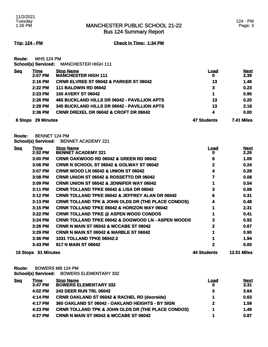Bus 124 Summary Report

**Trip: 124 - PM Check in Time: 1:34 PM**

**Route:** MHS 124 PM **School(s) Serviced:** MANCHESTER HIGH 111

| <b>Seq</b> | Time<br>2:07 PM   | <b>Stop Name</b><br><b>MANCHESTER HIGH 111</b>    | Load<br>O          | <b>Next</b><br>2.39 |
|------------|-------------------|---------------------------------------------------|--------------------|---------------------|
|            | 2:16 PM           | <b>CRNR ELVREE ST 06042 &amp; PARKER ST 06042</b> | 13                 | 1.46                |
|            | $2:22$ PM         | <b>111 BALDWIN RD 06042</b>                       | 3                  | 0.23                |
|            | 2:23 PM           | <b>150 AVERY ST 06042</b>                         | 1                  | 0.95                |
|            | 2:26 PM           | 465 BUCKLAND HILLS DR 06042 - PAVILLION APTS      | 13                 | 0.20                |
|            | $2:28$ PM         | 345 BUCKLAND HILLS DR 06042 - PAVILLION APTS      | 13                 | 2.18                |
|            | 2:36 PM           | <b>CRNR DREXEL DR 06042 &amp; CROFT DR 06042</b>  | 4                  | 0.00                |
| 6 Stops    | <b>29 Minutes</b> |                                                   | <b>47 Students</b> | 7.41 Miles          |

**Route:** BENNET 124 PM

**School(s) Serviced:** BENNET ACADEMY 221

| <b>Seq</b> | Time<br>2:52 PM | <b>Stop Name</b><br><b>BENNET ACADEMY 221</b>                 | <u>Load</u><br>0 | <b>Next</b><br>2.26 |
|------------|-----------------|---------------------------------------------------------------|------------------|---------------------|
|            | 3:00 PM         | <b>CRNR OAKWOOD RD 06042 &amp; GREEN RD 06042</b>             | 6                | 1.09                |
|            | 3:06 PM         | <b>CRNR N SCHOOL ST 06042 &amp; GOLWAY ST 06042</b>           | $\mathbf{2}$     | 0.24                |
|            | 3:07 PM         | <b>CRNR WOOD LN 06042 &amp; UNION ST 06042</b>                | 4                | 0.28                |
|            | 3:08 PM         | <b>CRNR UNION ST 06042 &amp; ROSSETTO DR 06042</b>            |                  | 0.08                |
|            | 3:09 PM         | <b>CRNR UNION ST 06042 &amp; JENNIFER WAY 06042</b>           |                  | 0.54                |
|            | 3:11 PM         | <b>CRNR TOLLAND TPKE 06042 &amp; LISA DR 06042</b>            | 3                | 0.08                |
|            | $3:12$ PM       | <b>CRNR TOLLAND TPKE 06042 &amp; JEFFREY ALAN DR 06042</b>    | 6                | 0.31                |
|            | 3:13 PM         | <b>CRNR TOLLAND TPK &amp; JOHN OLDS DR (THE PLACE CONDOS)</b> | 4                | 0.48                |
|            | 3:15 PM         | <b>CRNR TOLLAND TPKE 06042 &amp; HORIZON WAY 06042</b>        |                  | 2.31                |
|            | $3:22$ PM       | <b>CRNR TOLLAND TPKE @ ASPEN WOOD CONDOS</b>                  |                  | 0.41                |
|            | 3:24 PM         | <b>CRNR TOLLAND TPKE 06042 &amp; DOGWOOD LN - ASPEN WOODS</b> | 3                | 0.92                |
|            | 3:26 PM         | <b>CRNR N MAIN ST 06042 &amp; MCCABE ST 06042</b>             | $\mathbf{2}$     | 0.67                |
|            | 3:29 PM         | <b>CRNR N MAIN ST 06042 &amp; MARBLE ST 06042</b>             |                  | 0.90                |
|            | 3:36 PM         | <b>1031 TOLLAND TPKE 06042:2</b>                              |                  | 1.94                |
|            | 3:43 PM         | 617 N MAIN ST 06042                                           | 2                | 0.00                |
| 15 Stops   | 51 Minutes      |                                                               | 44 Students      | <b>12.51 Miles</b>  |

**Route:** BOWERS MB 124 PM **School(s) Serviced:** BOWERS ELEMENTARY 332

| Time    | <b>Stop Name</b>                                              | Load                         | <b>Next</b> |
|---------|---------------------------------------------------------------|------------------------------|-------------|
| 3:47 PM |                                                               | 0                            | 3.31        |
| 4:02 PM | <b>243 DEER RUN TRL 06042</b>                                 | 0                            | 3.64        |
| 4:14 PM | <b>CRNR OAKLAND ST 06042 &amp; RACHEL RD (doorside)</b>       |                              | 0.63        |
| 4:17 PM | 360 OAKLAND ST 06042 - OAKLAND HEIGHTS - BY SIGN              | $\mathbf{2}$                 | 1.59        |
| 4:23 PM | <b>CRNR TOLLAND TPK &amp; JOHN OLDS DR (THE PLACE CONDOS)</b> |                              | 1.49        |
| 4:27 PM | CRNR N MAIN ST 06042 & MCCABE ST 06042                        |                              | 0.87        |
|         |                                                               | <b>BOWERS ELEMENTARY 332</b> |             |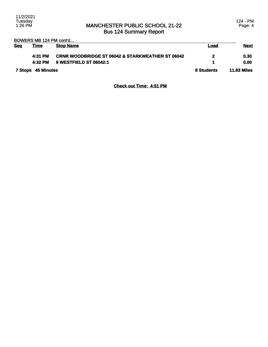### MANCHESTER PUBLIC SCHOOL 21-22 Bus 124 Summary Report

124 - PM Page: 4

BOWERS MB 124 PM cont'd...

| <b>Sea</b>                | <u>Time</u> | <b>Stop Name</b>                                            | Load               | <u>Next</u> |
|---------------------------|-------------|-------------------------------------------------------------|--------------------|-------------|
|                           | 4:31 PM     | <b>CRNR WOODBRIDGE ST 06042 &amp; STARKWEATHER ST 06042</b> | 2                  | 0.30        |
|                           | 4:32 PM     | 9 WESTFIELD ST 06042:1                                      |                    | 0.00        |
| <b>7 Stops 45 Minutes</b> |             | 8 Students                                                  | <b>11.83 Miles</b> |             |

### **Check out Time: 4:51 PM**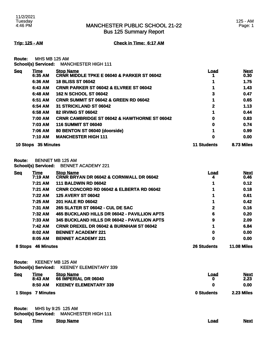Bus 125 Summary Report

**Trip: 125 - AM Check in Time: 6:17 AM**

**Route:** MHS MB 125 AM **School(s) Serviced:** MANCHESTER HIGH 111

| <b>Seg</b> | Time                          | <b>Stop Name</b>                                        | <u>Load</u>        | <b>Next</b> |
|------------|-------------------------------|---------------------------------------------------------|--------------------|-------------|
|            | 6:35 AM                       | <b>CRNR MIDDLE TPKE E 06040 &amp; PARKER ST 06042</b>   |                    | 0.30        |
|            | 6:36 AM                       | <b>18 BLISS ST 06042</b>                                |                    | 1.75        |
|            | 6:43 AM                       | <b>CRNR PARKER ST 06042 &amp; ELVREE ST 06042</b>       |                    | 1.43        |
|            | 6:48 AM                       | <b>162 N SCHOOL ST 06042</b>                            | 3                  | 0.47        |
|            | 6:51 AM                       | <b>CRNR SUMMIT ST 06042 &amp; GREEN RD 06042</b>        |                    | 0.65        |
|            | 6:54 AM                       | 31 STRICKLAND ST 06042                                  | 2                  | 1.13        |
|            | 6:58 AM                       | <b>82 IRVING ST 06042</b>                               |                    | 0.44        |
|            | 7:00 AM                       | <b>CRNR CAMBRIDGE ST 06042 &amp; HAWTHORNE ST 06042</b> | 0                  | 0.83        |
|            | 7:03 AM                       | <b>116 SUMMIT ST 06040</b>                              | 0                  | 0.74        |
|            | 7:06 AM                       | 80 BENTON ST 06040 (doorside)                           |                    | 0.99        |
|            | 7:10 AM                       | <b>MANCHESTER HIGH 111</b>                              | 0                  | 0.00        |
|            | <b>35 Minutes</b><br>10 Stops |                                                         | <b>11 Students</b> | 8.73 Miles  |

**Route:** BENNET MB 125 AM **School(s) Serviced:** BENNET ACADEMY 221

| Sea     | <u>Time</u>       | <b>Stop Name</b>                                    | <u>Load</u>        | <b>Next</b>        |
|---------|-------------------|-----------------------------------------------------|--------------------|--------------------|
|         | 7:19 AM           | <b>CRNR BRYAN DR 06042 &amp; CORNWALL DR 06042</b>  |                    | 0.46               |
|         | 7:21 AM           | <b>111 BALDWIN RD 06042</b>                         |                    | 0.12               |
|         | 7:21 AM           | <b>CRNR CONCORD RD 06042 &amp; ELBERTA RD 06042</b> | 1                  | 0.18               |
|         | 7:22 AM           | <b>125 AVERY ST 06042</b>                           |                    | 0.61               |
|         | $7:25$ AM         | <b>201 HALE RD 06042</b>                            |                    | 0.42               |
|         | <b>7:31 AM</b>    | 265 SLATER ST 06042 - CUL DE SAC                    | 2                  | 0.16               |
|         | 7:32 AM           | 465 BUCKLAND HILLS DR 06042 - PAVILLION APTS        | 6                  | 0.20               |
|         | 7:33 AM           | 345 BUCKLAND HILLS DR 06042 - PAVILLION APTS        | 9                  | 2.09               |
|         | 7:42 AM           | <b>CRNR DREXEL DR 06042 &amp; BURNHAM ST 06042</b>  |                    | 6.84               |
|         | 8:02 AM           | <b>BENNET ACADEMY 221</b>                           | 0                  | 0.00               |
|         | 8:05 AM           | <b>BENNET ACADEMY 221</b>                           | 0                  | 0.00               |
| 8 Stops | <b>46 Minutes</b> |                                                     | <b>26 Students</b> | <b>11.08 Miles</b> |

**Route:** KEENEY MB 125 AM **School(s) Serviced:** KEENEY ELEMENTARY 339

| <b>Seq</b> | <u>Time</u><br>8:43 AM | <b>Stop Name</b><br>66 IMPERIAL DR 06040 | Load       | <b>Next</b><br>2.23 |
|------------|------------------------|------------------------------------------|------------|---------------------|
|            | 8:50 AM                | <b>KEENEY ELEMENTARY 339</b>             |            | 0.00                |
|            | 1 Stops 7 Minutes      |                                          | 0 Students | 2.23 Miles          |

**Route:** MHS by 9:25 125 AM **School(s) Serviced:** MANCHESTER HIGH 111

| <b>Seq</b> | <u>Time</u> | <b>Stop Name</b> | <u>Load</u> | <b>Next</b> |
|------------|-------------|------------------|-------------|-------------|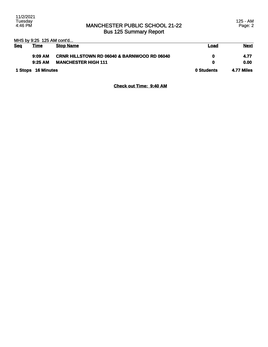### MANCHESTER PUBLIC SCHOOL 21-22 Bus 125 Summary Report

125 - AM Page: 2

|            | MHS by 9:25 125 AM cont'd |                                                        |      |                   |  |
|------------|---------------------------|--------------------------------------------------------|------|-------------------|--|
| <b>Seq</b> | <u>Time</u>               | <b>Stop Name</b>                                       | Load | <b>Next</b>       |  |
|            |                           |                                                        |      |                   |  |
|            | 9:09AM                    | <b>CRNR HILLSTOWN RD 06040 &amp; BARNWOOD RD 06040</b> | 0    | 4.77              |  |
|            | 9:25AM                    | <b>MANCHESTER HIGH 111</b>                             | 0    | 0.00              |  |
|            |                           |                                                        |      |                   |  |
|            | 1 Stops 16 Minutes        |                                                        |      | <b>4.77 Miles</b> |  |
|            |                           |                                                        |      |                   |  |

### **Check out Time: 9:40 AM**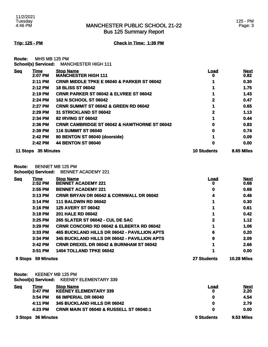Bus 125 Summary Report

**Trip: 125 - PM Check in Time: 1:39 PM**

**Route:** MHS MB 125 PM **School(s) Serviced:** MANCHESTER HIGH 111

| <b>Seq</b> | Time                | <b>Stop Name</b>                                        | Load               | <b>Next</b> |
|------------|---------------------|---------------------------------------------------------|--------------------|-------------|
|            | 2:07 PM             | <b>MANCHESTER HIGH 111</b>                              | o                  | 0.82        |
|            | 2:11 PM             | <b>CRNR MIDDLE TPKE E 06040 &amp; PARKER ST 06042</b>   |                    | 0.30        |
|            | 2:12 PM             | <b>18 BLISS ST 06042</b>                                |                    | 1.75        |
|            | 2:19 PM             | <b>CRNR PARKER ST 06042 &amp; ELVREE ST 06042</b>       |                    | 1.43        |
|            | 2:24 PM             | <b>162 N SCHOOL ST 06042</b>                            | 2                  | 0.47        |
|            | 2:27 PM             | <b>CRNR SUMMIT ST 06042 &amp; GREEN RD 06042</b>        |                    | 0.65        |
|            | 2:29 PM             | 31 STRICKLAND ST 06042                                  | 2                  | 1.13        |
|            | 2:34 PM             | <b>82 IRVING ST 06042</b>                               |                    | 0.44        |
|            | $2:36$ PM           | <b>CRNR CAMBRIDGE ST 06042 &amp; HAWTHORNE ST 06042</b> | 0                  | 0.83        |
|            | 2:39 PM             | <b>116 SUMMIT ST 06040</b>                              | 0                  | 0.74        |
|            | 2:42 PM             | 80 BENTON ST 06040 (doorside)                           |                    | 0.09        |
|            | 2:42 PM             | <b>44 BENTON ST 06040</b>                               | 0                  | 0.00        |
|            | 11 Stops 35 Minutes |                                                         | <b>10 Students</b> | 8.65 Miles  |

**Route:** BENNET MB 125 PM **School(s) Serviced:** BENNET ACADEMY 221

| <b>Seq</b> | Time       | <b>Stop Name</b>                                    | Load               | <b>Next</b>        |
|------------|------------|-----------------------------------------------------|--------------------|--------------------|
|            | 2:52 PM    | <b>BENNET ACADEMY 221</b>                           | O                  | 0.68               |
|            | 2:55 PM    | <b>BENNET ACADEMY 221</b>                           | 0                  | 0.68               |
|            | $3:13$ PM  | <b>CRNR BRYAN DR 06042 &amp; CORNWALL DR 06042</b>  | 4                  | 0.46               |
|            | $3:14$ PM  | <b>111 BALDWIN RD 06042</b>                         |                    | 0.30               |
|            | 3:16 PM    | <b>125 AVERY ST 06042</b>                           |                    | 0.61               |
|            | $3:18$ PM  | <b>201 HALE RD 06042</b>                            |                    | 0.42               |
|            | $3:25$ PM  | <b>265 SLATER ST 06042 - CUL DE SAC</b>             | 2                  | 1.12               |
|            | 3:29 PM    | <b>CRNR CONCORD RD 06042 &amp; ELBERTA RD 06042</b> |                    | 1.06               |
|            | $3:33$ PM  | 465 BUCKLAND HILLS DR 06042 - PAVILLION APTS        | 6                  | 0.20               |
|            | $3:34$ PM  | 345 BUCKLAND HILLS DR 06042 - PAVILLION APTS        | 9                  | 2.09               |
|            | 3:42 PM    | <b>CRNR DREXEL DR 06042 &amp; BURNHAM ST 06042</b>  |                    | 2.66               |
|            | 3:51 PM    | 1404 TOLLAND TPKE 06042                             |                    | 0.00               |
| 9 Stops    | 59 Minutes |                                                     | <b>27 Students</b> | <b>10.28 Miles</b> |

**Route:** KEENEY MB 125 PM **School(s) Serviced:** KEENEY ELEMENTARY 339

| <b>Seq</b>         | Time      | <b>Stop Name</b>                                   | <u>Load</u>       | <b>Next</b> |
|--------------------|-----------|----------------------------------------------------|-------------------|-------------|
|                    | 3:47 PM   | <b>KEENEY ELEMENTARY 339</b>                       | 0                 | 2.20        |
|                    | $3:54$ PM | 66 IMPERIAL DR 06040                               | 0                 | 4.54        |
|                    | 4:11 PM   | 345 BUCKLAND HILLS DR 06042                        | 0                 | 2.79        |
|                    | 4:23 PM   | <b>CRNR MAIN ST 06040 &amp; RUSSELL ST 06040:1</b> | 0                 | 0.00        |
| 3 Stops 36 Minutes |           | 0 Students                                         | <b>9.53 Miles</b> |             |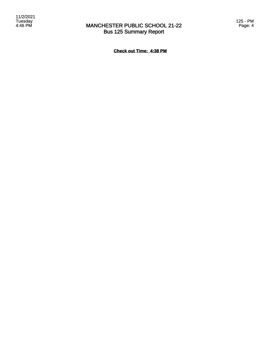### MANCHESTER PUBLIC SCHOOL 21-22 Bus 125 Summary Report

**Check out Time: 4:38 PM**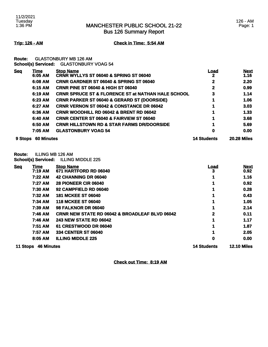### MANCHESTER PUBLIC SCHOOL 21-22 Bus 126 Summary Report

### 126 - AM Page: 1

**Trip: 126 - AM Check in Time: 5:54 AM**

**Route:** GLASTONBURY MB 126 AM

**School(s) Serviced:** GLASTONBURY VOAG 54

| <b>Seq</b> | Time              | <b>Stop Name</b>                                              | <u>Load</u>        | <b>Next</b>        |
|------------|-------------------|---------------------------------------------------------------|--------------------|--------------------|
|            | 6:05 AM           | <b>CRNR WYLLYS ST 06040 &amp; SPRING ST 06040</b>             |                    | 1.16               |
|            | 6:08 AM           | CRNR GARDNER ST 06040 & SPRING ST 06040                       | 2                  | 2.20               |
|            | 6:15 AM           | <b>CRNR PINE ST 06040 &amp; HIGH ST 06040</b>                 | 2                  | 0.99               |
|            | 6:19 AM           | <b>CRNR SPRUCE ST &amp; FLORENCE ST at NATHAN HALE SCHOOL</b> | 3                  | 1.14               |
|            | 6:23 AM           | <b>CRNR PARKER ST 06040 &amp; GERARD ST (DOORSIDE)</b>        |                    | 1.06               |
|            | 6:27 AM           | <b>CRNR VERNON ST 06042 &amp; CONSTANCE DR 06042</b>          |                    | 3.03               |
|            | 6:36 AM           | <b>CRNR WOODHILL RD 06042 &amp; BRENT RD 06042</b>            |                    | 1.33               |
|            | 6:40 AM           | <b>CRNR CENTER ST 06040 &amp; FAIRVIEW ST 06040</b>           |                    | 3.68               |
|            | 6:50 AM           | <b>CRNR HILLSTOWN RD &amp; STAR FARMS DR/DOORSIDE</b>         |                    | 5.69               |
|            | 7:05 AM           | <b>GLASTONBURY VOAG 54</b>                                    | 0                  | 0.00               |
| 9 Stops    | <b>60 Minutes</b> |                                                               | <b>14 Students</b> | <b>20.28 Miles</b> |

**Route:** ILLING MB 126 AM

**School(s) Serviced:** ILLING MIDDLE 225

| <b>Seq</b>                    | <u>Time</u>    | <b>Stop Name</b>                                          | <u>Load</u>        | <b>Next</b> |
|-------------------------------|----------------|-----------------------------------------------------------|--------------------|-------------|
|                               | 7:19 AM        | 671 HARTFORD RD 06040                                     | 3                  | 0.92        |
|                               | 7:22 AM        | 42 CHANNING DR 06040                                      |                    | 1.16        |
|                               | 7:27 AM        | <b>28 PIONEER CIR 06040</b>                               |                    | 0.92        |
|                               | <b>7:30 AM</b> | 92 CAMPFIELD RD 06040                                     |                    | 0.28        |
|                               | 7:32 AM        | <b>181 MCKEE ST 06040</b>                                 |                    | 0.43        |
|                               | 7:34 AM        | <b>118 MCKEE ST 06040</b>                                 |                    | 1.05        |
|                               | 7:39 AM        | <b>98 FALKNOR DR 06040</b>                                |                    | 2.14        |
|                               | 7:46 AM        | <b>CRNR NEW STATE RD 06042 &amp; BROADLEAF BLVD 06042</b> | 2                  | 0.11        |
|                               | 7:46 AM        | <b>243 NEW STATE RD 06042</b>                             |                    | 1.17        |
|                               | 7:51 AM        | 61 CRESTWOOD DR 06040                                     |                    | 1.87        |
|                               | 7:57 AM        | <b>334 CENTER ST 06040</b>                                |                    | 2.05        |
|                               | 8:05 AM        | <b>ILLING MIDDLE 225</b>                                  | 0                  | 0.00        |
| <b>46 Minutes</b><br>11 Stops |                | <b>14 Students</b>                                        | <b>12.10 Miles</b> |             |

**Check out Time: 8:19 AM**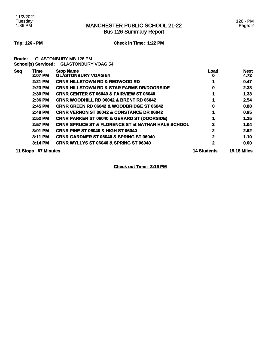### MANCHESTER PUBLIC SCHOOL 21-22 Bus 126 Summary Report

### **Trip: 126 - PM Check in Time: 1:22 PM**

**Route:** GLASTONBURY MB 126 PM **School(s) Serviced:** GLASTONBURY VOAG 54

| <b>Seq</b>                    | Time      | <b>Stop Name</b>                                              | Load               | <b>Next</b> |
|-------------------------------|-----------|---------------------------------------------------------------|--------------------|-------------|
|                               | 2:07 PM   | <b>GLASTONBURY VOAG 54</b>                                    | o                  | 4.72        |
|                               | 2:21 PM   | <b>CRNR HILLSTOWN RD &amp; REDWOOD RD</b>                     |                    | 0.47        |
|                               | 2:23 PM   | <b>CRNR HILLSTOWN RD &amp; STAR FARMS DR/DOORSIDE</b>         | 0                  | 2.38        |
|                               | 2:30 PM   | <b>CRNR CENTER ST 06040 &amp; FAIRVIEW ST 06040</b>           |                    | 1.33        |
|                               | 2:36 PM   | <b>CRNR WOODHILL RD 06042 &amp; BRENT RD 06042</b>            |                    | 2.54        |
|                               | 2:45 PM   | <b>CRNR GREEN RD 06042 &amp; WOODBRIDGE ST 06042</b>          | 0                  | 0.88        |
|                               | 2:48 PM   | <b>CRNR VERNON ST 06042 &amp; CONSTANCE DR 06042</b>          |                    | 0.95        |
|                               | 2:52 PM   | <b>CRNR PARKER ST 06040 &amp; GERARD ST (DOORSIDE)</b>        |                    | 1.15        |
|                               | 2:57 PM   | <b>CRNR SPRUCE ST &amp; FLORENCE ST at NATHAN HALE SCHOOL</b> | 3                  | 1.04        |
|                               | 3:01 PM   | <b>CRNR PINE ST 06040 &amp; HIGH ST 06040</b>                 | $\mathbf{2}$       | 2.62        |
|                               | $3:11$ PM | <b>CRNR GARDNER ST 06040 &amp; SPRING ST 06040</b>            | 2                  | 1.10        |
|                               | $3:14$ PM | <b>CRNR WYLLYS ST 06040 &amp; SPRING ST 06040</b>             | 2                  | 0.00        |
| <b>67 Minutes</b><br>11 Stops |           | <b>14 Students</b>                                            | <b>19.18 Miles</b> |             |

**Check out Time: 3:19 PM**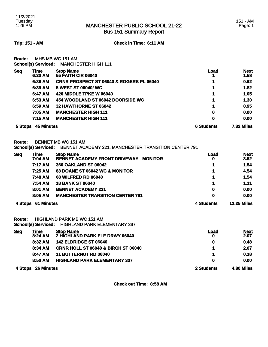Bus 151 Summary Report

**Trip: 151 - AM Check in Time: 6:11 AM**

**Route:** MHS MB WC 151 AM **School(s) Serviced:** MANCHESTER HIGH 111

| <b>Seq</b>                   | <u>Time</u><br>6:30 AM | <b>Stop Name</b><br><b>55 FAITH CIR 06040</b>       | <u>Load</u>       | <b>Next</b><br>1.58 |
|------------------------------|------------------------|-----------------------------------------------------|-------------------|---------------------|
|                              | 6:36 AM                | <b>CRNR PROSPECT ST 06040 &amp; ROGERS PL 06040</b> |                   | 0.62                |
|                              | 6:39 AM                | 5 WEST ST 06040/ WC                                 |                   | 1.82                |
|                              | 6:47 AM                | <b>426 MIDDLE TPKE W 06040</b>                      |                   | 1.05                |
|                              | 6:53 AM                | 454 WOODLAND ST 06042 DOORSIDE WC                   |                   | 1.30                |
|                              | 6:59 AM                | 32 HAWTHORNE ST 06042                               |                   | 0.95                |
|                              | 7:05 AM                | <b>MANCHESTER HIGH 111</b>                          | 0                 | 0.00                |
|                              | 7:15 AM                | <b>MANCHESTER HIGH 111</b>                          | 0                 | 0.00                |
| <b>45 Minutes</b><br>5 Stops |                        | <b>6 Students</b>                                   | <b>7.32 Miles</b> |                     |

**Route:** BENNET MB WC 151 AM **School(s) Serviced:** BENNET ACADEMY 221, MANCHESTER TRANSITION CENTER 791

| Seq                          | <u>Time</u><br>7:04 AM | <b>Stop Name</b><br><b>BENNET ACADEMY FRONT DRIVEWAY - MONITOR</b> | <b>Load</b><br>0   | <b>Next</b><br>3.52 |
|------------------------------|------------------------|--------------------------------------------------------------------|--------------------|---------------------|
|                              | 7:17 AM                | <b>360 OAKLAND ST 06042</b>                                        |                    | 1.54                |
|                              | 7:25 AM                | 83 DOANE ST 06042 WC & MONITOR                                     | 1                  | 4.54                |
|                              | 7:48 AM                | <b>68 WILFRED RD 06040</b>                                         |                    | 1.54                |
|                              | 7:54 AM                | <b>18 BANK ST 06040</b>                                            | 1                  | 1.11                |
|                              | 8:01 AM                | <b>BENNET ACADEMY 221</b>                                          | 0                  | 0.00                |
|                              | 8:05 AM                | <b>MANCHESTER TRANSITION CENTER 791</b>                            | 0                  | 0.00                |
| <b>61 Minutes</b><br>4 Stops |                        | 4 Students                                                         | <b>12.25 Miles</b> |                     |

**Route:** HIGHLAND PARK MB WC 151 AM

**School(s) Serviced:** HIGHLAND PARK ELEMENTARY 337

| <b>Seq</b>                   | Time    | <b>Stop Name</b>                               | Load         | <b>Next</b> |
|------------------------------|---------|------------------------------------------------|--------------|-------------|
|                              | 8:24 AM | 2 HIGHLAND PARK ELE DRWY 06040                 | 0            | 2.07        |
|                              | 8:32 AM | <b>142 ELDRIDGE ST 06040</b>                   | 0            | 0.48        |
|                              | 8:34 AM | <b>CRNR HOLL ST 06040 &amp; BIRCH ST 06040</b> |              | 2.07        |
|                              | 8:47 AM | <b>11 BUTTERNUT RD 06040</b>                   |              | 0.18        |
|                              | 8:50 AM | <b>HIGHLAND PARK ELEMENTARY 337</b>            | $\mathbf{0}$ | 0.00        |
| <b>26 Minutes</b><br>4 Stops |         | 2 Students                                     | 4.80 Miles   |             |

**Check out Time: 8:58 AM**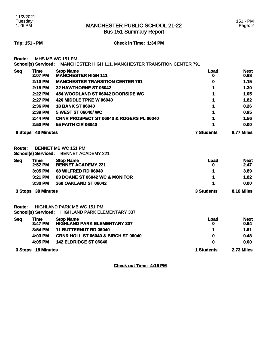Bus 151 Summary Report

# **Trip: 151 - PM Check in Time: 1:34 PM**

**Route:** MHS MB WC 151 PM

**School(s) Serviced:** MANCHESTER HIGH 111, MANCHESTER TRANSITION CENTER 791

| <b>Seq</b>                | <b>Time</b><br>2:07 PM     | <b>Stop Name</b><br><b>MANCHESTER HIGH 111</b>          | <b>Load</b> | <b>Next</b><br>0.68 |
|---------------------------|----------------------------|---------------------------------------------------------|-------------|---------------------|
|                           | 2:10 PM                    | <b>MANCHESTER TRANSITION CENTER 791</b>                 | o<br>o      | 1.15                |
|                           | 2:15 PM                    | 32 HAWTHORNE ST 06042                                   |             | 1.30                |
|                           | 2:22 PM                    | 454 WOODLAND ST 06042 DOORSIDE WC                       |             | 1.05                |
|                           | 2:27 PM                    | <b>426 MIDDLE TPKE W 06040</b>                          |             | 1.82                |
|                           | 2:36 PM                    | <b>18 BANK ST 06040</b>                                 |             | 0.26                |
|                           | 2:39 PM                    | 5 WEST ST 06040/WC                                      |             | 0.95                |
|                           | 2:44 PM                    | CRNR PROSPECT ST 06040 & ROGERS PL 06040                |             | 1.56                |
|                           | 2:50 PM                    | <b>55 FAITH CIR 06040</b>                               |             | 0.00                |
| <b>6 Stops 43 Minutes</b> |                            | <b>7 Students</b>                                       | 8.77 Miles  |                     |
| Route:                    | <b>School(s) Serviced:</b> | <b>BENNET MB WC 151 PM</b><br><b>BENNET ACADEMY 221</b> |             |                     |
| <b>Seq</b>                | Time                       | <b>Stop Name</b>                                        | <u>Load</u> | <b>Next</b>         |
|                           | 2:52 PM                    | <b>BENNET ACADEMY 221</b>                               | o           | 2.47                |
|                           | 3:05 PM                    | <b>68 WILFRED RD 06040</b>                              |             | 3.89                |
|                           | 3:21 PM                    | 83 DOANE ST 06042 WC & MONITOR                          |             | 1.82                |
|                           | 3:30 PM                    | 360 OAKLAND ST 06042                                    |             | 0.00                |
| 3 Stops                   | <b>38 Minutes</b>          |                                                         | 3 Students  | 8.18 Miles          |
|                           |                            |                                                         |             |                     |

**Route:** HIGHLAND PARK MB WC 151 PM **School(s) Serviced:** HIGHLAND PARK ELEMENTARY 337

| <b>Seq</b> | Time               | <b>Stop Name</b>                               | Load       | <b>Next</b> |
|------------|--------------------|------------------------------------------------|------------|-------------|
|            | $3:47$ PM          | <b>HIGHLAND PARK ELEMENTARY 337</b>            | 0          | 0.64        |
|            | $3:54$ PM          | <b>11 BUTTERNUT RD 06040</b>                   |            | 1.61        |
|            | 4:03 PM            | <b>CRNR HOLL ST 06040 &amp; BIRCH ST 06040</b> | 0          | 0.48        |
|            | 4:05 PM            | <b>142 ELDRIDGE ST 06040</b>                   | 0          | 0.00        |
|            | 3 Stops 18 Minutes |                                                | 1 Students | 2.73 Miles  |

**Check out Time: 4:16 PM**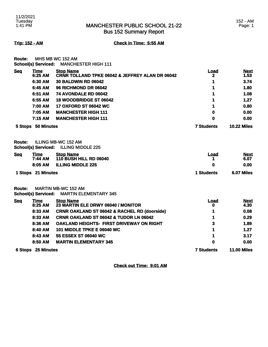# MANCHESTER PUBLIC SCHOOL 21-22 Bus 152 Summary Report

**Trip: 152 - AM Check in Time: 5:55 AM**

**Route:** MHS MB WC 152 AM **School(s) Serviced:** MANCHESTER HIGH 111

| <b>Seq</b>         | <b>Time</b><br>6:25 AM     | <b>Stop Name</b><br><b>CRNR TOLLAND TPKE 06042 &amp; JEFFREY ALAN DR 06042</b> | <u>Load</u><br>2   | <b>Next</b><br>1.53 |
|--------------------|----------------------------|--------------------------------------------------------------------------------|--------------------|---------------------|
|                    | 6:30 AM                    | <b>30 BALDWIN RD 06042</b>                                                     | 1                  | 3.74                |
|                    | 6:45 AM                    | <b>96 RICHMOND DR 06042</b>                                                    | 1                  | 1.80                |
|                    | 6:51 AM                    | 74 AVONDALE RD 06042                                                           | 1                  | 1.08                |
|                    | 6:55 AM                    | 18 WOODBRIDGE ST 06042                                                         | 1                  | 1.27                |
|                    | 7:00 AM                    | <b>17 OXFORD ST 06042 WC</b>                                                   | 1                  | 0.80                |
|                    | 7:05 AM                    | <b>MANCHESTER HIGH 111</b>                                                     | 0                  | 0.00                |
|                    | 7:15 AM                    | <b>MANCHESTER HIGH 111</b>                                                     | 0                  | 0.00                |
| 5 Stops 50 Minutes |                            | <b>7 Students</b>                                                              | <b>10.22 Miles</b> |                     |
| Route:             | <b>School(s) Serviced:</b> | <b>ILLING MB-WC 152 AM</b><br><b>ILLING MIDDLE 225</b>                         |                    |                     |
| <b>Seq</b>         | Time<br>7:44 AM            | <b>Stop Name</b><br><b>110 BUSH HILL RD 06040</b>                              | <b>Load</b><br>1   | <b>Next</b><br>6.07 |
|                    | 8:05 AM                    | <b>ILLING MIDDLE 225</b>                                                       | 0                  | 0.00                |
| 1 Stops 21 Minutes |                            |                                                                                | <b>1 Students</b>  | 6.07 Miles          |
| <b>Route:</b>      | <b>School(s) Serviced:</b> | <b>MARTIN MB-WC 152 AM</b><br><b>MARTIN ELEMENTARY 345</b>                     |                    |                     |
| <b>Seq</b>         | Time<br>8:25 AM            | <b>Stop Name</b><br>23 MARTIN ELE DRWY 06040 / MONITOR                         | <b>Load</b><br>0   | <b>Next</b><br>4.30 |
|                    | 8:33 AM                    | <b>CRNR OAKLAND ST 06042 &amp; RACHEL RD (doorside)</b>                        | 1                  | 0.08                |
|                    | 8:33 AM                    | CRNR OAKLAND ST 06042 & TUDOR LN 06042                                         | 1                  | 0.29                |
|                    | 8:36 AM                    | <b>OAKLAND HEIGHTS- FIRST DRIVEWAY ON RIGHT</b>                                | 3                  | 1.89                |
|                    | 8:40 AM                    | 101 MIDDLE TPKE E 06040 WC                                                     | 1                  | 1.27                |
|                    | 8:43 AM                    | 55 ESSEX ST 06040 WC                                                           | 1                  | 3.17                |
|                    | 8:50 AM                    | <b>MARTIN ELEMENTARY 345</b>                                                   | 0                  | 0.00                |
|                    | <b>6 Stops 25 Minutes</b>  |                                                                                | <b>7 Students</b>  | <b>11.00 Miles</b>  |

**Check out Time: 9:01 AM**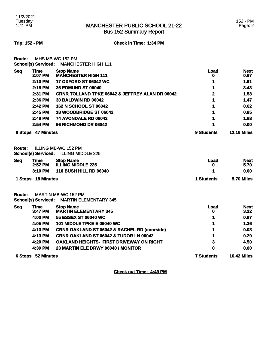# MANCHESTER PUBLIC SCHOOL 21-22 Bus 152 Summary Report

152 - PM Page: 2

**Trip: 152 - PM Check in Time: 1:34 PM**

**Route:** MHS MB WC 152 PM **School(s) Serviced:** MANCHESTER HIGH 111

|            | $2:45$ PM       | <b>18 WOODBRIDGE ST 06042</b>                              |           | 0.85                |
|------------|-----------------|------------------------------------------------------------|-----------|---------------------|
|            |                 |                                                            |           |                     |
|            |                 |                                                            |           |                     |
|            | 2:42 PM         | <b>162 N SCHOOL ST 06042</b>                               |           | 0.62                |
|            | 2:36 PM         | <b>30 BALDWIN RD 06042</b>                                 | 1         | 1.47                |
|            | 2:31 PM         | <b>CRNR TOLLAND TPKE 06042 &amp; JEFFREY ALAN DR 06042</b> | 2         | 1.53                |
|            | 2:18 PM         | <b>36 EDMUND ST 06040</b>                                  |           | 3.43                |
|            | 2:10 PM         | <b>17 OXFORD ST 06042 WC</b>                               |           | 1.91                |
| <b>Seg</b> | Time<br>2:07 PM | <b>Stop Name</b><br><b>MANCHESTER HIGH 111</b>             | Load<br>0 | <b>Next</b><br>0.67 |

## **Route:** ILLING MB-WC 152 PM **School(s) Serviced:** ILLING MIDDLE 225

| <b>Seq</b> | <u>Time</u><br>2:52 PM | <b>Stop Name</b><br><b>ILLING MIDDLE 225</b> | Load       | <b>Next</b><br>5.70 |
|------------|------------------------|----------------------------------------------|------------|---------------------|
|            | 3:10 PM                | <b>110 BUSH HILL RD 06040</b>                |            | 0.00                |
|            | 1 Stops 18 Minutes     |                                              | 1 Students | 5.70 Miles          |

**Route:** MARTIN MB-WC 152 PM **School(s) Serviced:** MARTIN ELEMENTARY 345

|            | <b>6 Stops 52 Minutes</b> |                                                         | <b>7 Students</b> | <b>10.42 Miles</b>  |
|------------|---------------------------|---------------------------------------------------------|-------------------|---------------------|
|            | 4:39 PM                   | 23 MARTIN ELE DRWY 06040 / MONITOR                      | 0                 | 0.00                |
|            | 4:20 PM                   | <b>OAKLAND HEIGHTS- FIRST DRIVEWAY ON RIGHT</b>         | 3                 | 4.50                |
|            | 4:13 PM                   | <b>CRNR OAKLAND ST 06042 &amp; TUDOR LN 06042</b>       | 1                 | 0.29                |
|            | 4:13 PM                   | <b>CRNR OAKLAND ST 06042 &amp; RACHEL RD (doorside)</b> | 1                 | 0.08                |
|            | 4:05 PM                   | <b>101 MIDDLE TPKE E 06040 WC</b>                       | 1                 | 1.36                |
|            | 4:00 PM                   | 55 ESSEX ST 06040 WC                                    |                   | 0.97                |
| <u>Seq</u> | Time<br>3:47 PM           | <b>Stop Name</b><br><b>MARTIN ELEMENTARY 345</b>        | Load<br>0         | <b>Next</b><br>3.22 |

**Check out Time: 4:49 PM**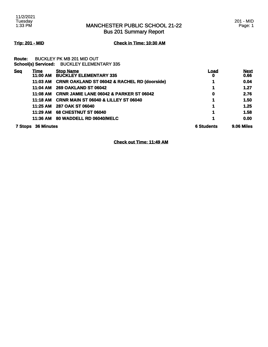Bus 201 Summary Report

# **Trip: 201 - MID Check in Time: 10:30 AM**

**Route:** BUCKLEY PK MB 201 MID OUT **School(s) Serviced:** BUCKLEY ELEMENTARY 335

| <b>Seq</b> | Time<br>11:00 AM  | <b>Stop Name</b><br><b>BUCKLEY ELEMENTARY 335</b>       | Load<br>O         | <b>Next</b><br>0.66 |
|------------|-------------------|---------------------------------------------------------|-------------------|---------------------|
|            | 11:03 AM          | <b>CRNR OAKLAND ST 06042 &amp; RACHEL RD (doorside)</b> |                   | 0.04                |
|            | 11:04 AM          | <b>269 OAKLAND ST 06042</b>                             |                   | 1.27                |
|            | 11:08 AM          | <b>CRNR JAMIE LANE 06042 &amp; PARKER ST 06042</b>      | 0                 | 2.76                |
|            | 11:18 AM          | <b>CRNR MAIN ST 06040 &amp; LILLEY ST 06040</b>         |                   | 1.50                |
|            | 11:25 AM          | 287 OAK ST 06040                                        |                   | 1.25                |
|            | 11:29 AM          | <b>68 CHESTNUT ST 06040</b>                             |                   | 1.58                |
|            | 11:36 AM          | 80 WADDELL RD 06040/MELC                                |                   | 0.00                |
| 7 Stops    | <b>36 Minutes</b> |                                                         | <b>6 Students</b> | 9.06 Miles          |

**Check out Time: 11:49 AM**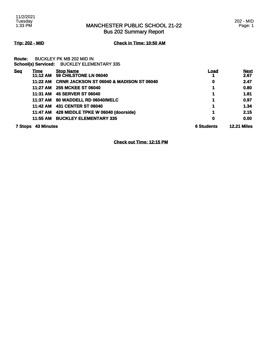Bus 202 Summary Report

**Trip: 202 - MID Check in Time: 10:50 AM**

**Route:** BUCKLEY PK MB 202 MID IN **School(s) Serviced:** BUCKLEY ELEMENTARY 335

| Seq | Time<br>11:12 AM          | <b>Stop Name</b><br>59 CHILSTONE LN 06040           | Load              | <b>Next</b><br>2.67 |
|-----|---------------------------|-----------------------------------------------------|-------------------|---------------------|
|     | 11:22 AM                  | <b>CRNR JACKSON ST 06040 &amp; MADISON ST 06040</b> | 0                 | 2.47                |
|     | 11:27 AM                  | <b>255 MCKEE ST 06040</b>                           |                   | 0.80                |
|     |                           | 11:31 AM 45 SERVER ST 06040                         |                   | 1.81                |
|     | 11:37 AM                  | 80 WADDELL RD 06040/MELC                            |                   | 0.97                |
|     | 11:42 AM                  | 431 CENTER ST 06040                                 |                   | 1.34                |
|     | 11:47 AM                  | 428 MIDDLE TPKE W 06040 (doorside)                  |                   | 2.15                |
|     | 11:55 AM                  | <b>BUCKLEY ELEMENTARY 335</b>                       | 0                 | 0.00                |
|     | <b>7 Stops 43 Minutes</b> |                                                     | <b>6 Students</b> | <b>12.21 Miles</b>  |

**Check out Time: 12:15 PM**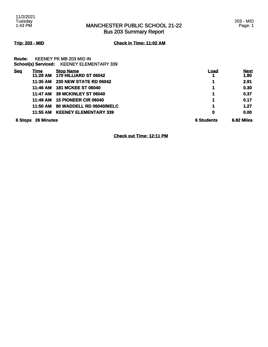11/2/2021 Tuesday 1:43 PM

# MANCHESTER PUBLIC SCHOOL 21-22 Bus 203 Summary Report

# **Trip: 203 - MID Check in Time: 11:02 AM**

| <b>Route:</b> | <b>KEENEY PK MB 203 MID IN</b>                   |
|---------------|--------------------------------------------------|
|               | <b>School(s) Serviced: KEENEY ELEMENTARY 339</b> |

| <b>Seq</b> | <u>Time</u><br>11:29 AM   | <b>Stop Name</b><br>170 HILLIARD ST 06042 | <u>Load</u>       | <b>Next</b><br>1.80 |
|------------|---------------------------|-------------------------------------------|-------------------|---------------------|
|            | 11:35 AM                  | <b>230 NEW STATE RD 06042</b>             |                   | 2.91                |
|            | 11:46 AM                  | <b>181 MCKEE ST 06040</b>                 |                   | 0.30                |
|            | 11:47 AM                  | <b>39 MCKINLEY ST 06040</b>               |                   | 0.37                |
|            | 11:49 AM                  | <b>15 PIONEER CIR 06040</b>               |                   | 0.17                |
|            | 11:50 AM                  | 80 WADDELL RD 06040/MELC                  |                   | 1.27                |
|            | 11:55 AM                  | <b>KEENEY ELEMENTARY 339</b>              | 0                 | 0.00                |
|            | <b>6 Stops 26 Minutes</b> |                                           | <b>6 Students</b> | 6.82 Miles          |

**Check out Time: 12:11 PM**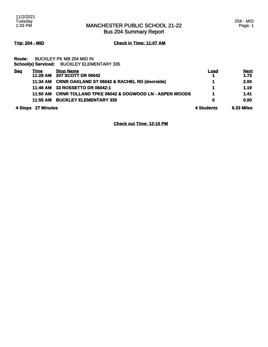204 - MID Page: 1

Bus 204 Summary Report

# **Trip: 204 - MID Check in Time: 11:07 AM**

## **Route:** BUCKLEY PK MB 204 MID IN **School(s) Serviced:** BUCKLEY ELEMENTARY 335

| <b>Seq</b> | Time              | <b>Stop Name</b>                                              | Load       | <u>Next</u>       |
|------------|-------------------|---------------------------------------------------------------|------------|-------------------|
|            | 11:28 AM          | 207 SCOTT DR 06042                                            |            | 1.73              |
|            | 11:34 AM          | <b>CRNR OAKLAND ST 06042 &amp; RACHEL RD (doorside)</b>       |            | 2.00              |
|            | 11:46 AM          | 33 ROSSETTO DR 06042:1                                        |            | 1.19              |
|            | 11:50 AM          | <b>CRNR TOLLAND TPKE 06042 &amp; DOGWOOD LN - ASPEN WOODS</b> |            | 1.41              |
|            | 11:55 AM          | <b>BUCKLEY ELEMENTARY 335</b>                                 | 0          | 0.00              |
| 4 Stops    | <b>27 Minutes</b> |                                                               | 4 Students | <b>6.33 Miles</b> |

**Check out Time: 12:15 PM**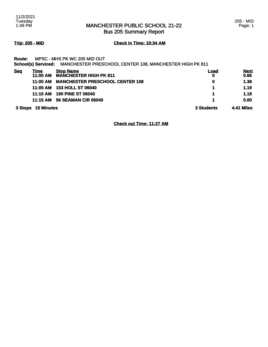# MANCHESTER PUBLIC SCHOOL 21-22 Bus 205 Summary Report

205 - MID Page: 1

# **Trip: 205 - MID Check in Time: 10:34 AM**

## **Route:** MPSC - MHS PK WC 205 MID OUT

**School(s) Serviced:** MANCHESTER PRESCHOOL CENTER 108, MANCHESTER HIGH PK 811

| <b>Seq</b> | Time<br>11:00 AM   | <b>Stop Name</b><br><b>MANCHESTER HIGH PK 811</b> | Load<br>0  | <b>Next</b><br>0.66 |
|------------|--------------------|---------------------------------------------------|------------|---------------------|
|            | 11:00 AM           | <b>MANCHESTER PRESCHOOL CENTER 108</b>            | 0          | 1.38                |
|            | 11:05 AM           | <b>153 HOLL ST 06040</b>                          |            | 1.19                |
|            | 11:10 AM           | <b>190 PINE ST 06040</b>                          |            | 1.18                |
|            | 11:15 AM           | <b>56 SEAMAN CIR 06040</b>                        |            | 0.00                |
|            | 3 Stops 15 Minutes |                                                   | 3 Students | <b>4.41 Miles</b>   |

**Check out Time: 11:27 AM**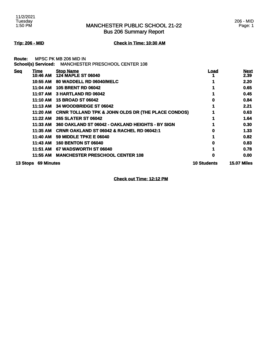Bus 206 Summary Report

**Trip: 206 - MID Check in Time: 10:30 AM**

**Route:** MPSC PK MB 206 MID IN **School(s) Serviced:** MANCHESTER PRESCHOOL CENTER 108

| <b>Seq</b><br>Time            | <b>Stop Name</b>                                              | <u>Load</u>        | <b>Next</b>        |
|-------------------------------|---------------------------------------------------------------|--------------------|--------------------|
| 10:46 AM                      | <b>124 MAPLE ST 06040</b>                                     |                    | 2.39               |
| 10:55 AM                      | 80 WADDELL RD 06040/MELC                                      |                    | 2.20               |
| 11:04 AM                      | <b>105 BRENT RD 06042</b>                                     |                    | 0.65               |
| 11:07 AM                      | 3 HARTLAND RD 06042                                           |                    | 0.45               |
| 11:10 AM                      | <b>15 BROAD ST 06042</b>                                      | 0                  | 0.84               |
| 11:13 AM                      | 34 WOODBRIDGE ST 06042                                        |                    | 2.21               |
| 11:20 AM                      | <b>CRNR TOLLAND TPK &amp; JOHN OLDS DR (THE PLACE CONDOS)</b> |                    | 0.63               |
| 11:22 AM                      | <b>265 SLATER ST 06042</b>                                    |                    | 1.64               |
| 11:33 AM                      | 360 OAKLAND ST 06042 - OAKLAND HEIGHTS - BY SIGN              |                    | 0.30               |
| 11:35 AM                      | <b>CRNR OAKLAND ST 06042 &amp; RACHEL RD 06042:1</b>          | 0                  | 1.33               |
| 11:40 AM                      | <b>59 MIDDLE TPKE E 06040</b>                                 |                    | 0.82               |
| 11:43 AM                      | <b>160 BENTON ST 06040</b>                                    | 0                  | 0.83               |
| 11:51 AM                      | 67 WADSWORTH ST 06040                                         |                    | 0.78               |
| 11:55 AM                      | <b>MANCHESTER PRESCHOOL CENTER 108</b>                        | 0                  | 0.00               |
| <b>69 Minutes</b><br>13 Stops |                                                               | <b>10 Students</b> | <b>15.07 Miles</b> |

**Check out Time: 12:12 PM**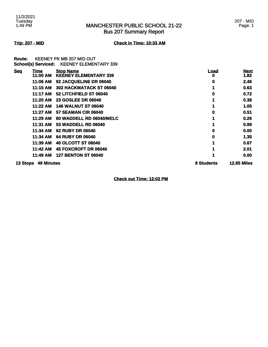# MANCHESTER PUBLIC SCHOOL 21-22 Bus 207 Summary Report

## 207 - MID Page: 1

## **Trip: 207 - MID Check in Time: 10:33 AM**

**Route:** KEENEY PK MB 207 MID OUT **School(s) Serviced:** KEENEY ELEMENTARY 339

| <b>Seq</b><br>Time            | <b>Stop Name</b>             | <u>Load</u> | <b>Next</b>        |
|-------------------------------|------------------------------|-------------|--------------------|
| 11:00 AM                      | <b>KEÉNEY ELEMENTARY 339</b> | o           | 1.82               |
| 11:06 AM                      | 92 JACQUELINE DR 06040       | 0           | 2.46               |
| 11:15 AM                      | 302 HACKMATACK ST 06040      |             | 0.63               |
| 11:17 AM                      | 52 LITCHFIELD ST 06040       | O           | 0.72               |
| 11:20 AM                      | <b>23 GOSLEE DR 06040</b>    |             | 0.38               |
| 11:22 AM                      | <b>146 WALNUT ST 06040</b>   |             | 1.05               |
| 11:27 AM                      | 57 SEAMAN CIR 06040          |             | 0.51               |
| 11:29 AM                      | 80 WADDELL RD 06040/MELC     |             | 0.26               |
| 11:31 AM                      | 53 WADDELL RD 06040          |             | 0.99               |
| 11:34 AM                      | <b>62 RUBY DR 06040</b>      | 0           | 0.00               |
| 11:34 AM                      | <b>64 RUBY DR 06040</b>      |             | 1.35               |
| 11:39 AM                      | <b>40 OLCOTT ST 06040</b>    |             | 0.67               |
| 11:42 AM                      | 45 FOXCROFT DR 06040         |             | 2.01               |
| 11:49 AM                      | <b>127 BENTON ST 06040</b>   |             | 0.00               |
| <b>49 Minutes</b><br>13 Stops |                              | 8 Students  | <b>12.85 Miles</b> |

**Check out Time: 12:02 PM**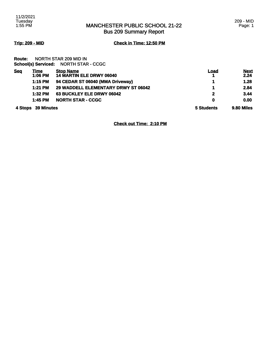# MANCHESTER PUBLIC SCHOOL 21-22 Bus 209 Summary Report

# **Trip: 209 - MID Check in Time: 12:50 PM**

**Route:** NORTH STAR 209 MID IN **School(s) Serviced:** NORTH STAR - CCGC

| <b>Seg</b> | Time<br>1:06 PM    | <b>Stop Name</b><br><b>14 MARTIN ELE DRWY 06040</b> | <u>Load</u> | <b>Next</b><br>2.24 |
|------------|--------------------|-----------------------------------------------------|-------------|---------------------|
|            | 1:15 PM            | 94 CEDAR ST 06040 (MMA Driveway)                    |             | 1.28                |
|            | $1:21$ PM          | 29 WADDELL ELEMENTARY DRWY ST 06042                 |             | 2.84                |
|            | $1:32$ PM          | 63 BUCKLEY ELE DRWY 06042                           | 2           | 3.44                |
|            | 1:45 PM            | <b>NORTH STAR - CCGC</b>                            | 0           | 0.00                |
|            | 4 Stops 39 Minutes |                                                     | 5 Students  | 9.80 Miles          |

**Check out Time: 2:10 PM**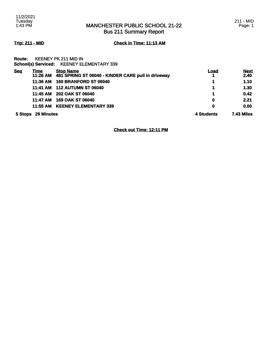# MANCHESTER PUBLIC SCHOOL 21-22 Bus 211 Summary Report

# **Trip: 211 - MID Check in Time: 11:13 AM**

**Route:** KEENEY PK 211 MID IN **School(s) Serviced:** KEENEY ELEMENTARY 339

| <b>Seq</b> | Time              | <b>Stop Name</b><br>11:26 AM 481 SPRING ST 06040 - KINDER CARE pull in driveway | Load<br>4. | <b>Next</b><br>2.40 |
|------------|-------------------|---------------------------------------------------------------------------------|------------|---------------------|
|            | 11:36 AM          | <b>160 BRANFORD ST 06040</b>                                                    | 1          | 1.10                |
|            | 11:41 AM          | <b>112 AUTUMN ST 06040</b>                                                      | 1          | 1.30                |
|            | 11:45 AM          | <b>202 OAK ST 06040</b>                                                         | 1          | 0.42                |
|            | 11:47 AM          | <b>169 OAK ST 06040</b>                                                         | 0          | 2.21                |
|            | 11:55 AM          | <b>KEENEY ELEMENTARY 339</b>                                                    | 0          | 0.00                |
| 5 Stops    | <b>29 Minutes</b> |                                                                                 | 4 Students | <b>7.43 Miles</b>   |

**Check out Time: 12:11 PM**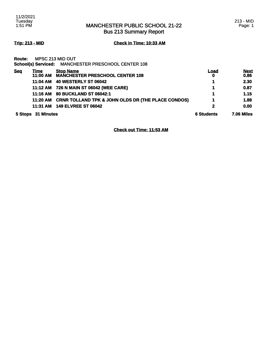Bus 213 Summary Report

**Trip: 213 - MID Check in Time: 10:33 AM**

|            |                         | School(s) Serviced: MANCHESTER PRESCHOOL CENTER 108           |                   |                     |
|------------|-------------------------|---------------------------------------------------------------|-------------------|---------------------|
| <b>Seg</b> | <u>Time</u><br>11:00 AM | <b>Stop Name</b><br><b>MANCHESTER PRESCHOOL CENTER 108</b>    | <u>Load</u><br>0  | <b>Next</b><br>0.86 |
|            |                         | 11:04 AM 40 WESTERLY ST 06042                                 |                   | 2.30                |
|            |                         | 11:12 AM 726 N MAIN ST 06042 (WEE CARE)                       |                   | 0.87                |
|            |                         | 11:16 AM 80 BUCKLAND ST 06042:1                               |                   | 1.15                |
|            | 11:20 AM                | <b>CRNR TOLLAND TPK &amp; JOHN OLDS DR (THE PLACE CONDOS)</b> |                   | 1.88                |
|            | 11:31 AM                | <b>149 ELVREE ST 06042</b>                                    | 2                 | 0.00                |
|            | 5 Stops 31 Minutes      |                                                               | <b>6 Students</b> | <b>7.06 Miles</b>   |

**Check out Time: 11:53 AM**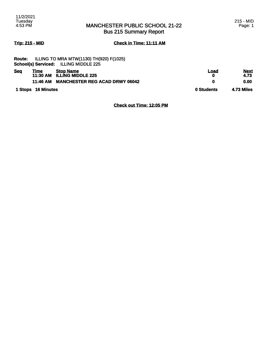# **Trip: 215 - MID Check in Time: 11:11 AM**

|               | 1 Stops 16 Minutes |                                                | 0 Students | <b>4.73 Miles</b> |
|---------------|--------------------|------------------------------------------------|------------|-------------------|
|               | 11:46 AM           | <b>MANCHESTER REG ACAD DRWY 06042</b>          | 0          | 0.00              |
|               |                    | 11:30 AM ILLING MIDDLE 225                     | 0          | 4.73              |
| <b>Seq</b>    | Time               | <b>Stop Name</b>                               | Load       | <b>Next</b>       |
|               |                    | <b>School(s) Serviced: ILLING MIDDLE 225</b>   |            |                   |
| <b>Route:</b> |                    | <b>ILLING TO MRA MTW(1130) TH(920) F(1025)</b> |            |                   |

**Check out Time: 12:05 PM**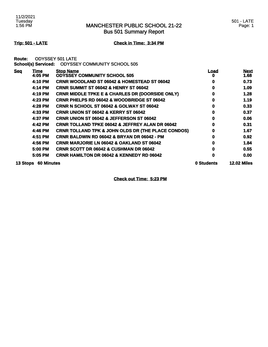Bus 501 Summary Report

# **Trip: 501 - LATE Check in Time: 3:34 PM**

**Route:** ODYSSEY 501 LATE

|--|--|

| <b>Seg</b> | Time              | <b>Stop Name</b>                                              | <u>Load</u> | <b>Next</b>        |
|------------|-------------------|---------------------------------------------------------------|-------------|--------------------|
|            | 4:05 PM           | <b>ODYSSEY COMMUNITY SCHOOL 505</b>                           |             | 1.68               |
|            | 4:10 PM           | <b>CRNR WOODLAND ST 06042 &amp; HOMESTEAD ST 06042</b>        | 0           | 0.73               |
|            | 4:14 PM           | <b>CRNR SUMMIT ST 06042 &amp; HENRY ST 06042</b>              |             | 1.09               |
|            | 4:19 PM           | <b>CRNR MIDDLE TPKE E &amp; CHARLES DR (DOORSIDE ONLY)</b>    |             | 1.28               |
|            | 4:23 PM           | <b>CRNR PHELPS RD 06042 &amp; WOODBRIDGE ST 06042</b>         | 0           | 1.19               |
|            | 4:28 PM           | <b>CRNR N SCHOOL ST 06042 &amp; GOLWAY ST 06042</b>           | o           | 0.33               |
|            | 4:33 PM           | <b>CRNR UNION ST 06042 &amp; KERRY ST 06042</b>               |             | 0.37               |
|            | 4:37 PM           | <b>CRNR UNION ST 06042 &amp; JEFFERSON ST 06042</b>           | 0           | 0.06               |
|            | 4:42 PM           | <b>CRNR TOLLAND TPKE 06042 &amp; JEFFREY ALAN DR 06042</b>    | Ω           | 0.31               |
|            | 4:46 PM           | <b>CRNR TOLLAND TPK &amp; JOHN OLDS DR (THE PLACE CONDOS)</b> | 0           | 1.67               |
|            | 4:51 PM           | CRNR BALDWIN RD 06042 & BRYAN DR 06042 - PM                   | 0           | 0.92               |
|            | 4:56 PM           | <b>CRNR MARJORIE LN 06042 &amp; OAKLAND ST 06042</b>          |             | 1.84               |
|            | 5:00 PM           | <b>CRNR SCOTT DR 06042 &amp; CUSHMAN DR 06042</b>             |             | 0.55               |
|            | 5:05 PM           | <b>CRNR HAMILTON DR 06042 &amp; KENNEDY RD 06042</b>          | 0           | 0.00               |
| 13 Stops   | <b>60 Minutes</b> |                                                               | 0 Students  | <b>12.02 Miles</b> |

**Check out Time: 5:23 PM**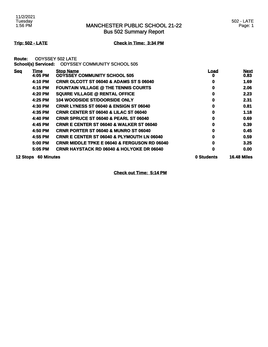Bus 502 Summary Report

# **Trip: 502 - LATE Check in Time: 3:34 PM**

**Route:** ODYSSEY 502 LATE

|  | School(s) Serviced:  ODYSSEY COMMUNITY SCHOOL 505 |  |
|--|---------------------------------------------------|--|
|--|---------------------------------------------------|--|

| <b>Seg</b>      | Time              | <b>Stop Name</b>                                        | <u>Load</u> | <b>Next</b>        |
|-----------------|-------------------|---------------------------------------------------------|-------------|--------------------|
|                 | 4:05 PM           | <b>ODYSSEY COMMUNITY SCHOOL 505</b>                     | o           | 0.83               |
|                 | 4:10 PM           | <b>CRNR OLCOTT ST 06040 &amp; ADAMS ST S 06040</b>      | 0           | 1.69               |
|                 | 4:15 PM           | <b>FOUNTAIN VILLAGE @ THE TENNIS COURTS</b>             | 0           | 2.06               |
|                 | 4:20 PM           | <b>SQUIRE VILLAGE @ RENTAL OFFICE</b>                   | 0           | 2.23               |
|                 | 4:25 PM           | <b>104 WOODSIDE ST/DOORSIDE ONLY</b>                    | 0           | 2.31               |
|                 | 4:30 PM           | <b>CRNR LYNESS ST 06040 &amp; ENSIGN ST 06040</b>       | 0           | 0.81               |
|                 | 4:35 PM           | <b>CRNR CENTER ST 06040 &amp; LILAC ST 06040</b>        | 0           | 1.18               |
|                 | 4:40 PM           | <b>CRNR SPRUCE ST 06040 &amp; PEARL ST 06040</b>        | 0           | 0.69               |
|                 | 4:45 PM           | <b>CRNR E CENTER ST 06040 &amp; WALKER ST 06040</b>     | 0           | 0.39               |
|                 | 4:50 PM           | <b>CRNR PORTER ST 06040 &amp; MUNRO ST 06040</b>        | 0           | 0.45               |
|                 | 4:55 PM           | <b>CRNR E CENTER ST 06040 &amp; PLYMOUTH LN 06040</b>   | 0           | 0.59               |
|                 | 5:00 PM           | <b>CRNR MIDDLE TPKE E 06040 &amp; FERGUSON RD 06040</b> | 0           | 3.25               |
|                 | 5:05 PM           | <b>CRNR HAYSTACK RD 06040 &amp; HOLYOKE DR 06040</b>    | 0           | 0.00               |
| <b>12 Stops</b> | <b>60 Minutes</b> |                                                         | 0 Students  | <b>16.48 Miles</b> |

**Check out Time: 5:14 PM**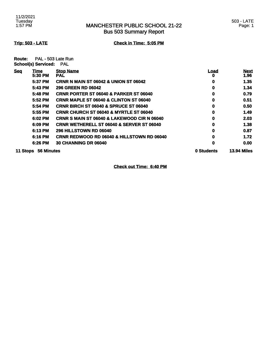Bus 503 Summary Report

**Trip: 503 - LATE Check in Time: 5:05 PM**

**Route:** PAL - 503 Late Run **School(s) Serviced:** PAL

| <b>Seg</b> | Time       | <b>Stop Name</b>                                       | <u>Load</u> | <b>Next</b>        |
|------------|------------|--------------------------------------------------------|-------------|--------------------|
|            | 5:30 PM    | <b>PAL</b>                                             | 0           | 1.96               |
|            | 5:37 PM    | <b>CRNR N MAIN ST 06042 &amp; UNION ST 06042</b>       | 0           | 1.35               |
|            | 5:43 PM    | <b>296 GREEN RD 06042</b>                              | 0           | 1.34               |
|            | 5:48 PM    | <b>CRNR PORTER ST 06040 &amp; PARKER ST 06040</b>      | 0           | 0.79               |
|            | 5:52 PM    | <b>CRNR MAPLE ST 06040 &amp; CLINTON ST 06040</b>      | 0           | 0.51               |
|            | 5:54 PM    | <b>CRNR BIRCH ST 06040 &amp; SPRUCE ST 06040</b>       | 0           | 0.50               |
|            | 5:55 PM    | <b>CRNR CHURCH ST 06040 &amp; MYRTLE ST 06040</b>      | 0           | 1.49               |
|            | 6:02 PM    | <b>CRNR S MAIN ST 06040 &amp; LAKEWOOD CIR N 06040</b> | 0           | 2.03               |
|            | 6:09 PM    | <b>CRNR WETHERELL ST 06040 &amp; SERVER ST 06040</b>   | 0           | 1.38               |
|            | 6:13 PM    | <b>296 HILLSTOWN RD 06040</b>                          | 0           | 0.87               |
|            | 6:16 PM    | <b>CRNR REDWOOD RD 06040 &amp; HILLSTOWN RD 06040</b>  | 0           | 1.72               |
|            | 6:26 PM    | <b>30 CHANNING DR 06040</b>                            | 0           | 0.00               |
| 11 Stops   | 56 Minutes |                                                        | 0 Students  | <b>13.94 Miles</b> |

**Check out Time: 6:40 PM**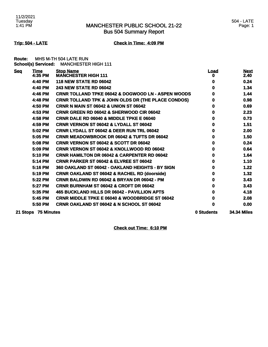# MANCHESTER PUBLIC SCHOOL 21-22 Bus 504 Summary Report

## 504 - LATE Page: 1

# **Trip: 504 - LATE Check in Time: 4:09 PM**

**Route:** MHS M-TH 504 LATE RUN **School(s) Serviced:** MANCHESTER HIGH 111

| <b>Seq</b> | <b>Time</b><br>4:35 PM | <b>Stop Name</b><br><b>MANCHESTER HIGH 111</b>                | <b>Load</b><br>o | <b>Next</b><br>2.40 |
|------------|------------------------|---------------------------------------------------------------|------------------|---------------------|
|            | 4:40 PM                |                                                               |                  |                     |
|            |                        | <b>118 NEW STATE RD 06042</b>                                 | o                | 0.24                |
|            | 4:40 PM                | <b>243 NEW STATE RD 06042</b>                                 | 0                | 1.34                |
|            | 4:46 PM                | <b>CRNR TOLLAND TPKE 06042 &amp; DOGWOOD LN - ASPEN WOODS</b> | 0                | 1.44                |
|            | 4:48 PM                | <b>CRNR TOLLAND TPK &amp; JOHN OLDS DR (THE PLACE CONDOS)</b> | 0                | 0.98                |
|            | 4:50 PM                | <b>CRNR N MAIN ST 06042 &amp; UNION ST 06042</b>              | 0                | 0.69                |
|            | 4:53 PM                | <b>CRNR GREEN RD 06042 &amp; SHERWOOD CIR 06042</b>           | 0                | 2.23                |
|            | 4:58 PM                | <b>CRNR DALE RD 06040 &amp; MIDDLE TPKE E 06040</b>           | o                | 0.73                |
|            | 4:59 PM                | <b>CRNR VERNON ST 06042 &amp; LYDALL ST 06042</b>             | 0                | 1.51                |
|            | 5:02 PM                | <b>CRNR LYDALL ST 06042 &amp; DEER RUN TRL 06042</b>          | o                | 2.00                |
|            | 5:05 PM                | <b>CRNR MEADOWBROOK DR 06042 &amp; TUFTS DR 06042</b>         | 0                | 1.50                |
|            | 5:08 PM                | <b>CRNR VERNON ST 06042 &amp; SCOTT DR 06042</b>              | 0                | 0.24                |
|            | 5:09 PM                | <b>CRNR VERNON ST 06042 &amp; KNOLLWOOD RD 06042</b>          | 0                | 0.64                |
|            | 5:10 PM                | <b>CRNR HAMILTON DR 06042 &amp; CARPENTER RD 06042</b>        | 0                | 1.64                |
|            | 5:14 PM                | <b>CRNR PARKER ST 06042 &amp; ELVREE ST 06042</b>             | 0                | 1.10                |
|            | 5:16 PM                | 360 OAKLAND ST 06042 - OAKLAND HEIGHTS - BY SIGN              | 0                | 1.22                |
|            | 5:19 PM                | <b>CRNR OAKLAND ST 06042 &amp; RACHEL RD (doorside)</b>       | 0                | 1.32                |
|            | 5:22 PM                | <b>CRNR BALDWIN RD 06042 &amp; BRYAN DR 06042 - PM</b>        | 0                | 3.43                |
|            | 5:27 PM                | CRNR BURNHAM ST 06042 & CROFT DR 06042                        | o                | 3.43                |
|            | 5:35 PM                | 465 BUCKLAND HILLS DR 06042 - PAVILLION APTS                  | o                | 4.18                |
|            | 5:45 PM                | <b>CRNR MIDDLE TPKE E 06040 &amp; WOODBRIDGE ST 06042</b>     | o                | 2.08                |
|            | 5:50 PM                | <b>CRNR OAKLAND ST 06042 &amp; N SCHOOL ST 06042</b>          | 0                | 0.00                |
|            | 21 Stops 75 Minutes    |                                                               | 0 Students       | <b>34.34 Miles</b>  |

**Check out Time: 6:10 PM**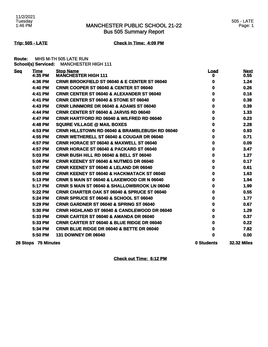# MANCHESTER PUBLIC SCHOOL 21-22 Bus 505 Summary Report

## 505 - LATE Page: 1

# **Trip: 505 - LATE Check in Time: 4:09 PM**

**Route:** MHS M-TH 505 LATE RUN **School(s) Serviced:** MANCHESTER HIGH 111

| <b>Seq</b> | <b>Time</b><br>$4:35$ PM | <b>Stop Name</b><br><b>MANCHESTER HIGH 111</b>            | <u>Load</u><br>0 | <b>Next</b><br>0.55 |
|------------|--------------------------|-----------------------------------------------------------|------------------|---------------------|
|            | 4:36 PM                  | <b>CRNR BROOKFIELD ST 06040 &amp; E CENTER ST 06040</b>   | 0                | 1.24                |
|            | 4:40 PM                  | CRNR COOPER ST 06040 & CENTER ST 06040                    | 0                | 0.26                |
|            | 4:41 PM                  | <b>CRNR CENTER ST 06040 &amp; ALEXANDER ST 06040</b>      | 0                | 0.16                |
|            | 4:41 PM                  | <b>CRNR CENTER ST 06040 &amp; STONE ST 06040</b>          | 0                | 0.38                |
|            | 4:43 PM                  | <b>CRNR LINNMORE DR 06040 &amp; ADAMS ST 06040</b>        | 0                | 0.39                |
|            | 4:44 PM                  | <b>CRNR CENTER ST 06040 &amp; JARVIS RD 06040</b>         | 0                | 1.33                |
|            | 4:47 PM                  | <b>CRNR HARTFORD RD 06040 &amp; WILFRED RD 06040</b>      | 0                | 0.23                |
|            | 4:48 PM                  | <b>SQUIRE VILLAGE @ MAIL BOXES</b>                        | 0                | 2.28                |
|            | 4:53 PM                  | <b>CRNR HILLSTOWN RD 06040 &amp; BRAMBLEBUSH RD 06040</b> | 0                | 0.93                |
|            | 4:55 PM                  | <b>CRNR WETHERELL ST 06040 &amp; COUGAR DR 06040</b>      | 0                | 0.71                |
|            | 4:57 PM                  | <b>CRNR HORACE ST 06040 &amp; MAXWELL ST 06040</b>        | 0                | 0.09                |
|            | 4:57 PM                  | CRNR HORACE ST 06040 & PACKARD ST 06040                   | 0                | 3.47                |
|            | 5:03 PM                  | <b>CRNR BUSH HILL RD 06040 &amp; BELL ST 06040</b>        | 0                | 1.27                |
|            | 5:06 PM                  | <b>CRNR KEENEY ST 06040 &amp; NUTMEG DR 06040</b>         | 0                | 0.17                |
|            | 5:07 PM                  | <b>CRNR KEENEY ST 06040 &amp; LELAND DR 06040</b>         | 0                | 0.61                |
|            | 5:08 PM                  | <b>CRNR KEENEY ST 06040 &amp; HACKMATACK ST 06040</b>     | 0                | 1.63                |
|            | 5:13 PM                  | <b>CRNR S MAIN ST 06040 &amp; LAKEWOOD CIR N 06040</b>    | 0                | 1.94                |
|            | 5:17 PM                  | <b>CRNR S MAIN ST 06040 &amp; SHALLOWBROOK LN 06040</b>   | 0                | 1.99                |
|            | 5:22 PM                  | <b>CRNR CHARTER OAK ST 06040 &amp; SPRUCE ST 06040</b>    | 0                | 0.55                |
|            | 5:24 PM                  | CRNR SPRUCE ST 06040 & SCHOOL ST 06040                    | 0                | 1.77                |
|            | 5:29 PM                  | <b>CRNR GARDNER ST 06040 &amp; SPRING ST 06040</b>        | 0                | 0.67                |
|            | 5:30 PM                  | <b>CRNR HIGHLAND ST 06040 &amp; CANDLEWOOD DR 06040</b>   | 0                | 1.29                |
|            | 5:33 PM                  | <b>CRNR CARTER ST 06040 &amp; AMANDA DR 06040</b>         | 0                | 0.37                |
|            | 5:33 PM                  | <b>CRNR CARTER ST 06040 &amp; BLUE RIDGE DR 06040</b>     | 0                | 0.22                |
|            | 5:34 PM                  | <b>CRNR BLUE RIDGE DR 06040 &amp; BETTE DR 06040</b>      | 0                | 7.82                |
|            | 5:50 PM                  | <b>131 DOWNEY DR 06040</b>                                | 0                | 0.00                |
|            | 26 Stops 75 Minutes      |                                                           | 0 Students       | <b>32.32 Miles</b>  |

**Check out Time: 6:12 PM**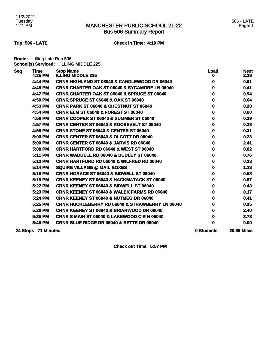# MANCHESTER PUBLIC SCHOOL 21-22 Bus 506 Summary Report

**Trip: 506 - LATE Check in Time: 4:10 PM**

**Route:** Illing Late Run 506 **School(s) Serviced:** ILLING MIDDLE 225

| <b>Seq</b> | <b>Time</b><br>4:35 PM | <b>Stop Name</b><br><b>ILLING MIDDLE 225</b>               | <b>Load</b><br>o | <b>Next</b><br>2.28 |
|------------|------------------------|------------------------------------------------------------|------------------|---------------------|
|            | 4:44 PM                | <b>CRNR HIGHLAND ST 06040 &amp; CANDLEWOOD DR 06040</b>    | 0                | 0.61                |
|            | 4:45 PM                | <b>CRNR CHARTER OAK ST 06040 &amp; SYCAMORE LN 06040</b>   | 0                | 0.41                |
|            | 4:47 PM                | <b>CRNR CHARTER OAK ST 06040 &amp; SPRUCE ST 06040</b>     | 0                | 0.94                |
|            | 4:50 PM                | <b>CRNR SPRUCE ST 06040 &amp; OAK ST 06040</b>             | 0                | 0.64                |
|            | 4:53 PM                | <b>CRNR PARK ST 06040 &amp; CHESTNUT ST 06040</b>          | 0                | 0.28                |
|            | 4:54 PM                | <b>CRNR ELM ST 06040 &amp; FOREST ST 06040</b>             | 0                | 0.60                |
|            | 4:56 PM                | CRNR COOPER ST 06040 & SUMMER ST 06040                     | 0                | 0.29                |
|            | 4:57 PM                | <b>CRNR CENTER ST 06040 &amp; ROOSEVELT ST 06040</b>       | 0                | 0.28                |
|            | 4:58 PM                | CRNR STONE ST 06040 & CENTER ST 06040                      | 0                | 0.31                |
|            | 5:00 PM                | <b>CRNR CENTER ST 06040 &amp; OLCOTT DR 06040</b>          | 0                | 0.23                |
|            | 5:00 PM                | <b>CRNR CENTER ST 06040 &amp; JARVIS RD 06040</b>          | 0                | 2.41                |
|            | 5:08 PM                | <b>CRNR HARTFORD RD 06040 &amp; WEST ST 06040</b>          | 0                | 0.82                |
|            | 5:11 PM                | <b>CRNR WADDELL RD 06040 &amp; DUDLEY ST 06040</b>         | 0                | 0.76                |
|            | 5:13 PM                | <b>CRNR HARTFORD RD 06040 &amp; WILFRED RD 06040</b>       | 0                | 0.23                |
|            | 5:14 PM                | <b>SQUIRE VILLAGE @ MAIL BOXES</b>                         | 0                | 1.18                |
|            | 5:18 PM                | <b>CRNR HORACE ST 06040 &amp; BIDWELL ST 06040</b>         | 0                | 0.58                |
|            | 5:19 PM                | <b>CRNR KEENEY ST 06040 &amp; HACKMATACK ST 06040</b>      | 0                | 0.57                |
|            | 5:22 PM                | <b>CRNR KEENEY ST 06040 &amp; BIDWELL ST 06040</b>         | 0                | 0.43                |
|            | 5:23 PM                | <b>CRNR KEENEY ST 06040 &amp; WALEK FARMS RD 06040</b>     | 0                | 0.17                |
|            | 5:24 PM                | <b>CRNR KEENEY ST 06040 &amp; NUTMEG DR 06040</b>          | 0                | 0.41                |
|            | 5:25 PM                | <b>CRNR HUCKLEBERRY RD 06040 &amp; STRAWBERRY LN 06040</b> | 0                | 0.25                |
|            | 5:26 PM                | <b>CRNR KEENEY ST 06040 &amp; BRIARWOOD DR 06040</b>       | 0                | 2.40                |
|            | 5:35 PM                | <b>CRNR S MAIN ST 06040 &amp; LAKEWOOD CIR N 06040</b>     | 0                | 3.78                |
|            | 5:46 PM                | <b>CRNR BLUE RIDGE DR 06040 &amp; BETTE DR 06040</b>       | 0                | 0.00                |
|            | 24 Stops 71 Minutes    |                                                            | 0 Students       | <b>20.86 Miles</b>  |

**Check out Time: 5:57 PM**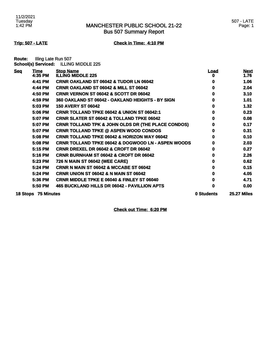# MANCHESTER PUBLIC SCHOOL 21-22 Bus 507 Summary Report

## **Trip: 507 - LATE Check in Time: 4:10 PM**

**Route:** Illing Late Run 507 **School(s) Serviced:** ILLING MIDDLE 225

| <b>Seq</b> | <u>Time</u>         | <b>Stop Name</b>                                              | <u>Load</u> | <u>Next</u>        |
|------------|---------------------|---------------------------------------------------------------|-------------|--------------------|
|            | 4:35 PM             | <b>ILLING MIDDLE 225</b>                                      | o           | 1.76               |
|            | 4:41 PM             | <b>CRNR OAKLAND ST 06042 &amp; TUDOR LN 06042</b>             | o           | 1.06               |
|            | 4:44 PM             | CRNR OAKLAND ST 06042 & MILL ST 06042                         | 0           | 2.04               |
|            | 4:50 PM             | CRNR VERNON ST 06042 & SCOTT DR 06042                         | 0           | 3.10               |
|            | 4:59 PM             | 360 OAKLAND ST 06042 - OAKLAND HEIGHTS - BY SIGN              | 0           | 1.01               |
|            | 5:03 PM             | <b>150 AVERY ST 06042</b>                                     | o           | 1.32               |
|            | 5:06 PM             | <b>CRNR TOLLAND TPKE 06042 &amp; UNION ST 06042:1</b>         | 0           | 0.23               |
|            | 5:07 PM             | <b>CRNR SLATER ST 06042 &amp; TOLLAND TPKE 06042</b>          | 0           | 0.08               |
|            | 5:07 PM             | <b>CRNR TOLLAND TPK &amp; JOHN OLDS DR (THE PLACE CONDOS)</b> | 0           | 0.17               |
|            | 5:07 PM             | <b>CRNR TOLLAND TPKE @ ASPEN WOOD CONDOS</b>                  | 0           | 0.31               |
|            | 5:08 PM             | <b>CRNR TOLLAND TPKE 06042 &amp; HORIZON WAY 06042</b>        | 0           | 0.10               |
|            | 5:08 PM             | <b>CRNR TOLLAND TPKE 06042 &amp; DOGWOOD LN - ASPEN WOODS</b> | 0           | 2.03               |
|            | 5:15 PM             | <b>CRNR DREXEL DR 06042 &amp; CROFT DR 06042</b>              | o           | 0.27               |
|            | 5:16 PM             | <b>CRNR BURNHAM ST 06042 &amp; CROFT DR 06042</b>             | o           | 2.26               |
|            | 5:23 PM             | 726 N MAIN ST 06042 (WEE CARE)                                | o           | 0.62               |
|            | 5:24 PM             | <b>CRNR N MAIN ST 06042 &amp; MCCABE ST 06042</b>             | o           | 0.15               |
|            | 5:24 PM             | <b>CRNR UNION ST 06042 &amp; N MAIN ST 06042</b>              | 0           | 4.05               |
|            | 5:36 PM             | <b>CRNR MIDDLE TPKE E 06040 &amp; FINLEY ST 06040</b>         | 0           | 4.71               |
|            | 5:50 PM             | 465 BUCKLAND HILLS DR 06042 - PAVILLION APTS                  | 0           | 0.00               |
|            | 18 Stops 75 Minutes |                                                               | 0 Students  | <b>25.27 Miles</b> |

**Check out Time: 6:20 PM**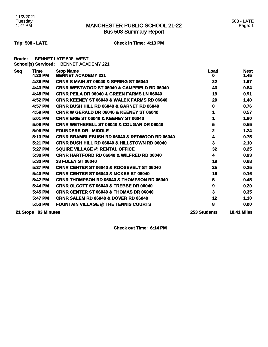# MANCHESTER PUBLIC SCHOOL 21-22 Bus 508 Summary Report

**Trip: 508 - LATE Check in Time: 4:13 PM**

**Route:** BENNET LATE 508: WEST **School(s) Serviced:** BENNET ACADEMY 221

| <b>Seq</b> | <b>Time</b><br>4:30 PM | <b>Stop Name</b><br><b>BENNET ACADEMY 221</b>           | <b>Load</b><br>0    | <b>Next</b><br>1.45 |
|------------|------------------------|---------------------------------------------------------|---------------------|---------------------|
|            | 4:36 PM                | <b>CRNR S MAIN ST 06040 &amp; SPRING ST 06040</b>       | 22                  | 1.67                |
|            | 4:43 PM                | <b>CRNR WESTWOOD ST 06040 &amp; CAMPFIELD RD 06040</b>  | 43                  | 0.84                |
|            | 4:48 PM                | <b>CRNR PEILA DR 06040 &amp; GREEN FARMS LN 06040</b>   | 19                  | 0.91                |
|            | 4:52 PM                | <b>CRNR KEENEY ST 06040 &amp; WALEK FARMS RD 06040</b>  | 20                  | 1.40                |
|            | 4:57 PM                | <b>CRNR BUSH HILL RD 06040 &amp; GARNET RD 06040</b>    | 0                   | 0.76                |
|            | 4:59 PM                | <b>CRNR W GERALD DR 06040 &amp; KEENEY ST 06040</b>     | 1                   | 0.57                |
|            | 5:01 PM                | <b>CRNR ERIE ST 06040 &amp; KEENEY ST 06040</b>         | 1                   | 1.60                |
|            | 5:06 PM                | <b>CRNR WETHERELL ST 06040 &amp; COUGAR DR 06040</b>    | 5                   | 0.55                |
|            | 5:09 PM                | <b>FOUNDERS DR - MIDDLE</b>                             | $\overline{2}$      | 1.24                |
|            | 5:13 PM                | CRNR BRAMBLEBUSH RD 06040 & REDWOOD RD 06040            | 4                   | 0.75                |
|            | 5:21 PM                | <b>CRNR BUSH HILL RD 06040 &amp; HILLSTOWN RD 06040</b> | 3                   | 2.10                |
|            | 5:27 PM                | <b>SQUIRE VILLAGE @ RENTAL OFFICE</b>                   | 32                  | 0.25                |
|            | 5:30 PM                | <b>CRNR HARTFORD RD 06040 &amp; WILFRED RD 06040</b>    | 4                   | 0.93                |
|            | 5:33 PM                | <b>28 FOLEY ST 06040</b>                                | 19                  | 0.68                |
|            | 5:37 PM                | <b>CRNR CENTER ST 06040 &amp; ROOSEVELT ST 06040</b>    | 25                  | 0.25                |
|            | 5:40 PM                | <b>CRNR CENTER ST 06040 &amp; MCKEE ST 06040</b>        | 16                  | 0.16                |
|            | 5:42 PM                | <b>CRNR THOMPSON RD 06040 &amp; THOMPSON RD 06040</b>   | 5                   | 0.45                |
|            | 5:44 PM                | CRNR OLCOTT ST 06040 & TREBBE DR 06040                  | 9                   | 0.20                |
|            | 5:45 PM                | <b>CRNR CENTER ST 06040 &amp; THOMAS DR 06040</b>       | 3                   | 0.35                |
|            | 5:47 PM                | <b>CRNR SALEM RD 06040 &amp; DOVER RD 06040</b>         | 12                  | 1.30                |
|            | 5:53 PM                | <b>FOUNTAIN VILLAGE @ THE TENNIS COURTS</b>             | 8                   | 0.00                |
|            | 21 Stops 83 Minutes    |                                                         | <b>253 Students</b> | <b>18.41 Miles</b>  |

**Check out Time: 6:14 PM**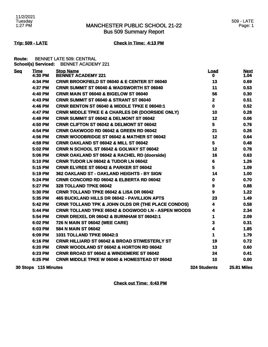# MANCHESTER PUBLIC SCHOOL 21-22 Bus 509 Summary Report

## **Trip: 509 - LATE Check in Time: 4:13 PM**

**Route:** BENNET LATE 509: CENTRAL **School(s) Serviced:** BENNET ACADEMY 221

| <b>Seq</b> | <b>Time</b><br>4:30 PM | <b>Stop Name</b><br><b>BENNET ACADEMY 221</b>                 | <u>Load</u><br>0    | <b>Next</b><br>1.04 |
|------------|------------------------|---------------------------------------------------------------|---------------------|---------------------|
|            | 4:34 PM                | <b>CRNR BROOKFIELD ST 06040 &amp; E CENTER ST 06040</b>       | 13                  | 0.69                |
|            | 4:37 PM                | <b>CRNR SUMMIT ST 06040 &amp; WADSWORTH ST 06040</b>          | 11                  | 0.53                |
|            | 4:40 PM                | CRNR MAIN ST 06040 & BIGELOW ST 06040                         | 56                  | 0.30                |
|            | 4:43 PM                | CRNR SUMMIT ST 06040 & STRANT ST 06040                        | $\mathbf{2}$        | 0.51                |
|            | 4:46 PM                | <b>CRNR BENTON ST 06040 &amp; MIDDLE TPKE E 06040:1</b>       | $\mathbf 0$         | 0.52                |
|            | 4:47 PM                | <b>CRNR MIDDLE TPKE E &amp; CHARLES DR (DOORSIDE ONLY)</b>    | 10                  | 0.28                |
|            | 4:49 PM                | CRNR SUMMIT ST 06042 & DELMONT ST 06042                       | 12                  | 0.06                |
|            | 4:50 PM                | <b>CRNR CLIFTON ST 06042 &amp; DELMONT ST 06042</b>           | 5                   | 0.76                |
|            | 4:54 PM                | CRNR OAKWOOD RD 06042 & GREEN RD 06042                        | 21                  | 0.26                |
|            | 4:56 PM                | <b>CRNR WOODBRIDGE ST 06042 &amp; MATHER ST 06042</b>         | 12                  | 0.64                |
|            | 4:59 PM                | <b>CRNR OAKLAND ST 06042 &amp; MILL ST 06042</b>              | 5                   | 0.48                |
|            | 5:02 PM                | <b>CRNR N SCHOOL ST 06042 &amp; GOLWAY ST 06042</b>           | 12                  | 0.78                |
|            | 5:06 PM                | <b>CRNR OAKLAND ST 06042 &amp; RACHEL RD (doorside)</b>       | 16                  | 0.63                |
|            | 5:10 PM                | CRNR TUDOR LN 06042 & TUDOR LN 06042                          | $6\phantom{a}$      | 1.26                |
|            | 5:15 PM                | <b>CRNR ELVREE ST 06042 &amp; PARKER ST 06042</b>             | 5                   | 1.09                |
|            | 5:19 PM                | 362 OAKLAND ST - OAKLAND HEIGHTS - BY SIGN                    | 14                  | 1.00                |
|            | 5:24 PM                | <b>CRNR CONCORD RD 06042 &amp; ELBERTA RD 06042</b>           | $\mathbf 0$         | 0.70                |
|            | 5:27 PM                | 328 TOLLAND TPKE 06042                                        | 9                   | 0.88                |
|            | 5:30 PM                | <b>CRNR TOLLAND TPKE 06042 &amp; LISA DR 06042</b>            | $\boldsymbol{9}$    | 1.22                |
|            | 5:35 PM                | 465 BUCKLAND HILLS DR 06042 - PAVILLION APTS                  | 23                  | 1.49                |
|            | 5:42 PM                | <b>CRNR TOLLAND TPK &amp; JOHN OLDS DR (THE PLACE CONDOS)</b> | 4                   | 0.58                |
|            | 5:44 PM                | <b>CRNR TOLLAND TPKE 06042 &amp; DOGWOOD LN - ASPEN WOODS</b> | 4                   | 2.34                |
|            | 5:54 PM                | <b>CRNR DREXEL DR 06042 &amp; BURNHAM ST 06042:1</b>          | 1                   | 2.09                |
|            | 6:02 PM                | 726 N MAIN ST 06042 (WEE CARE)                                | 3                   | 0.31                |
|            | 6:03 PM                | 584 N MAIN ST 06042                                           | 4                   | 1.85                |
|            | 6:09 PM                | <b>1031 TOLLAND TPKE 06042:3</b>                              | 1                   | 1.79                |
|            | 6:16 PM                | <b>CRNR HILLIARD ST 06042 &amp; BROAD ST/WESTERLY ST</b>      | 19                  | 0.72                |
|            | 6:20 PM                | <b>CRNR WOODLAND ST 06042 &amp; HORTON RD 06042</b>           | 13                  | 0.60                |
|            | 6:23 PM                | CRNR BROAD ST 06042 & WINDEMERE ST 06042                      | 24                  | 0.41                |
|            | 6:25 PM                | <b>CRNR MIDDLE TPKE W 06040 &amp; HOMESTEAD ST 06042</b>      | 10                  | 0.00                |
|            | 30 Stops 115 Minutes   |                                                               | <b>324 Students</b> | <b>25.81 Miles</b>  |

**Check out Time: 6:43 PM**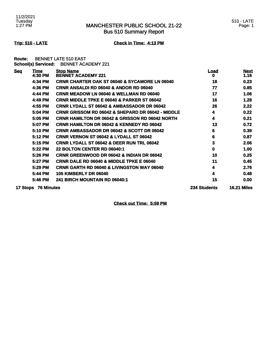# MANCHESTER PUBLIC SCHOOL 21-22 Bus 510 Summary Report

# **Trip: 510 - LATE Check in Time: 4:13 PM**

**Route:** BENNET LATE 510 EAST **School(s) Serviced:** BENNET ACADEMY 221

| <u>Seq</u> | Time<br>4:30 PM     | <b>Stop Name</b><br><b>BENNET ACADEMY 221</b>                | <u>Load</u><br>0    | <b>Next</b><br>1.16 |
|------------|---------------------|--------------------------------------------------------------|---------------------|---------------------|
|            | 4:34 PM             | <b>CRNR CHARTER OAK ST 06040 &amp; SYCAMORE LN 06040</b>     | 18                  | 0.23                |
|            | 4:36 PM             | <b>CRNR ANSALDI RD 06040 &amp; ANDOR RD 06040</b>            | 77                  | 0.85                |
|            | 4:44 PM             | <b>CRNR MEADOW LN 06040 &amp; WELLMAN RD 06040</b>           | 17                  | 1.06                |
|            | 4:49 PM             | <b>CRNR MIDDLE TPKE E 06040 &amp; PARKER ST 06042</b>        | 16                  | 1.28                |
|            | 4:55 PM             | <b>CRNR LYDALL ST 06042 &amp; AMBASSADOR DR 06042</b>        | 26                  | 2.22                |
|            | 5:04 PM             | <b>CRNR GRISSOM RD 06042 &amp; SHEPARD DR 06042 - MIDDLE</b> | 4                   | 0.22                |
|            | 5:05 PM             | <b>CRNR HAMILTON DR 06042 &amp; GRISSON RD 06042 NORTH</b>   | 4                   | 0.21                |
|            | 5:07 PM             | <b>CRNR HAMILTON DR 06042 &amp; KENNEDY RD 06042</b>         | 13                  | 0.72                |
|            | 5:10 PM             | <b>CRNR AMBASSADOR DR 06042 &amp; SCOTT DR 06042</b>         | 6                   | 0.39                |
|            | 5:12 PM             | <b>CRNR VERNON ST 06042 &amp; LYDALL ST 06042</b>            | 6                   | 0.87                |
|            | 5:15 PM             | <b>CRNR LYDALL ST 06042 &amp; DEER RUN TRL 06042</b>         | 3                   | 2.06                |
|            | 5:22 PM             | <b>22 BOLTON CENTER RD 06040:1</b>                           | 0                   | 1.00                |
|            | 5:26 PM             | <b>CRNR GREENWOOD DR 06042 &amp; INDIAN DR 06042</b>         | 10                  | 0.25                |
|            | 5:27 PM             | <b>CRNR DALE RD 06040 &amp; MIDDLE TPKE E 06040</b>          | 11                  | 0.45                |
|            | 5:29 PM             | <b>CRNR GARTH RD 06040 &amp; LIVINGSTON WAY 06040</b>        | 4                   | 2.76                |
|            | 5:44 PM             | <b>105 KIMBERLY DR 06040</b>                                 | 4                   | 0.48                |
|            | 5:46 PM             | <b>241 BIRCH MOUNTAIN RD 06040:1</b>                         | 15                  | 0.00                |
|            | 17 Stops 76 Minutes |                                                              | <b>234 Students</b> | <b>16.21 Miles</b>  |

**Check out Time: 5:59 PM**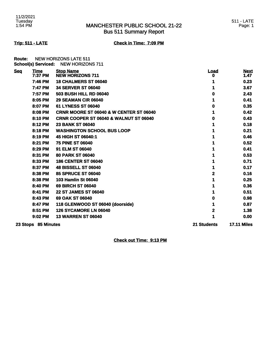# MANCHESTER PUBLIC SCHOOL 21-22 Bus 511 Summary Report

## 511 - LATE Page: 1

# **Trip: 511 - LATE Check in Time: 7:09 PM**

**Route:** NEW HORIZONS LATE 511 **School(s) Serviced:** NEW HORIZONS 711

| <b>Seq</b> | <u>Time</u>         | <b>Stop Name</b>                                   | <u>Load</u>        | <b>Next</b>        |
|------------|---------------------|----------------------------------------------------|--------------------|--------------------|
|            | 7:37 PM             | <b>NEW HORIZONS 711</b>                            | o                  | 1.47               |
|            | 7:46 PM             | 18 CHALMERS ST 06040                               |                    | 0.23               |
|            | 7:47 PM             | <b>34 SERVER ST 06040</b>                          |                    | 3.67               |
|            | 7:57 PM             | <b>503 BUSH HILL RD 06040</b>                      | o                  | 2.43               |
|            | 8:05 PM             | <b>29 SEAMAN CIR 06040</b>                         |                    | 0.41               |
|            | 8:07 PM             | 61 LYNESS ST 06040                                 | O                  | 0.35               |
|            | 8:08 PM             | <b>CRNR MOORE ST 06040 &amp; W CENTER ST 06040</b> |                    | 0.42               |
|            | 8:10 PM             | <b>CRNR COOPER ST 06040 &amp; WALNUT ST 06040</b>  | 0                  | 0.43               |
|            | 8:12 PM             | <b>23 BANK ST 06040</b>                            |                    | 0.18               |
|            | 8:18 PM             | <b>WASHINGTON SCHOOL BUS LOOP</b>                  |                    | 0.21               |
|            | 8:19 PM             | 45 HIGH ST 06040:1                                 |                    | 0.46               |
|            | 8:21 PM             | <b>75 PINE ST 06040</b>                            |                    | 0.52               |
|            | 8:29 PM             | 91 ELM ST 06040                                    |                    | 0.41               |
|            | 8:31 PM             | <b>80 PARK ST 06040</b>                            |                    | 0.53               |
|            | 8:33 PM             | <b>186 CENTER ST 06040</b>                         |                    | 0.71               |
|            | 8:37 PM             | <b>48 BISSELL ST 06040</b>                         |                    | 0.17               |
|            | 8:38 PM             | <b>85 SPRUCE ST 06040</b>                          | 2                  | 0.16               |
|            | 8:38 PM             | 103 Hamlin St 06040                                |                    | 0.25               |
|            | 8:40 PM             | <b>69 BIRCH ST 06040</b>                           |                    | 0.36               |
|            | 8:41 PM             | <b>22 ST JAMES ST 06040</b>                        |                    | 0.51               |
|            | 8:43 PM             | 69 OAK ST 06040                                    | O                  | 0.98               |
|            | 8:47 PM             | 118 GLENWOOD ST 06040 (doorside)                   |                    | 0.87               |
|            | 8:51 PM             | <b>126 SYCAMORE LN 06040</b>                       | 2                  | 1.38               |
|            | 9:02 PM             | <b>13 WARREN ST 06040</b>                          |                    | 0.00               |
|            | 23 Stops 85 Minutes |                                                    | <b>21 Students</b> | <b>17.11 Miles</b> |

**Check out Time: 9:13 PM**